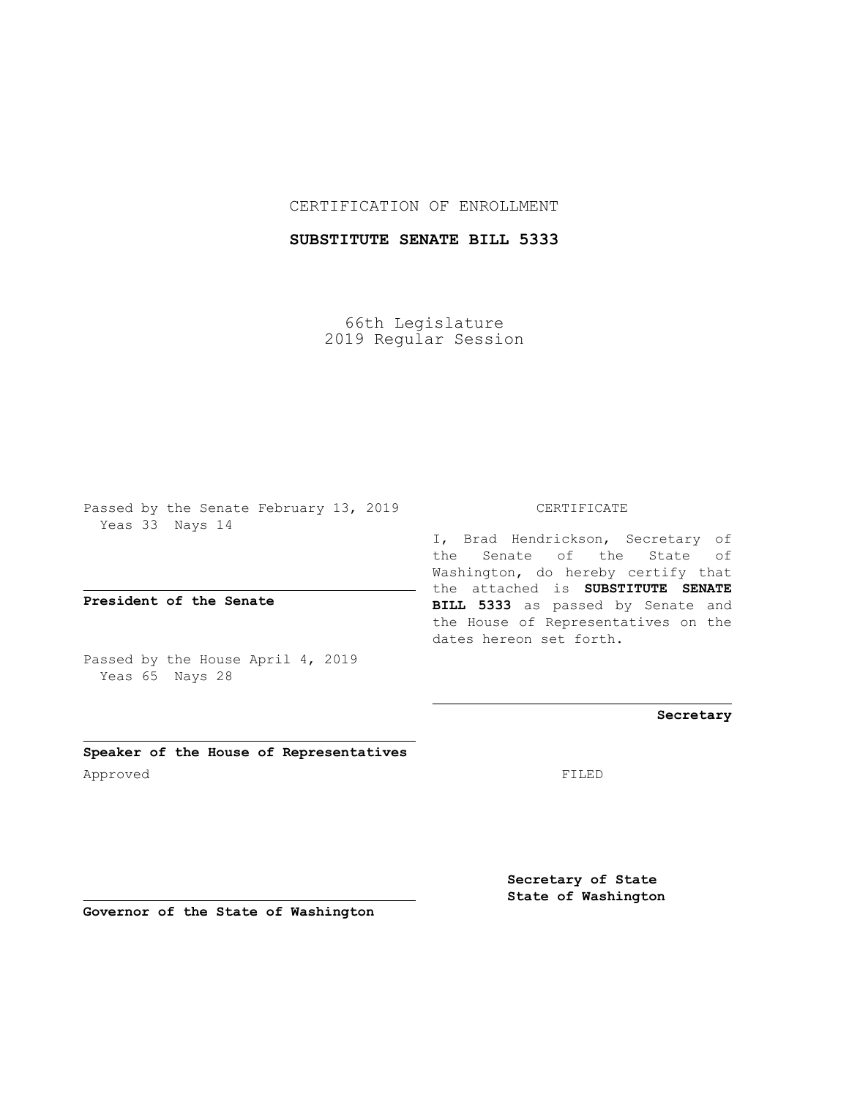CERTIFICATION OF ENROLLMENT

**SUBSTITUTE SENATE BILL 5333**

66th Legislature 2019 Regular Session

Passed by the Senate February 13, 2019 Yeas 33 Nays 14

**President of the Senate**

Passed by the House April 4, 2019 Yeas 65 Nays 28

**Speaker of the House of Representatives** Approved FILED

CERTIFICATE

I, Brad Hendrickson, Secretary of the Senate of the State of Washington, do hereby certify that the attached is **SUBSTITUTE SENATE BILL 5333** as passed by Senate and the House of Representatives on the dates hereon set forth.

**Secretary**

**Secretary of State State of Washington**

**Governor of the State of Washington**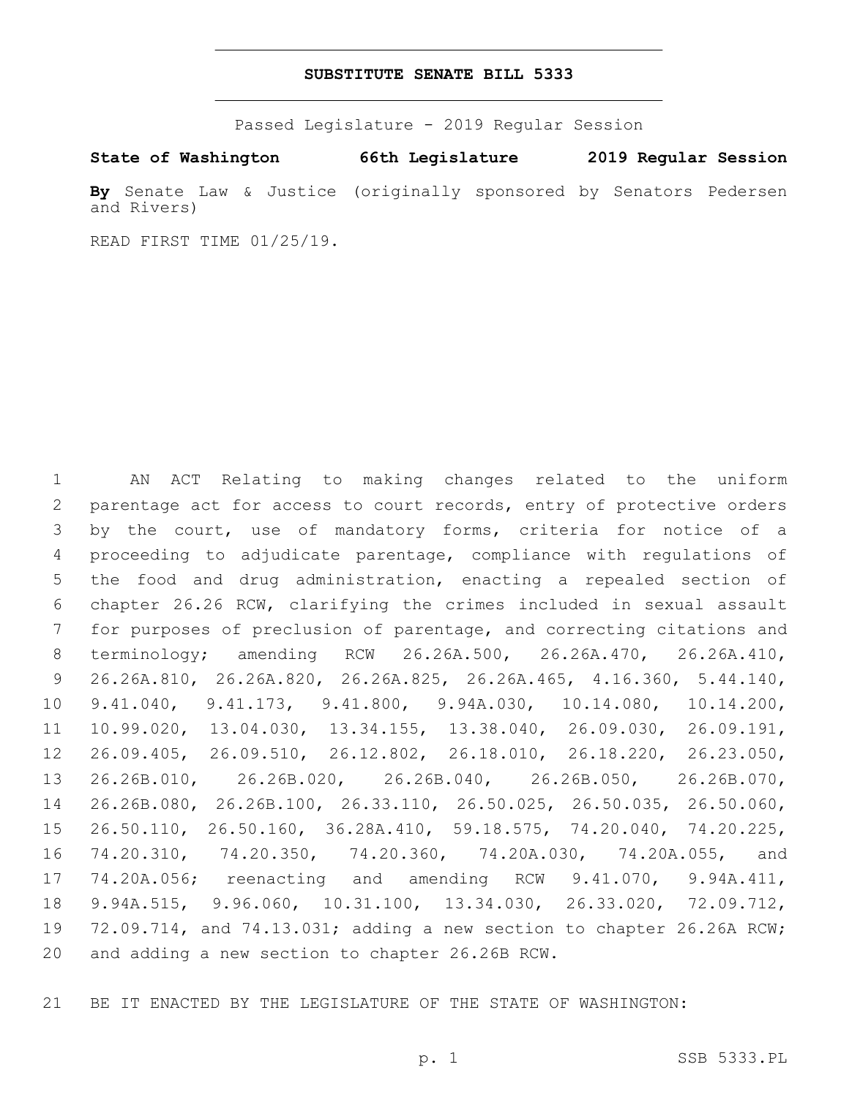### **SUBSTITUTE SENATE BILL 5333**

Passed Legislature - 2019 Regular Session

**State of Washington 66th Legislature 2019 Regular Session**

**By** Senate Law & Justice (originally sponsored by Senators Pedersen and Rivers)

READ FIRST TIME 01/25/19.

 AN ACT Relating to making changes related to the uniform parentage act for access to court records, entry of protective orders by the court, use of mandatory forms, criteria for notice of a proceeding to adjudicate parentage, compliance with regulations of the food and drug administration, enacting a repealed section of chapter 26.26 RCW, clarifying the crimes included in sexual assault for purposes of preclusion of parentage, and correcting citations and terminology; amending RCW 26.26A.500, 26.26A.470, 26.26A.410, 26.26A.810, 26.26A.820, 26.26A.825, 26.26A.465, 4.16.360, 5.44.140, 9.41.040, 9.41.173, 9.41.800, 9.94A.030, 10.14.080, 10.14.200, 10.99.020, 13.04.030, 13.34.155, 13.38.040, 26.09.030, 26.09.191, 26.09.405, 26.09.510, 26.12.802, 26.18.010, 26.18.220, 26.23.050, 26.26B.010, 26.26B.020, 26.26B.040, 26.26B.050, 26.26B.070, 26.26B.080, 26.26B.100, 26.33.110, 26.50.025, 26.50.035, 26.50.060, 26.50.110, 26.50.160, 36.28A.410, 59.18.575, 74.20.040, 74.20.225, 74.20.310, 74.20.350, 74.20.360, 74.20A.030, 74.20A.055, and 74.20A.056; reenacting and amending RCW 9.41.070, 9.94A.411, 9.94A.515, 9.96.060, 10.31.100, 13.34.030, 26.33.020, 72.09.712, 72.09.714, and 74.13.031; adding a new section to chapter 26.26A RCW; 20 and adding a new section to chapter 26.26B RCW.

BE IT ENACTED BY THE LEGISLATURE OF THE STATE OF WASHINGTON: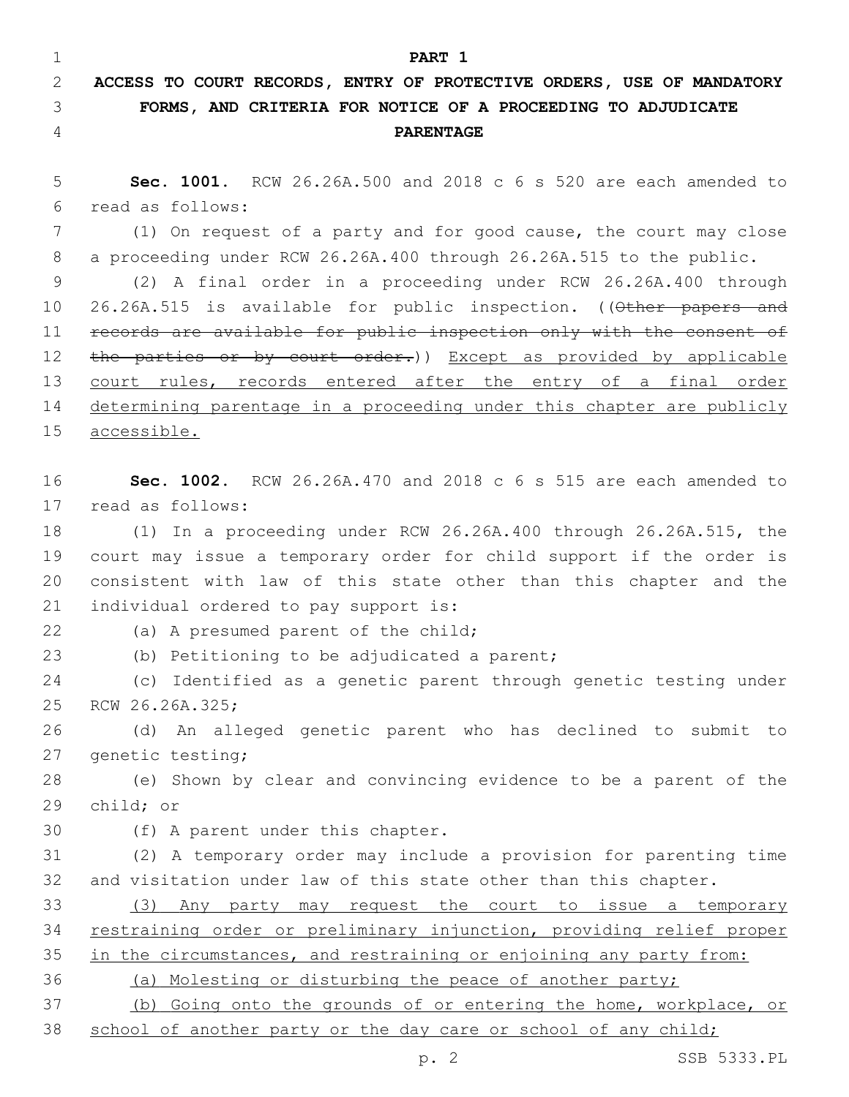**PART 1 ACCESS TO COURT RECORDS, ENTRY OF PROTECTIVE ORDERS, USE OF MANDATORY FORMS, AND CRITERIA FOR NOTICE OF A PROCEEDING TO ADJUDICATE PARENTAGE Sec. 1001.** RCW 26.26A.500 and 2018 c 6 s 520 are each amended to read as follows:6 (1) On request of a party and for good cause, the court may close a proceeding under RCW 26.26A.400 through 26.26A.515 to the public.

 (2) A final order in a proceeding under RCW 26.26A.400 through 10 26.26A.515 is available for public inspection. ((Other papers and records are available for public inspection only with the consent of 12 the parties or by court order.)) Except as provided by applicable 13 court rules, records entered after the entry of a final order determining parentage in a proceeding under this chapter are publicly accessible.

 **Sec. 1002.** RCW 26.26A.470 and 2018 c 6 s 515 are each amended to 17 read as follows:

 (1) In a proceeding under RCW 26.26A.400 through 26.26A.515, the court may issue a temporary order for child support if the order is consistent with law of this state other than this chapter and the 21 individual ordered to pay support is:

22 (a) A presumed parent of the child;

(b) Petitioning to be adjudicated a parent;

 (c) Identified as a genetic parent through genetic testing under 25 RCW 26.26A.325;

 (d) An alleged genetic parent who has declined to submit to 27 genetic testing;

 (e) Shown by clear and convincing evidence to be a parent of the 29 child; or

30 (f) A parent under this chapter.

 (2) A temporary order may include a provision for parenting time and visitation under law of this state other than this chapter.

 (3) Any party may request the court to issue a temporary restraining order or preliminary injunction, providing relief proper 35 in the circumstances, and restraining or enjoining any party from:

(a) Molesting or disturbing the peace of another party;

 (b) Going onto the grounds of or entering the home, workplace, or 38 school of another party or the day care or school of any child;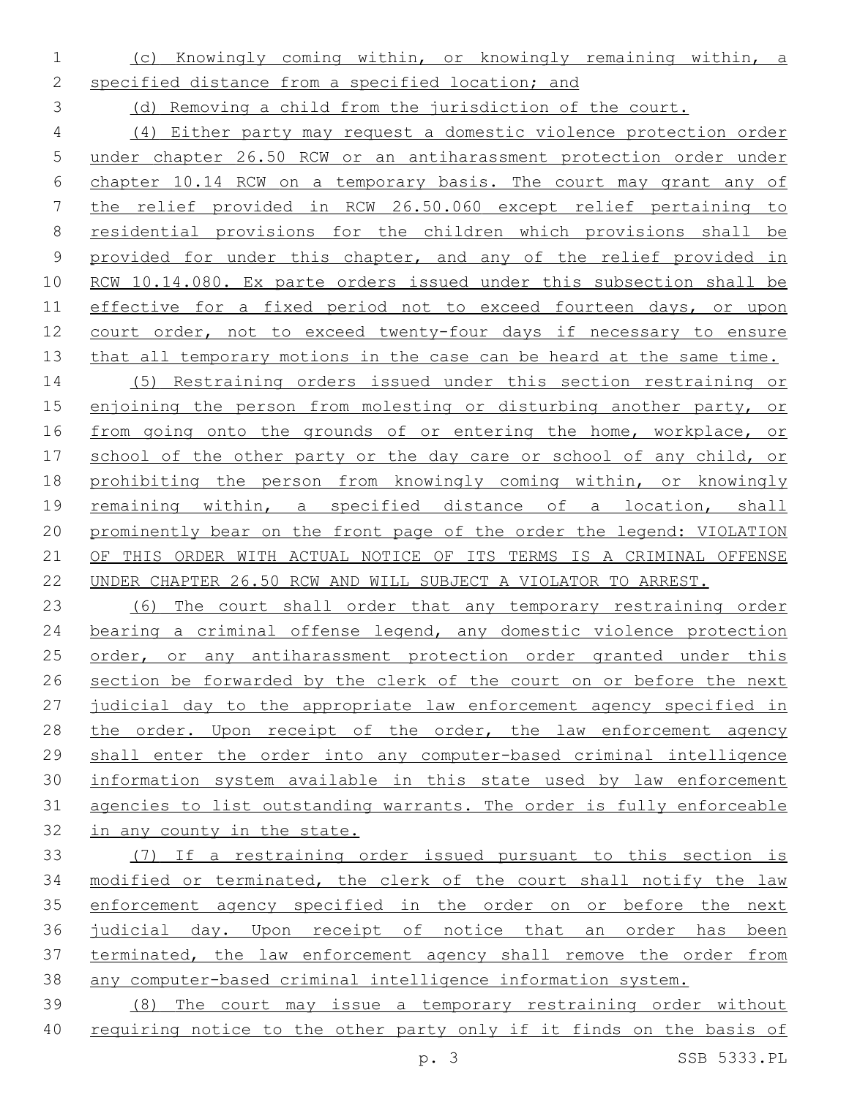- (c) Knowingly coming within, or knowingly remaining within, a
- specified distance from a specified location; and

(d) Removing a child from the jurisdiction of the court.

 (4) Either party may request a domestic violence protection order under chapter 26.50 RCW or an antiharassment protection order under chapter 10.14 RCW on a temporary basis. The court may grant any of the relief provided in RCW 26.50.060 except relief pertaining to residential provisions for the children which provisions shall be provided for under this chapter, and any of the relief provided in RCW 10.14.080. Ex parte orders issued under this subsection shall be 11 effective for a fixed period not to exceed fourteen days, or upon court order, not to exceed twenty-four days if necessary to ensure 13 that all temporary motions in the case can be heard at the same time.

 (5) Restraining orders issued under this section restraining or enjoining the person from molesting or disturbing another party, or 16 from going onto the grounds of or entering the home, workplace, or school of the other party or the day care or school of any child, or prohibiting the person from knowingly coming within, or knowingly remaining within, a specified distance of a location, shall prominently bear on the front page of the order the legend: VIOLATION OF THIS ORDER WITH ACTUAL NOTICE OF ITS TERMS IS A CRIMINAL OFFENSE UNDER CHAPTER 26.50 RCW AND WILL SUBJECT A VIOLATOR TO ARREST.

 (6) The court shall order that any temporary restraining order bearing a criminal offense legend, any domestic violence protection 25 order, or any antiharassment protection order granted under this section be forwarded by the clerk of the court on or before the next judicial day to the appropriate law enforcement agency specified in 28 the order. Upon receipt of the order, the law enforcement agency shall enter the order into any computer-based criminal intelligence information system available in this state used by law enforcement agencies to list outstanding warrants. The order is fully enforceable in any county in the state.

 (7) If a restraining order issued pursuant to this section is modified or terminated, the clerk of the court shall notify the law enforcement agency specified in the order on or before the next judicial day. Upon receipt of notice that an order has been terminated, the law enforcement agency shall remove the order from any computer-based criminal intelligence information system.

 (8) The court may issue a temporary restraining order without 40 requiring notice to the other party only if it finds on the basis of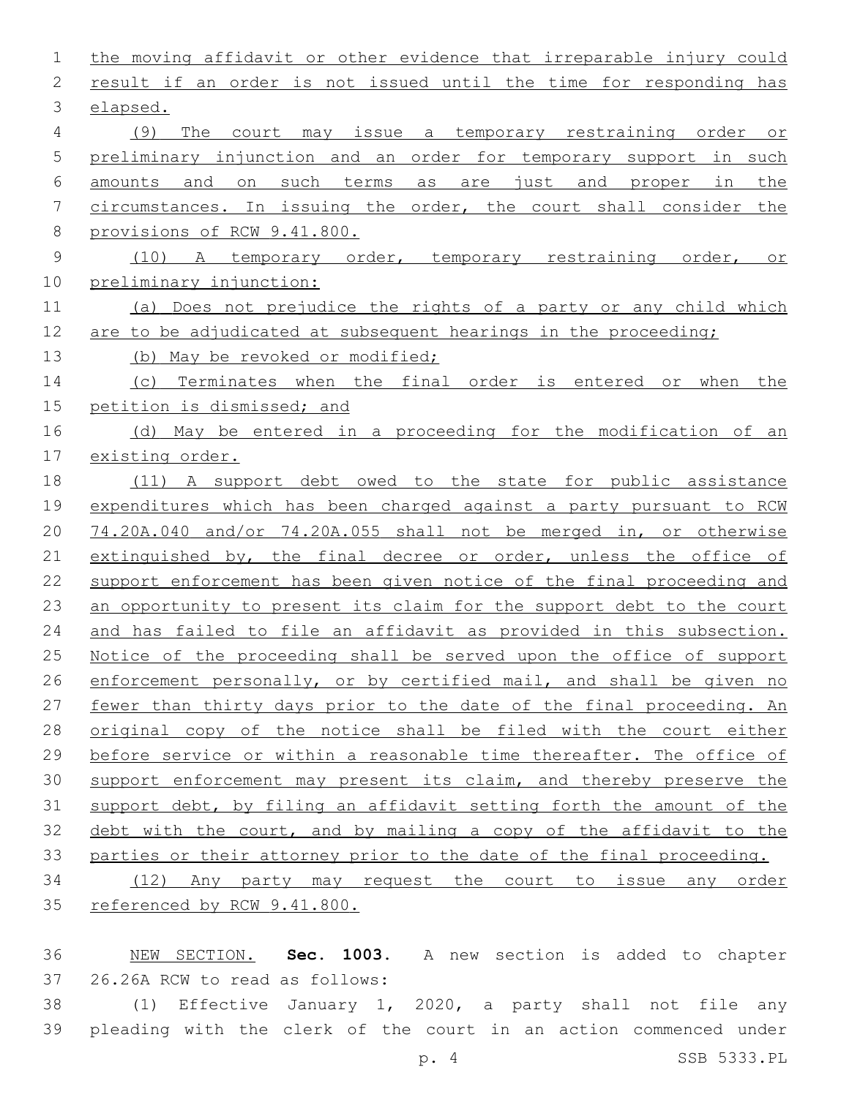| 1              | the moving affidavit or other evidence that irreparable injury could                  |  |  |  |  |  |  |  |  |  |
|----------------|---------------------------------------------------------------------------------------|--|--|--|--|--|--|--|--|--|
| 2              | result if an order is not issued until the time for responding has                    |  |  |  |  |  |  |  |  |  |
| 3              | elapsed.                                                                              |  |  |  |  |  |  |  |  |  |
| $\overline{4}$ | (9)<br>The<br>court may issue a temporary restraining order<br>O <sub>T</sub>         |  |  |  |  |  |  |  |  |  |
| 5              | preliminary injunction and an order for temporary support in such                     |  |  |  |  |  |  |  |  |  |
| 6              | and<br>such<br>terms<br>are just<br>in<br>the<br>amounts<br>on<br>as<br>and<br>proper |  |  |  |  |  |  |  |  |  |
| 7              | circumstances. In issuing the order, the court shall consider the                     |  |  |  |  |  |  |  |  |  |
| $8\,$          | provisions of RCW 9.41.800.                                                           |  |  |  |  |  |  |  |  |  |
| $\mathsf 9$    | A temporary order, temporary restraining<br>(10)<br>order,<br>Оr                      |  |  |  |  |  |  |  |  |  |
| 10             | preliminary injunction:                                                               |  |  |  |  |  |  |  |  |  |
| 11             | Does not prejudice the rights of a party or any child which<br>(a)                    |  |  |  |  |  |  |  |  |  |
| 12             | are to be adjudicated at subsequent hearings in the proceeding;                       |  |  |  |  |  |  |  |  |  |
| 13             | (b) May be revoked or modified;                                                       |  |  |  |  |  |  |  |  |  |
| 14             | Terminates when the final order is entered or<br>when<br>the<br>(C)                   |  |  |  |  |  |  |  |  |  |
| 15             | petition is dismissed; and                                                            |  |  |  |  |  |  |  |  |  |
| 16             | May be entered in a proceeding for the modification of<br>(d)<br>an                   |  |  |  |  |  |  |  |  |  |
| 17             | existing order.                                                                       |  |  |  |  |  |  |  |  |  |
| 18             | A support debt owed to the state for public assistance<br>(11)                        |  |  |  |  |  |  |  |  |  |
| 19             | expenditures which has been charged against a party pursuant to RCW                   |  |  |  |  |  |  |  |  |  |
| 20             | 74.20A.040 and/or 74.20A.055 shall not be merged in, or otherwise                     |  |  |  |  |  |  |  |  |  |
| 21             | extinguished by, the final decree or order, unless the office of                      |  |  |  |  |  |  |  |  |  |
| 22             | support enforcement has been given notice of the final proceeding and                 |  |  |  |  |  |  |  |  |  |
| 23             | an opportunity to present its claim for the support debt to the court                 |  |  |  |  |  |  |  |  |  |
| 24             | and has failed to file an affidavit as provided in this subsection.                   |  |  |  |  |  |  |  |  |  |
| 25             | Notice of the proceeding shall be served upon the office of support                   |  |  |  |  |  |  |  |  |  |
| 26             | enforcement personally, or by certified mail, and shall be given no                   |  |  |  |  |  |  |  |  |  |
| 27             | fewer than thirty days prior to the date of the final proceeding. An                  |  |  |  |  |  |  |  |  |  |
| 28             | original copy of the notice shall be filed with the court either                      |  |  |  |  |  |  |  |  |  |
| 29             | before service or within a reasonable time thereafter. The office of                  |  |  |  |  |  |  |  |  |  |
| 30             | support enforcement may present its claim, and thereby preserve the                   |  |  |  |  |  |  |  |  |  |
| 31             | support debt, by filing an affidavit setting forth the amount of the                  |  |  |  |  |  |  |  |  |  |
| 32             | debt with the court, and by mailing a copy of the affidavit to the                    |  |  |  |  |  |  |  |  |  |
| 33             | parties or their attorney prior to the date of the final proceeding.                  |  |  |  |  |  |  |  |  |  |
| 34             | (12) Any party may request the court to issue any order                               |  |  |  |  |  |  |  |  |  |
| 35             | referenced by RCW 9.41.800.                                                           |  |  |  |  |  |  |  |  |  |
|                |                                                                                       |  |  |  |  |  |  |  |  |  |

 NEW SECTION. **Sec. 1003.** A new section is added to chapter 37 26.26A RCW to read as follows:

 (1) Effective January 1, 2020, a party shall not file any pleading with the clerk of the court in an action commenced under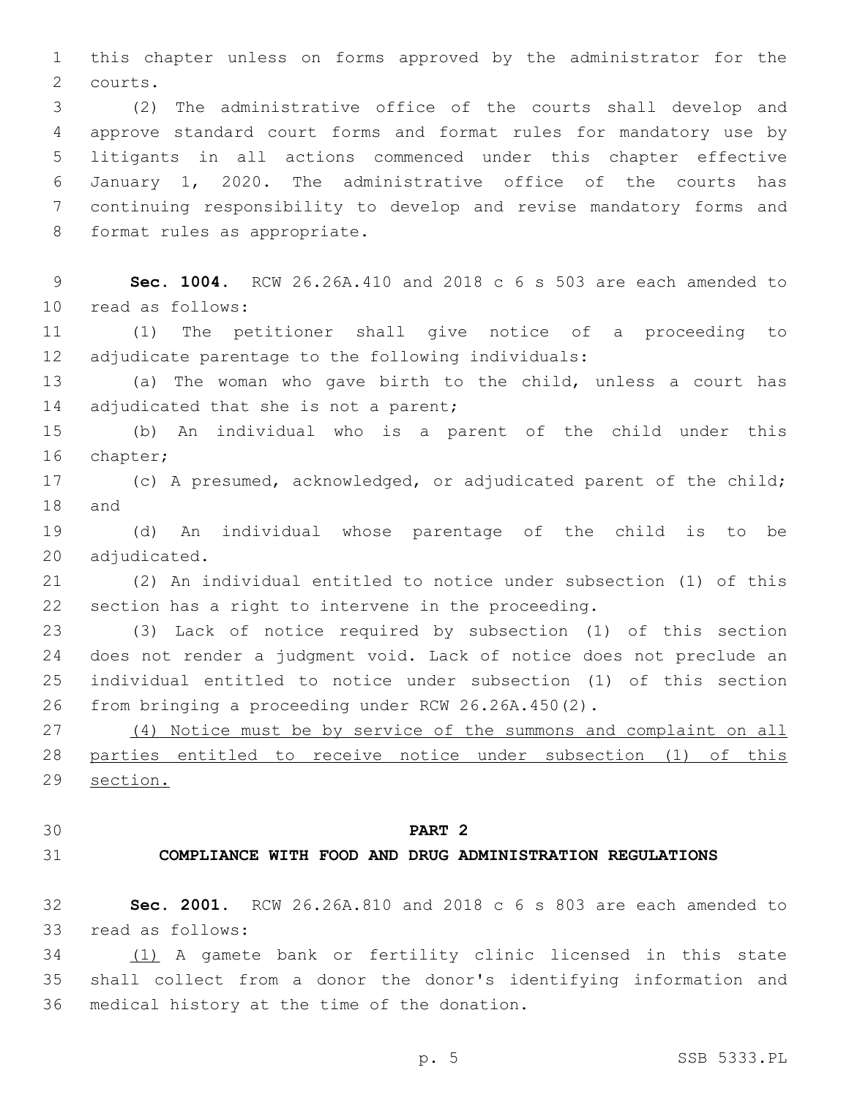this chapter unless on forms approved by the administrator for the 2 courts.

 (2) The administrative office of the courts shall develop and approve standard court forms and format rules for mandatory use by litigants in all actions commenced under this chapter effective January 1, 2020. The administrative office of the courts has continuing responsibility to develop and revise mandatory forms and 8 format rules as appropriate.

 **Sec. 1004.** RCW 26.26A.410 and 2018 c 6 s 503 are each amended to 10 read as follows:

 (1) The petitioner shall give notice of a proceeding to adjudicate parentage to the following individuals:

 (a) The woman who gave birth to the child, unless a court has 14 adjudicated that she is not a parent;

 (b) An individual who is a parent of the child under this 16 chapter;

 (c) A presumed, acknowledged, or adjudicated parent of the child; 18 and

 (d) An individual whose parentage of the child is to be 20 adjudicated.

 (2) An individual entitled to notice under subsection (1) of this section has a right to intervene in the proceeding.

 (3) Lack of notice required by subsection (1) of this section does not render a judgment void. Lack of notice does not preclude an individual entitled to notice under subsection (1) of this section from bringing a proceeding under RCW 26.26A.450(2).

 (4) Notice must be by service of the summons and complaint on all parties entitled to receive notice under subsection (1) of this section.

### **PART 2**

# **COMPLIANCE WITH FOOD AND DRUG ADMINISTRATION REGULATIONS**

 **Sec. 2001.** RCW 26.26A.810 and 2018 c 6 s 803 are each amended to 33 read as follows:

 (1) A gamete bank or fertility clinic licensed in this state shall collect from a donor the donor's identifying information and 36 medical history at the time of the donation.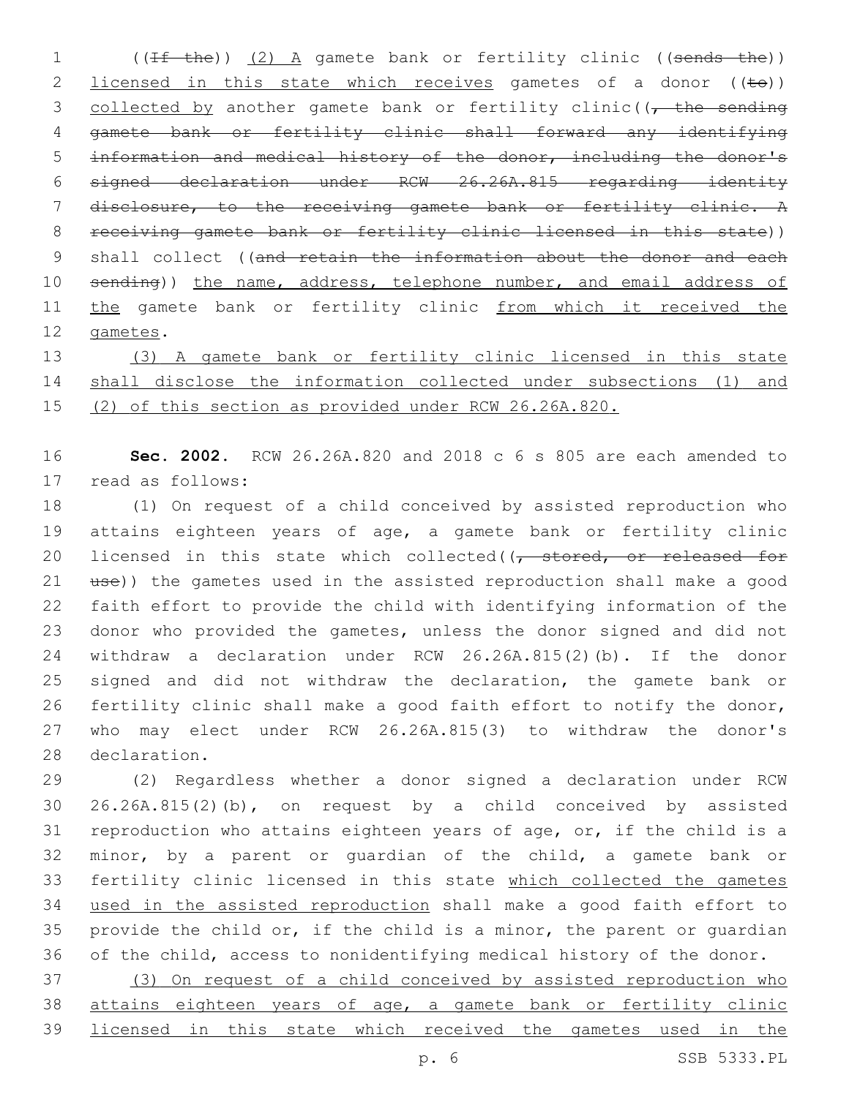1 ((If the)) (2) A gamete bank or fertility clinic ((sends the)) 2 licensed in this state which receives gametes of a donor  $((\pm \Theta))$ 3 collected by another gamete bank or fertility clinic( $\sqrt{t}$  the sending gamete bank or fertility clinic shall forward any identifying information and medical history of the donor, including the donor's signed declaration under RCW 26.26A.815 regarding identity disclosure, to the receiving gamete bank or fertility clinic. A receiving gamete bank or fertility clinic licensed in this state)) 9 shall collect ((and retain the information about the donor and each 10 sending)) the name, address, telephone number, and email address of 11 the gamete bank or fertility clinic from which it received the 12 gametes.

 (3) A gamete bank or fertility clinic licensed in this state shall disclose the information collected under subsections (1) and (2) of this section as provided under RCW 26.26A.820.

 **Sec. 2002.** RCW 26.26A.820 and 2018 c 6 s 805 are each amended to 17 read as follows:

 (1) On request of a child conceived by assisted reproduction who attains eighteen years of age, a gamete bank or fertility clinic 20 licensed in this state which collected((, stored, or released for 21 use)) the gametes used in the assisted reproduction shall make a good faith effort to provide the child with identifying information of the donor who provided the gametes, unless the donor signed and did not withdraw a declaration under RCW 26.26A.815(2)(b). If the donor signed and did not withdraw the declaration, the gamete bank or fertility clinic shall make a good faith effort to notify the donor, who may elect under RCW 26.26A.815(3) to withdraw the donor's 28 declaration.

 (2) Regardless whether a donor signed a declaration under RCW 26.26A.815(2)(b), on request by a child conceived by assisted reproduction who attains eighteen years of age, or, if the child is a minor, by a parent or guardian of the child, a gamete bank or fertility clinic licensed in this state which collected the gametes used in the assisted reproduction shall make a good faith effort to provide the child or, if the child is a minor, the parent or guardian of the child, access to nonidentifying medical history of the donor.

 (3) On request of a child conceived by assisted reproduction who 38 attains eighteen years of age, a gamete bank or fertility clinic licensed in this state which received the gametes used in the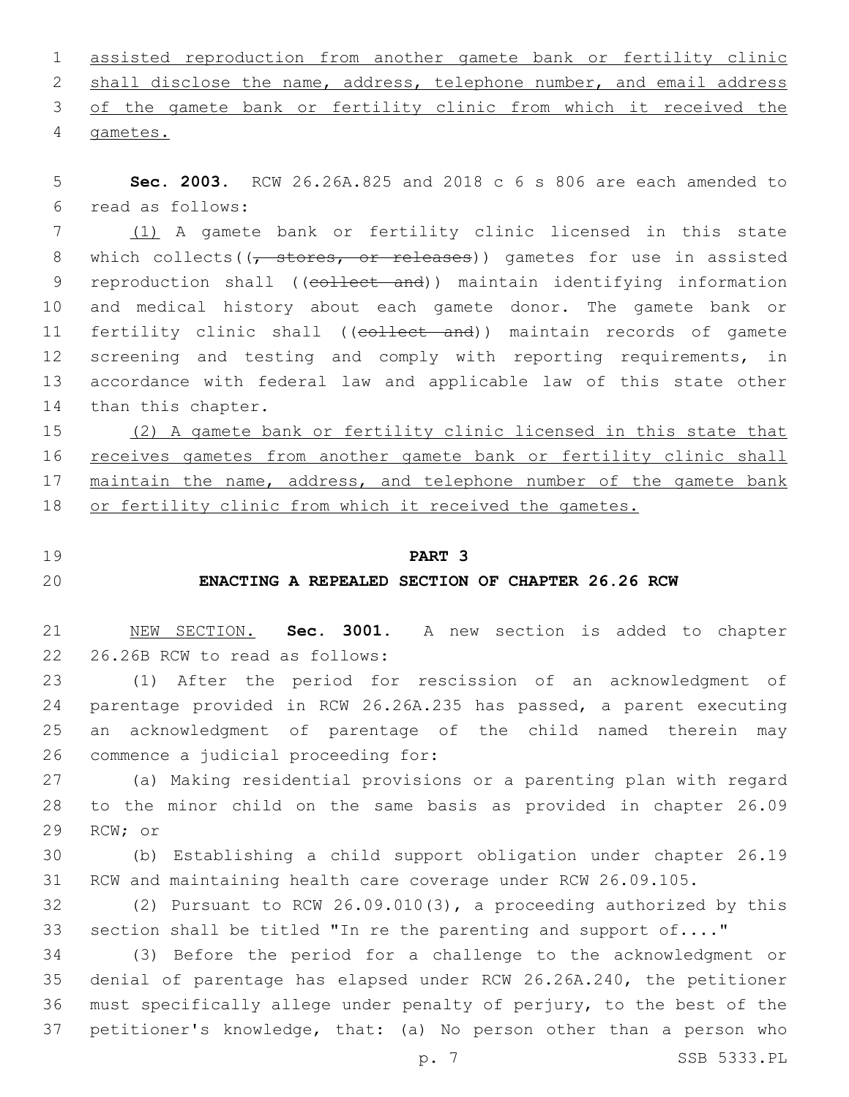| 1 assisted reproduction from another gamete bank or fertility clinic    |  |  |  |  |  |  |
|-------------------------------------------------------------------------|--|--|--|--|--|--|
| 2 shall disclose the name, address, telephone number, and email address |  |  |  |  |  |  |
| 3 of the gamete bank or fertility clinic from which it received the     |  |  |  |  |  |  |
| 4 gametes.                                                              |  |  |  |  |  |  |

5 **Sec. 2003.** RCW 26.26A.825 and 2018 c 6 s 806 are each amended to read as follows:6

7 (1) A gamete bank or fertility clinic licensed in this state 8 which collects((<del>, stores, or releases</del>)) gametes for use in assisted 9 reproduction shall ((collect and)) maintain identifying information 10 and medical history about each gamete donor. The gamete bank or 11 fertility clinic shall ((collect and)) maintain records of gamete 12 screening and testing and comply with reporting requirements, in 13 accordance with federal law and applicable law of this state other 14 than this chapter.

15 (2) A gamete bank or fertility clinic licensed in this state that 16 receives gametes from another gamete bank or fertility clinic shall 17 maintain the name, address, and telephone number of the gamete bank 18 or fertility clinic from which it received the gametes.

## 19 **PART 3**

# 20 **ENACTING A REPEALED SECTION OF CHAPTER 26.26 RCW**

21 NEW SECTION. **Sec. 3001.** A new section is added to chapter 22 26.26B RCW to read as follows:

 (1) After the period for rescission of an acknowledgment of parentage provided in RCW 26.26A.235 has passed, a parent executing an acknowledgment of parentage of the child named therein may 26 commence a judicial proceeding for:

27 (a) Making residential provisions or a parenting plan with regard 28 to the minor child on the same basis as provided in chapter 26.09 29 RCW; or

30 (b) Establishing a child support obligation under chapter 26.19 31 RCW and maintaining health care coverage under RCW 26.09.105.

32 (2) Pursuant to RCW 26.09.010(3), a proceeding authorized by this 33 section shall be titled "In re the parenting and support of...."

 (3) Before the period for a challenge to the acknowledgment or denial of parentage has elapsed under RCW 26.26A.240, the petitioner must specifically allege under penalty of perjury, to the best of the petitioner's knowledge, that: (a) No person other than a person who

p. 7 SSB 5333.PL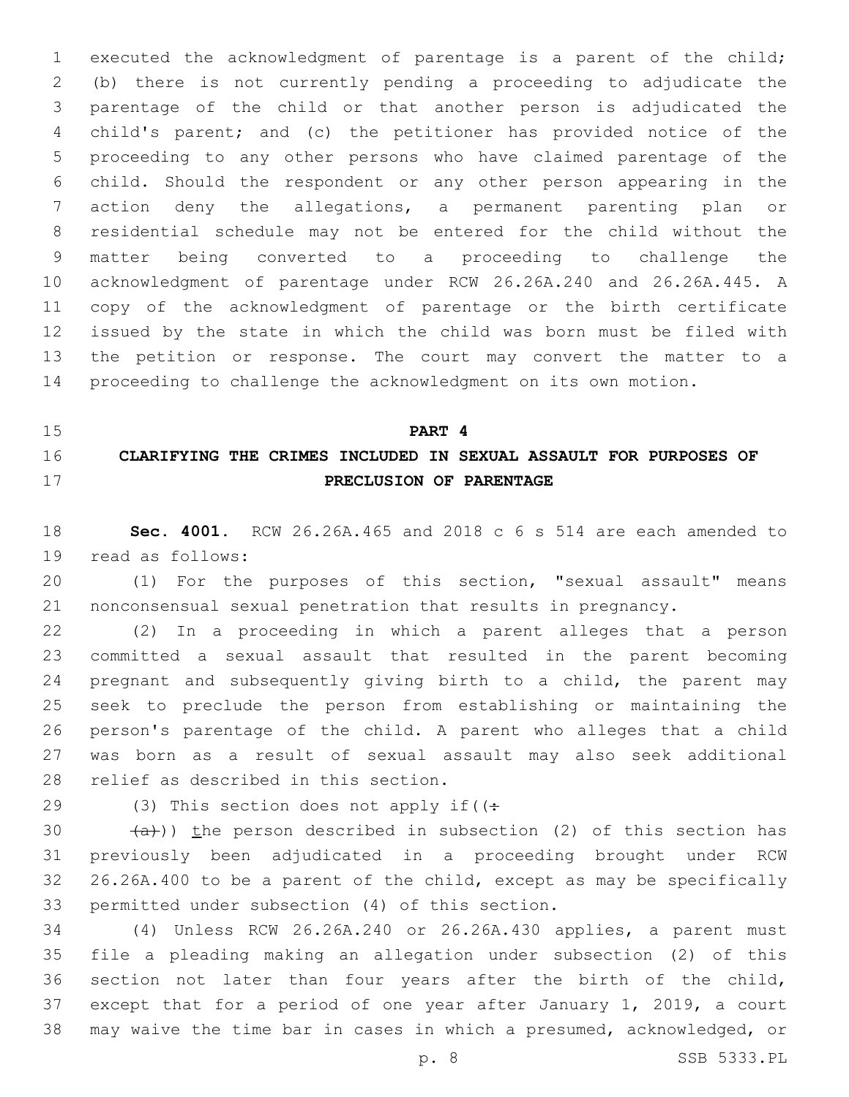executed the acknowledgment of parentage is a parent of the child; (b) there is not currently pending a proceeding to adjudicate the parentage of the child or that another person is adjudicated the child's parent; and (c) the petitioner has provided notice of the proceeding to any other persons who have claimed parentage of the child. Should the respondent or any other person appearing in the action deny the allegations, a permanent parenting plan or residential schedule may not be entered for the child without the matter being converted to a proceeding to challenge the acknowledgment of parentage under RCW 26.26A.240 and 26.26A.445. A copy of the acknowledgment of parentage or the birth certificate issued by the state in which the child was born must be filed with the petition or response. The court may convert the matter to a proceeding to challenge the acknowledgment on its own motion.

# **PART 4 CLARIFYING THE CRIMES INCLUDED IN SEXUAL ASSAULT FOR PURPOSES OF PRECLUSION OF PARENTAGE**

 **Sec. 4001.** RCW 26.26A.465 and 2018 c 6 s 514 are each amended to 19 read as follows:

 (1) For the purposes of this section, "sexual assault" means nonconsensual sexual penetration that results in pregnancy.

 (2) In a proceeding in which a parent alleges that a person committed a sexual assault that resulted in the parent becoming pregnant and subsequently giving birth to a child, the parent may seek to preclude the person from establishing or maintaining the person's parentage of the child. A parent who alleges that a child was born as a result of sexual assault may also seek additional 28 relief as described in this section.

29 (3) This section does not apply if( $($ :

 $(a)$ )) the person described in subsection (2) of this section has previously been adjudicated in a proceeding brought under RCW 26.26A.400 to be a parent of the child, except as may be specifically 33 permitted under subsection (4) of this section.

 (4) Unless RCW 26.26A.240 or 26.26A.430 applies, a parent must file a pleading making an allegation under subsection (2) of this section not later than four years after the birth of the child, except that for a period of one year after January 1, 2019, a court may waive the time bar in cases in which a presumed, acknowledged, or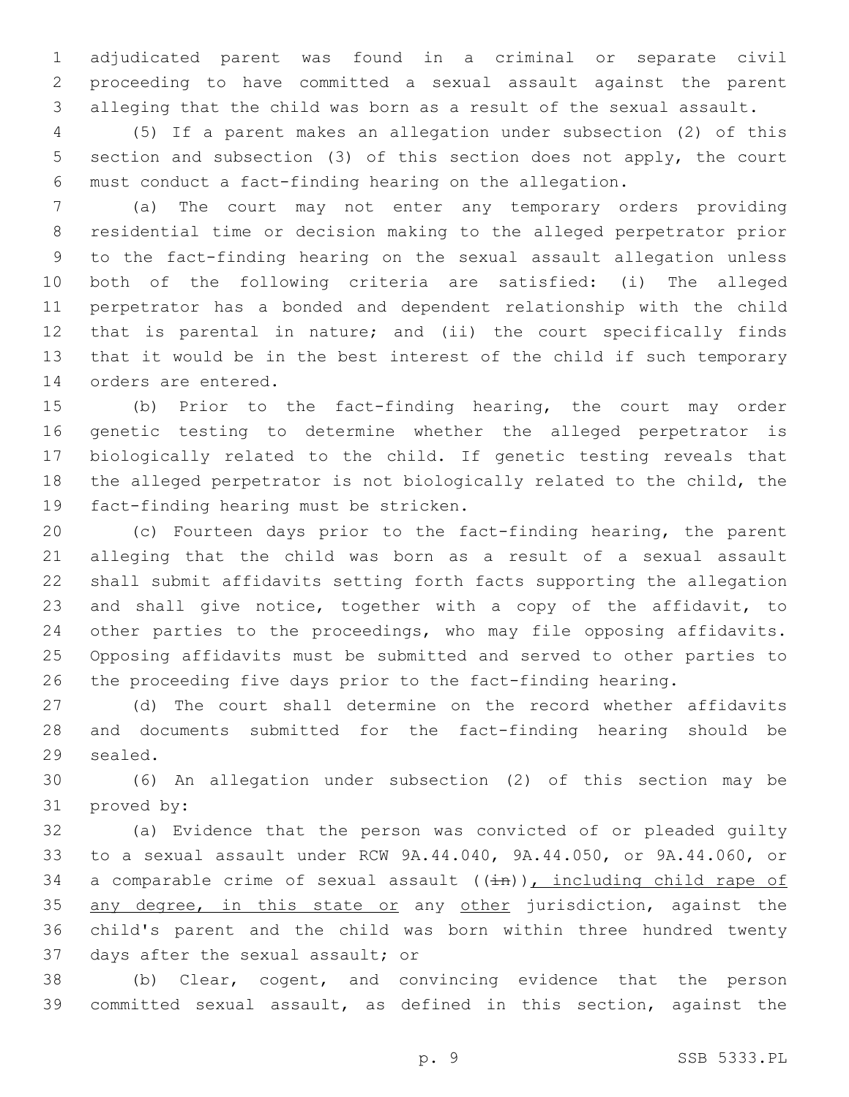adjudicated parent was found in a criminal or separate civil proceeding to have committed a sexual assault against the parent alleging that the child was born as a result of the sexual assault.

 (5) If a parent makes an allegation under subsection (2) of this section and subsection (3) of this section does not apply, the court must conduct a fact-finding hearing on the allegation.

 (a) The court may not enter any temporary orders providing residential time or decision making to the alleged perpetrator prior to the fact-finding hearing on the sexual assault allegation unless both of the following criteria are satisfied: (i) The alleged perpetrator has a bonded and dependent relationship with the child that is parental in nature; and (ii) the court specifically finds that it would be in the best interest of the child if such temporary 14 orders are entered.

 (b) Prior to the fact-finding hearing, the court may order genetic testing to determine whether the alleged perpetrator is biologically related to the child. If genetic testing reveals that the alleged perpetrator is not biologically related to the child, the 19 fact-finding hearing must be stricken.

 (c) Fourteen days prior to the fact-finding hearing, the parent alleging that the child was born as a result of a sexual assault shall submit affidavits setting forth facts supporting the allegation and shall give notice, together with a copy of the affidavit, to other parties to the proceedings, who may file opposing affidavits. Opposing affidavits must be submitted and served to other parties to the proceeding five days prior to the fact-finding hearing.

 (d) The court shall determine on the record whether affidavits and documents submitted for the fact-finding hearing should be 29 sealed.

 (6) An allegation under subsection (2) of this section may be 31 proved by:

 (a) Evidence that the person was convicted of or pleaded guilty to a sexual assault under RCW 9A.44.040, 9A.44.050, or 9A.44.060, or 34 a comparable crime of sexual assault  $((\frac{1}{2}n))$ , including child rape of 35 any degree, in this state or any other jurisdiction, against the child's parent and the child was born within three hundred twenty 37 days after the sexual assault; or

 (b) Clear, cogent, and convincing evidence that the person committed sexual assault, as defined in this section, against the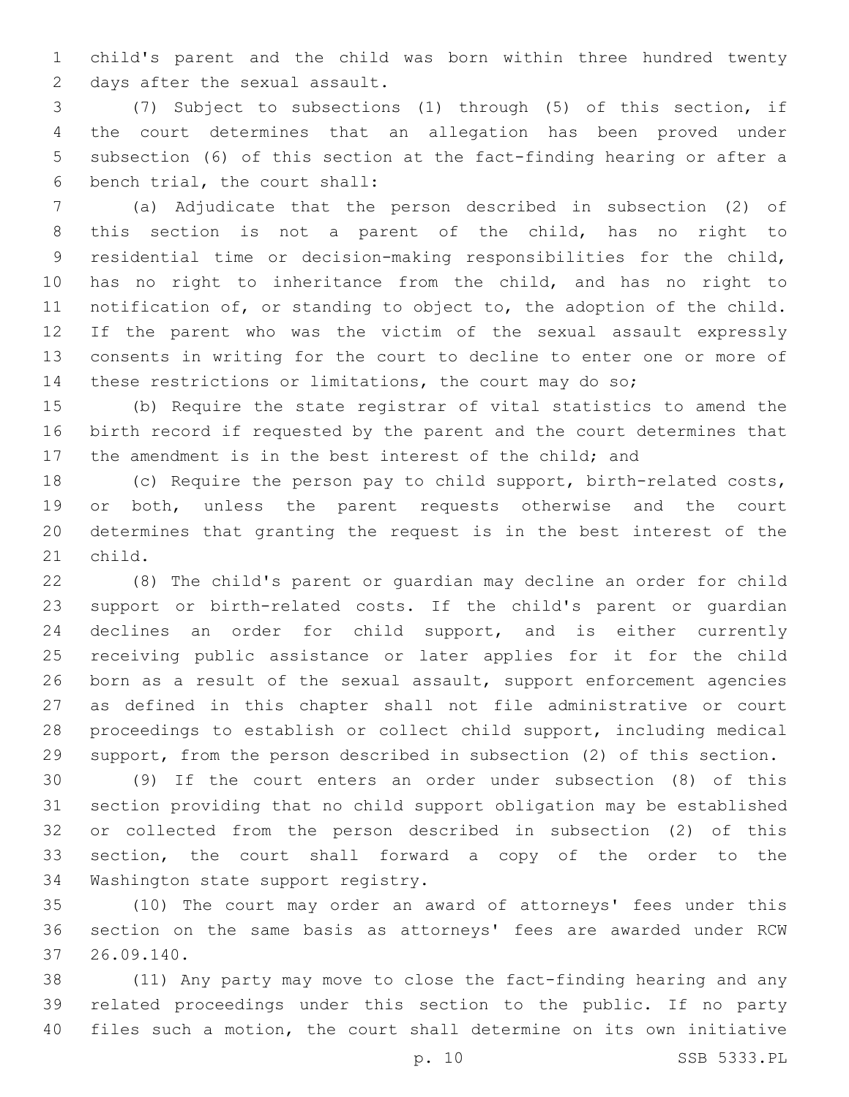child's parent and the child was born within three hundred twenty 2 days after the sexual assault.

 (7) Subject to subsections (1) through (5) of this section, if the court determines that an allegation has been proved under subsection (6) of this section at the fact-finding hearing or after a 6 bench trial, the court shall:

 (a) Adjudicate that the person described in subsection (2) of this section is not a parent of the child, has no right to residential time or decision-making responsibilities for the child, has no right to inheritance from the child, and has no right to notification of, or standing to object to, the adoption of the child. If the parent who was the victim of the sexual assault expressly consents in writing for the court to decline to enter one or more of these restrictions or limitations, the court may do so;

 (b) Require the state registrar of vital statistics to amend the birth record if requested by the parent and the court determines that the amendment is in the best interest of the child; and

 (c) Require the person pay to child support, birth-related costs, or both, unless the parent requests otherwise and the court determines that granting the request is in the best interest of the 21 child.

 (8) The child's parent or guardian may decline an order for child support or birth-related costs. If the child's parent or guardian declines an order for child support, and is either currently receiving public assistance or later applies for it for the child born as a result of the sexual assault, support enforcement agencies as defined in this chapter shall not file administrative or court proceedings to establish or collect child support, including medical support, from the person described in subsection (2) of this section.

 (9) If the court enters an order under subsection (8) of this section providing that no child support obligation may be established or collected from the person described in subsection (2) of this section, the court shall forward a copy of the order to the 34 Washington state support registry.

 (10) The court may order an award of attorneys' fees under this section on the same basis as attorneys' fees are awarded under RCW 26.09.140.37

 (11) Any party may move to close the fact-finding hearing and any related proceedings under this section to the public. If no party files such a motion, the court shall determine on its own initiative

p. 10 SSB 5333.PL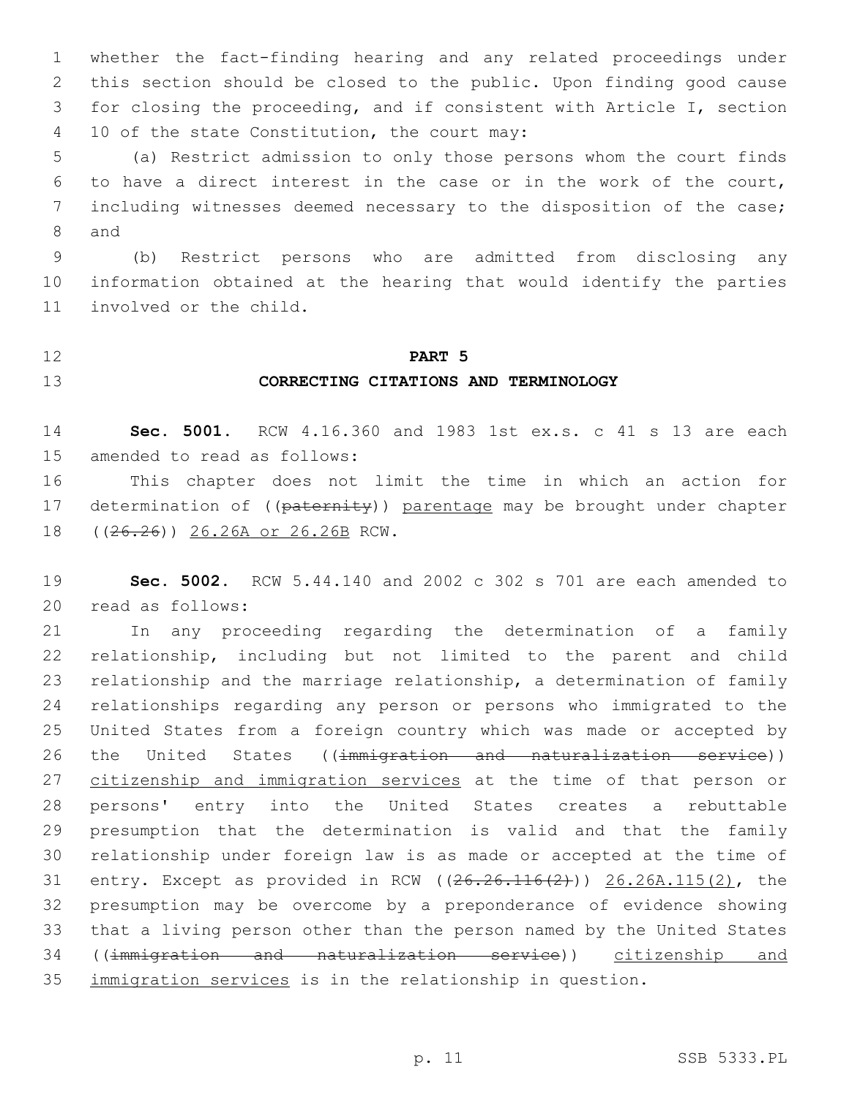whether the fact-finding hearing and any related proceedings under this section should be closed to the public. Upon finding good cause for closing the proceeding, and if consistent with Article I, section 10 of the state Constitution, the court may:4

 (a) Restrict admission to only those persons whom the court finds to have a direct interest in the case or in the work of the court, including witnesses deemed necessary to the disposition of the case; 8 and

 (b) Restrict persons who are admitted from disclosing any information obtained at the hearing that would identify the parties 11 involved or the child.

#### **PART 5**

# **CORRECTING CITATIONS AND TERMINOLOGY**

 **Sec. 5001.** RCW 4.16.360 and 1983 1st ex.s. c 41 s 13 are each 15 amended to read as follows:

 This chapter does not limit the time in which an action for 17 determination of ((paternity)) parentage may be brought under chapter 18 ((26.26)) 26.26A or 26.26B RCW.

 **Sec. 5002.** RCW 5.44.140 and 2002 c 302 s 701 are each amended to 20 read as follows:

 In any proceeding regarding the determination of a family relationship, including but not limited to the parent and child relationship and the marriage relationship, a determination of family relationships regarding any person or persons who immigrated to the United States from a foreign country which was made or accepted by 26 the United States ((immigration and naturalization service)) 27 citizenship and immigration services at the time of that person or persons' entry into the United States creates a rebuttable presumption that the determination is valid and that the family relationship under foreign law is as made or accepted at the time of entry. Except as provided in RCW ((26.26.116(2))) 26.26A.115(2), the presumption may be overcome by a preponderance of evidence showing that a living person other than the person named by the United States ((immigration and naturalization service)) citizenship and 35 immigration services is in the relationship in question.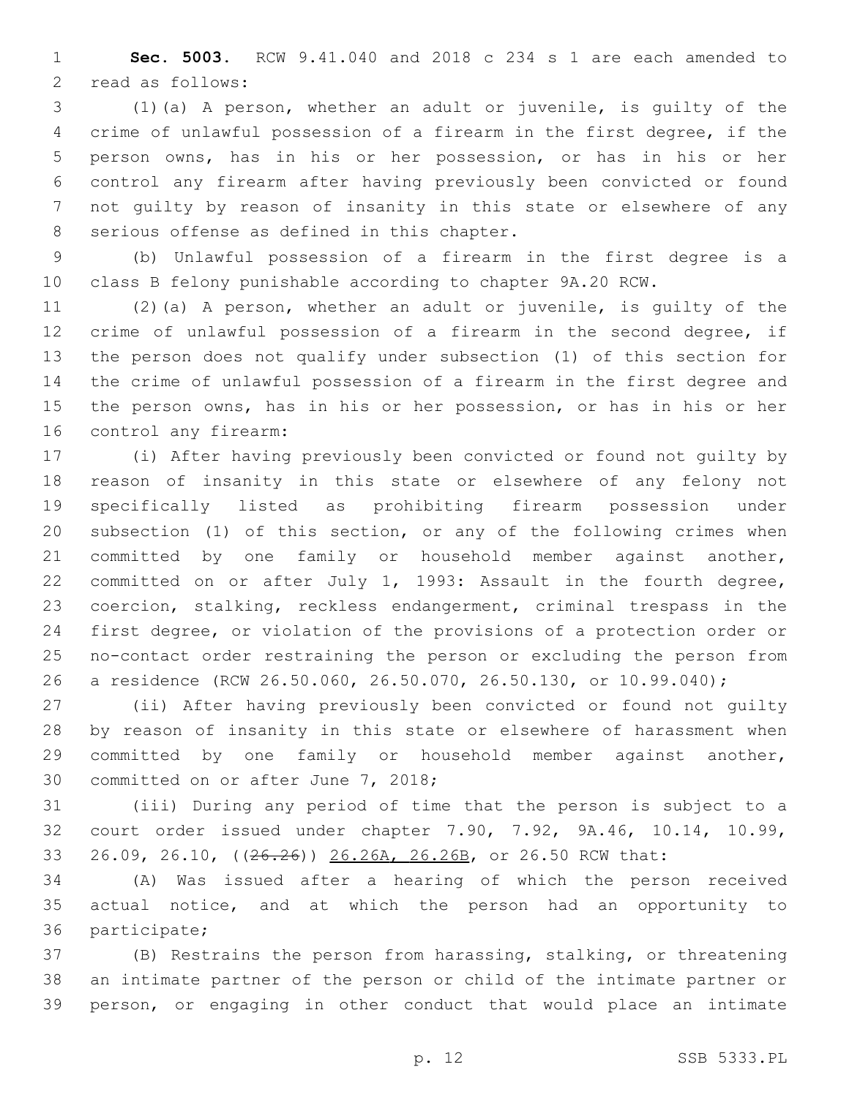**Sec. 5003.** RCW 9.41.040 and 2018 c 234 s 1 are each amended to 2 read as follows:

 (1)(a) A person, whether an adult or juvenile, is guilty of the crime of unlawful possession of a firearm in the first degree, if the person owns, has in his or her possession, or has in his or her control any firearm after having previously been convicted or found not guilty by reason of insanity in this state or elsewhere of any 8 serious offense as defined in this chapter.

 (b) Unlawful possession of a firearm in the first degree is a class B felony punishable according to chapter 9A.20 RCW.

 (2)(a) A person, whether an adult or juvenile, is guilty of the crime of unlawful possession of a firearm in the second degree, if the person does not qualify under subsection (1) of this section for the crime of unlawful possession of a firearm in the first degree and the person owns, has in his or her possession, or has in his or her 16 control any firearm:

 (i) After having previously been convicted or found not guilty by reason of insanity in this state or elsewhere of any felony not specifically listed as prohibiting firearm possession under subsection (1) of this section, or any of the following crimes when committed by one family or household member against another, committed on or after July 1, 1993: Assault in the fourth degree, coercion, stalking, reckless endangerment, criminal trespass in the first degree, or violation of the provisions of a protection order or no-contact order restraining the person or excluding the person from a residence (RCW 26.50.060, 26.50.070, 26.50.130, or 10.99.040);

 (ii) After having previously been convicted or found not guilty by reason of insanity in this state or elsewhere of harassment when committed by one family or household member against another, 30 committed on or after June 7, 2018;

 (iii) During any period of time that the person is subject to a court order issued under chapter 7.90, 7.92, 9A.46, 10.14, 10.99, 26.09, 26.10, ((26.26)) 26.26A, 26.26B, or 26.50 RCW that:

 (A) Was issued after a hearing of which the person received actual notice, and at which the person had an opportunity to 36 participate;

 (B) Restrains the person from harassing, stalking, or threatening an intimate partner of the person or child of the intimate partner or person, or engaging in other conduct that would place an intimate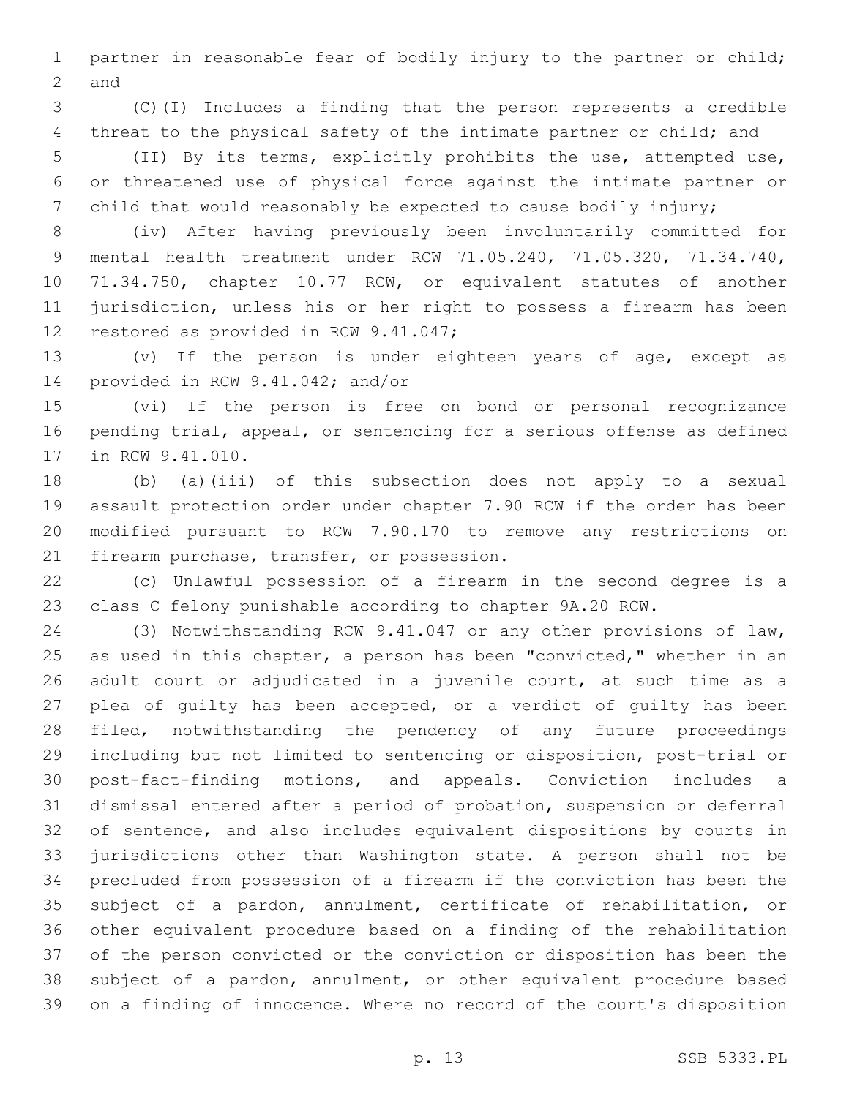partner in reasonable fear of bodily injury to the partner or child; 2 and

 (C)(I) Includes a finding that the person represents a credible 4 threat to the physical safety of the intimate partner or child; and

 (II) By its terms, explicitly prohibits the use, attempted use, or threatened use of physical force against the intimate partner or child that would reasonably be expected to cause bodily injury;

 (iv) After having previously been involuntarily committed for mental health treatment under RCW 71.05.240, 71.05.320, 71.34.740, 71.34.750, chapter 10.77 RCW, or equivalent statutes of another jurisdiction, unless his or her right to possess a firearm has been 12 restored as provided in RCW 9.41.047;

 (v) If the person is under eighteen years of age, except as 14 provided in RCW 9.41.042; and/or

 (vi) If the person is free on bond or personal recognizance pending trial, appeal, or sentencing for a serious offense as defined 17 in RCW 9.41.010.

 (b) (a)(iii) of this subsection does not apply to a sexual assault protection order under chapter 7.90 RCW if the order has been modified pursuant to RCW 7.90.170 to remove any restrictions on 21 firearm purchase, transfer, or possession.

 (c) Unlawful possession of a firearm in the second degree is a class C felony punishable according to chapter 9A.20 RCW.

 (3) Notwithstanding RCW 9.41.047 or any other provisions of law, 25 as used in this chapter, a person has been "convicted," whether in an adult court or adjudicated in a juvenile court, at such time as a plea of guilty has been accepted, or a verdict of guilty has been filed, notwithstanding the pendency of any future proceedings including but not limited to sentencing or disposition, post-trial or post-fact-finding motions, and appeals. Conviction includes a dismissal entered after a period of probation, suspension or deferral of sentence, and also includes equivalent dispositions by courts in jurisdictions other than Washington state. A person shall not be precluded from possession of a firearm if the conviction has been the subject of a pardon, annulment, certificate of rehabilitation, or other equivalent procedure based on a finding of the rehabilitation of the person convicted or the conviction or disposition has been the subject of a pardon, annulment, or other equivalent procedure based on a finding of innocence. Where no record of the court's disposition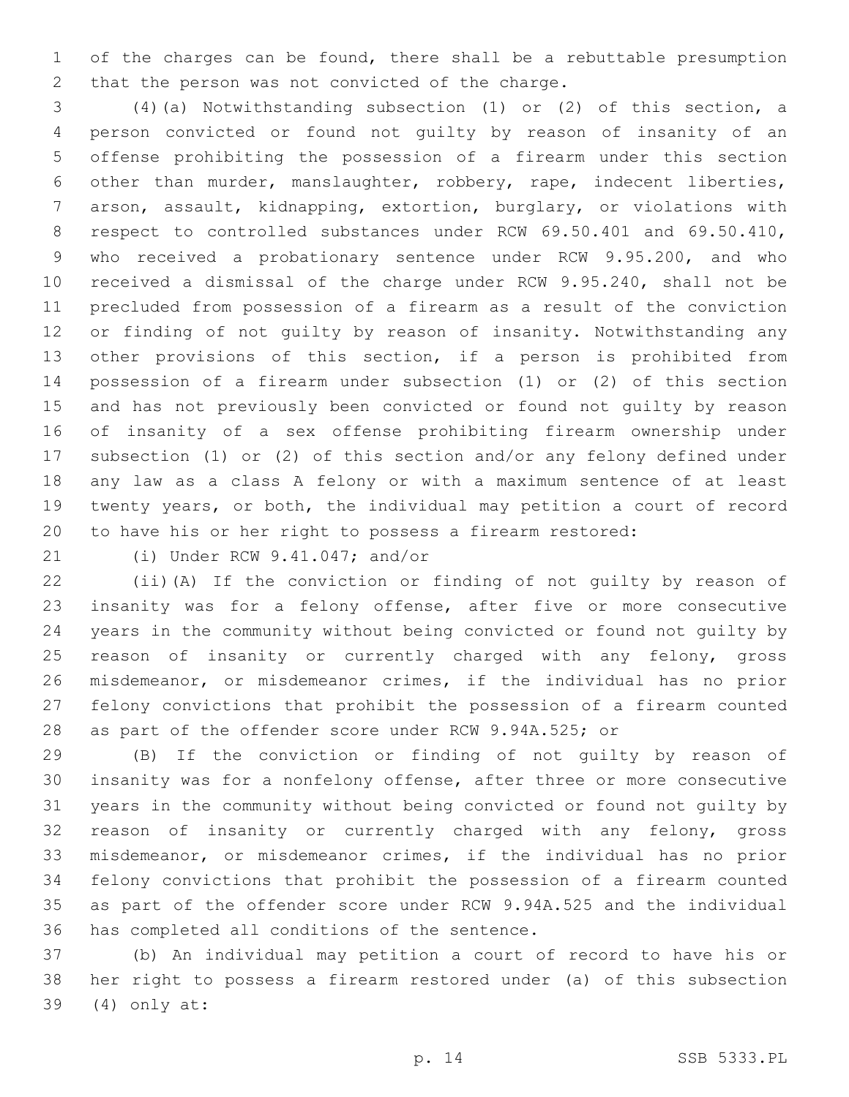of the charges can be found, there shall be a rebuttable presumption 2 that the person was not convicted of the charge.

 (4)(a) Notwithstanding subsection (1) or (2) of this section, a person convicted or found not guilty by reason of insanity of an offense prohibiting the possession of a firearm under this section other than murder, manslaughter, robbery, rape, indecent liberties, arson, assault, kidnapping, extortion, burglary, or violations with 8 respect to controlled substances under RCW 69.50.401 and 69.50.410, who received a probationary sentence under RCW 9.95.200, and who received a dismissal of the charge under RCW 9.95.240, shall not be precluded from possession of a firearm as a result of the conviction or finding of not guilty by reason of insanity. Notwithstanding any other provisions of this section, if a person is prohibited from possession of a firearm under subsection (1) or (2) of this section and has not previously been convicted or found not guilty by reason of insanity of a sex offense prohibiting firearm ownership under subsection (1) or (2) of this section and/or any felony defined under any law as a class A felony or with a maximum sentence of at least twenty years, or both, the individual may petition a court of record to have his or her right to possess a firearm restored:

21 (i) Under RCW 9.41.047; and/or

 (ii)(A) If the conviction or finding of not guilty by reason of insanity was for a felony offense, after five or more consecutive years in the community without being convicted or found not guilty by reason of insanity or currently charged with any felony, gross misdemeanor, or misdemeanor crimes, if the individual has no prior felony convictions that prohibit the possession of a firearm counted as part of the offender score under RCW 9.94A.525; or

 (B) If the conviction or finding of not guilty by reason of insanity was for a nonfelony offense, after three or more consecutive years in the community without being convicted or found not guilty by reason of insanity or currently charged with any felony, gross misdemeanor, or misdemeanor crimes, if the individual has no prior felony convictions that prohibit the possession of a firearm counted as part of the offender score under RCW 9.94A.525 and the individual 36 has completed all conditions of the sentence.

 (b) An individual may petition a court of record to have his or her right to possess a firearm restored under (a) of this subsection (4) only at:39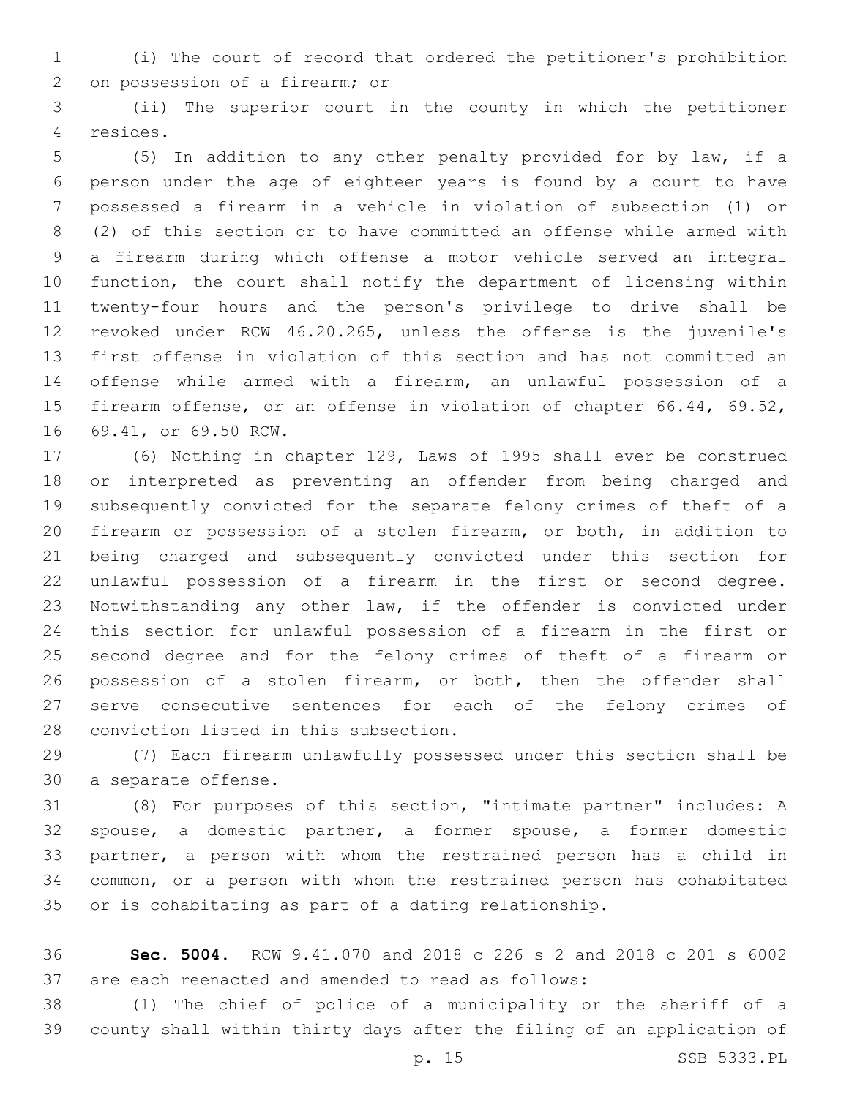(i) The court of record that ordered the petitioner's prohibition 2 on possession of a firearm; or

 (ii) The superior court in the county in which the petitioner resides.4

 (5) In addition to any other penalty provided for by law, if a person under the age of eighteen years is found by a court to have possessed a firearm in a vehicle in violation of subsection (1) or (2) of this section or to have committed an offense while armed with a firearm during which offense a motor vehicle served an integral function, the court shall notify the department of licensing within twenty-four hours and the person's privilege to drive shall be revoked under RCW 46.20.265, unless the offense is the juvenile's first offense in violation of this section and has not committed an offense while armed with a firearm, an unlawful possession of a firearm offense, or an offense in violation of chapter 66.44, 69.52, 16 69.41, or 69.50 RCW.

 (6) Nothing in chapter 129, Laws of 1995 shall ever be construed or interpreted as preventing an offender from being charged and subsequently convicted for the separate felony crimes of theft of a firearm or possession of a stolen firearm, or both, in addition to being charged and subsequently convicted under this section for unlawful possession of a firearm in the first or second degree. Notwithstanding any other law, if the offender is convicted under this section for unlawful possession of a firearm in the first or second degree and for the felony crimes of theft of a firearm or possession of a stolen firearm, or both, then the offender shall serve consecutive sentences for each of the felony crimes of 28 conviction listed in this subsection.

 (7) Each firearm unlawfully possessed under this section shall be 30 a separate offense.

 (8) For purposes of this section, "intimate partner" includes: A spouse, a domestic partner, a former spouse, a former domestic partner, a person with whom the restrained person has a child in common, or a person with whom the restrained person has cohabitated or is cohabitating as part of a dating relationship.

 **Sec. 5004.** RCW 9.41.070 and 2018 c 226 s 2 and 2018 c 201 s 6002 are each reenacted and amended to read as follows:

 (1) The chief of police of a municipality or the sheriff of a county shall within thirty days after the filing of an application of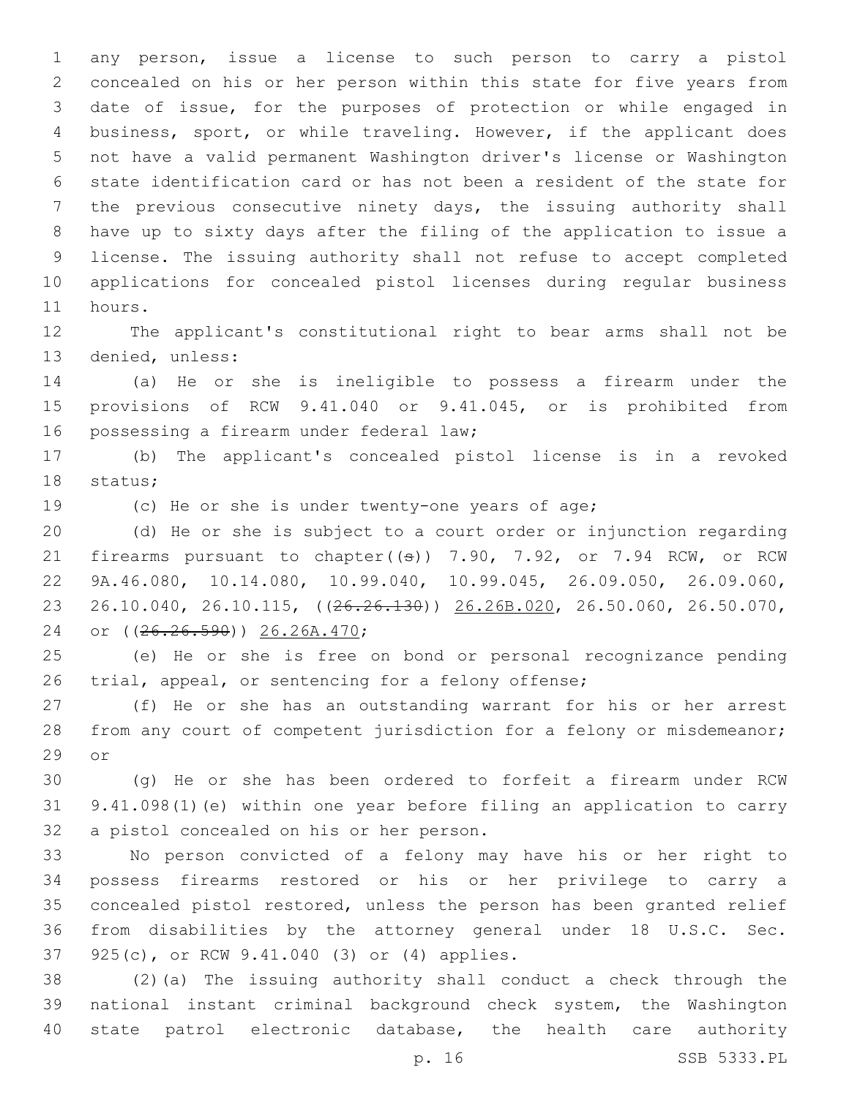any person, issue a license to such person to carry a pistol concealed on his or her person within this state for five years from date of issue, for the purposes of protection or while engaged in business, sport, or while traveling. However, if the applicant does not have a valid permanent Washington driver's license or Washington state identification card or has not been a resident of the state for the previous consecutive ninety days, the issuing authority shall have up to sixty days after the filing of the application to issue a license. The issuing authority shall not refuse to accept completed applications for concealed pistol licenses during regular business 11 hours.

 The applicant's constitutional right to bear arms shall not be 13 denied, unless:

 (a) He or she is ineligible to possess a firearm under the provisions of RCW 9.41.040 or 9.41.045, or is prohibited from 16 possessing a firearm under federal law;

 (b) The applicant's concealed pistol license is in a revoked 18 status;

(c) He or she is under twenty-one years of age;

 (d) He or she is subject to a court order or injunction regarding 21 firearms pursuant to chapter((s)) 7.90, 7.92, or 7.94 RCW, or RCW 9A.46.080, 10.14.080, 10.99.040, 10.99.045, 26.09.050, 26.09.060, 26.10.040, 26.10.115, ((26.26.130)) 26.26B.020, 26.50.060, 26.50.070, 24 or ((<del>26.26.590</del>)) 26.26A.470;

 (e) He or she is free on bond or personal recognizance pending 26 trial, appeal, or sentencing for a felony offense;

 (f) He or she has an outstanding warrant for his or her arrest from any court of competent jurisdiction for a felony or misdemeanor; 29 or

 (g) He or she has been ordered to forfeit a firearm under RCW 9.41.098(1)(e) within one year before filing an application to carry 32 a pistol concealed on his or her person.

 No person convicted of a felony may have his or her right to possess firearms restored or his or her privilege to carry a concealed pistol restored, unless the person has been granted relief from disabilities by the attorney general under 18 U.S.C. Sec. 37 925(c), or RCW 9.41.040 (3) or (4) applies.

 (2)(a) The issuing authority shall conduct a check through the national instant criminal background check system, the Washington state patrol electronic database, the health care authority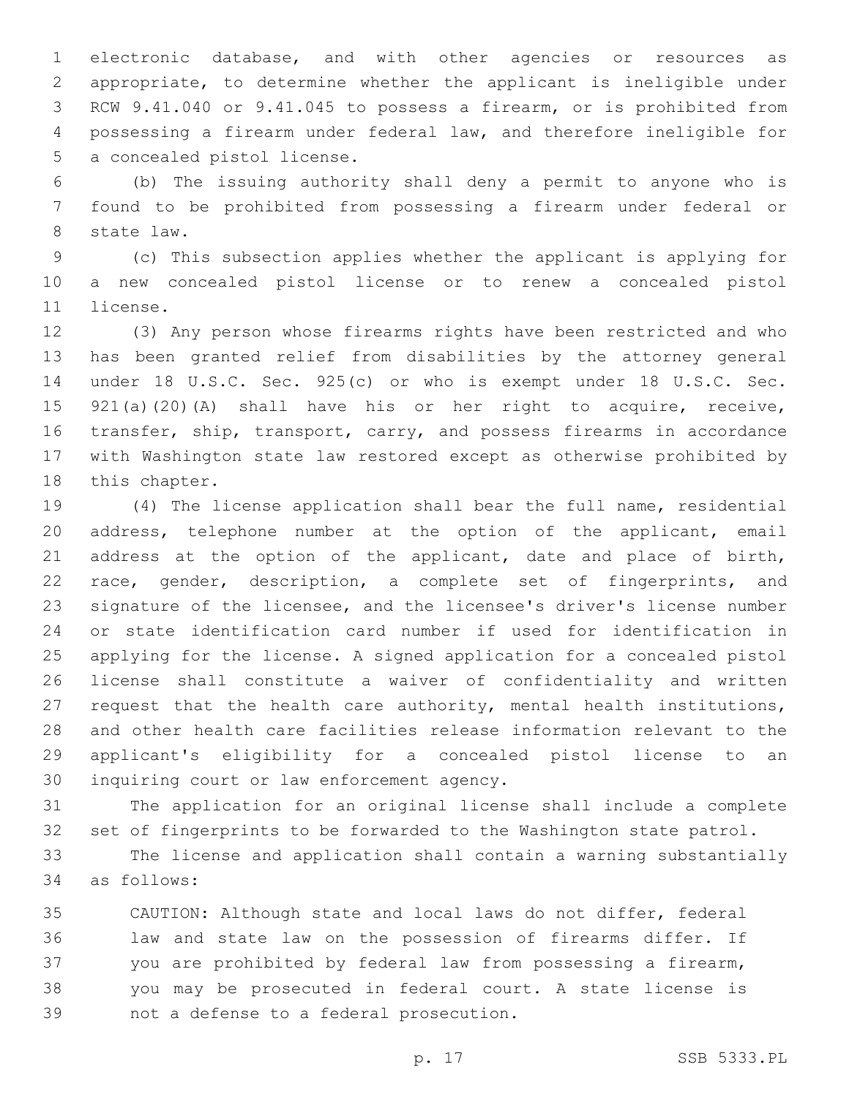electronic database, and with other agencies or resources as appropriate, to determine whether the applicant is ineligible under RCW 9.41.040 or 9.41.045 to possess a firearm, or is prohibited from possessing a firearm under federal law, and therefore ineligible for 5 a concealed pistol license.

 (b) The issuing authority shall deny a permit to anyone who is found to be prohibited from possessing a firearm under federal or 8 state law.

 (c) This subsection applies whether the applicant is applying for a new concealed pistol license or to renew a concealed pistol 11 license.

 (3) Any person whose firearms rights have been restricted and who has been granted relief from disabilities by the attorney general under 18 U.S.C. Sec. 925(c) or who is exempt under 18 U.S.C. Sec. 921(a)(20)(A) shall have his or her right to acquire, receive, transfer, ship, transport, carry, and possess firearms in accordance with Washington state law restored except as otherwise prohibited by 18 this chapter.

 (4) The license application shall bear the full name, residential address, telephone number at the option of the applicant, email 21 address at the option of the applicant, date and place of birth, race, gender, description, a complete set of fingerprints, and signature of the licensee, and the licensee's driver's license number or state identification card number if used for identification in applying for the license. A signed application for a concealed pistol license shall constitute a waiver of confidentiality and written request that the health care authority, mental health institutions, and other health care facilities release information relevant to the applicant's eligibility for a concealed pistol license to an 30 inquiring court or law enforcement agency.

 The application for an original license shall include a complete set of fingerprints to be forwarded to the Washington state patrol.

 The license and application shall contain a warning substantially as follows:34

 CAUTION: Although state and local laws do not differ, federal law and state law on the possession of firearms differ. If you are prohibited by federal law from possessing a firearm, you may be prosecuted in federal court. A state license is 39 not a defense to a federal prosecution.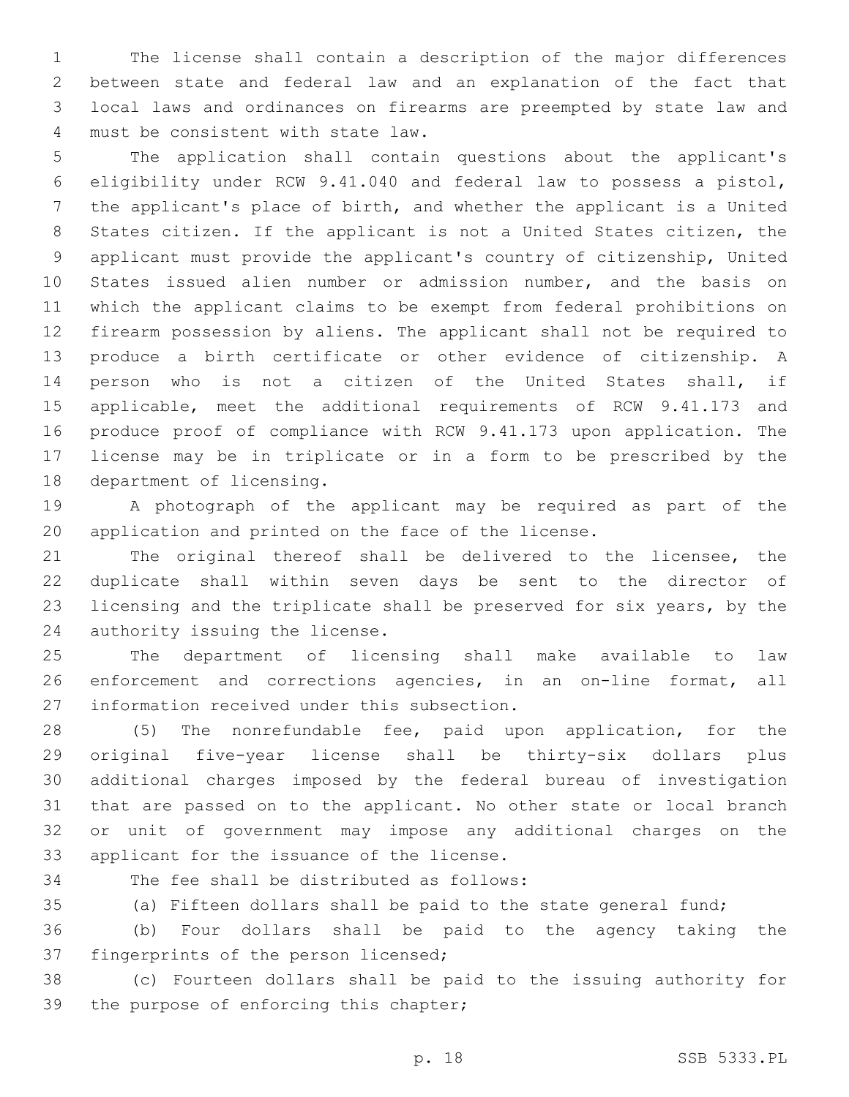The license shall contain a description of the major differences between state and federal law and an explanation of the fact that local laws and ordinances on firearms are preempted by state law and must be consistent with state law.4

 The application shall contain questions about the applicant's eligibility under RCW 9.41.040 and federal law to possess a pistol, the applicant's place of birth, and whether the applicant is a United States citizen. If the applicant is not a United States citizen, the applicant must provide the applicant's country of citizenship, United States issued alien number or admission number, and the basis on which the applicant claims to be exempt from federal prohibitions on firearm possession by aliens. The applicant shall not be required to produce a birth certificate or other evidence of citizenship. A person who is not a citizen of the United States shall, if applicable, meet the additional requirements of RCW 9.41.173 and produce proof of compliance with RCW 9.41.173 upon application. The license may be in triplicate or in a form to be prescribed by the 18 department of licensing.

 A photograph of the applicant may be required as part of the application and printed on the face of the license.

 The original thereof shall be delivered to the licensee, the duplicate shall within seven days be sent to the director of licensing and the triplicate shall be preserved for six years, by the 24 authority issuing the license.

 The department of licensing shall make available to law enforcement and corrections agencies, in an on-line format, all 27 information received under this subsection.

 (5) The nonrefundable fee, paid upon application, for the original five-year license shall be thirty-six dollars plus additional charges imposed by the federal bureau of investigation that are passed on to the applicant. No other state or local branch or unit of government may impose any additional charges on the 33 applicant for the issuance of the license.

34 The fee shall be distributed as follows:

(a) Fifteen dollars shall be paid to the state general fund;

 (b) Four dollars shall be paid to the agency taking the 37 fingerprints of the person licensed;

 (c) Fourteen dollars shall be paid to the issuing authority for 39 the purpose of enforcing this chapter;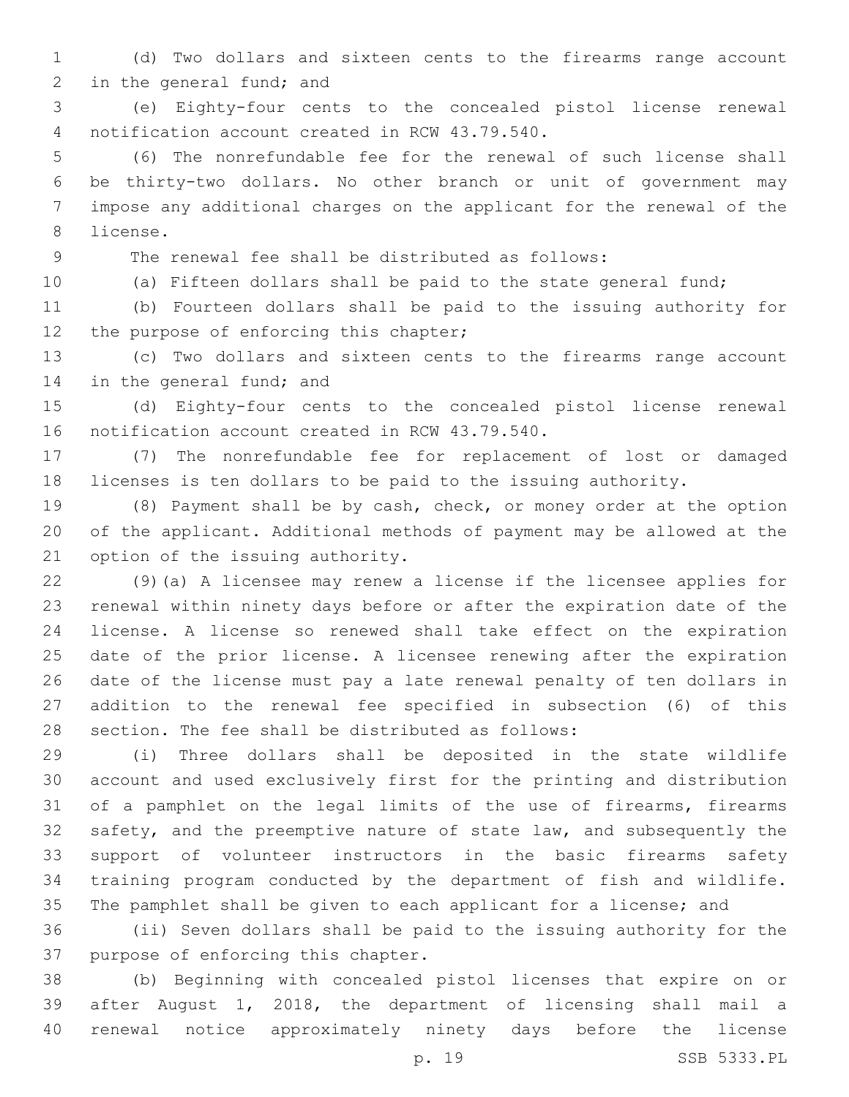(d) Two dollars and sixteen cents to the firearms range account 2 in the general fund; and

 (e) Eighty-four cents to the concealed pistol license renewal notification account created in RCW 43.79.540.4

 (6) The nonrefundable fee for the renewal of such license shall be thirty-two dollars. No other branch or unit of government may impose any additional charges on the applicant for the renewal of the 8 license.

The renewal fee shall be distributed as follows:

(a) Fifteen dollars shall be paid to the state general fund;

 (b) Fourteen dollars shall be paid to the issuing authority for 12 the purpose of enforcing this chapter;

 (c) Two dollars and sixteen cents to the firearms range account 14 in the general fund; and

 (d) Eighty-four cents to the concealed pistol license renewal 16 notification account created in RCW 43.79.540.

 (7) The nonrefundable fee for replacement of lost or damaged licenses is ten dollars to be paid to the issuing authority.

 (8) Payment shall be by cash, check, or money order at the option of the applicant. Additional methods of payment may be allowed at the 21 option of the issuing authority.

 (9)(a) A licensee may renew a license if the licensee applies for renewal within ninety days before or after the expiration date of the license. A license so renewed shall take effect on the expiration date of the prior license. A licensee renewing after the expiration date of the license must pay a late renewal penalty of ten dollars in addition to the renewal fee specified in subsection (6) of this 28 section. The fee shall be distributed as follows:

 (i) Three dollars shall be deposited in the state wildlife account and used exclusively first for the printing and distribution of a pamphlet on the legal limits of the use of firearms, firearms safety, and the preemptive nature of state law, and subsequently the support of volunteer instructors in the basic firearms safety training program conducted by the department of fish and wildlife. The pamphlet shall be given to each applicant for a license; and

 (ii) Seven dollars shall be paid to the issuing authority for the 37 purpose of enforcing this chapter.

 (b) Beginning with concealed pistol licenses that expire on or after August 1, 2018, the department of licensing shall mail a renewal notice approximately ninety days before the license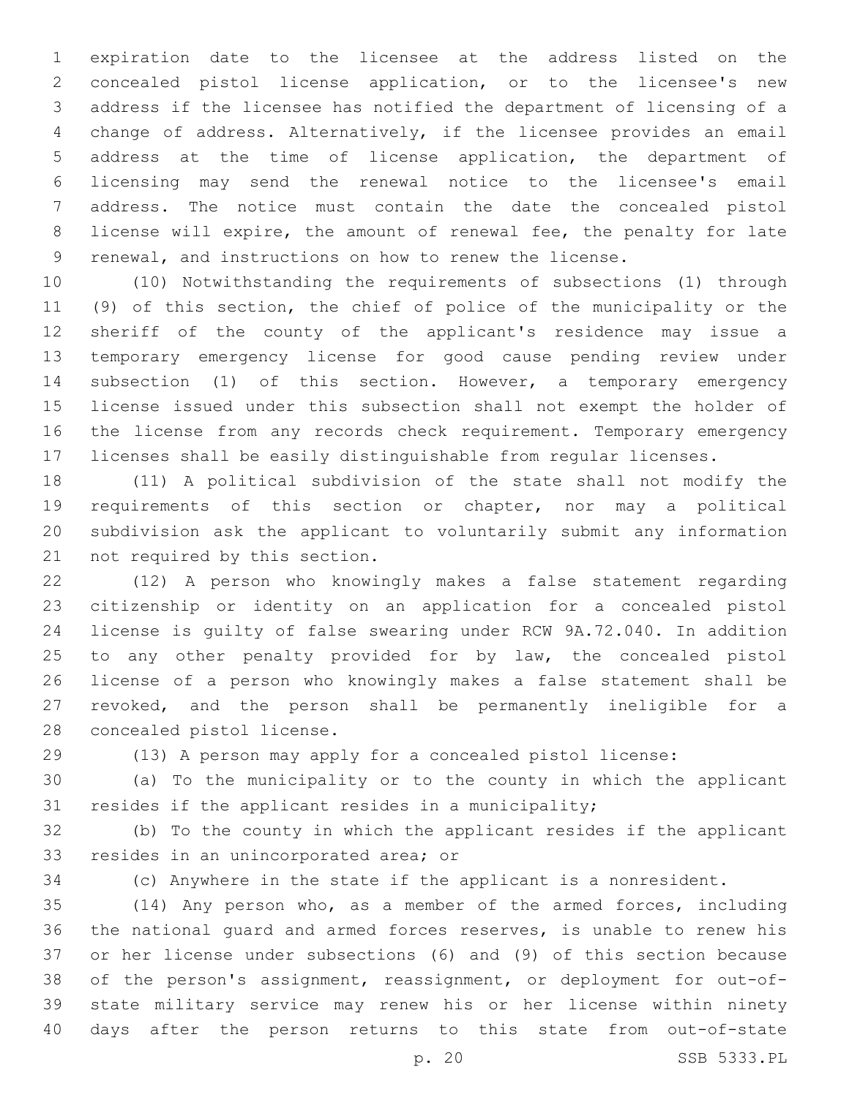expiration date to the licensee at the address listed on the concealed pistol license application, or to the licensee's new address if the licensee has notified the department of licensing of a change of address. Alternatively, if the licensee provides an email address at the time of license application, the department of licensing may send the renewal notice to the licensee's email address. The notice must contain the date the concealed pistol license will expire, the amount of renewal fee, the penalty for late renewal, and instructions on how to renew the license.

 (10) Notwithstanding the requirements of subsections (1) through (9) of this section, the chief of police of the municipality or the sheriff of the county of the applicant's residence may issue a temporary emergency license for good cause pending review under subsection (1) of this section. However, a temporary emergency license issued under this subsection shall not exempt the holder of the license from any records check requirement. Temporary emergency licenses shall be easily distinguishable from regular licenses.

 (11) A political subdivision of the state shall not modify the requirements of this section or chapter, nor may a political subdivision ask the applicant to voluntarily submit any information 21 not required by this section.

 (12) A person who knowingly makes a false statement regarding citizenship or identity on an application for a concealed pistol license is guilty of false swearing under RCW 9A.72.040. In addition to any other penalty provided for by law, the concealed pistol license of a person who knowingly makes a false statement shall be revoked, and the person shall be permanently ineligible for a 28 concealed pistol license.

(13) A person may apply for a concealed pistol license:

 (a) To the municipality or to the county in which the applicant resides if the applicant resides in a municipality;

 (b) To the county in which the applicant resides if the applicant 33 resides in an unincorporated area; or

(c) Anywhere in the state if the applicant is a nonresident.

 (14) Any person who, as a member of the armed forces, including the national guard and armed forces reserves, is unable to renew his or her license under subsections (6) and (9) of this section because of the person's assignment, reassignment, or deployment for out-of- state military service may renew his or her license within ninety days after the person returns to this state from out-of-state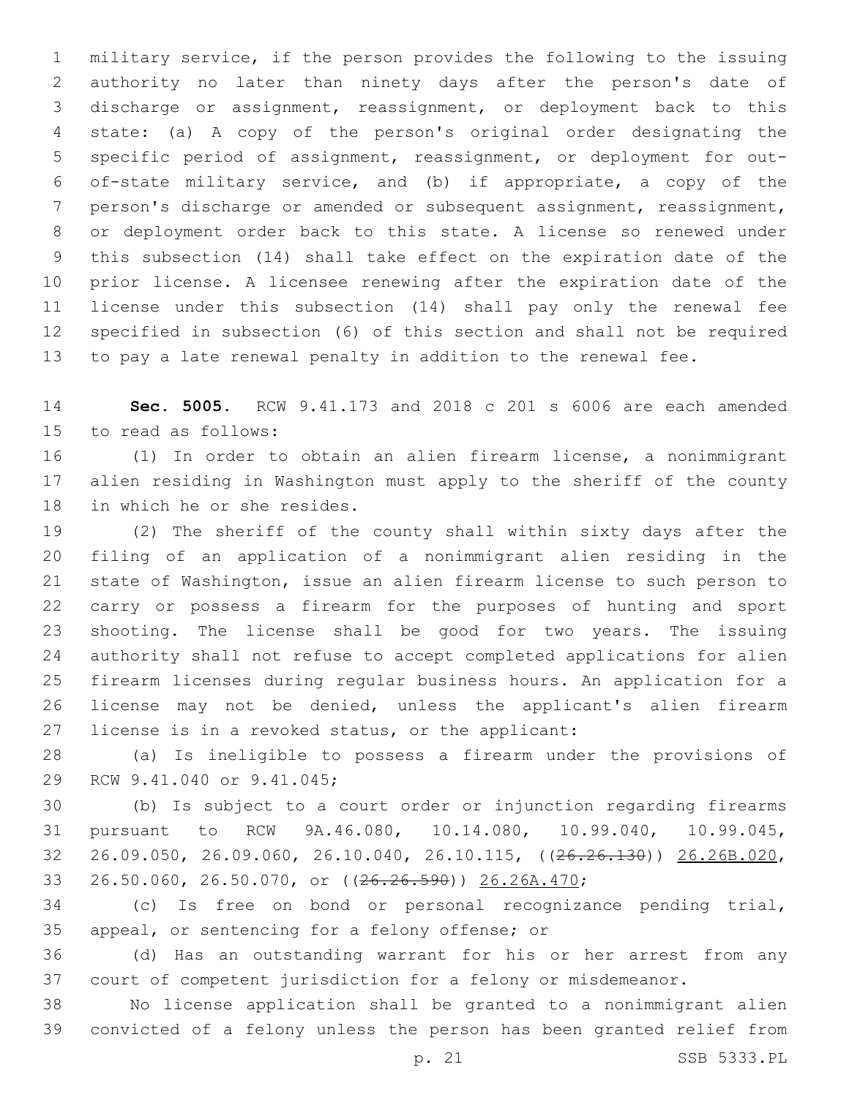military service, if the person provides the following to the issuing authority no later than ninety days after the person's date of discharge or assignment, reassignment, or deployment back to this state: (a) A copy of the person's original order designating the specific period of assignment, reassignment, or deployment for out- of-state military service, and (b) if appropriate, a copy of the person's discharge or amended or subsequent assignment, reassignment, or deployment order back to this state. A license so renewed under this subsection (14) shall take effect on the expiration date of the prior license. A licensee renewing after the expiration date of the license under this subsection (14) shall pay only the renewal fee specified in subsection (6) of this section and shall not be required to pay a late renewal penalty in addition to the renewal fee.

 **Sec. 5005.** RCW 9.41.173 and 2018 c 201 s 6006 are each amended 15 to read as follows:

 (1) In order to obtain an alien firearm license, a nonimmigrant alien residing in Washington must apply to the sheriff of the county 18 in which he or she resides.

 (2) The sheriff of the county shall within sixty days after the filing of an application of a nonimmigrant alien residing in the state of Washington, issue an alien firearm license to such person to carry or possess a firearm for the purposes of hunting and sport shooting. The license shall be good for two years. The issuing authority shall not refuse to accept completed applications for alien firearm licenses during regular business hours. An application for a license may not be denied, unless the applicant's alien firearm 27 license is in a revoked status, or the applicant:

 (a) Is ineligible to possess a firearm under the provisions of 29 RCW 9.41.040 or 9.41.045;

 (b) Is subject to a court order or injunction regarding firearms pursuant to RCW 9A.46.080, 10.14.080, 10.99.040, 10.99.045, 26.09.050, 26.09.060, 26.10.040, 26.10.115, ((26.26.130)) 26.26B.020, 26.50.060, 26.50.070, or ((26.26.590)) 26.26A.470;

 (c) Is free on bond or personal recognizance pending trial, 35 appeal, or sentencing for a felony offense; or

 (d) Has an outstanding warrant for his or her arrest from any court of competent jurisdiction for a felony or misdemeanor.

 No license application shall be granted to a nonimmigrant alien convicted of a felony unless the person has been granted relief from

p. 21 SSB 5333.PL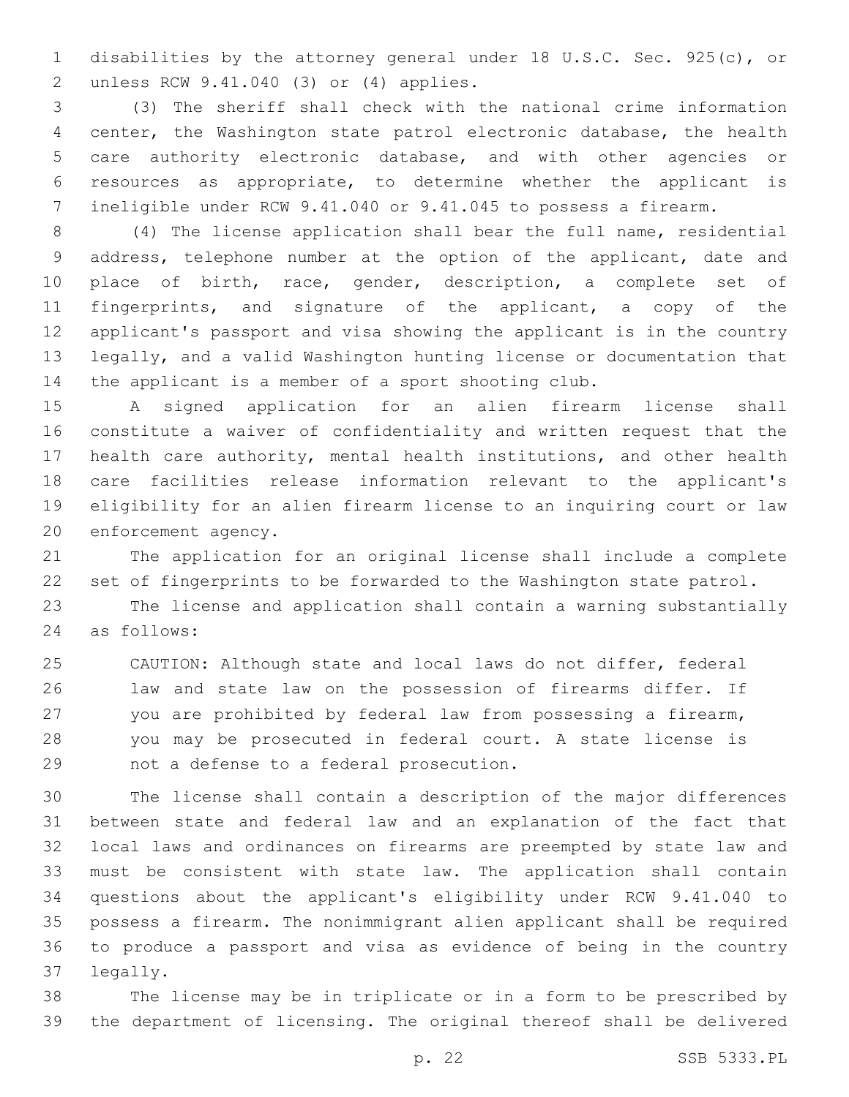disabilities by the attorney general under 18 U.S.C. Sec. 925(c), or unless RCW 9.41.040 (3) or (4) applies.2

 (3) The sheriff shall check with the national crime information center, the Washington state patrol electronic database, the health care authority electronic database, and with other agencies or resources as appropriate, to determine whether the applicant is ineligible under RCW 9.41.040 or 9.41.045 to possess a firearm.

 (4) The license application shall bear the full name, residential address, telephone number at the option of the applicant, date and place of birth, race, gender, description, a complete set of fingerprints, and signature of the applicant, a copy of the applicant's passport and visa showing the applicant is in the country legally, and a valid Washington hunting license or documentation that the applicant is a member of a sport shooting club.

 A signed application for an alien firearm license shall constitute a waiver of confidentiality and written request that the health care authority, mental health institutions, and other health care facilities release information relevant to the applicant's eligibility for an alien firearm license to an inquiring court or law 20 enforcement agency.

 The application for an original license shall include a complete set of fingerprints to be forwarded to the Washington state patrol.

 The license and application shall contain a warning substantially as follows:24

 CAUTION: Although state and local laws do not differ, federal law and state law on the possession of firearms differ. If you are prohibited by federal law from possessing a firearm, you may be prosecuted in federal court. A state license is 29 not a defense to a federal prosecution.

 The license shall contain a description of the major differences between state and federal law and an explanation of the fact that local laws and ordinances on firearms are preempted by state law and must be consistent with state law. The application shall contain questions about the applicant's eligibility under RCW 9.41.040 to possess a firearm. The nonimmigrant alien applicant shall be required to produce a passport and visa as evidence of being in the country 37 legally.

 The license may be in triplicate or in a form to be prescribed by the department of licensing. The original thereof shall be delivered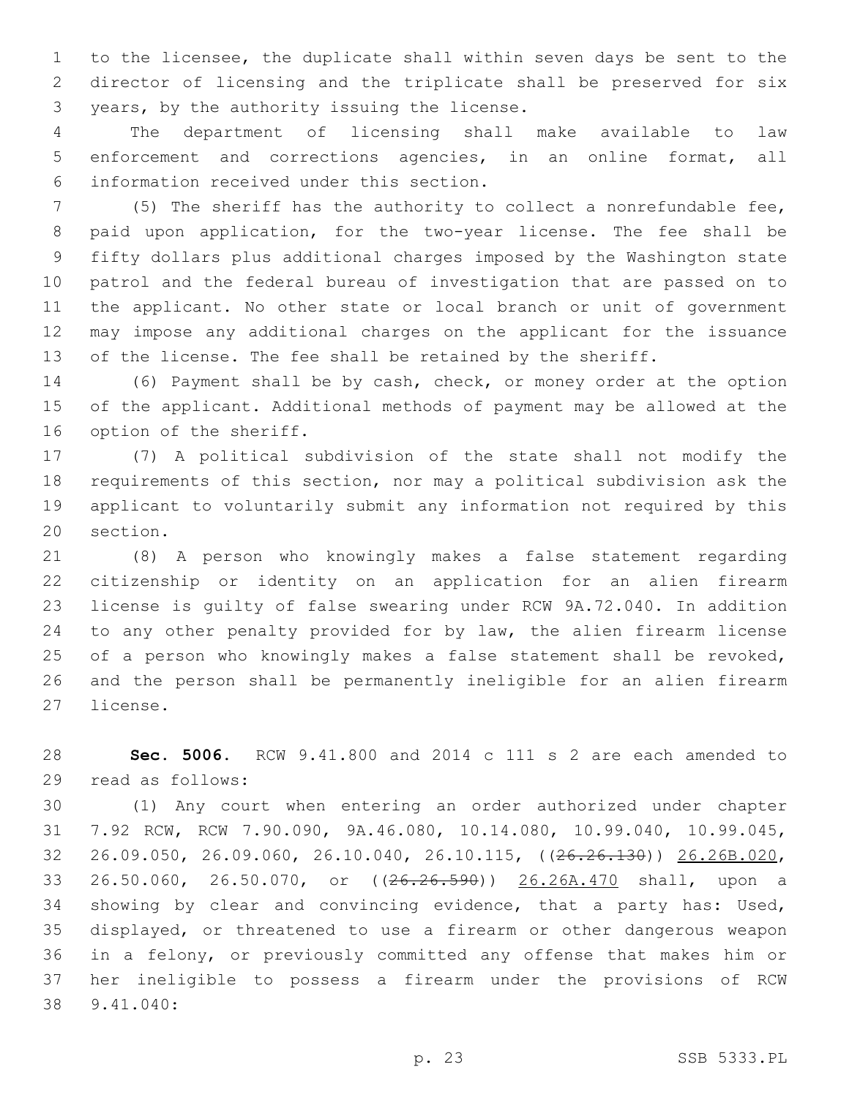to the licensee, the duplicate shall within seven days be sent to the director of licensing and the triplicate shall be preserved for six 3 years, by the authority issuing the license.

 The department of licensing shall make available to law enforcement and corrections agencies, in an online format, all information received under this section.6

 (5) The sheriff has the authority to collect a nonrefundable fee, paid upon application, for the two-year license. The fee shall be fifty dollars plus additional charges imposed by the Washington state patrol and the federal bureau of investigation that are passed on to the applicant. No other state or local branch or unit of government may impose any additional charges on the applicant for the issuance of the license. The fee shall be retained by the sheriff.

 (6) Payment shall be by cash, check, or money order at the option of the applicant. Additional methods of payment may be allowed at the 16 option of the sheriff.

 (7) A political subdivision of the state shall not modify the requirements of this section, nor may a political subdivision ask the applicant to voluntarily submit any information not required by this 20 section.

 (8) A person who knowingly makes a false statement regarding citizenship or identity on an application for an alien firearm license is guilty of false swearing under RCW 9A.72.040. In addition to any other penalty provided for by law, the alien firearm license of a person who knowingly makes a false statement shall be revoked, and the person shall be permanently ineligible for an alien firearm 27 license.

 **Sec. 5006.** RCW 9.41.800 and 2014 c 111 s 2 are each amended to 29 read as follows:

 (1) Any court when entering an order authorized under chapter 7.92 RCW, RCW 7.90.090, 9A.46.080, 10.14.080, 10.99.040, 10.99.045, 26.09.050, 26.09.060, 26.10.040, 26.10.115, ((26.26.130)) 26.26B.020, 26.50.060, 26.50.070, or ((26.26.590)) 26.26A.470 shall, upon a showing by clear and convincing evidence, that a party has: Used, displayed, or threatened to use a firearm or other dangerous weapon in a felony, or previously committed any offense that makes him or her ineligible to possess a firearm under the provisions of RCW 9.41.040:38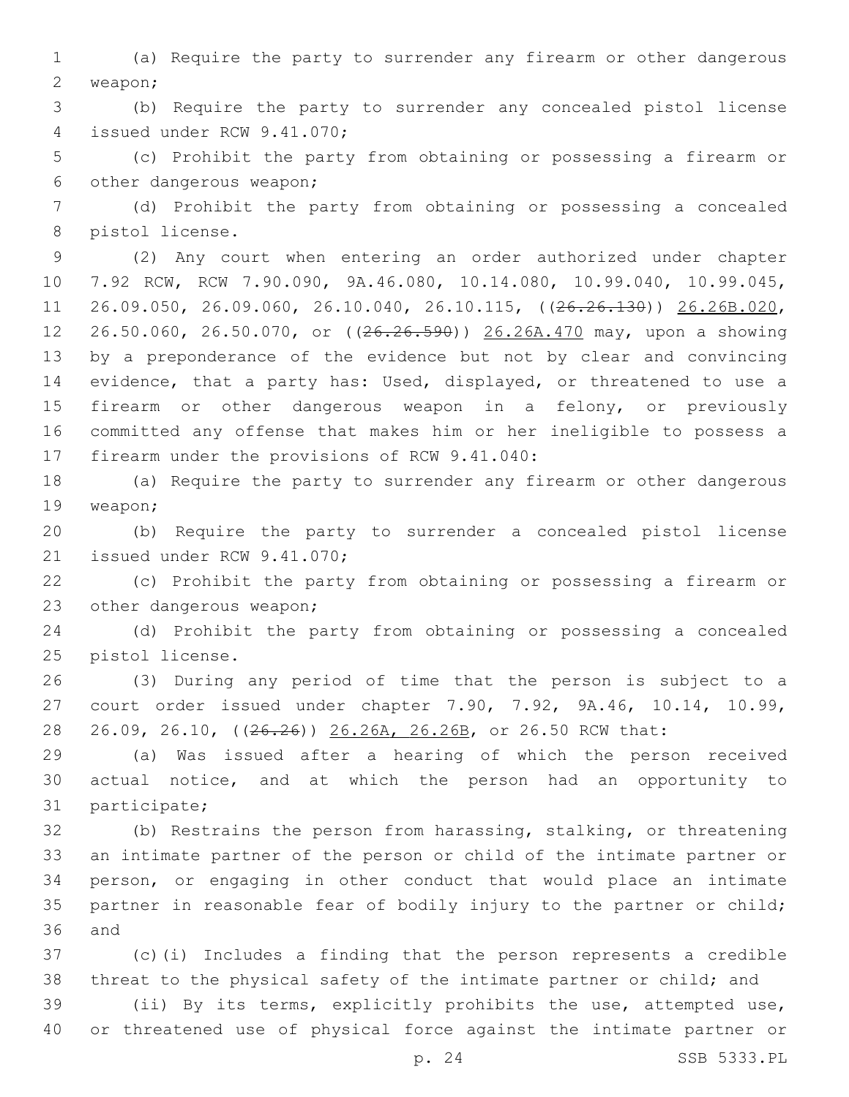(a) Require the party to surrender any firearm or other dangerous 2 weapon;

 (b) Require the party to surrender any concealed pistol license 4 issued under RCW 9.41.070;

 (c) Prohibit the party from obtaining or possessing a firearm or 6 other dangerous weapon;

 (d) Prohibit the party from obtaining or possessing a concealed 8 pistol license.

 (2) Any court when entering an order authorized under chapter 7.92 RCW, RCW 7.90.090, 9A.46.080, 10.14.080, 10.99.040, 10.99.045, 26.09.050, 26.09.060, 26.10.040, 26.10.115, ((26.26.130)) 26.26B.020, 26.50.060, 26.50.070, or ((26.26.590)) 26.26A.470 may, upon a showing by a preponderance of the evidence but not by clear and convincing evidence, that a party has: Used, displayed, or threatened to use a firearm or other dangerous weapon in a felony, or previously committed any offense that makes him or her ineligible to possess a 17 firearm under the provisions of RCW 9.41.040:

 (a) Require the party to surrender any firearm or other dangerous 19 weapon;

 (b) Require the party to surrender a concealed pistol license 21 issued under RCW 9.41.070;

 (c) Prohibit the party from obtaining or possessing a firearm or 23 other dangerous weapon;

 (d) Prohibit the party from obtaining or possessing a concealed 25 pistol license.

 (3) During any period of time that the person is subject to a court order issued under chapter 7.90, 7.92, 9A.46, 10.14, 10.99, 28 26.09, 26.10, ((26.26)) 26.26A, 26.26B, or 26.50 RCW that:

 (a) Was issued after a hearing of which the person received actual notice, and at which the person had an opportunity to 31 participate;

 (b) Restrains the person from harassing, stalking, or threatening an intimate partner of the person or child of the intimate partner or person, or engaging in other conduct that would place an intimate partner in reasonable fear of bodily injury to the partner or child; and

 (c)(i) Includes a finding that the person represents a credible threat to the physical safety of the intimate partner or child; and

 (ii) By its terms, explicitly prohibits the use, attempted use, or threatened use of physical force against the intimate partner or

p. 24 SSB 5333.PL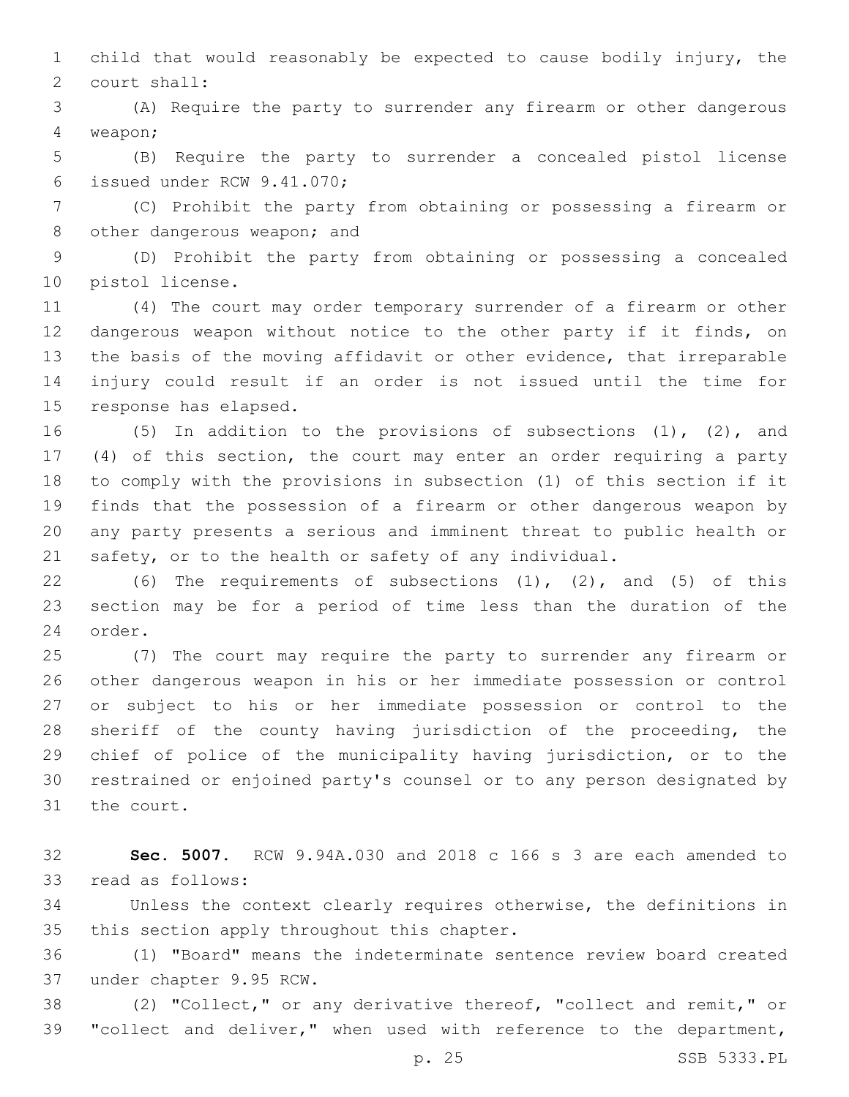child that would reasonably be expected to cause bodily injury, the 2 court shall:

 (A) Require the party to surrender any firearm or other dangerous weapon;4

 (B) Require the party to surrender a concealed pistol license 6 issued under RCW 9.41.070;

 (C) Prohibit the party from obtaining or possessing a firearm or 8 other dangerous weapon; and

 (D) Prohibit the party from obtaining or possessing a concealed 10 pistol license.

 (4) The court may order temporary surrender of a firearm or other dangerous weapon without notice to the other party if it finds, on the basis of the moving affidavit or other evidence, that irreparable injury could result if an order is not issued until the time for 15 response has elapsed.

 (5) In addition to the provisions of subsections (1), (2), and (4) of this section, the court may enter an order requiring a party to comply with the provisions in subsection (1) of this section if it finds that the possession of a firearm or other dangerous weapon by any party presents a serious and imminent threat to public health or safety, or to the health or safety of any individual.

 (6) The requirements of subsections (1), (2), and (5) of this section may be for a period of time less than the duration of the 24 order.

 (7) The court may require the party to surrender any firearm or other dangerous weapon in his or her immediate possession or control or subject to his or her immediate possession or control to the sheriff of the county having jurisdiction of the proceeding, the chief of police of the municipality having jurisdiction, or to the restrained or enjoined party's counsel or to any person designated by 31 the court.

 **Sec. 5007.** RCW 9.94A.030 and 2018 c 166 s 3 are each amended to 33 read as follows:

 Unless the context clearly requires otherwise, the definitions in 35 this section apply throughout this chapter.

 (1) "Board" means the indeterminate sentence review board created 37 under chapter 9.95 RCW.

 (2) "Collect," or any derivative thereof, "collect and remit," or 39 "collect and deliver," when used with reference to the department,

p. 25 SSB 5333.PL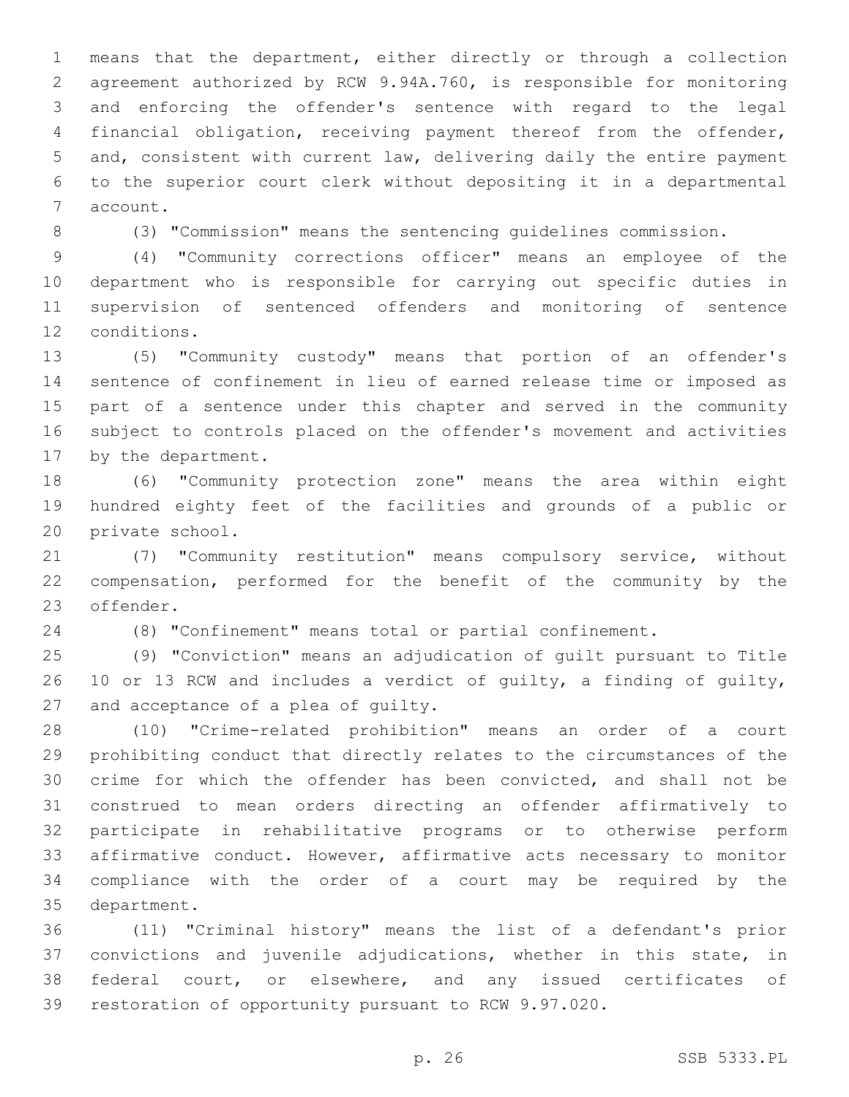means that the department, either directly or through a collection agreement authorized by RCW 9.94A.760, is responsible for monitoring and enforcing the offender's sentence with regard to the legal financial obligation, receiving payment thereof from the offender, and, consistent with current law, delivering daily the entire payment to the superior court clerk without depositing it in a departmental 7 account.

(3) "Commission" means the sentencing guidelines commission.

 (4) "Community corrections officer" means an employee of the department who is responsible for carrying out specific duties in supervision of sentenced offenders and monitoring of sentence 12 conditions.

 (5) "Community custody" means that portion of an offender's sentence of confinement in lieu of earned release time or imposed as part of a sentence under this chapter and served in the community subject to controls placed on the offender's movement and activities 17 by the department.

 (6) "Community protection zone" means the area within eight hundred eighty feet of the facilities and grounds of a public or 20 private school.

 (7) "Community restitution" means compulsory service, without compensation, performed for the benefit of the community by the 23 offender.

(8) "Confinement" means total or partial confinement.

 (9) "Conviction" means an adjudication of guilt pursuant to Title 10 or 13 RCW and includes a verdict of guilty, a finding of guilty, 27 and acceptance of a plea of quilty.

 (10) "Crime-related prohibition" means an order of a court prohibiting conduct that directly relates to the circumstances of the crime for which the offender has been convicted, and shall not be construed to mean orders directing an offender affirmatively to participate in rehabilitative programs or to otherwise perform affirmative conduct. However, affirmative acts necessary to monitor compliance with the order of a court may be required by the 35 department.

 (11) "Criminal history" means the list of a defendant's prior convictions and juvenile adjudications, whether in this state, in federal court, or elsewhere, and any issued certificates of restoration of opportunity pursuant to RCW 9.97.020.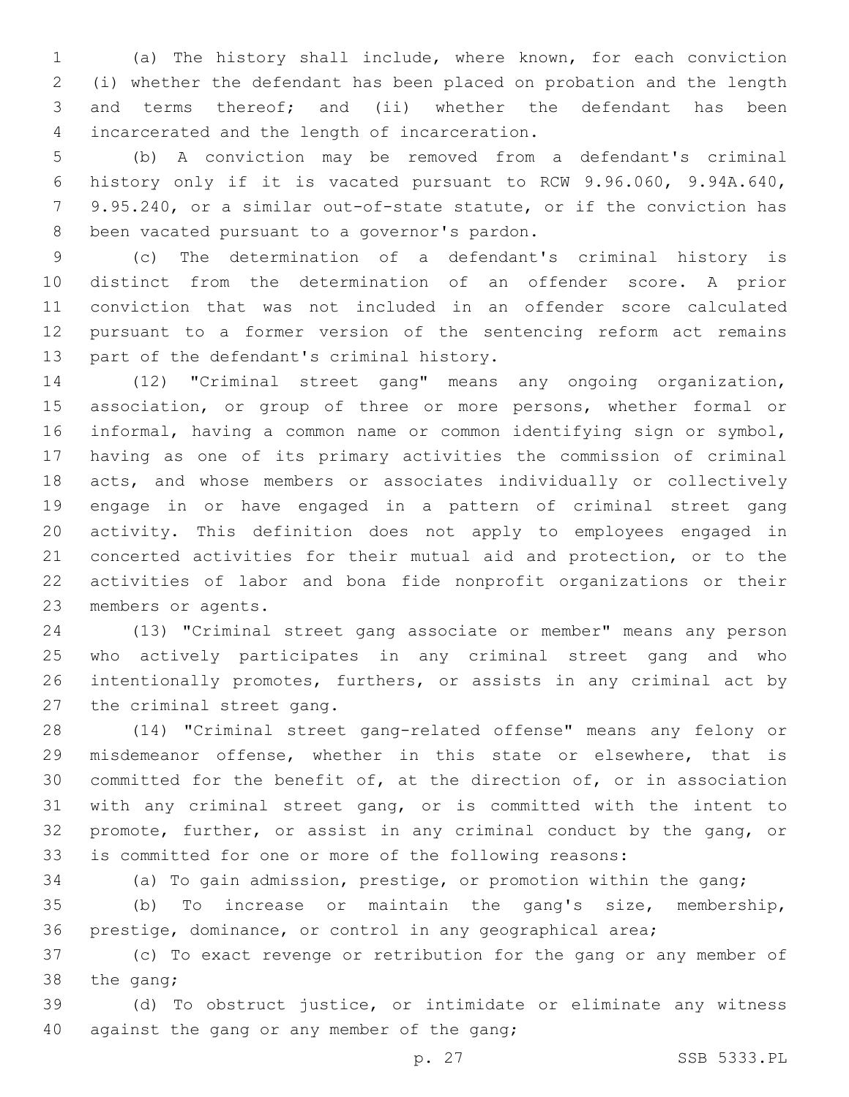(a) The history shall include, where known, for each conviction (i) whether the defendant has been placed on probation and the length and terms thereof; and (ii) whether the defendant has been 4 incarcerated and the length of incarceration.

 (b) A conviction may be removed from a defendant's criminal history only if it is vacated pursuant to RCW 9.96.060, 9.94A.640, 9.95.240, or a similar out-of-state statute, or if the conviction has 8 been vacated pursuant to a governor's pardon.

 (c) The determination of a defendant's criminal history is distinct from the determination of an offender score. A prior conviction that was not included in an offender score calculated pursuant to a former version of the sentencing reform act remains 13 part of the defendant's criminal history.

 (12) "Criminal street gang" means any ongoing organization, 15 association, or group of three or more persons, whether formal or informal, having a common name or common identifying sign or symbol, having as one of its primary activities the commission of criminal acts, and whose members or associates individually or collectively engage in or have engaged in a pattern of criminal street gang activity. This definition does not apply to employees engaged in concerted activities for their mutual aid and protection, or to the activities of labor and bona fide nonprofit organizations or their 23 members or agents.

 (13) "Criminal street gang associate or member" means any person who actively participates in any criminal street gang and who intentionally promotes, furthers, or assists in any criminal act by 27 the criminal street gang.

 (14) "Criminal street gang-related offense" means any felony or misdemeanor offense, whether in this state or elsewhere, that is committed for the benefit of, at the direction of, or in association with any criminal street gang, or is committed with the intent to promote, further, or assist in any criminal conduct by the gang, or is committed for one or more of the following reasons:

(a) To gain admission, prestige, or promotion within the gang;

 (b) To increase or maintain the gang's size, membership, prestige, dominance, or control in any geographical area;

 (c) To exact revenge or retribution for the gang or any member of 38 the gang;

 (d) To obstruct justice, or intimidate or eliminate any witness against the gang or any member of the gang;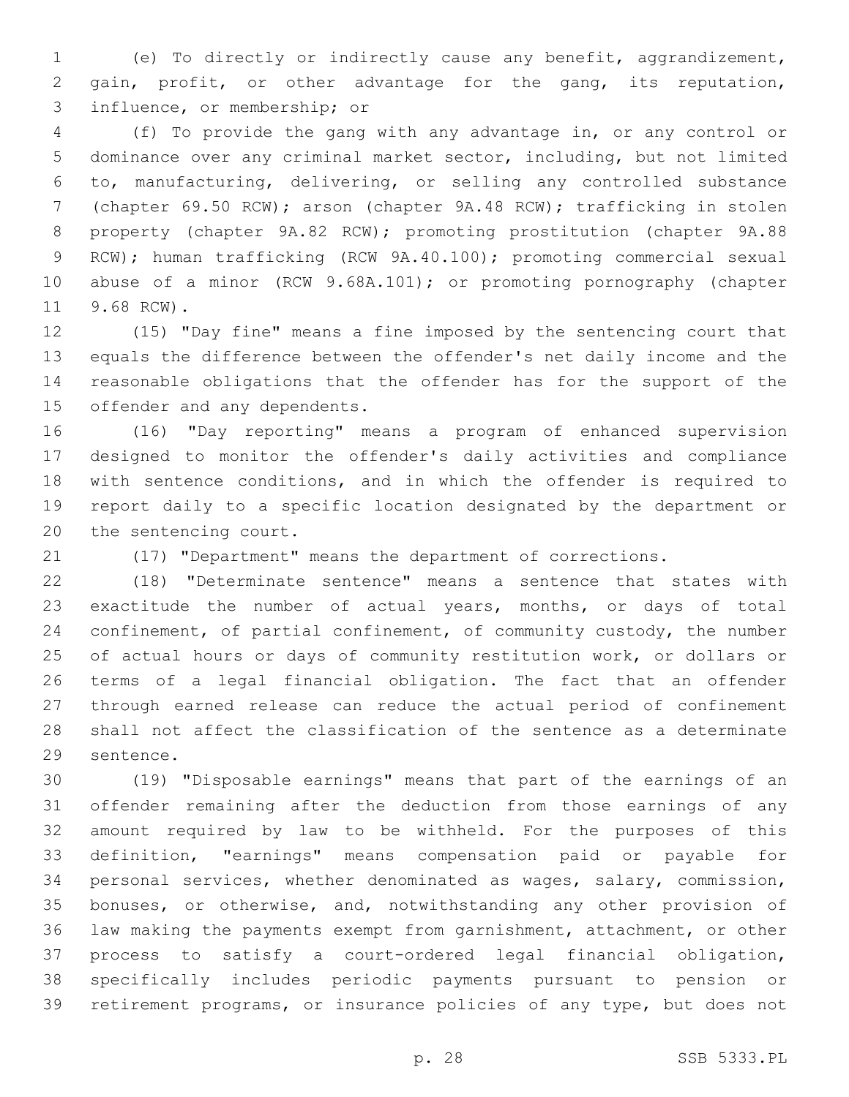(e) To directly or indirectly cause any benefit, aggrandizement, gain, profit, or other advantage for the gang, its reputation, 3 influence, or membership; or

 (f) To provide the gang with any advantage in, or any control or dominance over any criminal market sector, including, but not limited to, manufacturing, delivering, or selling any controlled substance (chapter 69.50 RCW); arson (chapter 9A.48 RCW); trafficking in stolen property (chapter 9A.82 RCW); promoting prostitution (chapter 9A.88 RCW); human trafficking (RCW 9A.40.100); promoting commercial sexual abuse of a minor (RCW 9.68A.101); or promoting pornography (chapter 11 9.68 RCW).

 (15) "Day fine" means a fine imposed by the sentencing court that equals the difference between the offender's net daily income and the reasonable obligations that the offender has for the support of the 15 offender and any dependents.

 (16) "Day reporting" means a program of enhanced supervision designed to monitor the offender's daily activities and compliance with sentence conditions, and in which the offender is required to report daily to a specific location designated by the department or 20 the sentencing court.

(17) "Department" means the department of corrections.

 (18) "Determinate sentence" means a sentence that states with exactitude the number of actual years, months, or days of total confinement, of partial confinement, of community custody, the number of actual hours or days of community restitution work, or dollars or terms of a legal financial obligation. The fact that an offender through earned release can reduce the actual period of confinement shall not affect the classification of the sentence as a determinate 29 sentence.

 (19) "Disposable earnings" means that part of the earnings of an offender remaining after the deduction from those earnings of any amount required by law to be withheld. For the purposes of this definition, "earnings" means compensation paid or payable for personal services, whether denominated as wages, salary, commission, bonuses, or otherwise, and, notwithstanding any other provision of law making the payments exempt from garnishment, attachment, or other process to satisfy a court-ordered legal financial obligation, specifically includes periodic payments pursuant to pension or retirement programs, or insurance policies of any type, but does not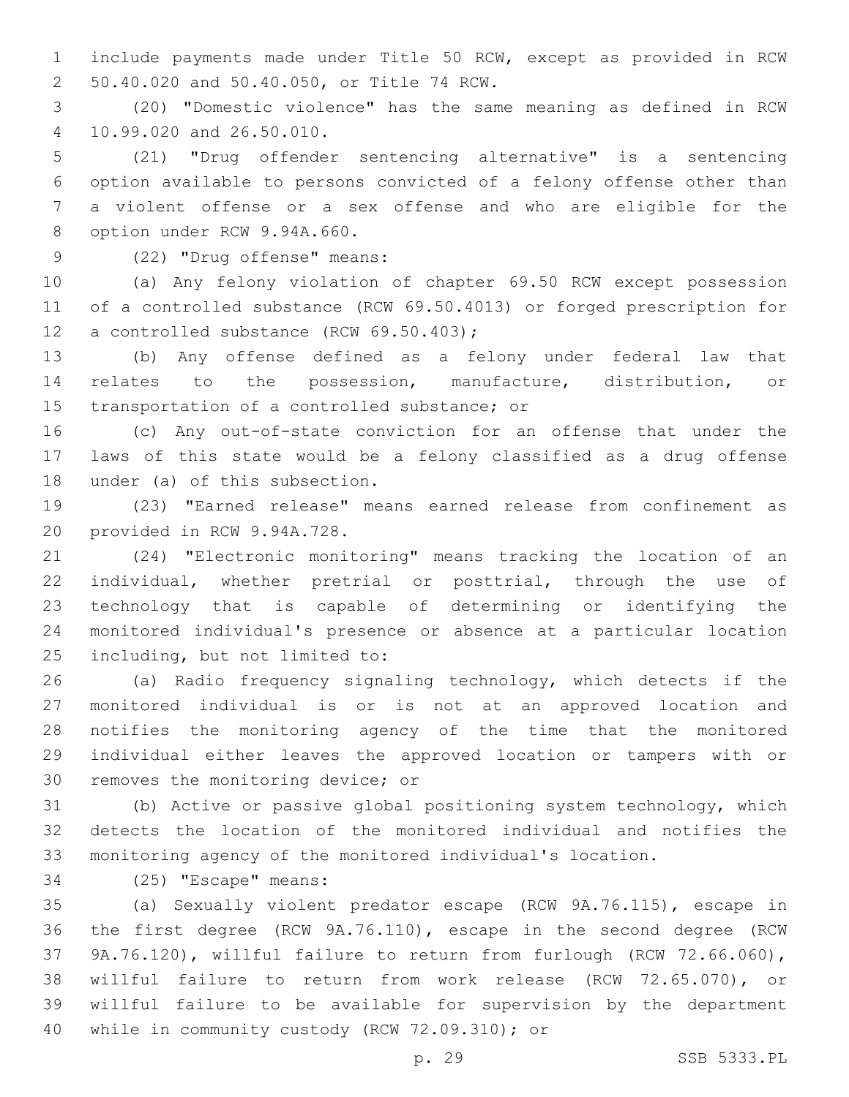include payments made under Title 50 RCW, except as provided in RCW 50.40.020 and 50.40.050, or Title 74 RCW.2

 (20) "Domestic violence" has the same meaning as defined in RCW 10.99.020 and 26.50.010.4

 (21) "Drug offender sentencing alternative" is a sentencing option available to persons convicted of a felony offense other than a violent offense or a sex offense and who are eligible for the 8 option under RCW 9.94A.660.

# 9 (22) "Drug offense" means:

 (a) Any felony violation of chapter 69.50 RCW except possession of a controlled substance (RCW 69.50.4013) or forged prescription for 12 a controlled substance (RCW 69.50.403);

 (b) Any offense defined as a felony under federal law that relates to the possession, manufacture, distribution, or 15 transportation of a controlled substance; or

 (c) Any out-of-state conviction for an offense that under the laws of this state would be a felony classified as a drug offense 18 under (a) of this subsection.

 (23) "Earned release" means earned release from confinement as 20 provided in RCW 9.94A.728.

 (24) "Electronic monitoring" means tracking the location of an individual, whether pretrial or posttrial, through the use of technology that is capable of determining or identifying the monitored individual's presence or absence at a particular location 25 including, but not limited to:

 (a) Radio frequency signaling technology, which detects if the monitored individual is or is not at an approved location and notifies the monitoring agency of the time that the monitored individual either leaves the approved location or tampers with or 30 removes the monitoring device; or

 (b) Active or passive global positioning system technology, which detects the location of the monitored individual and notifies the monitoring agency of the monitored individual's location.

34 (25) "Escape" means:

 (a) Sexually violent predator escape (RCW 9A.76.115), escape in the first degree (RCW 9A.76.110), escape in the second degree (RCW 9A.76.120), willful failure to return from furlough (RCW 72.66.060), willful failure to return from work release (RCW 72.65.070), or willful failure to be available for supervision by the department 40 while in community custody (RCW 72.09.310); or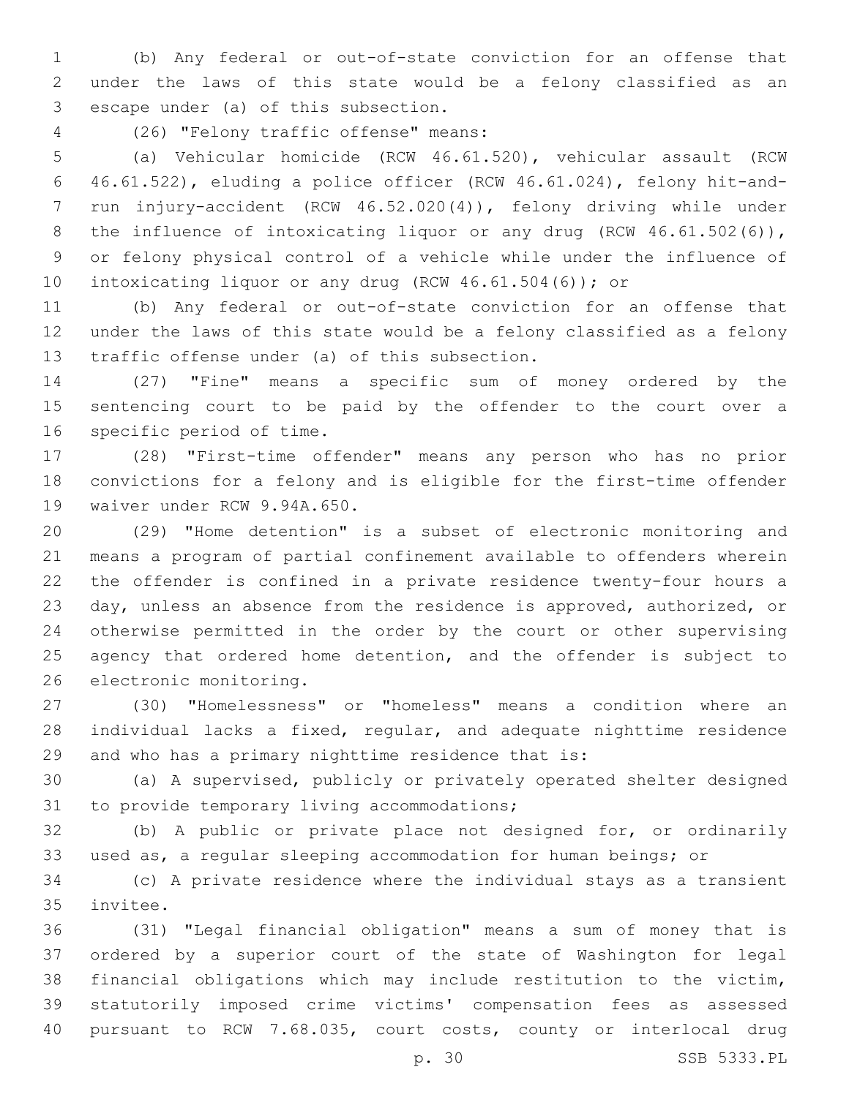(b) Any federal or out-of-state conviction for an offense that under the laws of this state would be a felony classified as an 3 escape under (a) of this subsection.

(26) "Felony traffic offense" means:4

 (a) Vehicular homicide (RCW 46.61.520), vehicular assault (RCW 46.61.522), eluding a police officer (RCW 46.61.024), felony hit-and- run injury-accident (RCW 46.52.020(4)), felony driving while under 8 the influence of intoxicating liquor or any drug (RCW 46.61.502(6)), or felony physical control of a vehicle while under the influence of 10 intoxicating liquor or any drug (RCW 46.61.504(6)); or

 (b) Any federal or out-of-state conviction for an offense that under the laws of this state would be a felony classified as a felony 13 traffic offense under (a) of this subsection.

 (27) "Fine" means a specific sum of money ordered by the sentencing court to be paid by the offender to the court over a 16 specific period of time.

 (28) "First-time offender" means any person who has no prior convictions for a felony and is eligible for the first-time offender 19 waiver under RCW 9.94A.650.

 (29) "Home detention" is a subset of electronic monitoring and means a program of partial confinement available to offenders wherein the offender is confined in a private residence twenty-four hours a day, unless an absence from the residence is approved, authorized, or otherwise permitted in the order by the court or other supervising 25 agency that ordered home detention, and the offender is subject to 26 electronic monitoring.

 (30) "Homelessness" or "homeless" means a condition where an individual lacks a fixed, regular, and adequate nighttime residence and who has a primary nighttime residence that is:

 (a) A supervised, publicly or privately operated shelter designed 31 to provide temporary living accommodations;

 (b) A public or private place not designed for, or ordinarily used as, a regular sleeping accommodation for human beings; or

 (c) A private residence where the individual stays as a transient 35 invitee.

 (31) "Legal financial obligation" means a sum of money that is ordered by a superior court of the state of Washington for legal financial obligations which may include restitution to the victim, statutorily imposed crime victims' compensation fees as assessed pursuant to RCW 7.68.035, court costs, county or interlocal drug

p. 30 SSB 5333.PL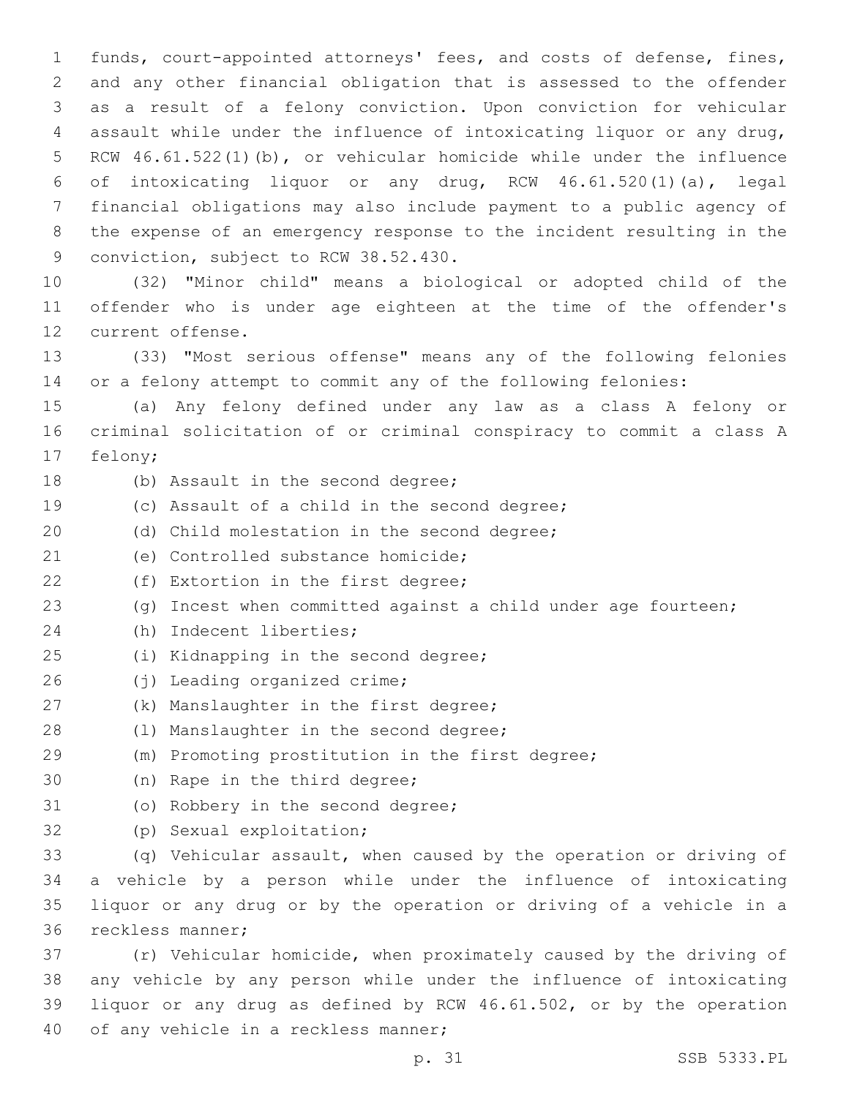funds, court-appointed attorneys' fees, and costs of defense, fines, and any other financial obligation that is assessed to the offender as a result of a felony conviction. Upon conviction for vehicular assault while under the influence of intoxicating liquor or any drug, RCW 46.61.522(1)(b), or vehicular homicide while under the influence of intoxicating liquor or any drug, RCW 46.61.520(1)(a), legal financial obligations may also include payment to a public agency of the expense of an emergency response to the incident resulting in the 9 conviction, subject to RCW 38.52.430.

10 (32) "Minor child" means a biological or adopted child of the 11 offender who is under age eighteen at the time of the offender's 12 current offense.

13 (33) "Most serious offense" means any of the following felonies 14 or a felony attempt to commit any of the following felonies:

15 (a) Any felony defined under any law as a class A felony or 16 criminal solicitation of or criminal conspiracy to commit a class A 17 felony;

- 
- 18 (b) Assault in the second degree;
- 19 (c) Assault of a child in the second degree;
- 20 (d) Child molestation in the second degree;
- 21 (e) Controlled substance homicide;
- 22 (f) Extortion in the first degree;
- 23 (g) Incest when committed against a child under age fourteen;
- 24 (h) Indecent liberties;
- 25 (i) Kidnapping in the second degree;
- 26 (j) Leading organized crime;
- 27 (k) Manslaughter in the first degree;
- 28 (1) Manslaughter in the second degree;
- 29 (m) Promoting prostitution in the first degree;
- 30 (n) Rape in the third degree;
- 31 (o) Robbery in the second degree;
- 32 (p) Sexual exploitation;

 (q) Vehicular assault, when caused by the operation or driving of a vehicle by a person while under the influence of intoxicating liquor or any drug or by the operation or driving of a vehicle in a 36 reckless manner;

 (r) Vehicular homicide, when proximately caused by the driving of any vehicle by any person while under the influence of intoxicating liquor or any drug as defined by RCW 46.61.502, or by the operation 40 of any vehicle in a reckless manner;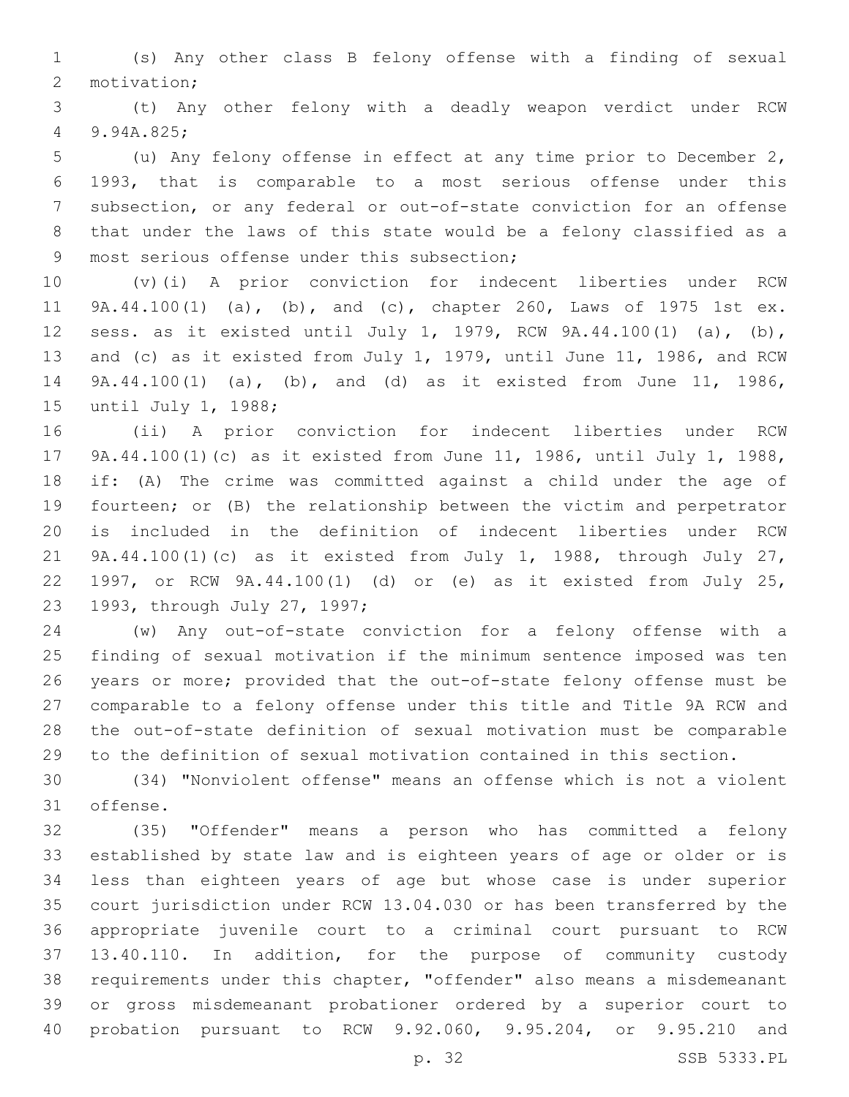(s) Any other class B felony offense with a finding of sexual 2 motivation;

 (t) Any other felony with a deadly weapon verdict under RCW 9.94A.825;4

 (u) Any felony offense in effect at any time prior to December 2, 1993, that is comparable to a most serious offense under this subsection, or any federal or out-of-state conviction for an offense that under the laws of this state would be a felony classified as a 9 most serious offense under this subsection;

 (v)(i) A prior conviction for indecent liberties under RCW 9A.44.100(1) (a), (b), and (c), chapter 260, Laws of 1975 1st ex. sess. as it existed until July 1, 1979, RCW 9A.44.100(1) (a), (b), and (c) as it existed from July 1, 1979, until June 11, 1986, and RCW 9A.44.100(1) (a), (b), and (d) as it existed from June 11, 1986, 15 until July 1, 1988;

 (ii) A prior conviction for indecent liberties under RCW 9A.44.100(1)(c) as it existed from June 11, 1986, until July 1, 1988, if: (A) The crime was committed against a child under the age of fourteen; or (B) the relationship between the victim and perpetrator is included in the definition of indecent liberties under RCW 9A.44.100(1)(c) as it existed from July 1, 1988, through July 27, 1997, or RCW 9A.44.100(1) (d) or (e) as it existed from July 25, 23 1993, through July 27, 1997;

 (w) Any out-of-state conviction for a felony offense with a finding of sexual motivation if the minimum sentence imposed was ten years or more; provided that the out-of-state felony offense must be comparable to a felony offense under this title and Title 9A RCW and the out-of-state definition of sexual motivation must be comparable to the definition of sexual motivation contained in this section.

 (34) "Nonviolent offense" means an offense which is not a violent 31 offense.

 (35) "Offender" means a person who has committed a felony established by state law and is eighteen years of age or older or is less than eighteen years of age but whose case is under superior court jurisdiction under RCW 13.04.030 or has been transferred by the appropriate juvenile court to a criminal court pursuant to RCW 13.40.110. In addition, for the purpose of community custody requirements under this chapter, "offender" also means a misdemeanant or gross misdemeanant probationer ordered by a superior court to probation pursuant to RCW 9.92.060, 9.95.204, or 9.95.210 and

p. 32 SSB 5333.PL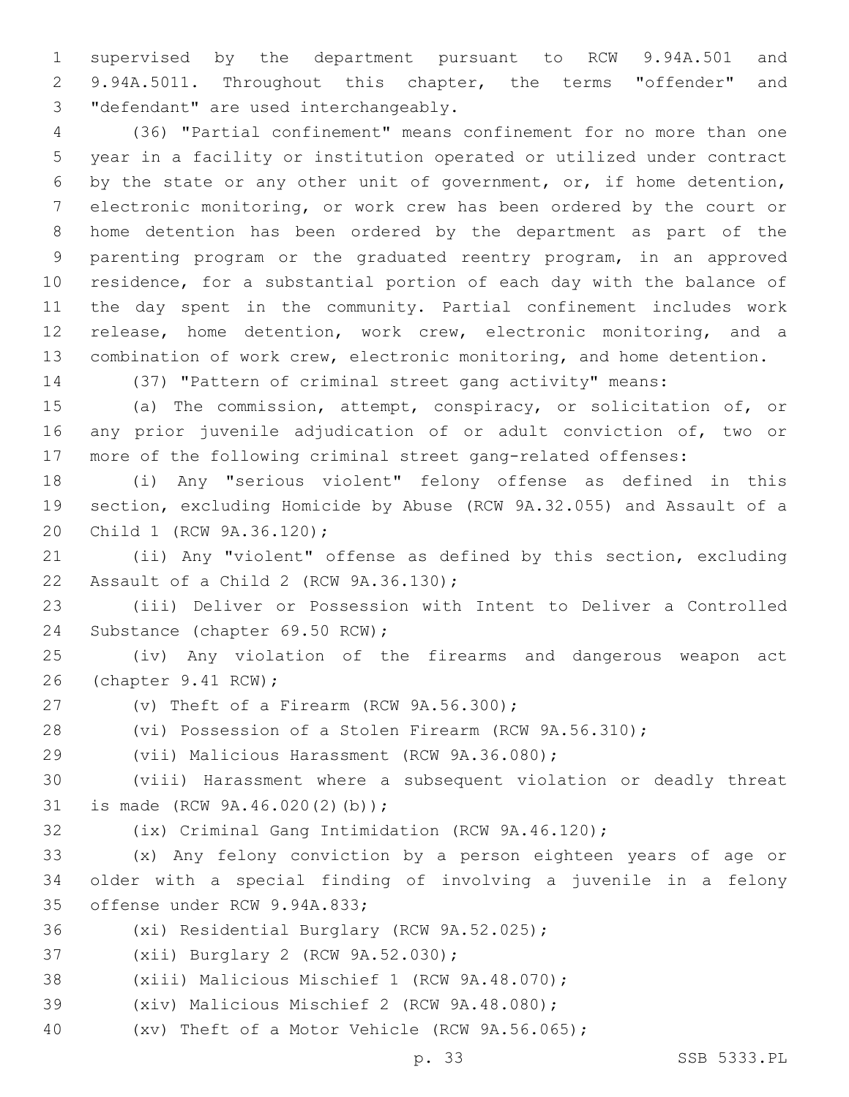supervised by the department pursuant to RCW 9.94A.501 and 9.94A.5011. Throughout this chapter, the terms "offender" and 3 "defendant" are used interchangeably.

 (36) "Partial confinement" means confinement for no more than one year in a facility or institution operated or utilized under contract by the state or any other unit of government, or, if home detention, electronic monitoring, or work crew has been ordered by the court or home detention has been ordered by the department as part of the parenting program or the graduated reentry program, in an approved residence, for a substantial portion of each day with the balance of the day spent in the community. Partial confinement includes work release, home detention, work crew, electronic monitoring, and a combination of work crew, electronic monitoring, and home detention.

(37) "Pattern of criminal street gang activity" means:

 (a) The commission, attempt, conspiracy, or solicitation of, or any prior juvenile adjudication of or adult conviction of, two or more of the following criminal street gang-related offenses:

 (i) Any "serious violent" felony offense as defined in this section, excluding Homicide by Abuse (RCW 9A.32.055) and Assault of a 20 Child 1 (RCW 9A.36.120);

 (ii) Any "violent" offense as defined by this section, excluding 22 Assault of a Child 2 (RCW 9A.36.130);

 (iii) Deliver or Possession with Intent to Deliver a Controlled 24 Substance (chapter 69.50 RCW);

 (iv) Any violation of the firearms and dangerous weapon act 26 (chapter 9.41 RCW);

27  $(v)$  Theft of a Firearm (RCW  $9A.56.300$ );

(vi) Possession of a Stolen Firearm (RCW 9A.56.310);

29 (vii) Malicious Harassment (RCW 9A.36.080);

 (viii) Harassment where a subsequent violation or deadly threat 31 is made (RCW 9A.46.020(2)(b));

(ix) Criminal Gang Intimidation (RCW 9A.46.120);

 (x) Any felony conviction by a person eighteen years of age or older with a special finding of involving a juvenile in a felony 35 offense under RCW 9.94A.833;

36 (xi) Residential Burglary (RCW 9A.52.025);

37 (xii) Burglary 2 (RCW 9A.52.030);

38 (xiii) Malicious Mischief 1 (RCW 9A.48.070);

39 (xiv) Malicious Mischief 2 (RCW 9A.48.080);

(xv) Theft of a Motor Vehicle (RCW 9A.56.065);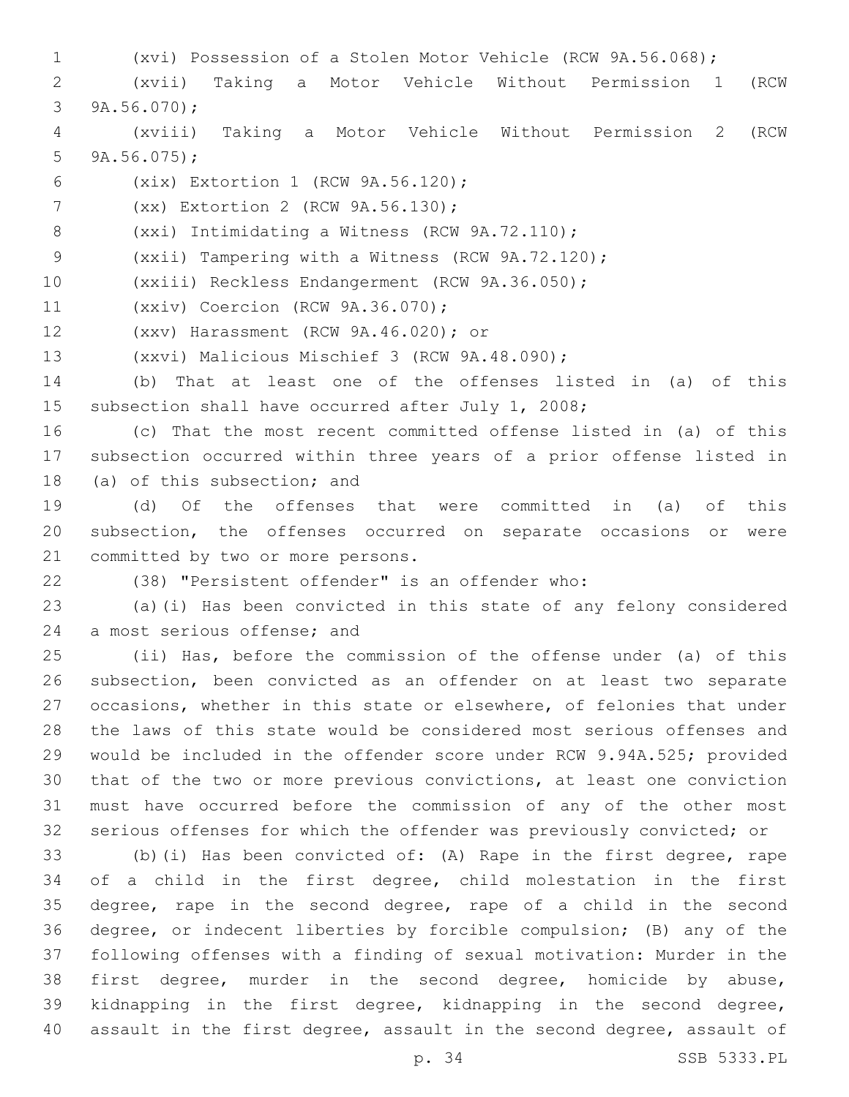- (xvi) Possession of a Stolen Motor Vehicle (RCW 9A.56.068);
- (xvii) Taking a Motor Vehicle Without Permission 1 (RCW 3  $9A.56.070$ ;
- (xviii) Taking a Motor Vehicle Without Permission 2 (RCW 5  $9A.56.075$ ;
- (xix) Extortion 1 (RCW 9A.56.120);6
- 7 (xx) Extortion 2 (RCW 9A.56.130);
- 8 (xxi) Intimidating a Witness (RCW 9A.72.110);

(xxii) Tampering with a Witness (RCW 9A.72.120);

- (xxiii) Reckless Endangerment (RCW 9A.36.050);
- 11 (xxiv) Coercion (RCW 9A.36.070);
- (xxv) Harassment (RCW 9A.46.020); or12
- 13 (xxvi) Malicious Mischief 3 (RCW 9A.48.090);
- (b) That at least one of the offenses listed in (a) of this subsection shall have occurred after July 1, 2008;
- (c) That the most recent committed offense listed in (a) of this subsection occurred within three years of a prior offense listed in 18 (a) of this subsection; and
- (d) Of the offenses that were committed in (a) of this subsection, the offenses occurred on separate occasions or were 21 committed by two or more persons.
- 

(38) "Persistent offender" is an offender who:

 (a)(i) Has been convicted in this state of any felony considered 24 a most serious offense; and

 (ii) Has, before the commission of the offense under (a) of this subsection, been convicted as an offender on at least two separate occasions, whether in this state or elsewhere, of felonies that under the laws of this state would be considered most serious offenses and would be included in the offender score under RCW 9.94A.525; provided that of the two or more previous convictions, at least one conviction must have occurred before the commission of any of the other most serious offenses for which the offender was previously convicted; or

 (b)(i) Has been convicted of: (A) Rape in the first degree, rape of a child in the first degree, child molestation in the first degree, rape in the second degree, rape of a child in the second degree, or indecent liberties by forcible compulsion; (B) any of the following offenses with a finding of sexual motivation: Murder in the first degree, murder in the second degree, homicide by abuse, kidnapping in the first degree, kidnapping in the second degree, assault in the first degree, assault in the second degree, assault of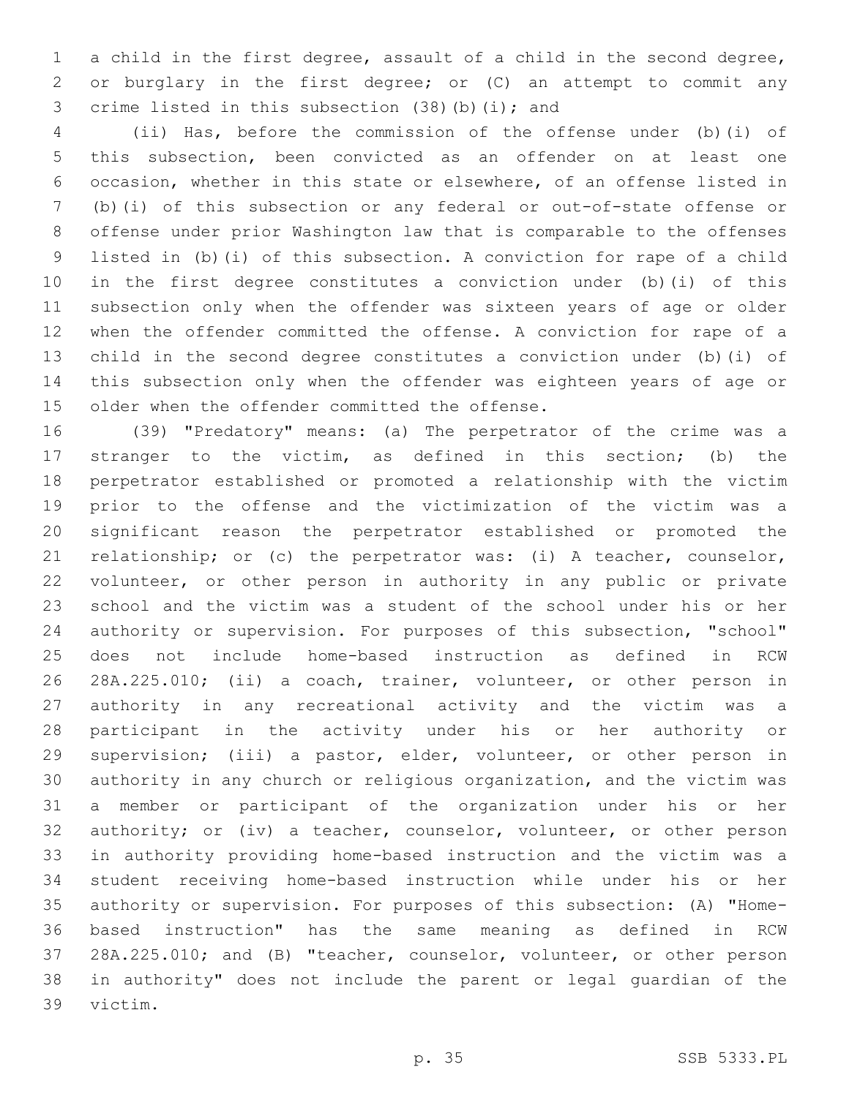a child in the first degree, assault of a child in the second degree, or burglary in the first degree; or (C) an attempt to commit any 3 crime listed in this subsection (38)(b)(i); and

 (ii) Has, before the commission of the offense under (b)(i) of this subsection, been convicted as an offender on at least one occasion, whether in this state or elsewhere, of an offense listed in (b)(i) of this subsection or any federal or out-of-state offense or offense under prior Washington law that is comparable to the offenses listed in (b)(i) of this subsection. A conviction for rape of a child in the first degree constitutes a conviction under (b)(i) of this subsection only when the offender was sixteen years of age or older when the offender committed the offense. A conviction for rape of a child in the second degree constitutes a conviction under (b)(i) of this subsection only when the offender was eighteen years of age or 15 older when the offender committed the offense.

 (39) "Predatory" means: (a) The perpetrator of the crime was a stranger to the victim, as defined in this section; (b) the perpetrator established or promoted a relationship with the victim prior to the offense and the victimization of the victim was a significant reason the perpetrator established or promoted the relationship; or (c) the perpetrator was: (i) A teacher, counselor, volunteer, or other person in authority in any public or private school and the victim was a student of the school under his or her authority or supervision. For purposes of this subsection, "school" does not include home-based instruction as defined in RCW 28A.225.010; (ii) a coach, trainer, volunteer, or other person in authority in any recreational activity and the victim was a participant in the activity under his or her authority or supervision; (iii) a pastor, elder, volunteer, or other person in authority in any church or religious organization, and the victim was a member or participant of the organization under his or her 32 authority; or (iv) a teacher, counselor, volunteer, or other person in authority providing home-based instruction and the victim was a student receiving home-based instruction while under his or her authority or supervision. For purposes of this subsection: (A) "Home- based instruction" has the same meaning as defined in RCW 28A.225.010; and (B) "teacher, counselor, volunteer, or other person in authority" does not include the parent or legal guardian of the 39 victim.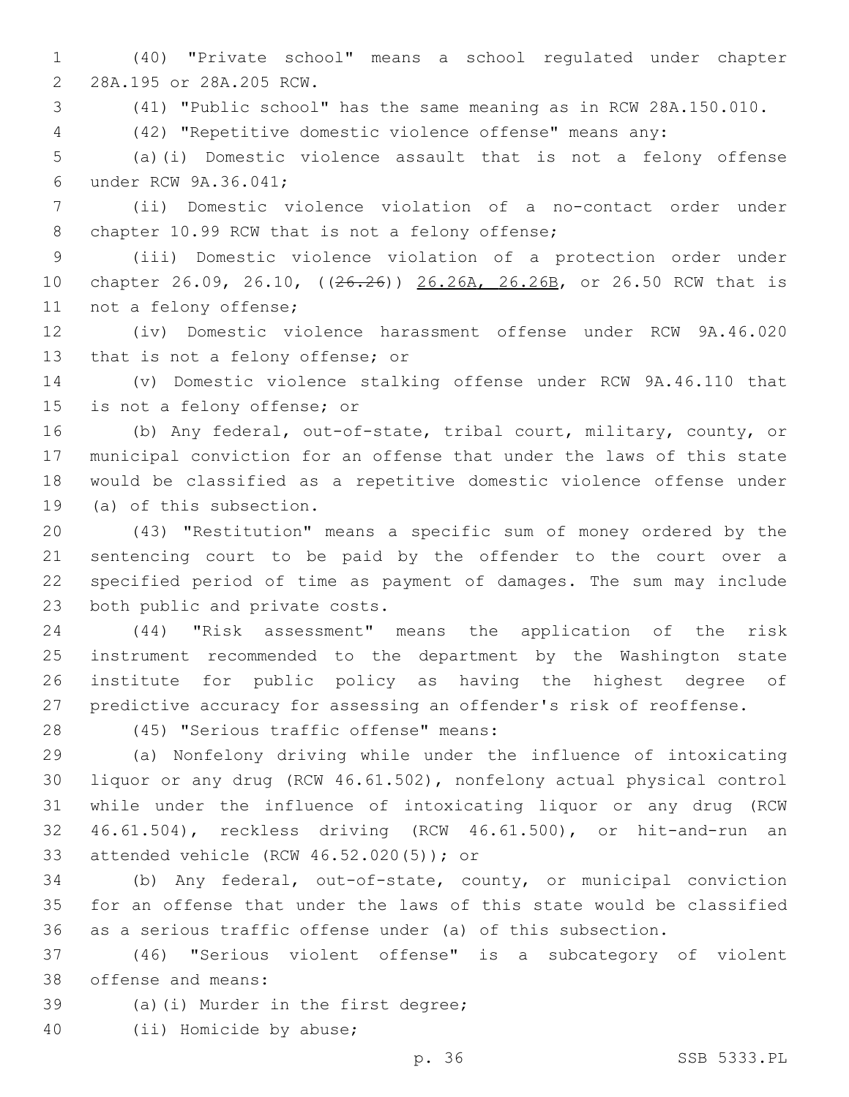(40) "Private school" means a school regulated under chapter 2 28A.195 or 28A.205 RCW.

(41) "Public school" has the same meaning as in RCW 28A.150.010.

(42) "Repetitive domestic violence offense" means any:

 (a)(i) Domestic violence assault that is not a felony offense 6 under RCW 9A.36.041;

 (ii) Domestic violence violation of a no-contact order under 8 chapter 10.99 RCW that is not a felony offense;

 (iii) Domestic violence violation of a protection order under 10 chapter 26.09, 26.10, ((26.26)) 26.26A, 26.26B, or 26.50 RCW that is 11 not a felony offense;

 (iv) Domestic violence harassment offense under RCW 9A.46.020 13 that is not a felony offense; or

 (v) Domestic violence stalking offense under RCW 9A.46.110 that 15 is not a felony offense; or

 (b) Any federal, out-of-state, tribal court, military, county, or municipal conviction for an offense that under the laws of this state would be classified as a repetitive domestic violence offense under 19 (a) of this subsection.

 (43) "Restitution" means a specific sum of money ordered by the sentencing court to be paid by the offender to the court over a specified period of time as payment of damages. The sum may include 23 both public and private costs.

 (44) "Risk assessment" means the application of the risk instrument recommended to the department by the Washington state institute for public policy as having the highest degree of predictive accuracy for assessing an offender's risk of reoffense.

(45) "Serious traffic offense" means:28

 (a) Nonfelony driving while under the influence of intoxicating liquor or any drug (RCW 46.61.502), nonfelony actual physical control while under the influence of intoxicating liquor or any drug (RCW 46.61.504), reckless driving (RCW 46.61.500), or hit-and-run an 33 attended vehicle (RCW 46.52.020(5)); or

 (b) Any federal, out-of-state, county, or municipal conviction for an offense that under the laws of this state would be classified as a serious traffic offense under (a) of this subsection.

 (46) "Serious violent offense" is a subcategory of violent 38 offense and means:

39 (a)(i) Murder in the first degree;

40 (ii) Homicide by abuse;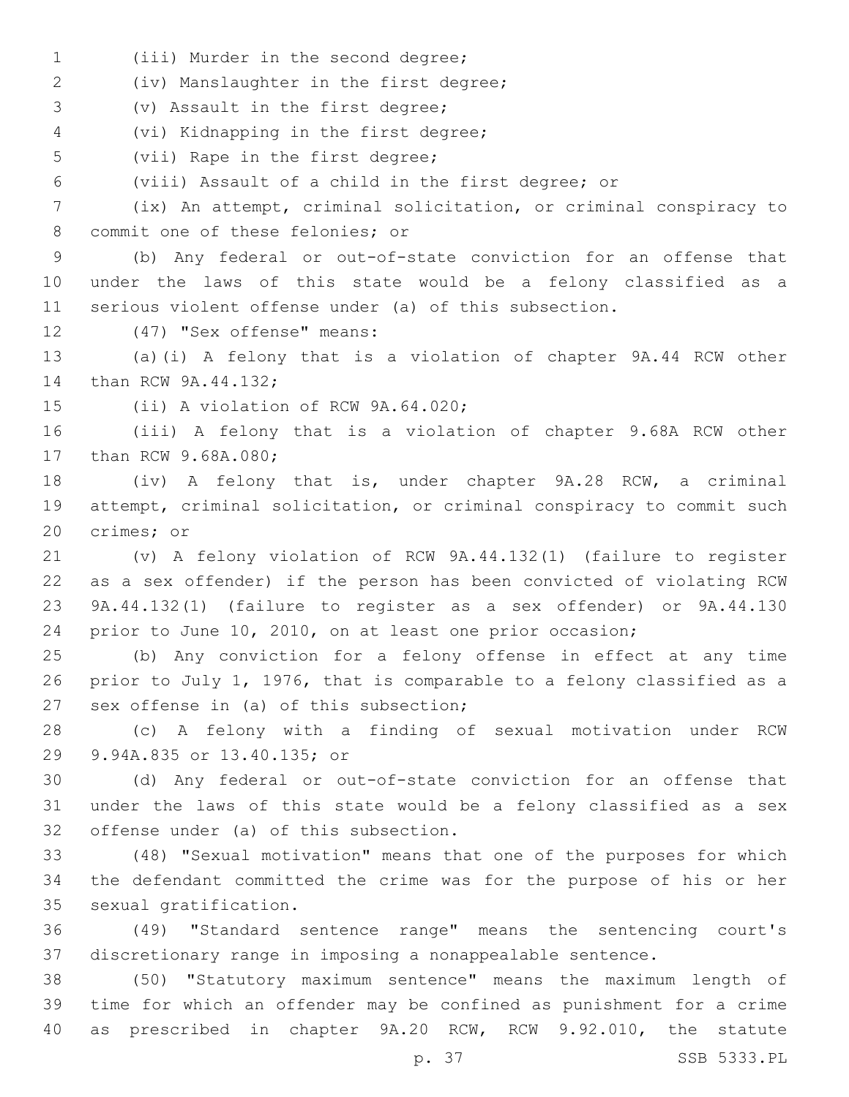1 (iii) Murder in the second degree;

(iv) Manslaughter in the first degree;2

3 (v) Assault in the first degree;

(vi) Kidnapping in the first degree;4

5 (vii) Rape in the first degree;

(viii) Assault of a child in the first degree; or

 (ix) An attempt, criminal solicitation, or criminal conspiracy to 8 commit one of these felonies; or

 (b) Any federal or out-of-state conviction for an offense that under the laws of this state would be a felony classified as a serious violent offense under (a) of this subsection.

12 (47) "Sex offense" means:

 (a)(i) A felony that is a violation of chapter 9A.44 RCW other 14 than RCW 9A.44.132;

15 (ii) A violation of RCW 9A.64.020;

 (iii) A felony that is a violation of chapter 9.68A RCW other 17 than RCW 9.68A.080;

 (iv) A felony that is, under chapter 9A.28 RCW, a criminal attempt, criminal solicitation, or criminal conspiracy to commit such 20 crimes; or

 (v) A felony violation of RCW 9A.44.132(1) (failure to register as a sex offender) if the person has been convicted of violating RCW 9A.44.132(1) (failure to register as a sex offender) or 9A.44.130 prior to June 10, 2010, on at least one prior occasion;

 (b) Any conviction for a felony offense in effect at any time prior to July 1, 1976, that is comparable to a felony classified as a 27 sex offense in (a) of this subsection;

 (c) A felony with a finding of sexual motivation under RCW 29 9.94A.835 or 13.40.135; or

 (d) Any federal or out-of-state conviction for an offense that under the laws of this state would be a felony classified as a sex 32 offense under (a) of this subsection.

 (48) "Sexual motivation" means that one of the purposes for which the defendant committed the crime was for the purpose of his or her 35 sexual gratification.

 (49) "Standard sentence range" means the sentencing court's discretionary range in imposing a nonappealable sentence.

 (50) "Statutory maximum sentence" means the maximum length of time for which an offender may be confined as punishment for a crime as prescribed in chapter 9A.20 RCW, RCW 9.92.010, the statute

p. 37 SSB 5333.PL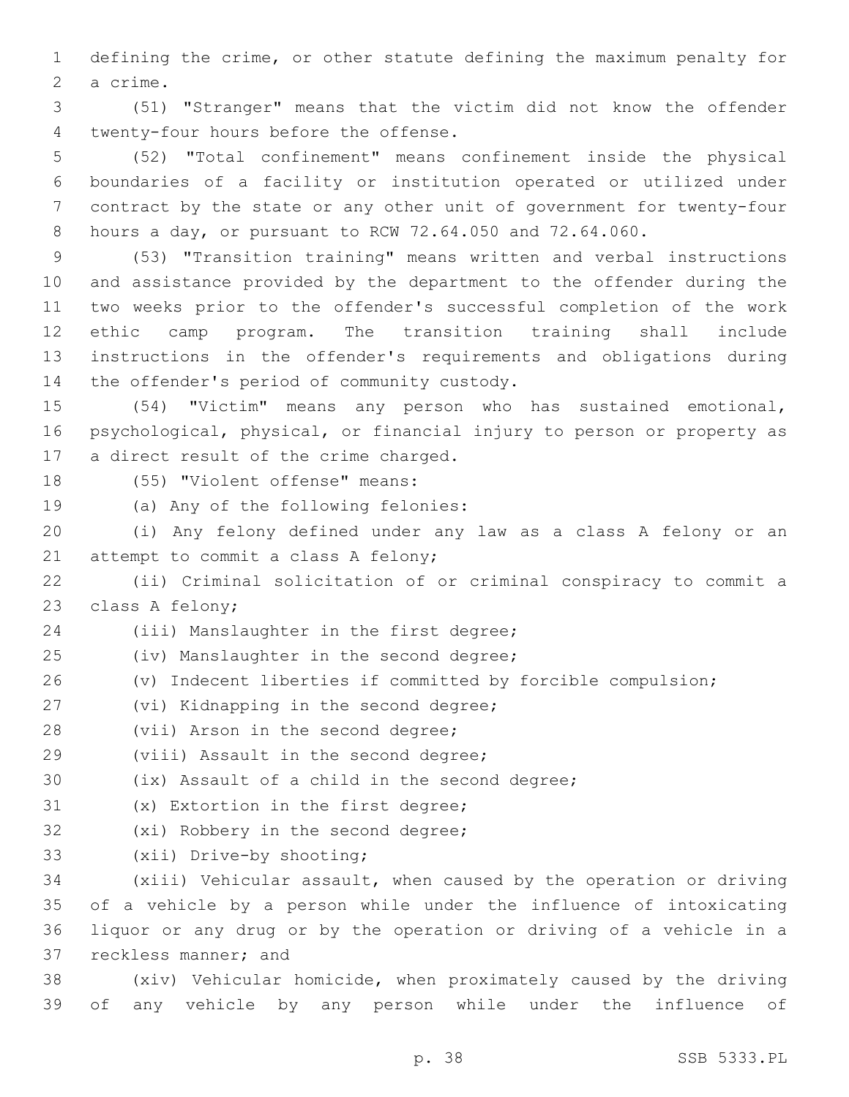1 defining the crime, or other statute defining the maximum penalty for 2 a crime.

3 (51) "Stranger" means that the victim did not know the offender 4 twenty-four hours before the offense.

 (52) "Total confinement" means confinement inside the physical boundaries of a facility or institution operated or utilized under contract by the state or any other unit of government for twenty-four hours a day, or pursuant to RCW 72.64.050 and 72.64.060.

 (53) "Transition training" means written and verbal instructions and assistance provided by the department to the offender during the two weeks prior to the offender's successful completion of the work ethic camp program. The transition training shall include instructions in the offender's requirements and obligations during 14 the offender's period of community custody.

15 (54) "Victim" means any person who has sustained emotional, 16 psychological, physical, or financial injury to person or property as 17 a direct result of the crime charged.

18 (55) "Violent offense" means:

19 (a) Any of the following felonies:

20 (i) Any felony defined under any law as a class A felony or an 21 attempt to commit a class A felony;

22 (ii) Criminal solicitation of or criminal conspiracy to commit a 23 class A felony;

24 (iii) Manslaughter in the first degree;

- 25 (iv) Manslaughter in the second degree;
- 26 (v) Indecent liberties if committed by forcible compulsion;
- 27 (vi) Kidnapping in the second degree;
- 28 (vii) Arson in the second degree;
- 29 (viii) Assault in the second degree;

30 (ix) Assault of a child in the second degree;

- 31 (x) Extortion in the first degree;
- 32 (xi) Robbery in the second degree;
- 33 (xii) Drive-by shooting;

 (xiii) Vehicular assault, when caused by the operation or driving of a vehicle by a person while under the influence of intoxicating liquor or any drug or by the operation or driving of a vehicle in a 37 reckless manner; and

38 (xiv) Vehicular homicide, when proximately caused by the driving 39 of any vehicle by any person while under the influence of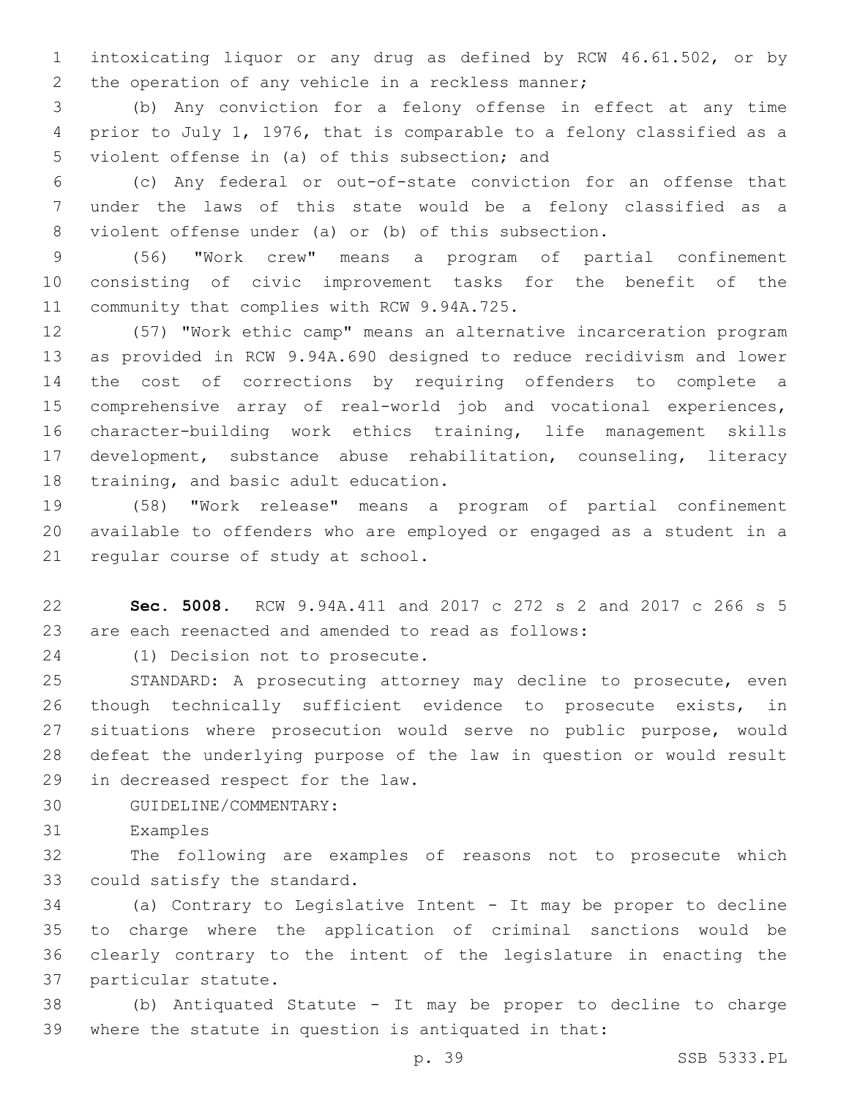intoxicating liquor or any drug as defined by RCW 46.61.502, or by 2 the operation of any vehicle in a reckless manner;

 (b) Any conviction for a felony offense in effect at any time prior to July 1, 1976, that is comparable to a felony classified as a 5 violent offense in (a) of this subsection; and

 (c) Any federal or out-of-state conviction for an offense that under the laws of this state would be a felony classified as a violent offense under (a) or (b) of this subsection.

 (56) "Work crew" means a program of partial confinement consisting of civic improvement tasks for the benefit of the 11 community that complies with RCW 9.94A.725.

 (57) "Work ethic camp" means an alternative incarceration program as provided in RCW 9.94A.690 designed to reduce recidivism and lower the cost of corrections by requiring offenders to complete a comprehensive array of real-world job and vocational experiences, character-building work ethics training, life management skills development, substance abuse rehabilitation, counseling, literacy 18 training, and basic adult education.

 (58) "Work release" means a program of partial confinement available to offenders who are employed or engaged as a student in a 21 regular course of study at school.

 **Sec. 5008.** RCW 9.94A.411 and 2017 c 272 s 2 and 2017 c 266 s 5 are each reenacted and amended to read as follows:

24 (1) Decision not to prosecute.

 STANDARD: A prosecuting attorney may decline to prosecute, even though technically sufficient evidence to prosecute exists, in situations where prosecution would serve no public purpose, would defeat the underlying purpose of the law in question or would result 29 in decreased respect for the law.

- 30 GUIDELINE/COMMENTARY:
- 31 Examples

 The following are examples of reasons not to prosecute which 33 could satisfy the standard.

 (a) Contrary to Legislative Intent - It may be proper to decline to charge where the application of criminal sanctions would be clearly contrary to the intent of the legislature in enacting the 37 particular statute.

 (b) Antiquated Statute - It may be proper to decline to charge where the statute in question is antiquated in that: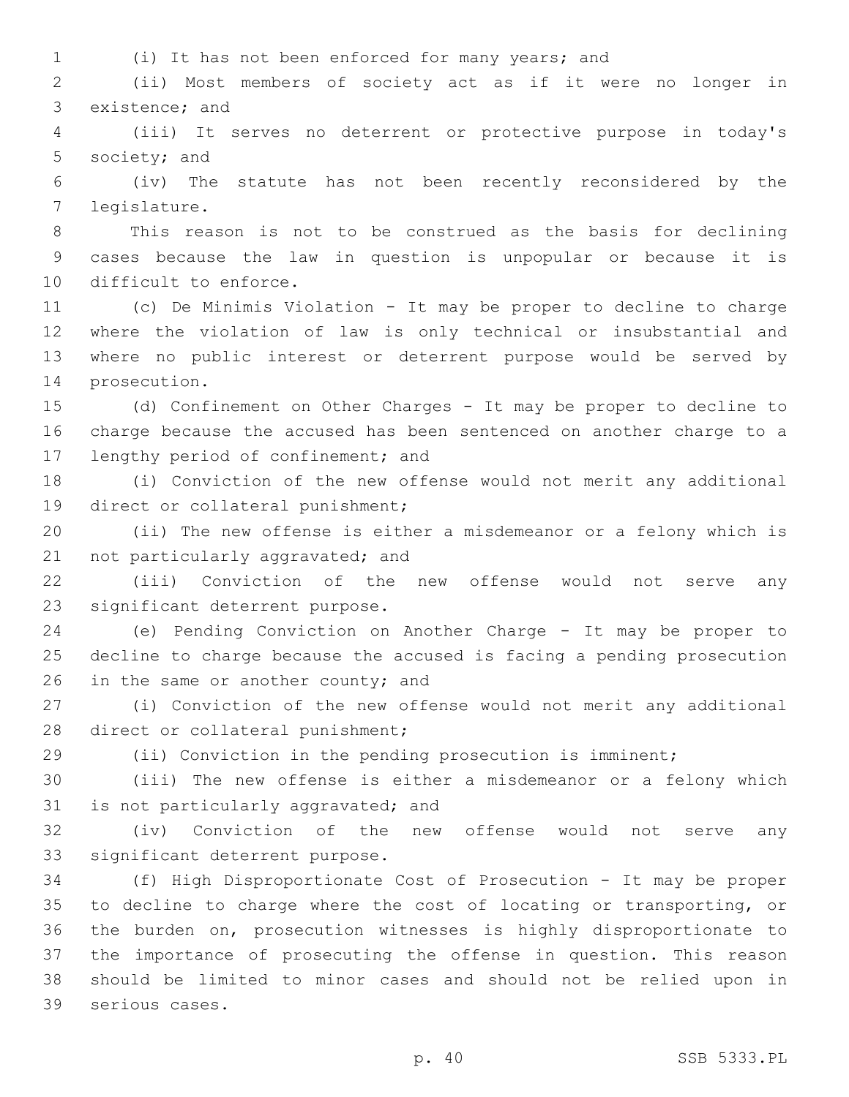- 
- (i) It has not been enforced for many years; and

 (ii) Most members of society act as if it were no longer in 3 existence; and

 (iii) It serves no deterrent or protective purpose in today's 5 society; and

 (iv) The statute has not been recently reconsidered by the legislature.7

 This reason is not to be construed as the basis for declining cases because the law in question is unpopular or because it is 10 difficult to enforce.

 (c) De Minimis Violation - It may be proper to decline to charge where the violation of law is only technical or insubstantial and where no public interest or deterrent purpose would be served by 14 prosecution.

 (d) Confinement on Other Charges - It may be proper to decline to charge because the accused has been sentenced on another charge to a 17 lengthy period of confinement; and

 (i) Conviction of the new offense would not merit any additional 19 direct or collateral punishment;

 (ii) The new offense is either a misdemeanor or a felony which is 21 not particularly aggravated; and

 (iii) Conviction of the new offense would not serve any 23 significant deterrent purpose.

 (e) Pending Conviction on Another Charge - It may be proper to decline to charge because the accused is facing a pending prosecution 26 in the same or another county; and

 (i) Conviction of the new offense would not merit any additional 28 direct or collateral punishment;

(ii) Conviction in the pending prosecution is imminent;

 (iii) The new offense is either a misdemeanor or a felony which 31 is not particularly aggravated; and

 (iv) Conviction of the new offense would not serve any 33 significant deterrent purpose.

 (f) High Disproportionate Cost of Prosecution - It may be proper to decline to charge where the cost of locating or transporting, or the burden on, prosecution witnesses is highly disproportionate to the importance of prosecuting the offense in question. This reason should be limited to minor cases and should not be relied upon in 39 serious cases.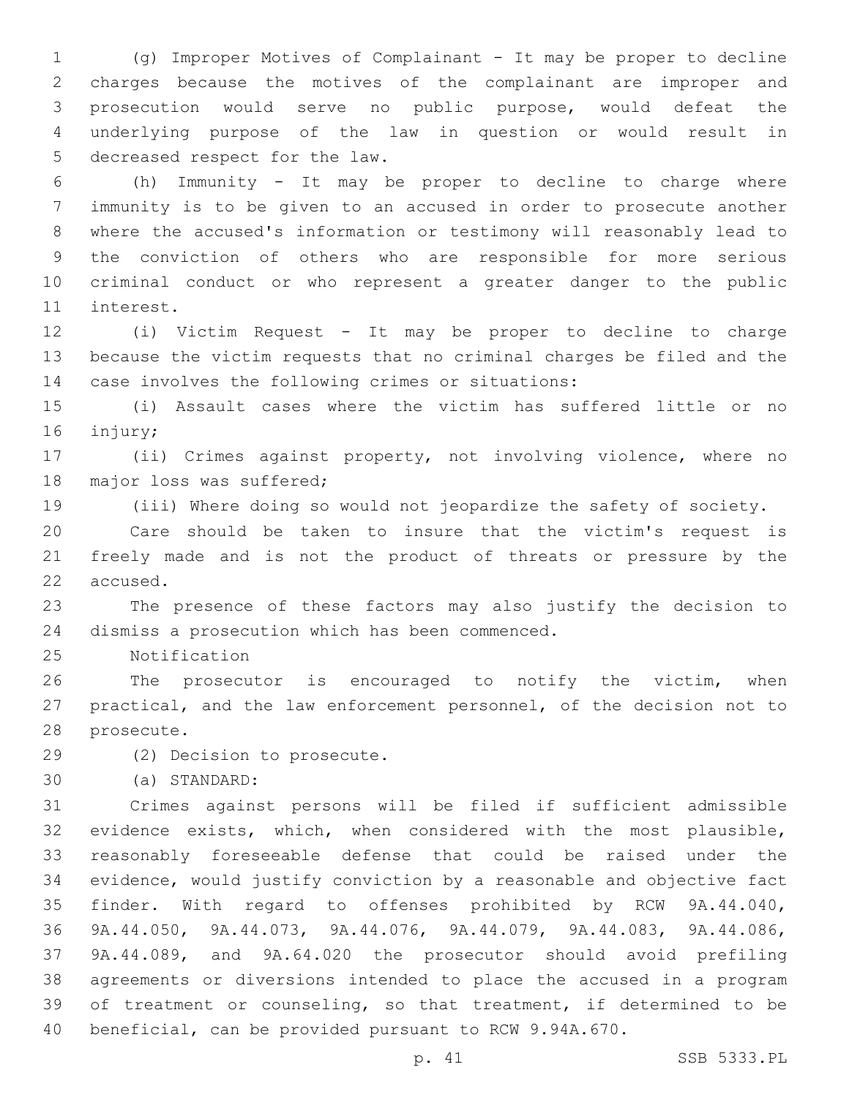(g) Improper Motives of Complainant - It may be proper to decline charges because the motives of the complainant are improper and prosecution would serve no public purpose, would defeat the underlying purpose of the law in question or would result in 5 decreased respect for the law.

 (h) Immunity - It may be proper to decline to charge where immunity is to be given to an accused in order to prosecute another where the accused's information or testimony will reasonably lead to the conviction of others who are responsible for more serious criminal conduct or who represent a greater danger to the public 11 interest.

 (i) Victim Request - It may be proper to decline to charge because the victim requests that no criminal charges be filed and the 14 case involves the following crimes or situations:

 (i) Assault cases where the victim has suffered little or no 16 injury;

 (ii) Crimes against property, not involving violence, where no 18 major loss was suffered;

(iii) Where doing so would not jeopardize the safety of society.

 Care should be taken to insure that the victim's request is freely made and is not the product of threats or pressure by the 22 accused.

 The presence of these factors may also justify the decision to 24 dismiss a prosecution which has been commenced.

25 Notification

 The prosecutor is encouraged to notify the victim, when practical, and the law enforcement personnel, of the decision not to 28 prosecute.

29 (2) Decision to prosecute.

(a) STANDARD:30

 Crimes against persons will be filed if sufficient admissible evidence exists, which, when considered with the most plausible, reasonably foreseeable defense that could be raised under the evidence, would justify conviction by a reasonable and objective fact finder. With regard to offenses prohibited by RCW 9A.44.040, 9A.44.050, 9A.44.073, 9A.44.076, 9A.44.079, 9A.44.083, 9A.44.086, 9A.44.089, and 9A.64.020 the prosecutor should avoid prefiling agreements or diversions intended to place the accused in a program of treatment or counseling, so that treatment, if determined to be beneficial, can be provided pursuant to RCW 9.94A.670.

p. 41 SSB 5333.PL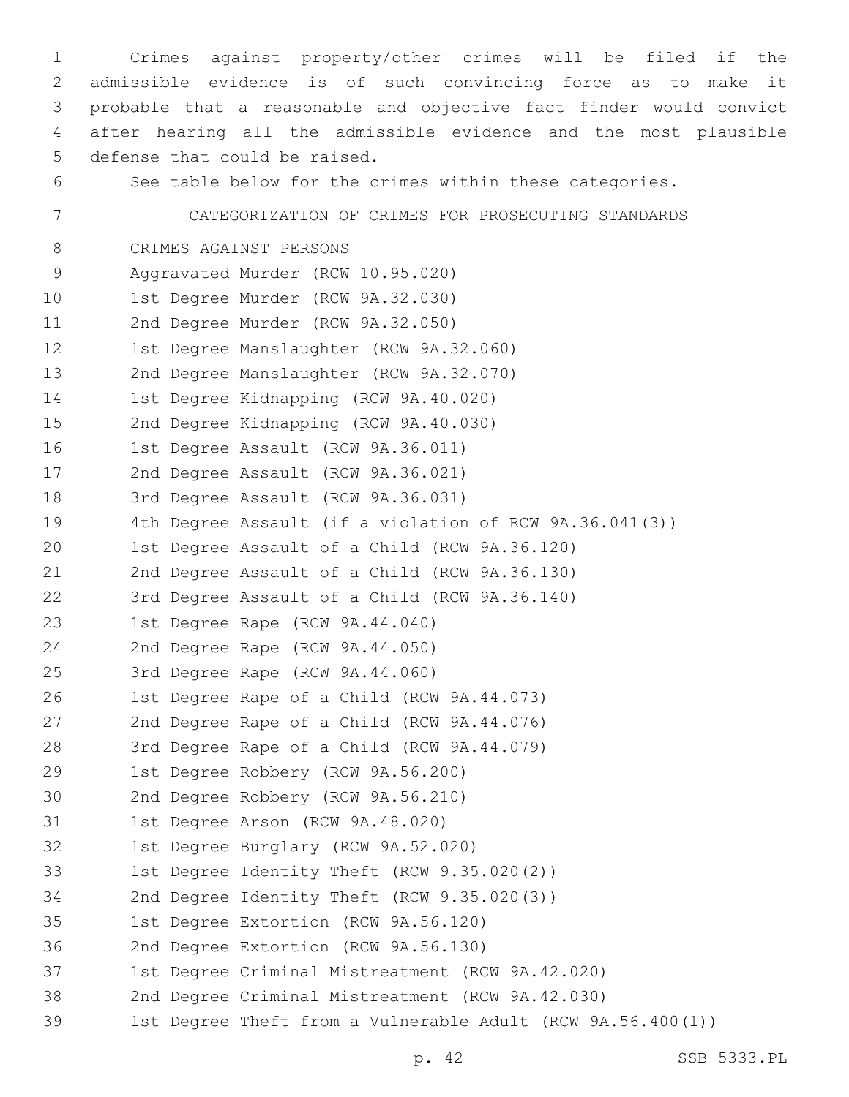1 Crimes against property/other crimes will be filed if the 2 admissible evidence is of such convincing force as to make it 3 probable that a reasonable and objective fact finder would convict 4 after hearing all the admissible evidence and the most plausible 5 defense that could be raised. 6 See table below for the crimes within these categories. 7 CATEGORIZATION OF CRIMES FOR PROSECUTING STANDARDS 8 CRIMES AGAINST PERSONS 9 Aggravated Murder (RCW 10.95.020) 10 1st Degree Murder (RCW 9A.32.030) 11 2nd Degree Murder (RCW 9A.32.050) 12 1st Degree Manslaughter (RCW 9A.32.060) 13 2nd Degree Manslaughter (RCW 9A.32.070) 14 1st Degree Kidnapping (RCW 9A.40.020) 15 2nd Degree Kidnapping (RCW 9A.40.030) 16 1st Degree Assault (RCW 9A.36.011) 17 2nd Degree Assault (RCW 9A.36.021) 18 3rd Degree Assault (RCW 9A.36.031) 19 4th Degree Assault (if a violation of RCW 9A.36.041(3)) 20 1st Degree Assault of a Child (RCW 9A.36.120) 21 2nd Degree Assault of a Child (RCW 9A.36.130) 22 3rd Degree Assault of a Child (RCW 9A.36.140) 23 1st Degree Rape (RCW 9A.44.040) 24 2nd Degree Rape (RCW 9A.44.050) 25 3rd Degree Rape (RCW 9A.44.060) 26 1st Degree Rape of a Child (RCW 9A.44.073) 27 2nd Degree Rape of a Child (RCW 9A.44.076) 28 3rd Degree Rape of a Child (RCW 9A.44.079) 29 1st Degree Robbery (RCW 9A.56.200) 30 2nd Degree Robbery (RCW 9A.56.210) 31 1st Degree Arson (RCW 9A.48.020) 32 1st Degree Burglary (RCW 9A.52.020) 1st Degree Identity Theft (RCW 9.35.020(2)) 34 2nd Degree Identity Theft (RCW 9.35.020(3)) 35 1st Degree Extortion (RCW 9A.56.120) 36 2nd Degree Extortion (RCW 9A.56.130) 37 1st Degree Criminal Mistreatment (RCW 9A.42.020) 38 2nd Degree Criminal Mistreatment (RCW 9A.42.030) 39 1st Degree Theft from a Vulnerable Adult (RCW 9A.56.400(1))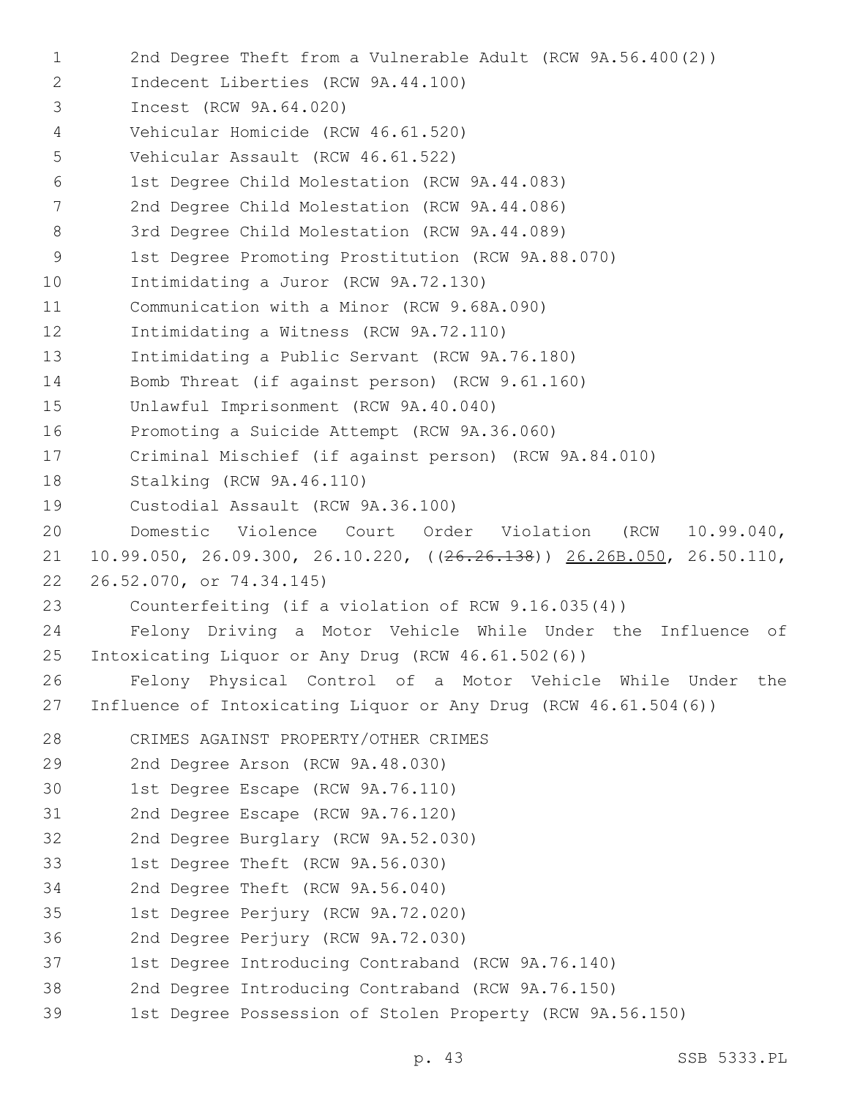1 2nd Degree Theft from a Vulnerable Adult (RCW 9A.56.400(2)) 2 Indecent Liberties (RCW 9A.44.100) 3 Incest (RCW 9A.64.020) Vehicular Homicide (RCW 46.61.520)4 5 Vehicular Assault (RCW 46.61.522) 1st Degree Child Molestation (RCW 9A.44.083)6 7 2nd Degree Child Molestation (RCW 9A.44.086) 8 3rd Degree Child Molestation (RCW 9A.44.089) 9 1st Degree Promoting Prostitution (RCW 9A.88.070) 10 Intimidating a Juror (RCW 9A.72.130) 11 Communication with a Minor (RCW 9.68A.090) 12 Intimidating a Witness (RCW 9A.72.110) 13 Intimidating a Public Servant (RCW 9A.76.180) 14 Bomb Threat (if against person) (RCW 9.61.160) 15 Unlawful Imprisonment (RCW 9A.40.040) 16 Promoting a Suicide Attempt (RCW 9A.36.060) 17 Criminal Mischief (if against person) (RCW 9A.84.010) 18 Stalking (RCW 9A.46.110) 19 Custodial Assault (RCW 9A.36.100) 20 Domestic Violence Court Order Violation (RCW 10.99.040, 21 10.99.050, 26.09.300, 26.10.220, ((26.26.138)) 26.26B.050, 26.50.110, 22 26.52.070, or 74.34.145) 23 Counterfeiting (if a violation of RCW 9.16.035(4)) 24 Felony Driving a Motor Vehicle While Under the Influence of 25 Intoxicating Liquor or Any Drug (RCW 46.61.502(6)) 26 Felony Physical Control of a Motor Vehicle While Under the 27 Influence of Intoxicating Liquor or Any Drug (RCW 46.61.504(6)) 28 CRIMES AGAINST PROPERTY/OTHER CRIMES 29 2nd Degree Arson (RCW 9A.48.030) 30 1st Degree Escape (RCW 9A.76.110) 31 2nd Degree Escape (RCW 9A.76.120) 32 2nd Degree Burglary (RCW 9A.52.030) 33 1st Degree Theft (RCW 9A.56.030) 34 2nd Degree Theft (RCW 9A.56.040) 35 1st Degree Perjury (RCW 9A.72.020) 36 2nd Degree Perjury (RCW 9A.72.030) 37 1st Degree Introducing Contraband (RCW 9A.76.140) 38 2nd Degree Introducing Contraband (RCW 9A.76.150) 39 1st Degree Possession of Stolen Property (RCW 9A.56.150)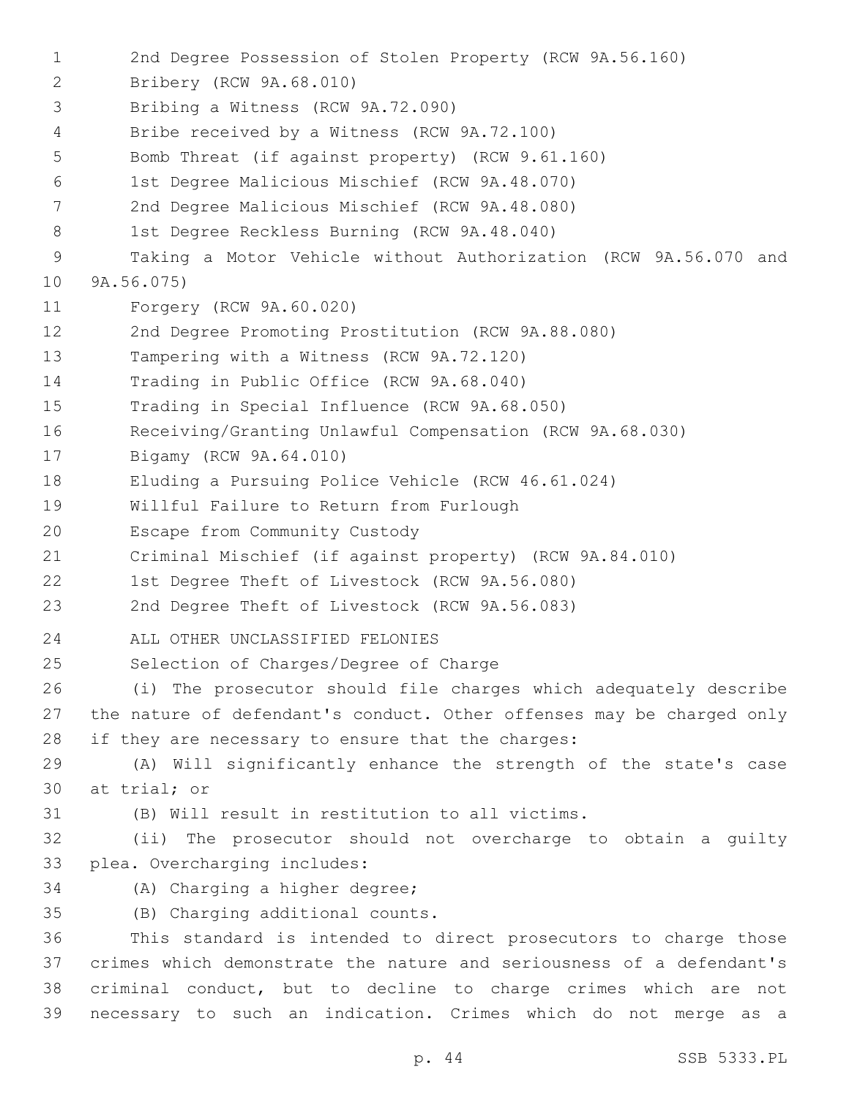1 2nd Degree Possession of Stolen Property (RCW 9A.56.160) 2 Bribery (RCW 9A.68.010) 3 Bribing a Witness (RCW 9A.72.090) 4 Bribe received by a Witness (RCW 9A.72.100) 5 Bomb Threat (if against property) (RCW 9.61.160) 1st Degree Malicious Mischief (RCW 9A.48.070)6 7 2nd Degree Malicious Mischief (RCW 9A.48.080) 8 1st Degree Reckless Burning (RCW 9A.48.040) 9 Taking a Motor Vehicle without Authorization (RCW 9A.56.070 and 10 9A.56.075) 11 Forgery (RCW 9A.60.020) 12 2nd Degree Promoting Prostitution (RCW 9A.88.080) 13 Tampering with a Witness (RCW 9A.72.120) 14 Trading in Public Office (RCW 9A.68.040) 15 Trading in Special Influence (RCW 9A.68.050) 16 Receiving/Granting Unlawful Compensation (RCW 9A.68.030) 17 Bigamy (RCW 9A.64.010) 18 Eluding a Pursuing Police Vehicle (RCW 46.61.024) 19 Willful Failure to Return from Furlough 20 Escape from Community Custody 21 Criminal Mischief (if against property) (RCW 9A.84.010) 22 1st Degree Theft of Livestock (RCW 9A.56.080) 23 2nd Degree Theft of Livestock (RCW 9A.56.083) 24 ALL OTHER UNCLASSIFIED FELONIES 25 Selection of Charges/Degree of Charge 26 (i) The prosecutor should file charges which adequately describe 27 the nature of defendant's conduct. Other offenses may be charged only 28 if they are necessary to ensure that the charges: 29 (A) Will significantly enhance the strength of the state's case 30 at trial; or 31 (B) Will result in restitution to all victims. 32 (ii) The prosecutor should not overcharge to obtain a guilty 33 plea. Overcharging includes: 34 (A) Charging a higher degree; (B) Charging additional counts.35 36 This standard is intended to direct prosecutors to charge those 37 crimes which demonstrate the nature and seriousness of a defendant's 38 criminal conduct, but to decline to charge crimes which are not 39 necessary to such an indication. Crimes which do not merge as a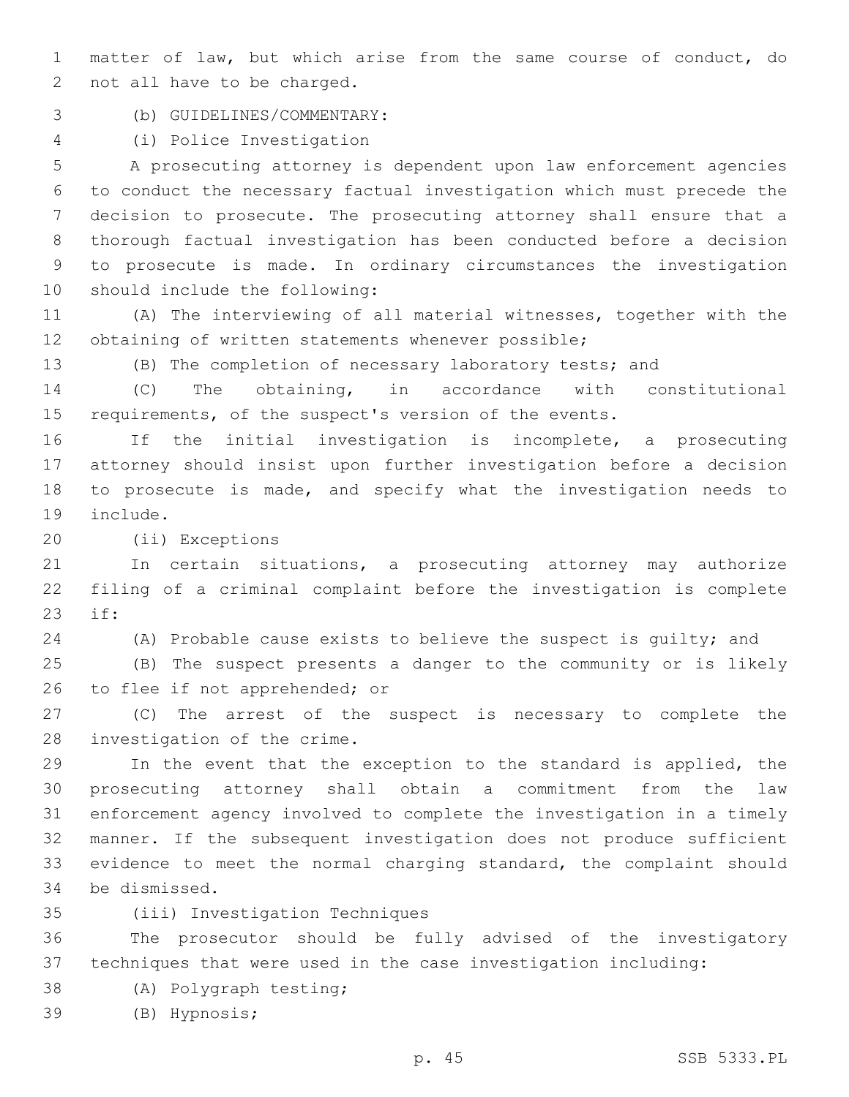matter of law, but which arise from the same course of conduct, do 2 not all have to be charged.

(b) GUIDELINES/COMMENTARY:3

(i) Police Investigation4

 A prosecuting attorney is dependent upon law enforcement agencies to conduct the necessary factual investigation which must precede the decision to prosecute. The prosecuting attorney shall ensure that a thorough factual investigation has been conducted before a decision to prosecute is made. In ordinary circumstances the investigation 10 should include the following:

 (A) The interviewing of all material witnesses, together with the obtaining of written statements whenever possible;

(B) The completion of necessary laboratory tests; and

 (C) The obtaining, in accordance with constitutional requirements, of the suspect's version of the events.

 If the initial investigation is incomplete, a prosecuting attorney should insist upon further investigation before a decision to prosecute is made, and specify what the investigation needs to 19 include.

(ii) Exceptions20

 In certain situations, a prosecuting attorney may authorize filing of a criminal complaint before the investigation is complete 23 if:

(A) Probable cause exists to believe the suspect is guilty; and

 (B) The suspect presents a danger to the community or is likely 26 to flee if not apprehended; or

 (C) The arrest of the suspect is necessary to complete the 28 investigation of the crime.

 In the event that the exception to the standard is applied, the prosecuting attorney shall obtain a commitment from the law enforcement agency involved to complete the investigation in a timely manner. If the subsequent investigation does not produce sufficient evidence to meet the normal charging standard, the complaint should 34 be dismissed.

(iii) Investigation Techniques35

 The prosecutor should be fully advised of the investigatory techniques that were used in the case investigation including:

- 38 (A) Polygraph testing;
- (B) Hypnosis;39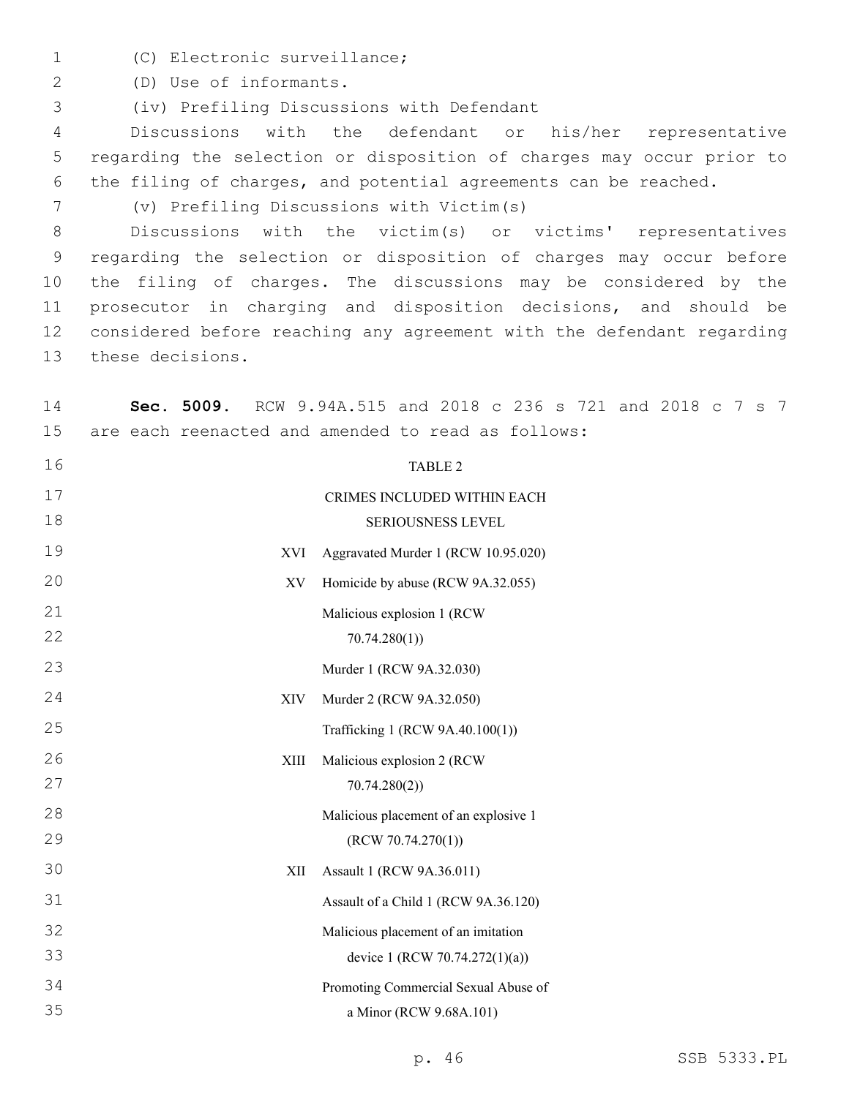1 (C) Electronic surveillance;

(D) Use of informants.2

(iv) Prefiling Discussions with Defendant3

 Discussions with the defendant or his/her representative regarding the selection or disposition of charges may occur prior to the filing of charges, and potential agreements can be reached.

(v) Prefiling Discussions with Victim(s)

 Discussions with the victim(s) or victims' representatives regarding the selection or disposition of charges may occur before the filing of charges. The discussions may be considered by the prosecutor in charging and disposition decisions, and should be considered before reaching any agreement with the defendant regarding 13 these decisions.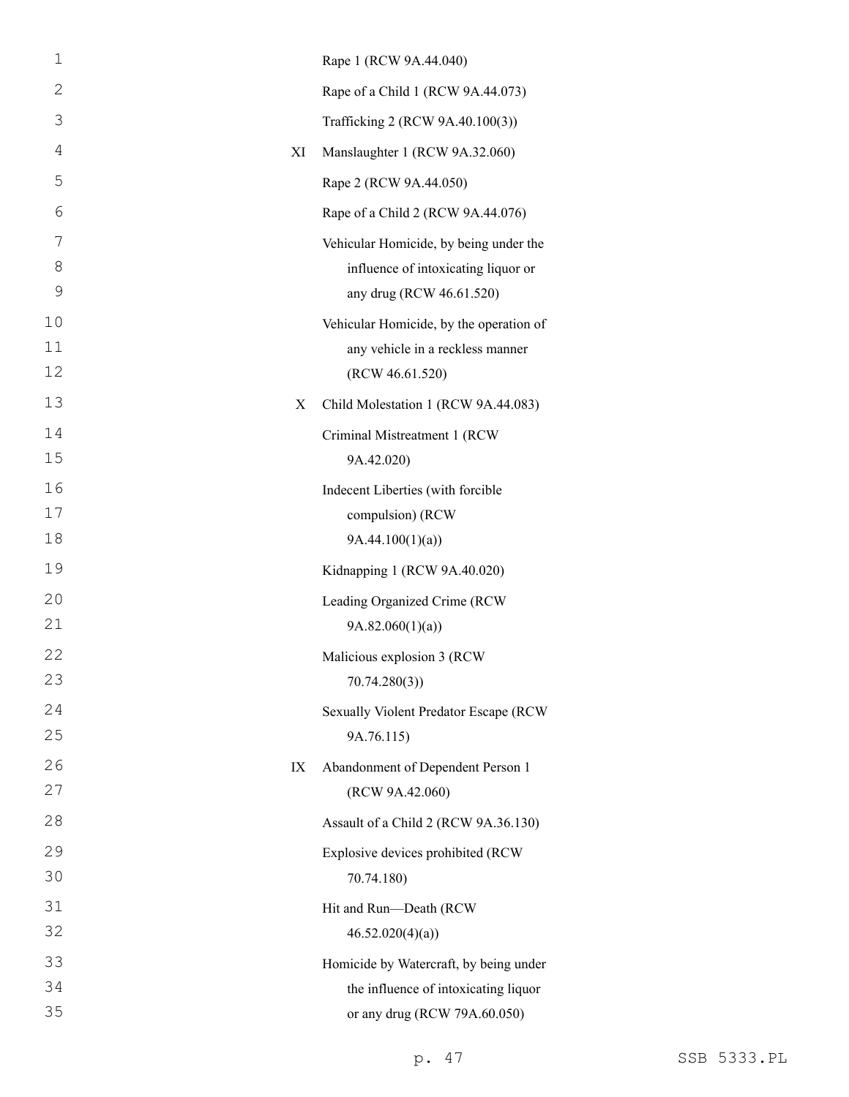| $\mathbf 1$ |    | Rape 1 (RCW 9A.44.040)                              |
|-------------|----|-----------------------------------------------------|
| 2           |    | Rape of a Child 1 (RCW 9A.44.073)                   |
| 3           |    | Trafficking 2 (RCW 9A.40.100(3))                    |
| 4           | XI | Manslaughter 1 (RCW 9A.32.060)                      |
| 5           |    | Rape 2 (RCW 9A.44.050)                              |
| 6           |    | Rape of a Child 2 (RCW 9A.44.076)                   |
| 7           |    | Vehicular Homicide, by being under the              |
| 8           |    | influence of intoxicating liquor or                 |
| 9           |    | any drug (RCW 46.61.520)                            |
| 10          |    | Vehicular Homicide, by the operation of             |
| 11<br>12    |    | any vehicle in a reckless manner<br>(RCW 46.61.520) |
| 13          | X  | Child Molestation 1 (RCW 9A.44.083)                 |
| 14          |    | Criminal Mistreatment 1 (RCW                        |
| 15          |    | 9A.42.020)                                          |
| 16          |    | Indecent Liberties (with forcible                   |
| 17          |    | compulsion) (RCW                                    |
| 18          |    | 9A.44.100(1)(a)                                     |
| 19          |    | Kidnapping 1 (RCW 9A.40.020)                        |
| 20          |    | Leading Organized Crime (RCW                        |
| 21          |    | 9A.82.060(1)(a)                                     |
| 22          |    | Malicious explosion 3 (RCW                          |
| 23          |    | 70.74.280(3)                                        |
| 24<br>25    |    | Sexually Violent Predator Escape (RCW<br>9A.76.115) |
| 26          | IX | Abandonment of Dependent Person 1                   |
| 27          |    | (RCW 9A.42.060)                                     |
| 28          |    | Assault of a Child 2 (RCW 9A.36.130)                |
| 29          |    | Explosive devices prohibited (RCW                   |
| 30          |    | 70.74.180)                                          |
| 31          |    | Hit and Run-Death (RCW                              |
| 32          |    | 46.52.020(4)(a)                                     |
| 33          |    | Homicide by Watercraft, by being under              |
| 34<br>35    |    | the influence of intoxicating liquor                |
|             |    | or any drug (RCW 79A.60.050)                        |

p. 47 SSB 5333.PL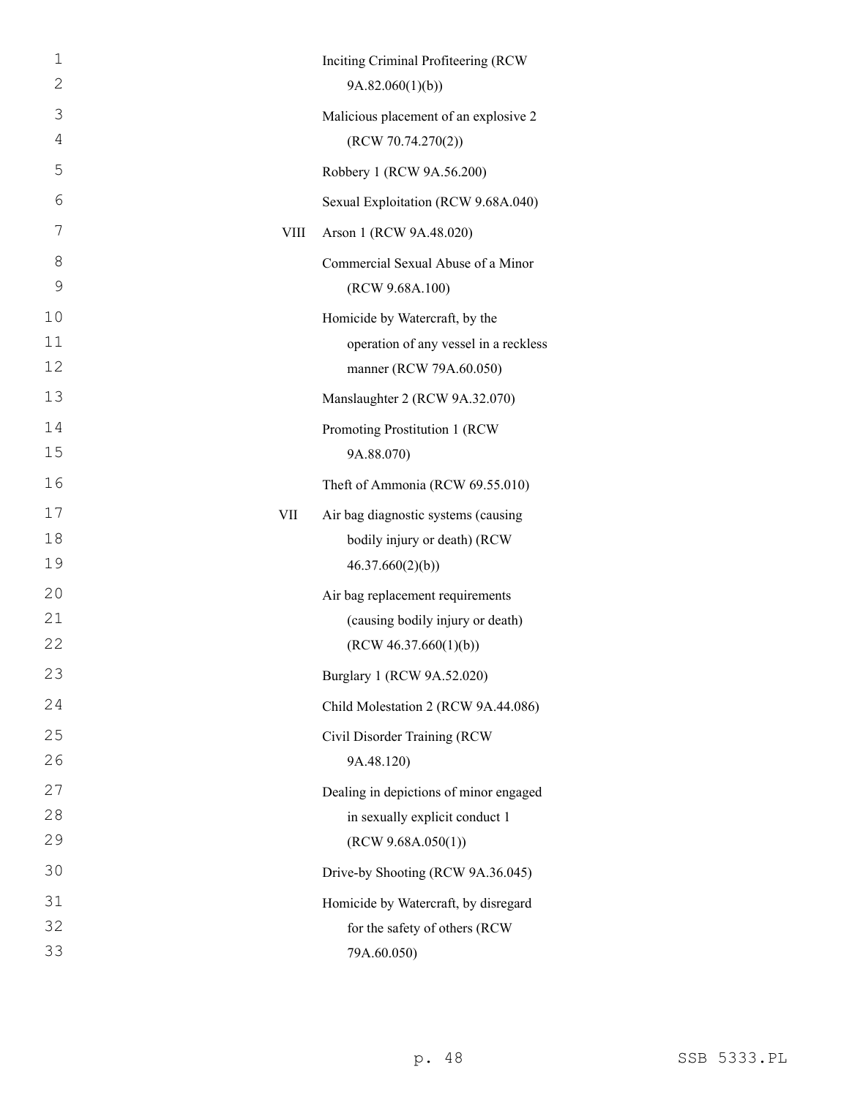| 1            |      | Inciting Criminal Profiteering (RCW)   |
|--------------|------|----------------------------------------|
| $\mathbf{2}$ |      | 9A.82.060(1)(b)                        |
| 3            |      | Malicious placement of an explosive 2  |
| 4            |      | (RCW 70.74.270(2))                     |
| 5            |      | Robbery 1 (RCW 9A.56.200)              |
| 6            |      | Sexual Exploitation (RCW 9.68A.040)    |
| 7            | VIII | Arson 1 (RCW 9A.48.020)                |
| 8            |      | Commercial Sexual Abuse of a Minor     |
| 9            |      | (RCW 9.68A.100)                        |
| 10           |      | Homicide by Watercraft, by the         |
| 11           |      | operation of any vessel in a reckless  |
| 12           |      | manner (RCW 79A.60.050)                |
| 13           |      | Manslaughter 2 (RCW 9A.32.070)         |
| 14           |      | Promoting Prostitution 1 (RCW          |
| 15           |      | 9A.88.070)                             |
| 16           |      | Theft of Ammonia (RCW 69.55.010)       |
| 17           | VII  | Air bag diagnostic systems (causing    |
| 18           |      | bodily injury or death) (RCW           |
| 19           |      | 46.37.660(2)(b)                        |
| 20           |      | Air bag replacement requirements       |
| 21           |      | (causing bodily injury or death)       |
| 22           |      | (RCW 46.37.660(1)(b))                  |
| 23           |      | Burglary 1 (RCW 9A.52.020)             |
| 24           |      | Child Molestation 2 (RCW 9A.44.086)    |
| 25           |      | Civil Disorder Training (RCW           |
| 26           |      | 9A.48.120)                             |
| 27           |      | Dealing in depictions of minor engaged |
| 28           |      | in sexually explicit conduct 1         |
| 29           |      | (RCW 9.68A.050(1))                     |
| 30           |      | Drive-by Shooting (RCW 9A.36.045)      |
| 31           |      | Homicide by Watercraft, by disregard   |
| 32           |      | for the safety of others (RCW          |
| 33           |      | 79A.60.050)                            |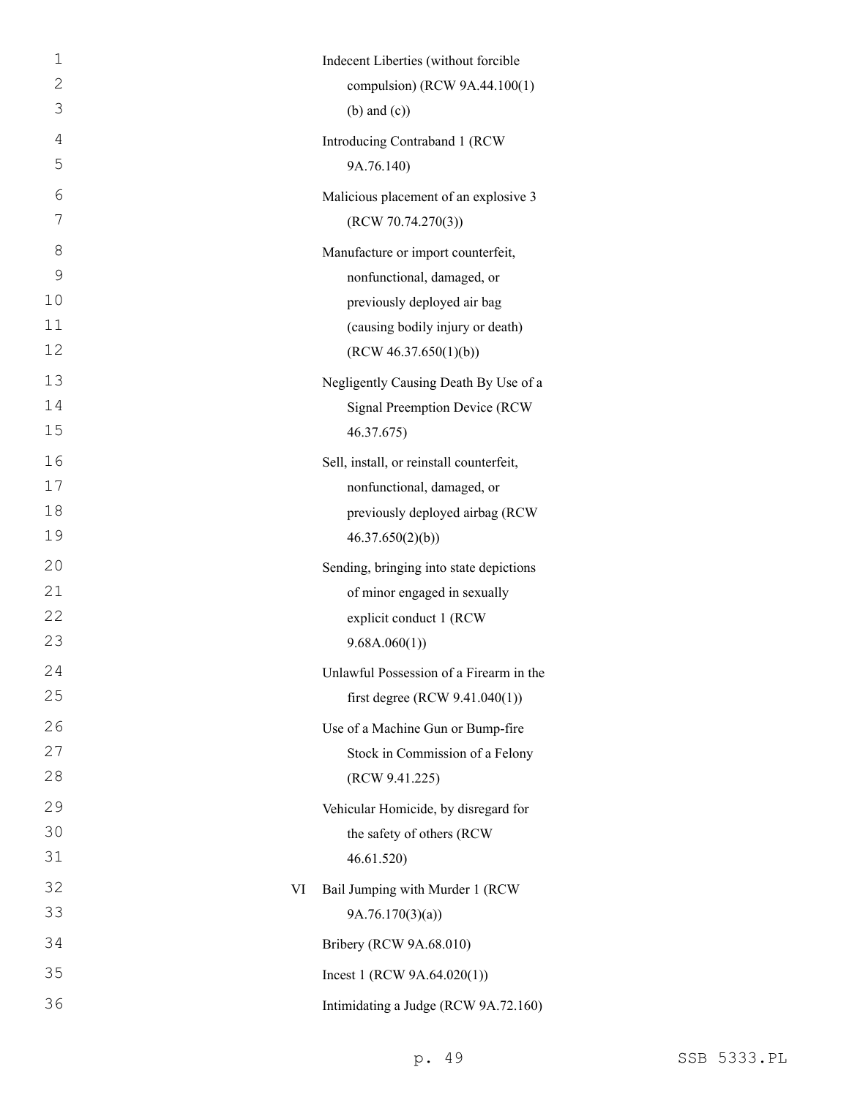| $\mathbf 1$<br>$\overline{2}$ |    | Indecent Liberties (without forcible<br>compulsion) (RCW 9A.44.100(1) |
|-------------------------------|----|-----------------------------------------------------------------------|
| 3                             |    | $(b)$ and $(c)$ )                                                     |
| 4                             |    | Introducing Contraband 1 (RCW                                         |
| 5                             |    | 9A.76.140)                                                            |
| 6                             |    | Malicious placement of an explosive 3                                 |
| 7                             |    | (RCW 70.74.270(3))                                                    |
| 8                             |    | Manufacture or import counterfeit,                                    |
| $\mathcal{G}$                 |    | nonfunctional, damaged, or                                            |
| 10                            |    | previously deployed air bag                                           |
| 11                            |    | (causing bodily injury or death)                                      |
| 12                            |    | (RCW 46.37.650(1)(b))                                                 |
| 13                            |    | Negligently Causing Death By Use of a                                 |
| 14                            |    | <b>Signal Preemption Device (RCW</b>                                  |
| 15                            |    | 46.37.675)                                                            |
| 16                            |    | Sell, install, or reinstall counterfeit,                              |
| 17                            |    | nonfunctional, damaged, or                                            |
| 18                            |    | previously deployed airbag (RCW                                       |
| 19                            |    | 46.37.650(2)(b)                                                       |
| 20                            |    | Sending, bringing into state depictions                               |
| 21                            |    | of minor engaged in sexually                                          |
| 22                            |    | explicit conduct 1 (RCW                                               |
| 23                            |    | 9.68A.060(1)                                                          |
| 24                            |    | Unlawful Possession of a Firearm in the                               |
| 25                            |    | first degree (RCW $9.41.040(1)$ )                                     |
| 26                            |    | Use of a Machine Gun or Bump-fire                                     |
| 27                            |    | Stock in Commission of a Felony                                       |
| 28                            |    | (RCW 9.41.225)                                                        |
| 29                            |    | Vehicular Homicide, by disregard for                                  |
| 30                            |    | the safety of others (RCW                                             |
| 31                            |    | 46.61.520)                                                            |
| 32                            | VI | Bail Jumping with Murder 1 (RCW                                       |
| 33                            |    | 9A.76.170(3)(a)                                                       |
| 34                            |    | Bribery (RCW 9A.68.010)                                               |
| 35                            |    | Incest 1 (RCW $9A.64.020(1)$ )                                        |
| 36                            |    | Intimidating a Judge (RCW 9A.72.160)                                  |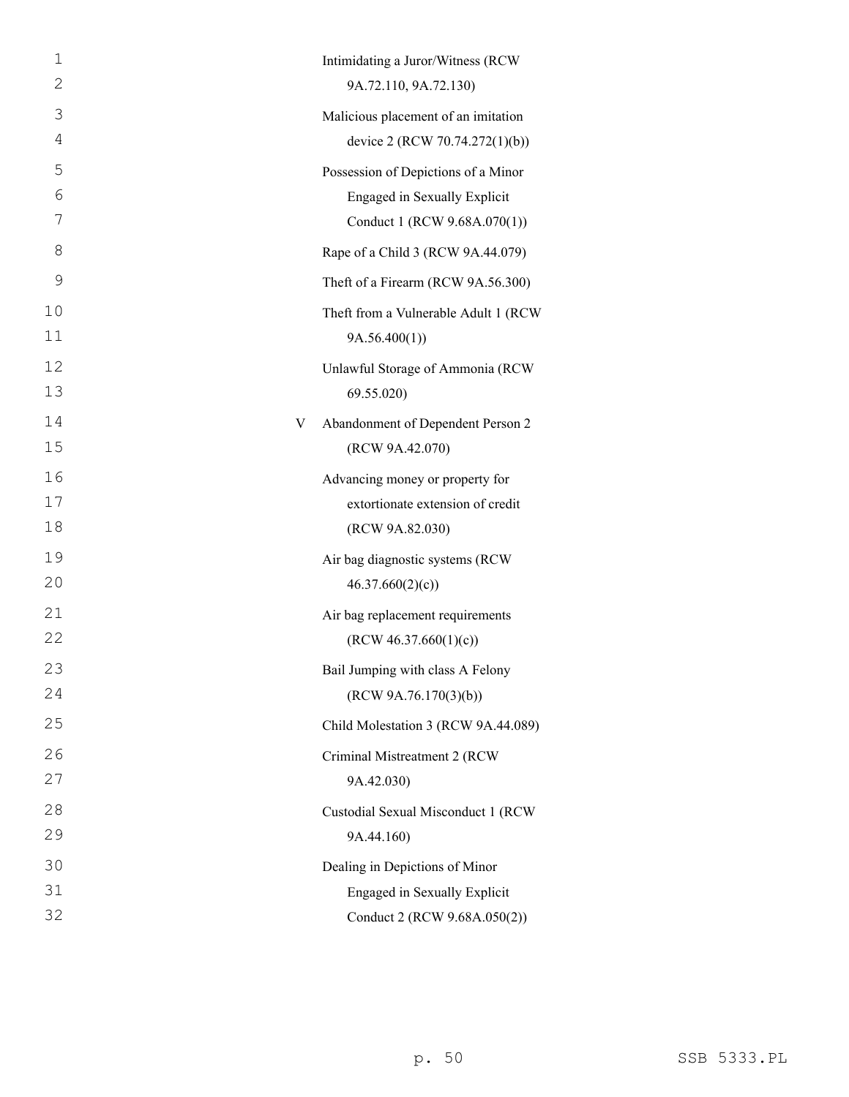| 2<br>9A.72.110, 9A.72.130)<br>3<br>Malicious placement of an imitation<br>4<br>device 2 (RCW 70.74.272(1)(b))<br>5<br>Possession of Depictions of a Minor<br>6<br>Engaged in Sexually Explicit<br>7<br>Conduct 1 (RCW 9.68A.070(1))<br>8<br>Rape of a Child 3 (RCW 9A.44.079)<br>9<br>Theft of a Firearm (RCW 9A.56.300)<br>10<br>11<br>9A.56.400(1)<br>12<br>Unlawful Storage of Ammonia (RCW<br>13<br>69.55.020)<br>14<br>Abandonment of Dependent Person 2<br>V<br>15<br>(RCW 9A.42.070)<br>16<br>Advancing money or property for<br>17<br>extortionate extension of credit<br>18<br>(RCW 9A.82.030)<br>19<br>Air bag diagnostic systems (RCW<br>20<br>46.37.660(2)(c)<br>21<br>Air bag replacement requirements<br>22<br>(RCW 46.37.660(1)(c))<br>23<br>Bail Jumping with class A Felony<br>24<br>(RCW 9A.76.170(3)(b))<br>25<br>Child Molestation 3 (RCW 9A.44.089)<br>26<br>Criminal Mistreatment 2 (RCW<br>27<br>9A.42.030)<br>28<br>Custodial Sexual Misconduct 1 (RCW<br>29<br>9A.44.160)<br>30<br>Dealing in Depictions of Minor<br>31<br>Engaged in Sexually Explicit<br>32<br>Conduct 2 (RCW 9.68A.050(2)) | 1 | Intimidating a Juror/Witness (RCW    |
|------------------------------------------------------------------------------------------------------------------------------------------------------------------------------------------------------------------------------------------------------------------------------------------------------------------------------------------------------------------------------------------------------------------------------------------------------------------------------------------------------------------------------------------------------------------------------------------------------------------------------------------------------------------------------------------------------------------------------------------------------------------------------------------------------------------------------------------------------------------------------------------------------------------------------------------------------------------------------------------------------------------------------------------------------------------------------------------------------------------------|---|--------------------------------------|
|                                                                                                                                                                                                                                                                                                                                                                                                                                                                                                                                                                                                                                                                                                                                                                                                                                                                                                                                                                                                                                                                                                                        |   |                                      |
|                                                                                                                                                                                                                                                                                                                                                                                                                                                                                                                                                                                                                                                                                                                                                                                                                                                                                                                                                                                                                                                                                                                        |   |                                      |
|                                                                                                                                                                                                                                                                                                                                                                                                                                                                                                                                                                                                                                                                                                                                                                                                                                                                                                                                                                                                                                                                                                                        |   |                                      |
|                                                                                                                                                                                                                                                                                                                                                                                                                                                                                                                                                                                                                                                                                                                                                                                                                                                                                                                                                                                                                                                                                                                        |   |                                      |
|                                                                                                                                                                                                                                                                                                                                                                                                                                                                                                                                                                                                                                                                                                                                                                                                                                                                                                                                                                                                                                                                                                                        |   |                                      |
|                                                                                                                                                                                                                                                                                                                                                                                                                                                                                                                                                                                                                                                                                                                                                                                                                                                                                                                                                                                                                                                                                                                        |   |                                      |
|                                                                                                                                                                                                                                                                                                                                                                                                                                                                                                                                                                                                                                                                                                                                                                                                                                                                                                                                                                                                                                                                                                                        |   |                                      |
|                                                                                                                                                                                                                                                                                                                                                                                                                                                                                                                                                                                                                                                                                                                                                                                                                                                                                                                                                                                                                                                                                                                        |   |                                      |
|                                                                                                                                                                                                                                                                                                                                                                                                                                                                                                                                                                                                                                                                                                                                                                                                                                                                                                                                                                                                                                                                                                                        |   | Theft from a Vulnerable Adult 1 (RCW |
|                                                                                                                                                                                                                                                                                                                                                                                                                                                                                                                                                                                                                                                                                                                                                                                                                                                                                                                                                                                                                                                                                                                        |   |                                      |
|                                                                                                                                                                                                                                                                                                                                                                                                                                                                                                                                                                                                                                                                                                                                                                                                                                                                                                                                                                                                                                                                                                                        |   |                                      |
|                                                                                                                                                                                                                                                                                                                                                                                                                                                                                                                                                                                                                                                                                                                                                                                                                                                                                                                                                                                                                                                                                                                        |   |                                      |
|                                                                                                                                                                                                                                                                                                                                                                                                                                                                                                                                                                                                                                                                                                                                                                                                                                                                                                                                                                                                                                                                                                                        |   |                                      |
|                                                                                                                                                                                                                                                                                                                                                                                                                                                                                                                                                                                                                                                                                                                                                                                                                                                                                                                                                                                                                                                                                                                        |   |                                      |
|                                                                                                                                                                                                                                                                                                                                                                                                                                                                                                                                                                                                                                                                                                                                                                                                                                                                                                                                                                                                                                                                                                                        |   |                                      |
|                                                                                                                                                                                                                                                                                                                                                                                                                                                                                                                                                                                                                                                                                                                                                                                                                                                                                                                                                                                                                                                                                                                        |   |                                      |
|                                                                                                                                                                                                                                                                                                                                                                                                                                                                                                                                                                                                                                                                                                                                                                                                                                                                                                                                                                                                                                                                                                                        |   |                                      |
|                                                                                                                                                                                                                                                                                                                                                                                                                                                                                                                                                                                                                                                                                                                                                                                                                                                                                                                                                                                                                                                                                                                        |   |                                      |
|                                                                                                                                                                                                                                                                                                                                                                                                                                                                                                                                                                                                                                                                                                                                                                                                                                                                                                                                                                                                                                                                                                                        |   |                                      |
|                                                                                                                                                                                                                                                                                                                                                                                                                                                                                                                                                                                                                                                                                                                                                                                                                                                                                                                                                                                                                                                                                                                        |   |                                      |
|                                                                                                                                                                                                                                                                                                                                                                                                                                                                                                                                                                                                                                                                                                                                                                                                                                                                                                                                                                                                                                                                                                                        |   |                                      |
|                                                                                                                                                                                                                                                                                                                                                                                                                                                                                                                                                                                                                                                                                                                                                                                                                                                                                                                                                                                                                                                                                                                        |   |                                      |
|                                                                                                                                                                                                                                                                                                                                                                                                                                                                                                                                                                                                                                                                                                                                                                                                                                                                                                                                                                                                                                                                                                                        |   |                                      |
|                                                                                                                                                                                                                                                                                                                                                                                                                                                                                                                                                                                                                                                                                                                                                                                                                                                                                                                                                                                                                                                                                                                        |   |                                      |
|                                                                                                                                                                                                                                                                                                                                                                                                                                                                                                                                                                                                                                                                                                                                                                                                                                                                                                                                                                                                                                                                                                                        |   |                                      |
|                                                                                                                                                                                                                                                                                                                                                                                                                                                                                                                                                                                                                                                                                                                                                                                                                                                                                                                                                                                                                                                                                                                        |   |                                      |
|                                                                                                                                                                                                                                                                                                                                                                                                                                                                                                                                                                                                                                                                                                                                                                                                                                                                                                                                                                                                                                                                                                                        |   |                                      |
|                                                                                                                                                                                                                                                                                                                                                                                                                                                                                                                                                                                                                                                                                                                                                                                                                                                                                                                                                                                                                                                                                                                        |   |                                      |
|                                                                                                                                                                                                                                                                                                                                                                                                                                                                                                                                                                                                                                                                                                                                                                                                                                                                                                                                                                                                                                                                                                                        |   |                                      |
|                                                                                                                                                                                                                                                                                                                                                                                                                                                                                                                                                                                                                                                                                                                                                                                                                                                                                                                                                                                                                                                                                                                        |   |                                      |
|                                                                                                                                                                                                                                                                                                                                                                                                                                                                                                                                                                                                                                                                                                                                                                                                                                                                                                                                                                                                                                                                                                                        |   |                                      |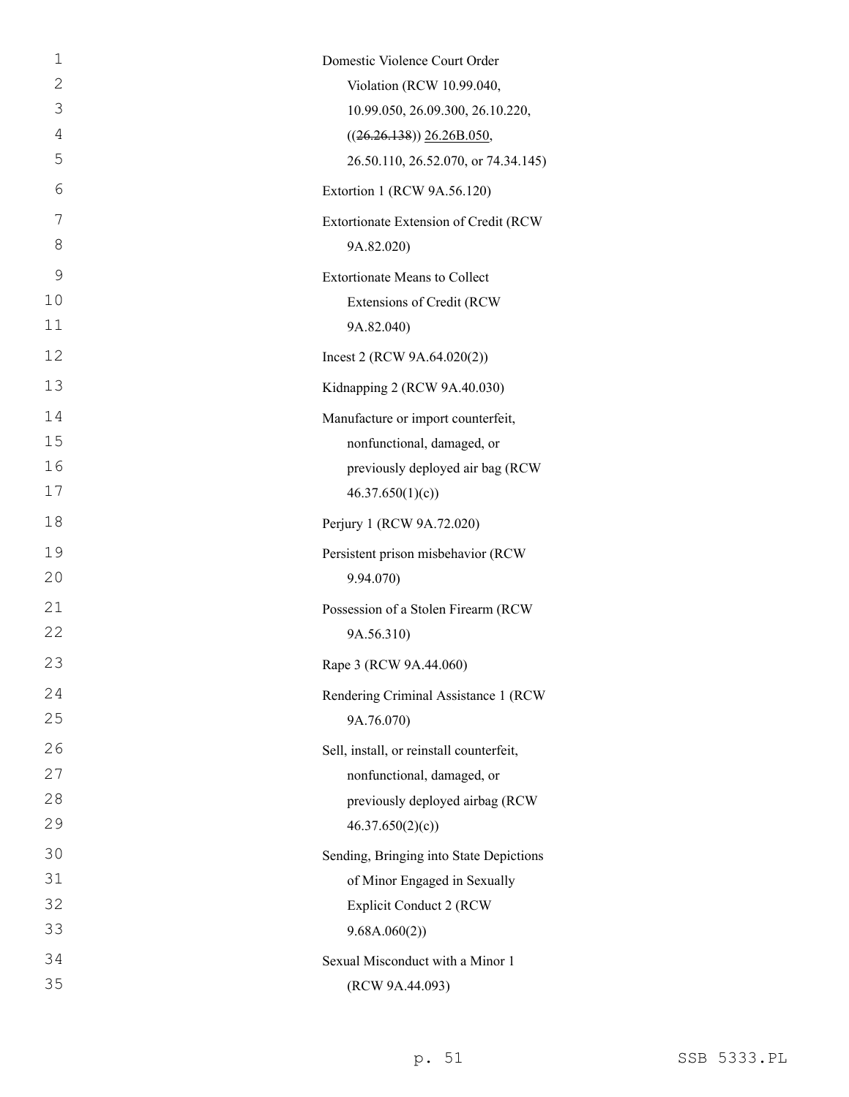| $\mathbf 1$    | Domestic Violence Court Order            |
|----------------|------------------------------------------|
| 2              | Violation (RCW 10.99.040,                |
| 3              | 10.99.050, 26.09.300, 26.10.220,         |
| $\overline{4}$ | $((26.26.138))$ $26.26B.050$ ,           |
| 5              | 26.50.110, 26.52.070, or 74.34.145)      |
| 6              | Extortion 1 (RCW 9A.56.120)              |
| 7              | Extortionate Extension of Credit (RCW    |
| 8              | 9A.82.020)                               |
| 9              | <b>Extortionate Means to Collect</b>     |
| 10             | Extensions of Credit (RCW                |
| 11             | 9A.82.040)                               |
| 12             | Incest 2 (RCW $9A.64.020(2)$ )           |
| 13             | Kidnapping 2 (RCW 9A.40.030)             |
| 14             | Manufacture or import counterfeit,       |
| 15             | nonfunctional, damaged, or               |
| 16             | previously deployed air bag (RCW         |
| 17             | 46.37.650(1)(c)                          |
| 18             | Perjury 1 (RCW 9A.72.020)                |
| 19             | Persistent prison misbehavior (RCW       |
| 20             | 9.94.070)                                |
| 21             | Possession of a Stolen Firearm (RCW      |
| 22             | 9A.56.310)                               |
| 23             | Rape 3 (RCW 9A.44.060)                   |
| 24             | Rendering Criminal Assistance 1 (RCW     |
| 25             | 9A.76.070)                               |
| 26             | Sell, install, or reinstall counterfeit, |
| 27             | nonfunctional, damaged, or               |
| 28             | previously deployed airbag (RCW          |
| 29             | 46.37.650(2)(c)                          |
| 30             | Sending, Bringing into State Depictions  |
| 31             | of Minor Engaged in Sexually             |
| 32             | <b>Explicit Conduct 2 (RCW</b>           |
| 33             | 9.68A.060(2))                            |
| 34             | Sexual Misconduct with a Minor 1         |
| 35             | (RCW 9A.44.093)                          |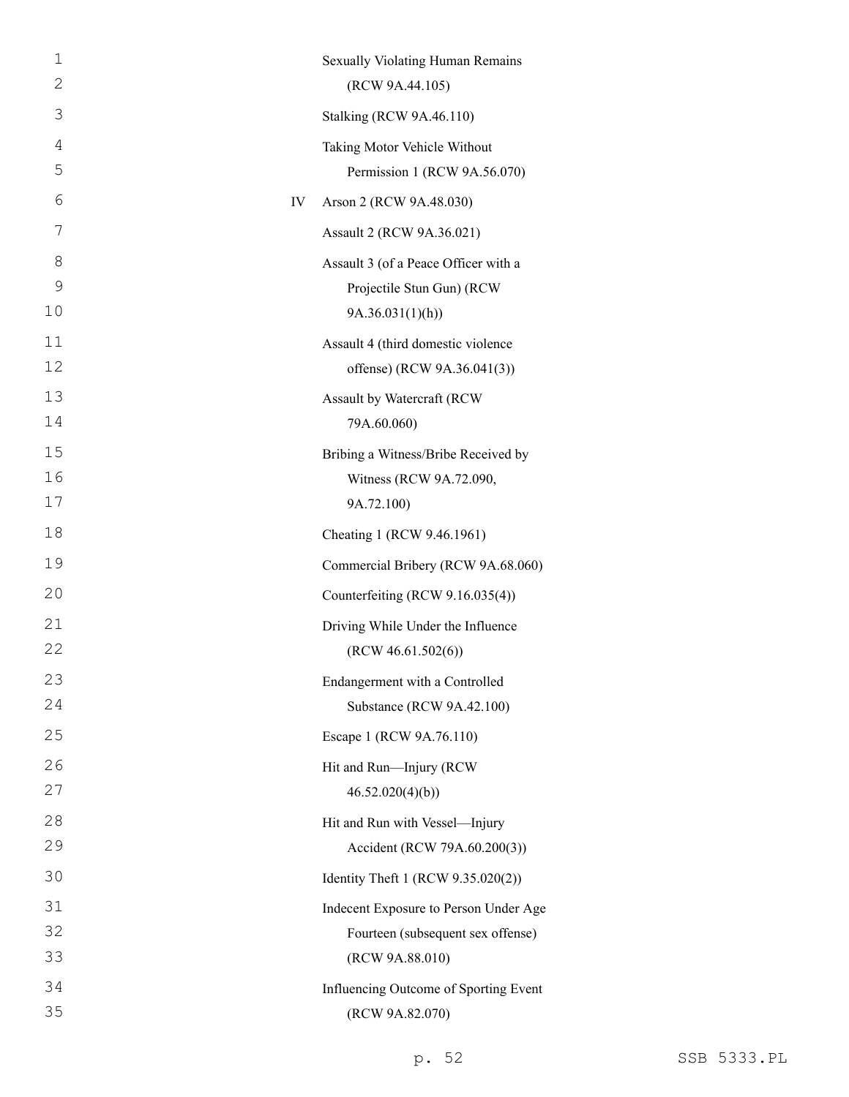| $\mathbf 1$   |    | Sexually Violating Human Remains      |
|---------------|----|---------------------------------------|
| 2             |    | (RCW 9A.44.105)                       |
| 3             |    | <b>Stalking (RCW 9A.46.110)</b>       |
| 4             |    | Taking Motor Vehicle Without          |
| 5             |    | Permission 1 (RCW 9A.56.070)          |
| 6             | IV | Arson 2 (RCW 9A.48.030)               |
| 7             |    | Assault 2 (RCW 9A.36.021)             |
| 8             |    | Assault 3 (of a Peace Officer with a  |
| $\mathcal{G}$ |    | Projectile Stun Gun) (RCW             |
| 10            |    | 9A.36.031(1)(h)                       |
| 11            |    | Assault 4 (third domestic violence    |
| 12            |    | offense) (RCW 9A.36.041(3))           |
| 13            |    | Assault by Watercraft (RCW            |
| 14            |    | 79A.60.060)                           |
| 15            |    | Bribing a Witness/Bribe Received by   |
| 16            |    | Witness (RCW 9A.72.090,               |
| 17            |    | 9A.72.100)                            |
| 18            |    | Cheating 1 (RCW 9.46.1961)            |
| 19            |    | Commercial Bribery (RCW 9A.68.060)    |
| 20            |    | Counterfeiting (RCW 9.16.035(4))      |
| 21            |    | Driving While Under the Influence     |
| 22            |    | (RCW 46.61.502(6))                    |
| 23            |    | Endangerment with a Controlled        |
| 24            |    | Substance (RCW 9A.42.100)             |
| 25            |    | Escape 1 (RCW 9A.76.110)              |
| 26            |    | Hit and Run-Injury (RCW               |
| 27            |    | 46.52.020(4)(b)                       |
| 28            |    | Hit and Run with Vessel-Injury        |
| 29            |    | Accident (RCW 79A.60.200(3))          |
| 30            |    | Identity Theft 1 (RCW 9.35.020(2))    |
| 31            |    | Indecent Exposure to Person Under Age |
| 32            |    | Fourteen (subsequent sex offense)     |
| 33            |    | (RCW 9A.88.010)                       |
| 34            |    | Influencing Outcome of Sporting Event |
| 35            |    | (RCW 9A.82.070)                       |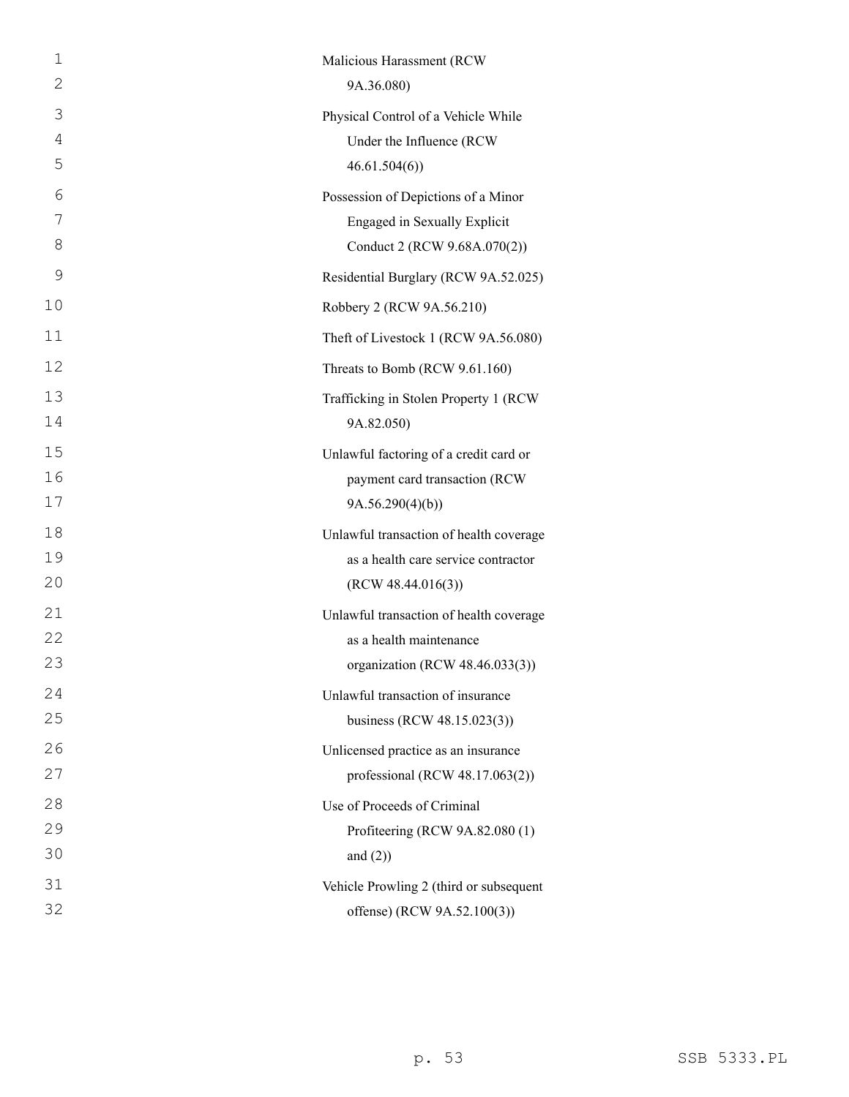| $\mathbf 1$  | Malicious Harassment (RCW               |
|--------------|-----------------------------------------|
| $\mathbf{2}$ | 9A.36.080)                              |
| 3            | Physical Control of a Vehicle While     |
| 4            | Under the Influence (RCW)               |
| 5            | 46.61.504(6)                            |
| 6            | Possession of Depictions of a Minor     |
| 7            | Engaged in Sexually Explicit            |
| 8            | Conduct 2 (RCW 9.68A.070(2))            |
| 9            | Residential Burglary (RCW 9A.52.025)    |
| 10           | Robbery 2 (RCW 9A.56.210)               |
| 11           | Theft of Livestock 1 (RCW 9A.56.080)    |
| 12           | Threats to Bomb (RCW 9.61.160)          |
| 13           | Trafficking in Stolen Property 1 (RCW)  |
| 14           | 9A.82.050)                              |
| 15           | Unlawful factoring of a credit card or  |
| 16           | payment card transaction (RCW           |
| 17           | 9A.56.290(4)(b)                         |
| 18           | Unlawful transaction of health coverage |
| 19           | as a health care service contractor     |
| 20           | (RCW 48.44.016(3))                      |
| 21           | Unlawful transaction of health coverage |
| 22           | as a health maintenance                 |
| 23           | organization (RCW 48.46.033(3))         |
| 24           | Unlawful transaction of insurance       |
| 25           | business (RCW 48.15.023(3))             |
| 26           | Unlicensed practice as an insurance     |
| 27           | professional (RCW 48.17.063(2))         |
| 28           | Use of Proceeds of Criminal             |
| 29           | Profiteering (RCW 9A.82.080 (1)         |
| 30           | and $(2)$ )                             |
| 31           | Vehicle Prowling 2 (third or subsequent |
| 32           | offense) (RCW 9A.52.100(3))             |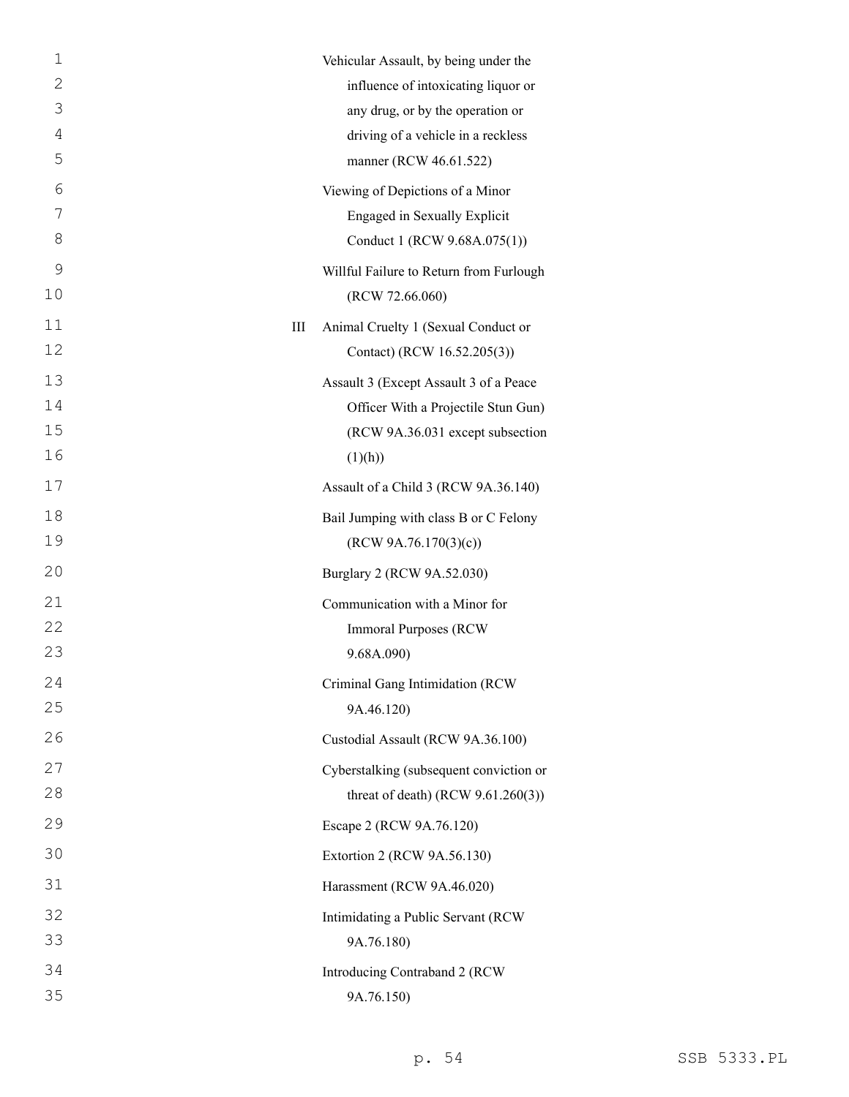| $\mathbf{1}$ |   | Vehicular Assault, by being under the   |
|--------------|---|-----------------------------------------|
| $\mathbf{2}$ |   | influence of intoxicating liquor or     |
| 3            |   | any drug, or by the operation or        |
| 4            |   | driving of a vehicle in a reckless      |
| 5            |   | manner (RCW 46.61.522)                  |
| 6            |   | Viewing of Depictions of a Minor        |
| 7            |   | Engaged in Sexually Explicit            |
| 8            |   | Conduct 1 (RCW 9.68A.075(1))            |
| 9            |   | Willful Failure to Return from Furlough |
| 10           |   | (RCW 72.66.060)                         |
| 11           | Ш | Animal Cruelty 1 (Sexual Conduct or     |
| 12           |   | Contact) (RCW 16.52.205(3))             |
| 13           |   | Assault 3 (Except Assault 3 of a Peace  |
| 14           |   | Officer With a Projectile Stun Gun)     |
| 15           |   | (RCW 9A.36.031 except subsection        |
| 16           |   | (1)(h))                                 |
| 17           |   | Assault of a Child 3 (RCW 9A.36.140)    |
| 18           |   | Bail Jumping with class B or C Felony   |
| 19           |   | (RCW 9A.76.170(3)(c))                   |
| 20           |   | Burglary 2 (RCW 9A.52.030)              |
| 21           |   | Communication with a Minor for          |
| 22           |   | <b>Immoral Purposes (RCW</b>            |
| 23           |   | 9.68A.090)                              |
| 24           |   | Criminal Gang Intimidation (RCW         |
| 25           |   | 9A.46.120)                              |
| 26           |   | Custodial Assault (RCW 9A.36.100)       |
| 27           |   | Cyberstalking (subsequent conviction or |
| 28           |   | threat of death) (RCW $9.61.260(3)$ )   |
| 29           |   | Escape 2 (RCW 9A.76.120)                |
| 30           |   | Extortion 2 (RCW 9A.56.130)             |
| 31           |   | Harassment (RCW 9A.46.020)              |
| 32           |   | Intimidating a Public Servant (RCW      |
| 33           |   | 9A.76.180)                              |
| 34           |   | Introducing Contraband 2 (RCW           |
| 35           |   | 9A.76.150)                              |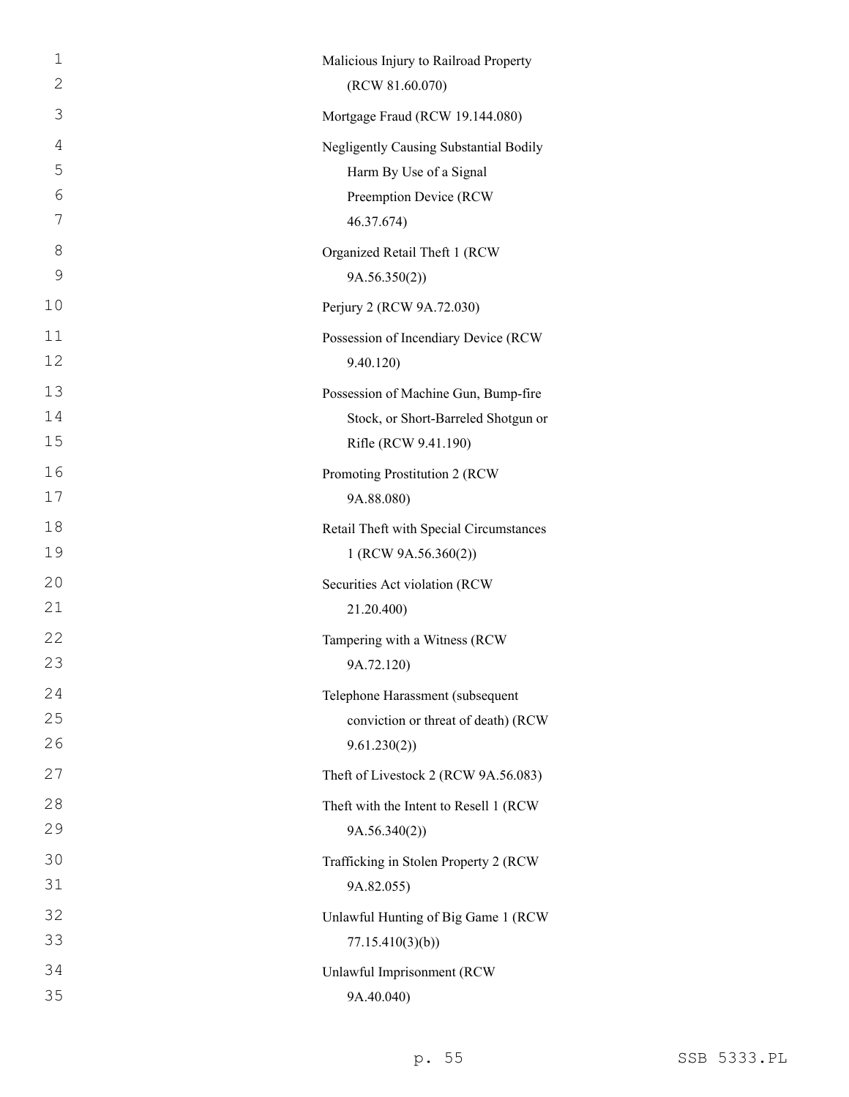| $\mathbf 1$<br>$\mathbf{2}$ | Malicious Injury to Railroad Property   |
|-----------------------------|-----------------------------------------|
|                             | (RCW 81.60.070)                         |
| 3                           | Mortgage Fraud (RCW 19.144.080)         |
| $\overline{4}$              | Negligently Causing Substantial Bodily  |
| 5                           | Harm By Use of a Signal                 |
| 6<br>7                      | Preemption Device (RCW                  |
|                             | 46.37.674)                              |
| 8<br>9                      | Organized Retail Theft 1 (RCW           |
|                             | 9A.56.350(2))                           |
| 10                          | Perjury 2 (RCW 9A.72.030)               |
| 11                          | Possession of Incendiary Device (RCW    |
| 12                          | 9.40.120                                |
| 13                          | Possession of Machine Gun, Bump-fire    |
| 14                          | Stock, or Short-Barreled Shotgun or     |
| 15                          | Rifle (RCW 9.41.190)                    |
| 16                          | Promoting Prostitution 2 (RCW           |
| 17                          | 9A.88.080)                              |
| 18                          | Retail Theft with Special Circumstances |
| 19                          | 1 (RCW 9A.56.360(2))                    |
| 20                          | Securities Act violation (RCW           |
| 21                          | 21.20.400)                              |
| 22                          | Tampering with a Witness (RCW           |
| 23                          | 9A.72.120)                              |
| 24                          | Telephone Harassment (subsequent        |
| 25                          | conviction or threat of death) (RCW     |
| 26                          | 9.61.230(2)                             |
| 27                          | Theft of Livestock 2 (RCW 9A.56.083)    |
| 28                          | Theft with the Intent to Resell 1 (RCW  |
| 29                          | 9A.56.340(2))                           |
| 30                          | Trafficking in Stolen Property 2 (RCW   |
| 31                          | 9A.82.055)                              |
| 32                          | Unlawful Hunting of Big Game 1 (RCW     |
| 33                          | 77.15.410(3)(b)                         |
| 34                          | Unlawful Imprisonment (RCW              |
| 35                          | 9A.40.040)                              |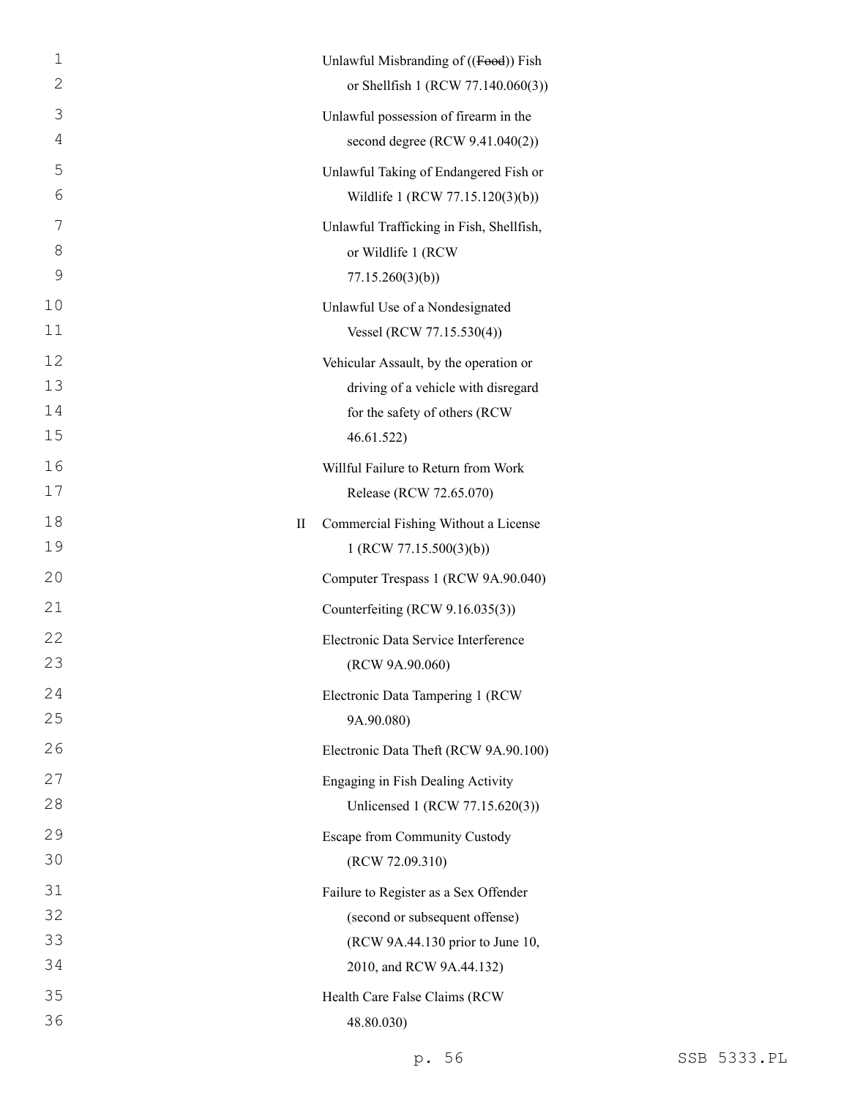| 1  | Unlawful Misbranding of ((Food)) Fish     |  |
|----|-------------------------------------------|--|
| 2  | or Shellfish 1 (RCW 77.140.060(3))        |  |
| 3  | Unlawful possession of firearm in the     |  |
| 4  | second degree (RCW 9.41.040(2))           |  |
| 5  | Unlawful Taking of Endangered Fish or     |  |
| 6  | Wildlife 1 (RCW 77.15.120(3)(b))          |  |
| 7  | Unlawful Trafficking in Fish, Shellfish,  |  |
| 8  | or Wildlife 1 (RCW                        |  |
| 9  | 77.15.260(3)(b)                           |  |
| 10 | Unlawful Use of a Nondesignated           |  |
| 11 | Vessel (RCW 77.15.530(4))                 |  |
| 12 | Vehicular Assault, by the operation or    |  |
| 13 | driving of a vehicle with disregard       |  |
| 14 | for the safety of others (RCW             |  |
| 15 | 46.61.522)                                |  |
| 16 | Willful Failure to Return from Work       |  |
| 17 | Release (RCW 72.65.070)                   |  |
| 18 | Commercial Fishing Without a License<br>П |  |
| 19 | 1 (RCW 77.15.500(3)(b))                   |  |
| 20 | Computer Trespass 1 (RCW 9A.90.040)       |  |
| 21 | Counterfeiting (RCW 9.16.035(3))          |  |
| 22 | Electronic Data Service Interference      |  |
| 23 | (RCW 9A.90.060)                           |  |
| 24 | Electronic Data Tampering 1 (RCW          |  |
| 25 | 9A.90.080)                                |  |
| 26 | Electronic Data Theft (RCW 9A.90.100)     |  |
| 27 | Engaging in Fish Dealing Activity         |  |
| 28 | Unlicensed 1 (RCW 77.15.620(3))           |  |
| 29 | <b>Escape from Community Custody</b>      |  |
| 30 | (RCW 72.09.310)                           |  |
| 31 | Failure to Register as a Sex Offender     |  |
| 32 | (second or subsequent offense)            |  |
| 33 | (RCW 9A.44.130 prior to June 10,          |  |
| 34 | 2010, and RCW 9A.44.132)                  |  |
| 35 | Health Care False Claims (RCW             |  |
| 36 | 48.80.030)                                |  |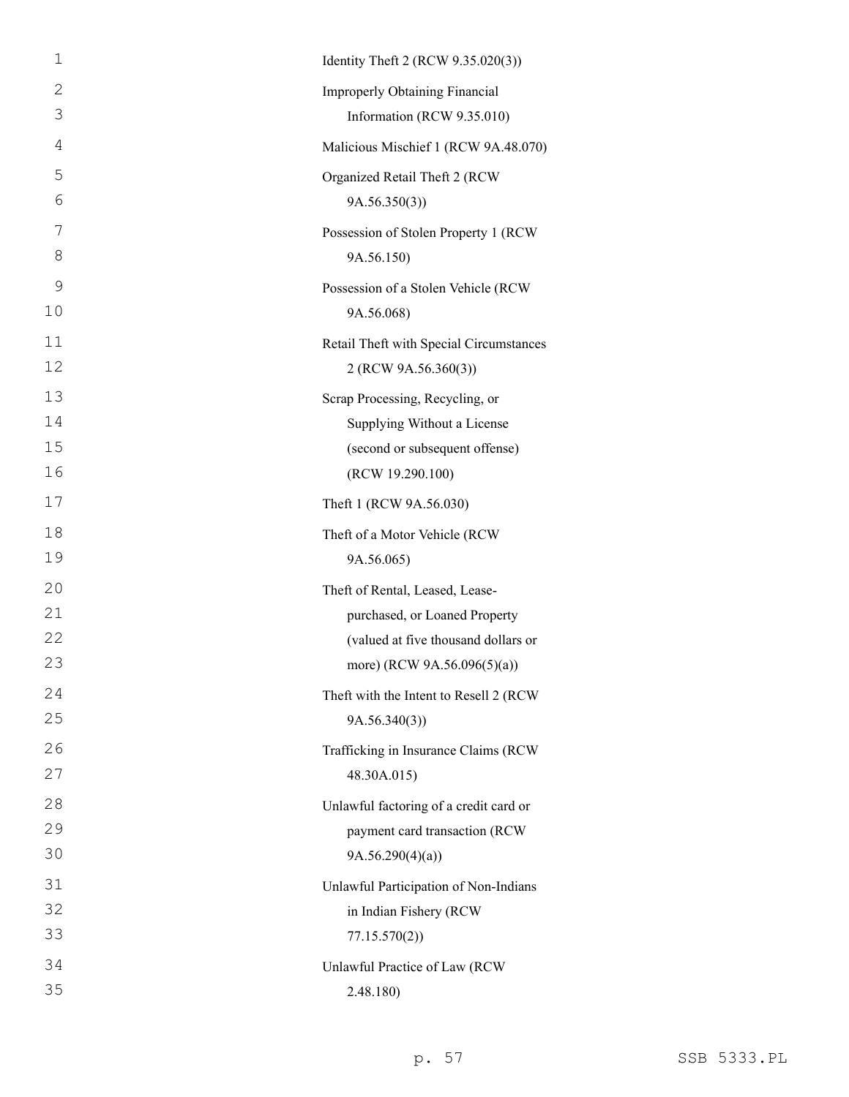| $\mathbf{1}$ | Identity Theft 2 (RCW 9.35.020(3))      |
|--------------|-----------------------------------------|
| 2            | Improperly Obtaining Financial          |
| 3            | Information (RCW 9.35.010)              |
| 4            | Malicious Mischief 1 (RCW 9A.48.070)    |
| 5            | Organized Retail Theft 2 (RCW           |
| 6            | 9A.56.350(3)                            |
| 7            | Possession of Stolen Property 1 (RCW    |
| 8            | 9A.56.150)                              |
| $\mathsf 9$  | Possession of a Stolen Vehicle (RCW     |
| 10           | 9A.56.068)                              |
| 11           | Retail Theft with Special Circumstances |
| 12           | 2 (RCW 9A.56.360(3))                    |
| 13           | Scrap Processing, Recycling, or         |
| 14           | Supplying Without a License             |
| 15           | (second or subsequent offense)          |
| 16           | (RCW 19.290.100)                        |
| 17           | Theft 1 (RCW 9A.56.030)                 |
| 18           | Theft of a Motor Vehicle (RCW           |
|              |                                         |
| 19           | 9A.56.065)                              |
| 20           | Theft of Rental, Leased, Lease-         |
| 21           | purchased, or Loaned Property           |
| 22           | (valued at five thousand dollars or     |
| 23           | more) (RCW 9A.56.096(5)(a))             |
| 24           | Theft with the Intent to Resell 2 (RCW) |
| 25           | 9A.56.340(3)                            |
| 26           | Trafficking in Insurance Claims (RCW    |
| 27           | 48.30A.015)                             |
| 28           | Unlawful factoring of a credit card or  |
| 29           | payment card transaction (RCW           |
| 30           | 9A.56.290(4)(a)                         |
| 31           | Unlawful Participation of Non-Indians   |
| 32           | in Indian Fishery (RCW                  |
| 33           | 77.15.570(2)                            |
| 34           | Unlawful Practice of Law (RCW           |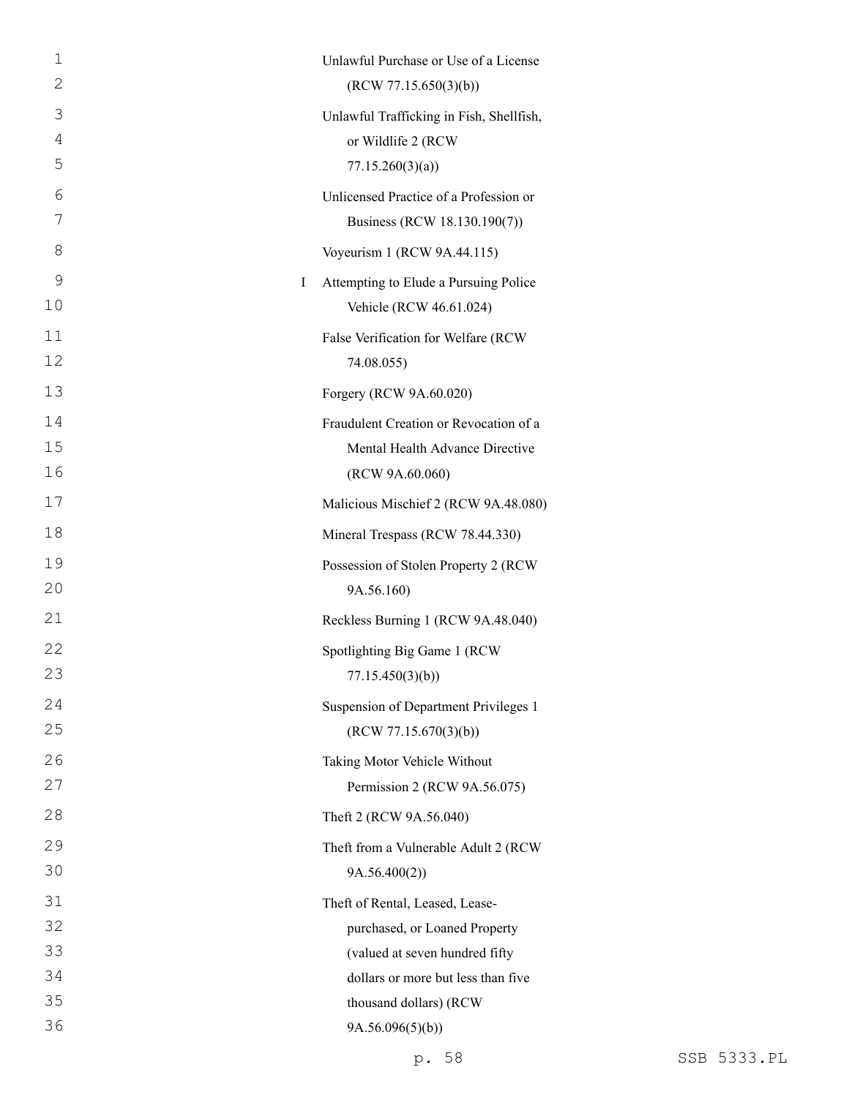| 1            | Unlawful Purchase or Use of a License    |
|--------------|------------------------------------------|
| $\mathbf{2}$ | (RCW 77.15.650(3)(b))                    |
| 3            | Unlawful Trafficking in Fish, Shellfish, |
| 4            | or Wildlife 2 (RCW                       |
| 5            | 77.15.260(3)(a)                          |
| 6            | Unlicensed Practice of a Profession or   |
| 7            | Business (RCW 18.130.190(7))             |
| 8            | Voyeurism 1 (RCW 9A.44.115)              |
| 9<br>I       | Attempting to Elude a Pursuing Police    |
| 10           | Vehicle (RCW 46.61.024)                  |
| 11           | False Verification for Welfare (RCW      |
| 12           | 74.08.055)                               |
| 13           | Forgery (RCW 9A.60.020)                  |
| 14           | Fraudulent Creation or Revocation of a   |
| 15           | Mental Health Advance Directive          |
| 16           | (RCW 9A.60.060)                          |
| 17           | Malicious Mischief 2 (RCW 9A.48.080)     |
| 18           | Mineral Trespass (RCW 78.44.330)         |
| 19           | Possession of Stolen Property 2 (RCW     |
| 20           | 9A.56.160)                               |
| 21           | Reckless Burning 1 (RCW 9A.48.040)       |
| 22           | Spotlighting Big Game 1 (RCW             |
| 23           | 77.15.450(3)(b)                          |
| 24           | Suspension of Department Privileges 1    |
| 25           | (RCW 77.15.670(3)(b))                    |
| 26           | Taking Motor Vehicle Without             |
| 27           | Permission 2 (RCW 9A.56.075)             |
| 28           | Theft 2 (RCW 9A.56.040)                  |
| 29           | Theft from a Vulnerable Adult 2 (RCW     |
| 30           | 9A.56.400(2)                             |
| 31           | Theft of Rental, Leased, Lease-          |
| 32           | purchased, or Loaned Property            |
| 33           | (valued at seven hundred fifty           |
| 34           | dollars or more but less than five       |
| 35           | thousand dollars) (RCW                   |
| 36           | 9A.56.096(5)(b)                          |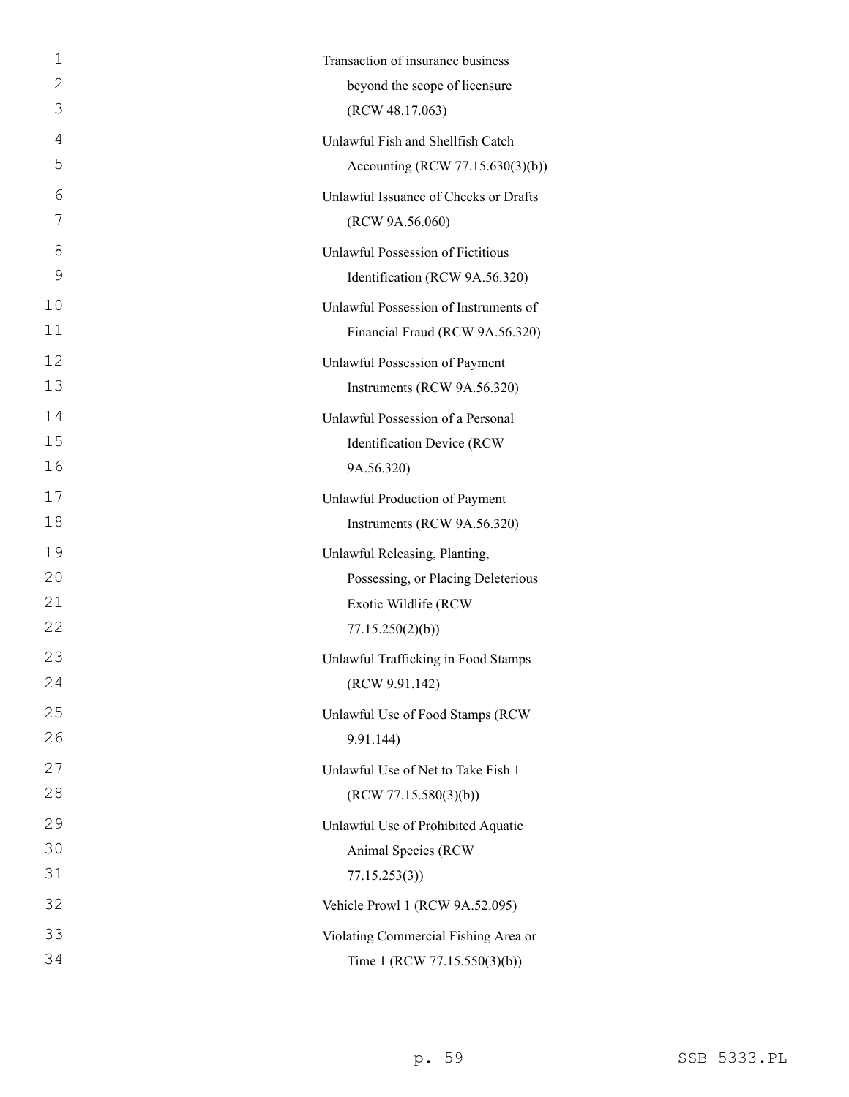| 1  | Transaction of insurance business     |
|----|---------------------------------------|
| 2  | beyond the scope of licensure         |
| 3  | (RCW 48.17.063)                       |
| 4  | Unlawful Fish and Shellfish Catch     |
| 5  | Accounting (RCW 77.15.630(3)(b))      |
| 6  | Unlawful Issuance of Checks or Drafts |
| 7  | (RCW 9A.56.060)                       |
| 8  | Unlawful Possession of Fictitious     |
| 9  | Identification (RCW 9A.56.320)        |
| 10 | Unlawful Possession of Instruments of |
| 11 | Financial Fraud (RCW 9A.56.320)       |
| 12 | Unlawful Possession of Payment        |
| 13 | Instruments (RCW 9A.56.320)           |
| 14 | Unlawful Possession of a Personal     |
| 15 | Identification Device (RCW            |
| 16 | 9A.56.320)                            |
| 17 | Unlawful Production of Payment        |
| 18 | Instruments (RCW 9A.56.320)           |
| 19 | Unlawful Releasing, Planting,         |
| 20 | Possessing, or Placing Deleterious    |
| 21 | Exotic Wildlife (RCW                  |
| 22 | 77.15.250(2)(b)                       |
| 23 | Unlawful Trafficking in Food Stamps   |
| 24 | (RCW 9.91.142)                        |
| 25 | Unlawful Use of Food Stamps (RCW      |
| 26 | 9.91.144)                             |
| 27 | Unlawful Use of Net to Take Fish 1    |
| 28 | (RCW 77.15.580(3)(b))                 |
| 29 | Unlawful Use of Prohibited Aquatic    |
| 30 | Animal Species (RCW                   |
| 31 | 77.15.253(3)                          |
| 32 | Vehicle Prowl 1 (RCW 9A.52.095)       |
| 33 | Violating Commercial Fishing Area or  |
| 34 | Time 1 (RCW 77.15.550(3)(b))          |
|    |                                       |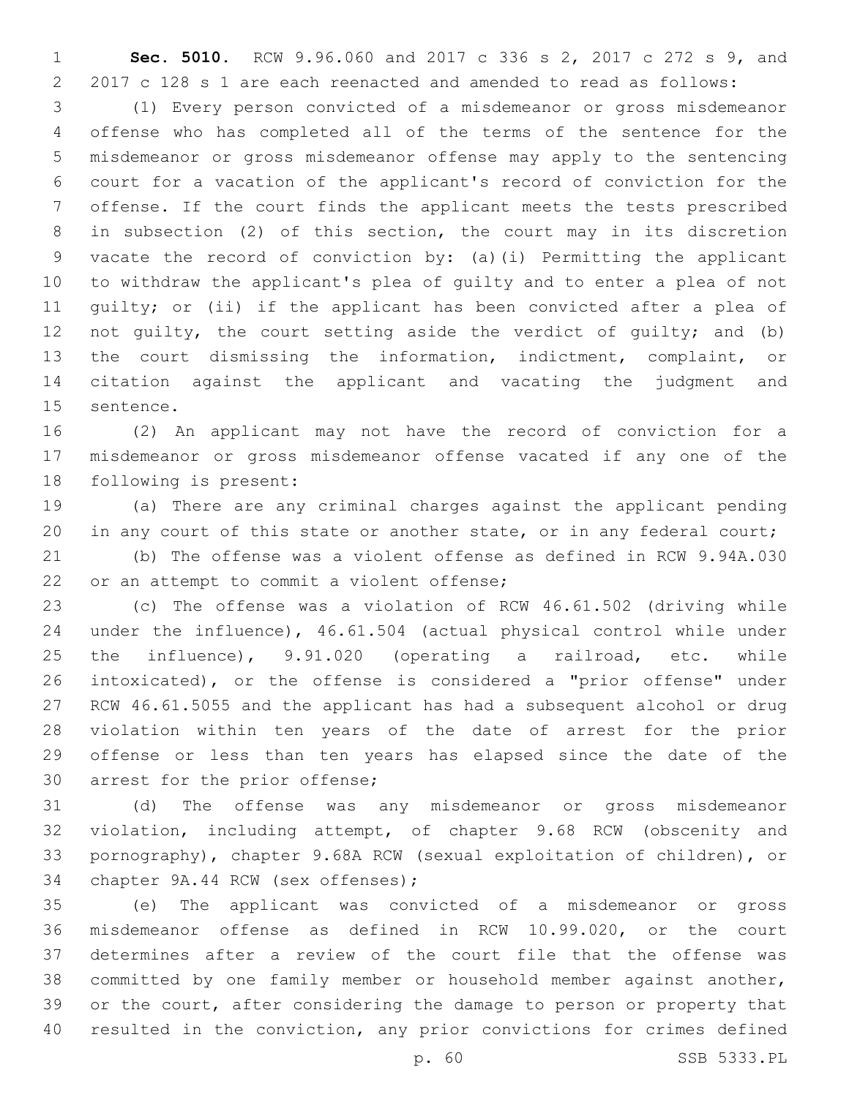**Sec. 5010.** RCW 9.96.060 and 2017 c 336 s 2, 2017 c 272 s 9, and 2017 c 128 s 1 are each reenacted and amended to read as follows:

 (1) Every person convicted of a misdemeanor or gross misdemeanor offense who has completed all of the terms of the sentence for the misdemeanor or gross misdemeanor offense may apply to the sentencing court for a vacation of the applicant's record of conviction for the offense. If the court finds the applicant meets the tests prescribed in subsection (2) of this section, the court may in its discretion vacate the record of conviction by: (a)(i) Permitting the applicant to withdraw the applicant's plea of guilty and to enter a plea of not guilty; or (ii) if the applicant has been convicted after a plea of 12 not quilty, the court setting aside the verdict of quilty; and (b) the court dismissing the information, indictment, complaint, or citation against the applicant and vacating the judgment and 15 sentence.

 (2) An applicant may not have the record of conviction for a misdemeanor or gross misdemeanor offense vacated if any one of the 18 following is present:

 (a) There are any criminal charges against the applicant pending 20 in any court of this state or another state, or in any federal court;

 (b) The offense was a violent offense as defined in RCW 9.94A.030 22 or an attempt to commit a violent offense;

 (c) The offense was a violation of RCW 46.61.502 (driving while under the influence), 46.61.504 (actual physical control while under the influence), 9.91.020 (operating a railroad, etc. while intoxicated), or the offense is considered a "prior offense" under RCW 46.61.5055 and the applicant has had a subsequent alcohol or drug violation within ten years of the date of arrest for the prior offense or less than ten years has elapsed since the date of the 30 arrest for the prior offense;

 (d) The offense was any misdemeanor or gross misdemeanor violation, including attempt, of chapter 9.68 RCW (obscenity and pornography), chapter 9.68A RCW (sexual exploitation of children), or 34 chapter 9A.44 RCW (sex offenses);

 (e) The applicant was convicted of a misdemeanor or gross misdemeanor offense as defined in RCW 10.99.020, or the court determines after a review of the court file that the offense was committed by one family member or household member against another, or the court, after considering the damage to person or property that resulted in the conviction, any prior convictions for crimes defined

p. 60 SSB 5333.PL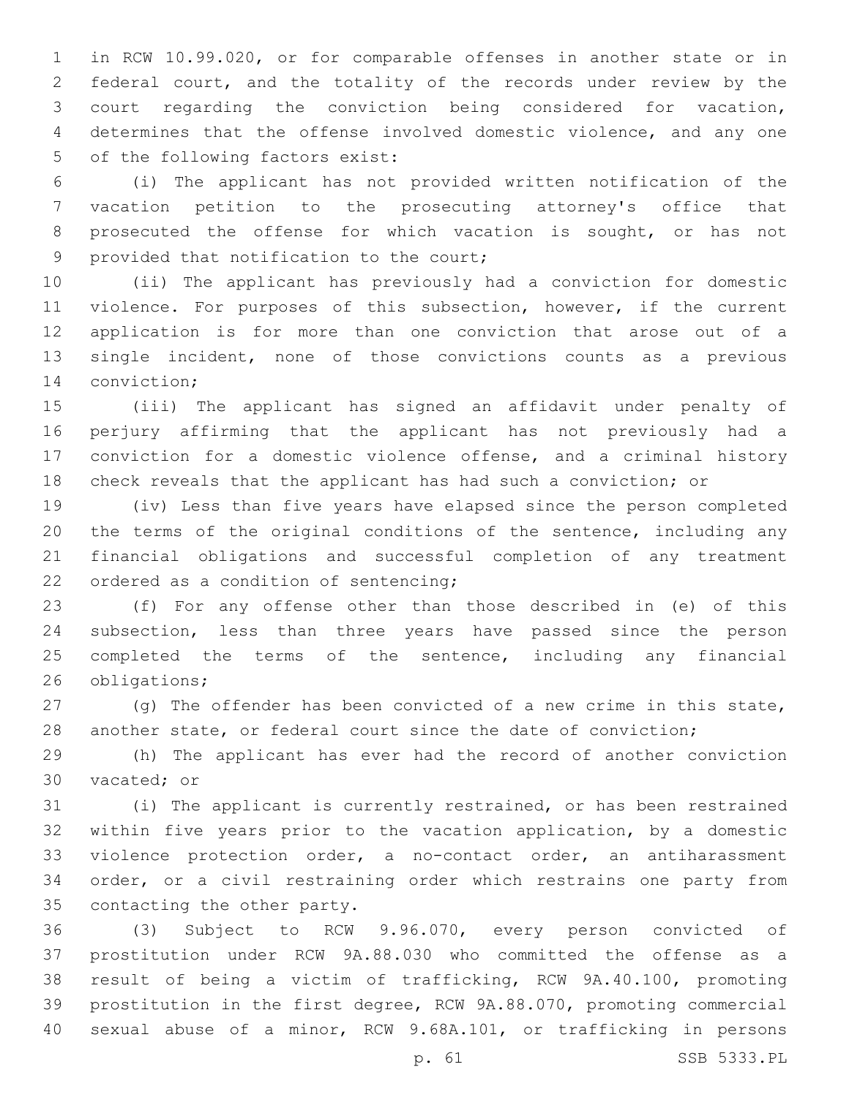in RCW 10.99.020, or for comparable offenses in another state or in federal court, and the totality of the records under review by the court regarding the conviction being considered for vacation, determines that the offense involved domestic violence, and any one 5 of the following factors exist:

 (i) The applicant has not provided written notification of the vacation petition to the prosecuting attorney's office that prosecuted the offense for which vacation is sought, or has not 9 provided that notification to the court;

 (ii) The applicant has previously had a conviction for domestic violence. For purposes of this subsection, however, if the current application is for more than one conviction that arose out of a single incident, none of those convictions counts as a previous 14 conviction;

 (iii) The applicant has signed an affidavit under penalty of perjury affirming that the applicant has not previously had a conviction for a domestic violence offense, and a criminal history check reveals that the applicant has had such a conviction; or

 (iv) Less than five years have elapsed since the person completed the terms of the original conditions of the sentence, including any financial obligations and successful completion of any treatment 22 ordered as a condition of sentencing;

 (f) For any offense other than those described in (e) of this subsection, less than three years have passed since the person 25 completed the terms of the sentence, including any financial 26 obligations;

27 (g) The offender has been convicted of a new crime in this state, another state, or federal court since the date of conviction;

 (h) The applicant has ever had the record of another conviction 30 vacated; or

 (i) The applicant is currently restrained, or has been restrained within five years prior to the vacation application, by a domestic violence protection order, a no-contact order, an antiharassment order, or a civil restraining order which restrains one party from 35 contacting the other party.

 (3) Subject to RCW 9.96.070, every person convicted of prostitution under RCW 9A.88.030 who committed the offense as a result of being a victim of trafficking, RCW 9A.40.100, promoting prostitution in the first degree, RCW 9A.88.070, promoting commercial sexual abuse of a minor, RCW 9.68A.101, or trafficking in persons

p. 61 SSB 5333.PL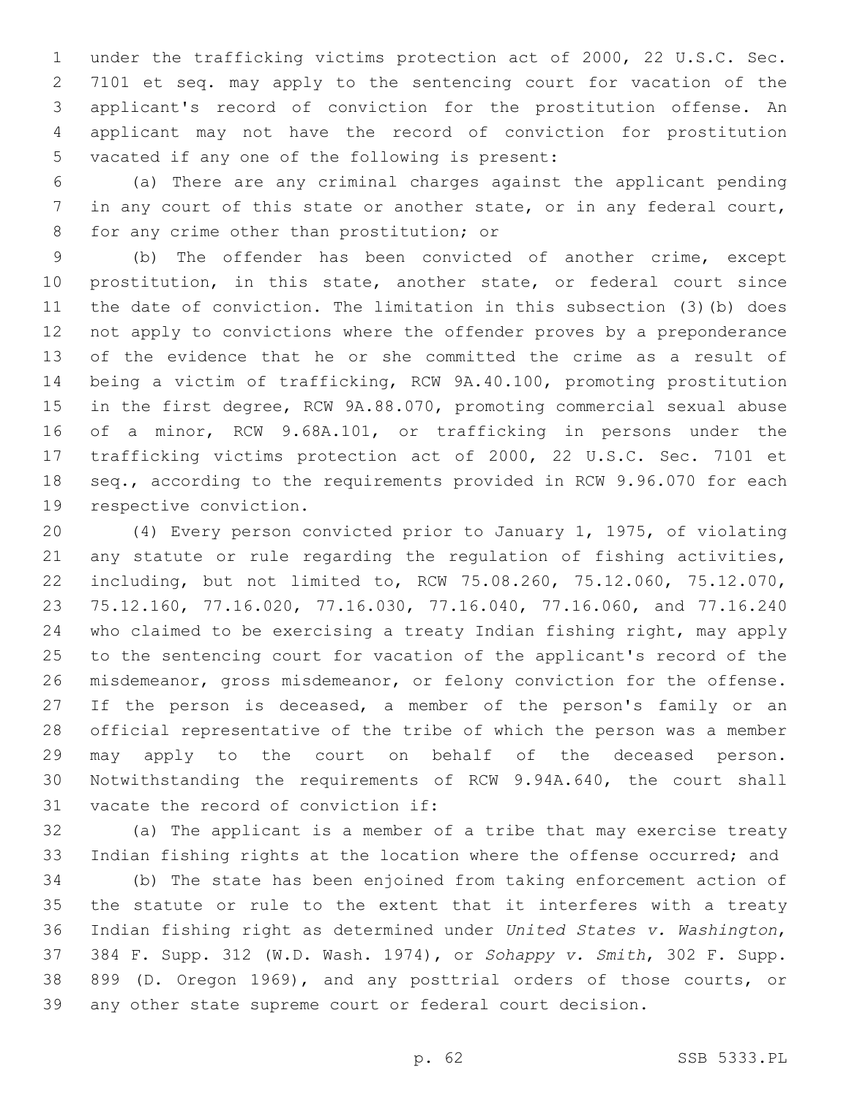under the trafficking victims protection act of 2000, 22 U.S.C. Sec. 7101 et seq. may apply to the sentencing court for vacation of the applicant's record of conviction for the prostitution offense. An applicant may not have the record of conviction for prostitution 5 vacated if any one of the following is present:

 (a) There are any criminal charges against the applicant pending in any court of this state or another state, or in any federal court, 8 for any crime other than prostitution; or

 (b) The offender has been convicted of another crime, except prostitution, in this state, another state, or federal court since the date of conviction. The limitation in this subsection (3)(b) does not apply to convictions where the offender proves by a preponderance of the evidence that he or she committed the crime as a result of being a victim of trafficking, RCW 9A.40.100, promoting prostitution in the first degree, RCW 9A.88.070, promoting commercial sexual abuse of a minor, RCW 9.68A.101, or trafficking in persons under the trafficking victims protection act of 2000, 22 U.S.C. Sec. 7101 et seq., according to the requirements provided in RCW 9.96.070 for each 19 respective conviction.

 (4) Every person convicted prior to January 1, 1975, of violating any statute or rule regarding the regulation of fishing activities, including, but not limited to, RCW 75.08.260, 75.12.060, 75.12.070, 75.12.160, 77.16.020, 77.16.030, 77.16.040, 77.16.060, and 77.16.240 who claimed to be exercising a treaty Indian fishing right, may apply to the sentencing court for vacation of the applicant's record of the misdemeanor, gross misdemeanor, or felony conviction for the offense. 27 If the person is deceased, a member of the person's family or an official representative of the tribe of which the person was a member may apply to the court on behalf of the deceased person. Notwithstanding the requirements of RCW 9.94A.640, the court shall 31 vacate the record of conviction if:

 (a) The applicant is a member of a tribe that may exercise treaty Indian fishing rights at the location where the offense occurred; and

 (b) The state has been enjoined from taking enforcement action of the statute or rule to the extent that it interferes with a treaty Indian fishing right as determined under *United States v. Washington*, 384 F. Supp. 312 (W.D. Wash. 1974), or *Sohappy v. Smith*, 302 F. Supp. 899 (D. Oregon 1969), and any posttrial orders of those courts, or any other state supreme court or federal court decision.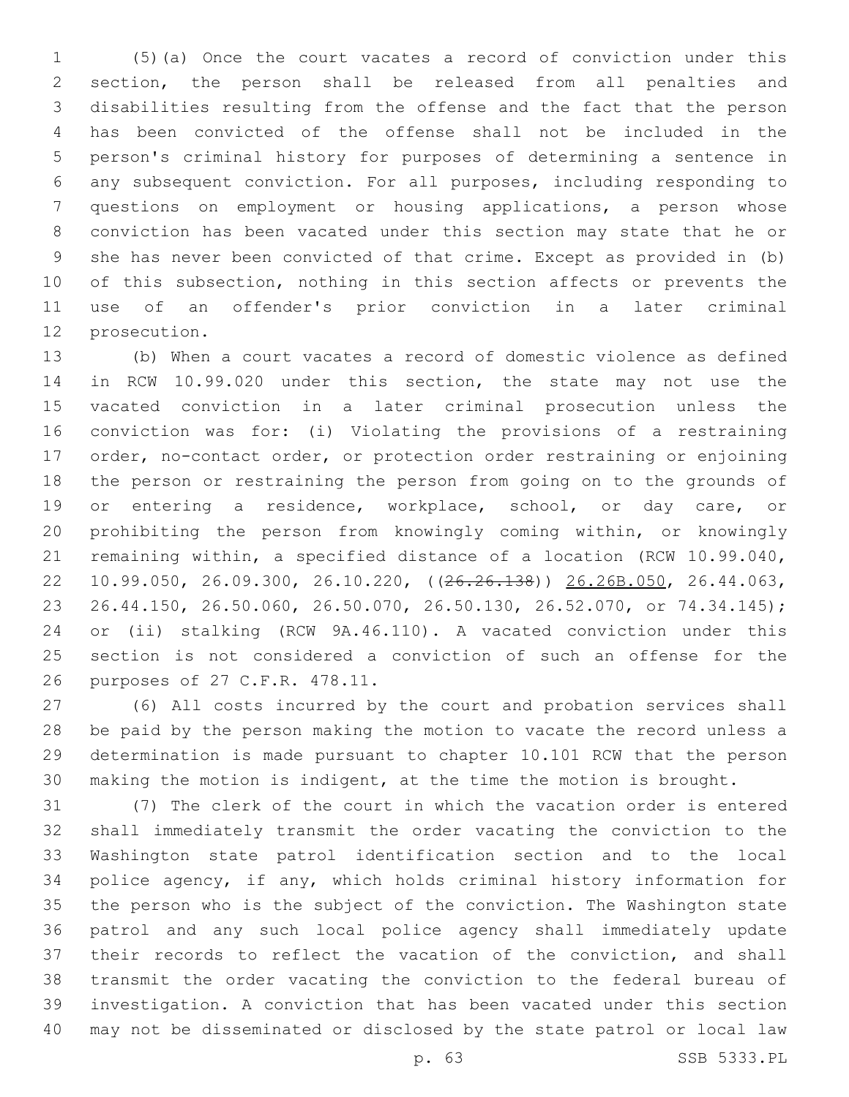(5)(a) Once the court vacates a record of conviction under this section, the person shall be released from all penalties and disabilities resulting from the offense and the fact that the person has been convicted of the offense shall not be included in the person's criminal history for purposes of determining a sentence in any subsequent conviction. For all purposes, including responding to questions on employment or housing applications, a person whose conviction has been vacated under this section may state that he or she has never been convicted of that crime. Except as provided in (b) 10 of this subsection, nothing in this section affects or prevents the use of an offender's prior conviction in a later criminal 12 prosecution.

 (b) When a court vacates a record of domestic violence as defined in RCW 10.99.020 under this section, the state may not use the vacated conviction in a later criminal prosecution unless the conviction was for: (i) Violating the provisions of a restraining order, no-contact order, or protection order restraining or enjoining the person or restraining the person from going on to the grounds of or entering a residence, workplace, school, or day care, or prohibiting the person from knowingly coming within, or knowingly remaining within, a specified distance of a location (RCW 10.99.040, 10.99.050, 26.09.300, 26.10.220, ((26.26.138)) 26.26B.050, 26.44.063, 26.44.150, 26.50.060, 26.50.070, 26.50.130, 26.52.070, or 74.34.145); or (ii) stalking (RCW 9A.46.110). A vacated conviction under this section is not considered a conviction of such an offense for the 26 purposes of 27 C.F.R. 478.11.

 (6) All costs incurred by the court and probation services shall be paid by the person making the motion to vacate the record unless a determination is made pursuant to chapter 10.101 RCW that the person making the motion is indigent, at the time the motion is brought.

 (7) The clerk of the court in which the vacation order is entered shall immediately transmit the order vacating the conviction to the Washington state patrol identification section and to the local police agency, if any, which holds criminal history information for the person who is the subject of the conviction. The Washington state patrol and any such local police agency shall immediately update their records to reflect the vacation of the conviction, and shall transmit the order vacating the conviction to the federal bureau of investigation. A conviction that has been vacated under this section may not be disseminated or disclosed by the state patrol or local law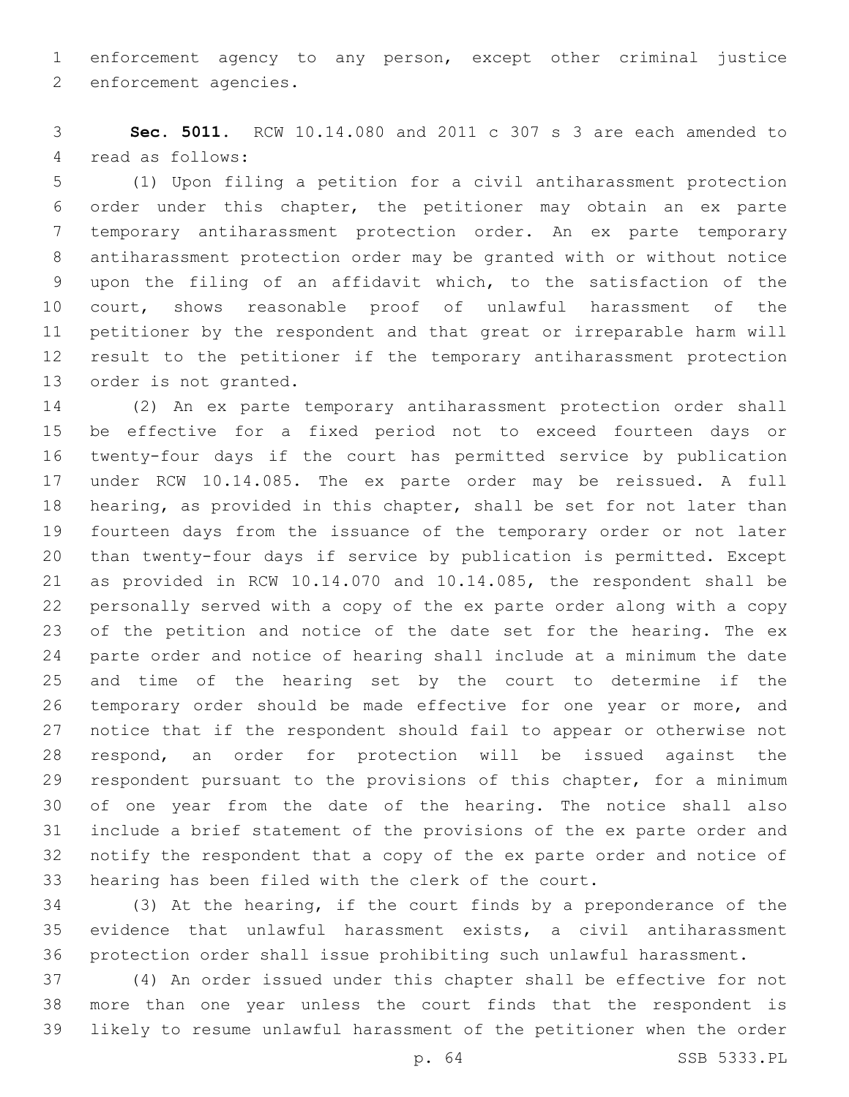enforcement agency to any person, except other criminal justice 2 enforcement agencies.

 **Sec. 5011.** RCW 10.14.080 and 2011 c 307 s 3 are each amended to 4 read as follows:

 (1) Upon filing a petition for a civil antiharassment protection order under this chapter, the petitioner may obtain an ex parte temporary antiharassment protection order. An ex parte temporary antiharassment protection order may be granted with or without notice upon the filing of an affidavit which, to the satisfaction of the court, shows reasonable proof of unlawful harassment of the petitioner by the respondent and that great or irreparable harm will result to the petitioner if the temporary antiharassment protection 13 order is not granted.

 (2) An ex parte temporary antiharassment protection order shall be effective for a fixed period not to exceed fourteen days or twenty-four days if the court has permitted service by publication under RCW 10.14.085. The ex parte order may be reissued. A full hearing, as provided in this chapter, shall be set for not later than fourteen days from the issuance of the temporary order or not later than twenty-four days if service by publication is permitted. Except as provided in RCW 10.14.070 and 10.14.085, the respondent shall be personally served with a copy of the ex parte order along with a copy of the petition and notice of the date set for the hearing. The ex parte order and notice of hearing shall include at a minimum the date and time of the hearing set by the court to determine if the temporary order should be made effective for one year or more, and notice that if the respondent should fail to appear or otherwise not respond, an order for protection will be issued against the respondent pursuant to the provisions of this chapter, for a minimum of one year from the date of the hearing. The notice shall also include a brief statement of the provisions of the ex parte order and notify the respondent that a copy of the ex parte order and notice of hearing has been filed with the clerk of the court.

 (3) At the hearing, if the court finds by a preponderance of the evidence that unlawful harassment exists, a civil antiharassment protection order shall issue prohibiting such unlawful harassment.

 (4) An order issued under this chapter shall be effective for not more than one year unless the court finds that the respondent is likely to resume unlawful harassment of the petitioner when the order

p. 64 SSB 5333.PL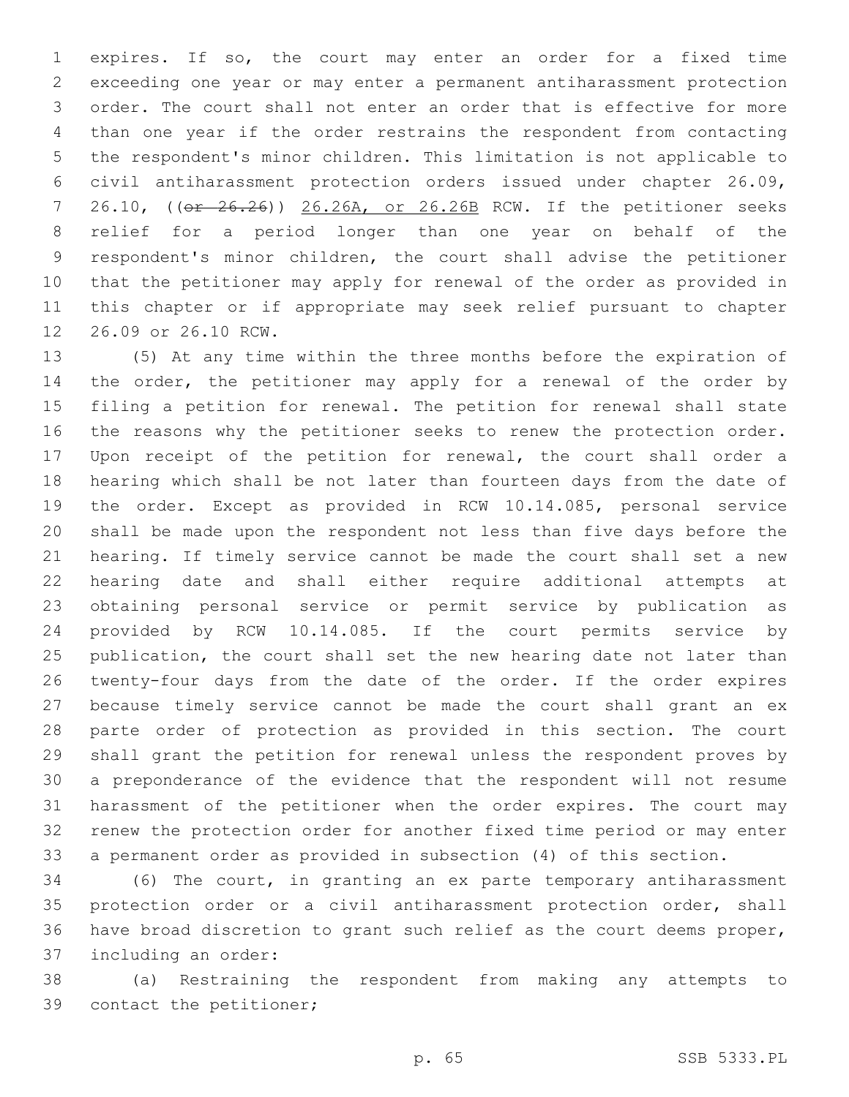expires. If so, the court may enter an order for a fixed time exceeding one year or may enter a permanent antiharassment protection order. The court shall not enter an order that is effective for more than one year if the order restrains the respondent from contacting the respondent's minor children. This limitation is not applicable to civil antiharassment protection orders issued under chapter 26.09, 7 26.10, ((or 26.26)) 26.26A, or 26.26B RCW. If the petitioner seeks relief for a period longer than one year on behalf of the respondent's minor children, the court shall advise the petitioner that the petitioner may apply for renewal of the order as provided in this chapter or if appropriate may seek relief pursuant to chapter 12 26.09 or 26.10 RCW.

 (5) At any time within the three months before the expiration of 14 the order, the petitioner may apply for a renewal of the order by filing a petition for renewal. The petition for renewal shall state the reasons why the petitioner seeks to renew the protection order. Upon receipt of the petition for renewal, the court shall order a hearing which shall be not later than fourteen days from the date of the order. Except as provided in RCW 10.14.085, personal service shall be made upon the respondent not less than five days before the hearing. If timely service cannot be made the court shall set a new hearing date and shall either require additional attempts at obtaining personal service or permit service by publication as provided by RCW 10.14.085. If the court permits service by publication, the court shall set the new hearing date not later than twenty-four days from the date of the order. If the order expires because timely service cannot be made the court shall grant an ex parte order of protection as provided in this section. The court shall grant the petition for renewal unless the respondent proves by a preponderance of the evidence that the respondent will not resume harassment of the petitioner when the order expires. The court may renew the protection order for another fixed time period or may enter a permanent order as provided in subsection (4) of this section.

 (6) The court, in granting an ex parte temporary antiharassment protection order or a civil antiharassment protection order, shall have broad discretion to grant such relief as the court deems proper, 37 including an order:

 (a) Restraining the respondent from making any attempts to 39 contact the petitioner;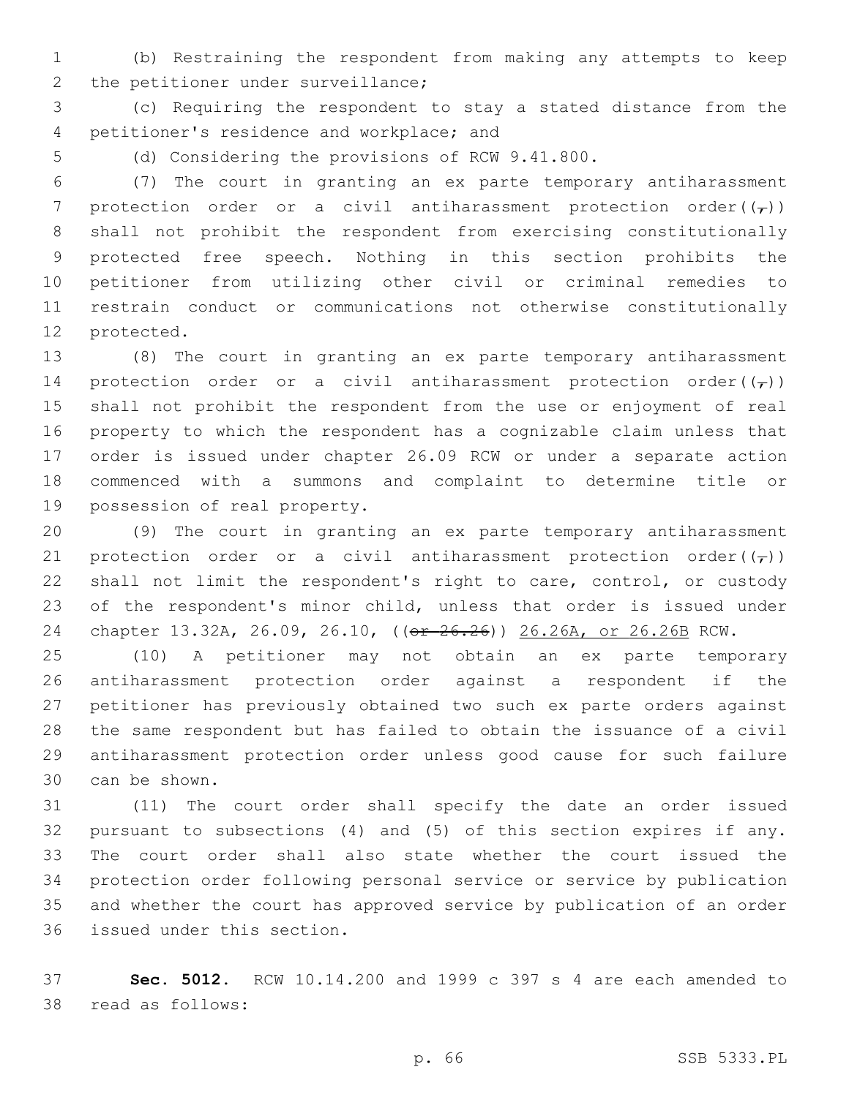(b) Restraining the respondent from making any attempts to keep 2 the petitioner under surveillance;

 (c) Requiring the respondent to stay a stated distance from the 4 petitioner's residence and workplace; and

(d) Considering the provisions of RCW 9.41.800.

 (7) The court in granting an ex parte temporary antiharassment 7 protection order or a civil antiharassment protection order( $(\tau)$ ) shall not prohibit the respondent from exercising constitutionally protected free speech. Nothing in this section prohibits the petitioner from utilizing other civil or criminal remedies to restrain conduct or communications not otherwise constitutionally 12 protected.

 (8) The court in granting an ex parte temporary antiharassment 14 protection order or a civil antiharassment protection order( $(\tau)$ ) shall not prohibit the respondent from the use or enjoyment of real property to which the respondent has a cognizable claim unless that order is issued under chapter 26.09 RCW or under a separate action commenced with a summons and complaint to determine title or 19 possession of real property.

 (9) The court in granting an ex parte temporary antiharassment 21 protection order or a civil antiharassment protection order( $(\tau)$ ) shall not limit the respondent's right to care, control, or custody of the respondent's minor child, unless that order is issued under chapter 13.32A, 26.09, 26.10, ((or 26.26)) 26.26A, or 26.26B RCW.

 (10) A petitioner may not obtain an ex parte temporary antiharassment protection order against a respondent if the petitioner has previously obtained two such ex parte orders against the same respondent but has failed to obtain the issuance of a civil antiharassment protection order unless good cause for such failure 30 can be shown.

 (11) The court order shall specify the date an order issued pursuant to subsections (4) and (5) of this section expires if any. The court order shall also state whether the court issued the protection order following personal service or service by publication and whether the court has approved service by publication of an order 36 issued under this section.

 **Sec. 5012.** RCW 10.14.200 and 1999 c 397 s 4 are each amended to 38 read as follows: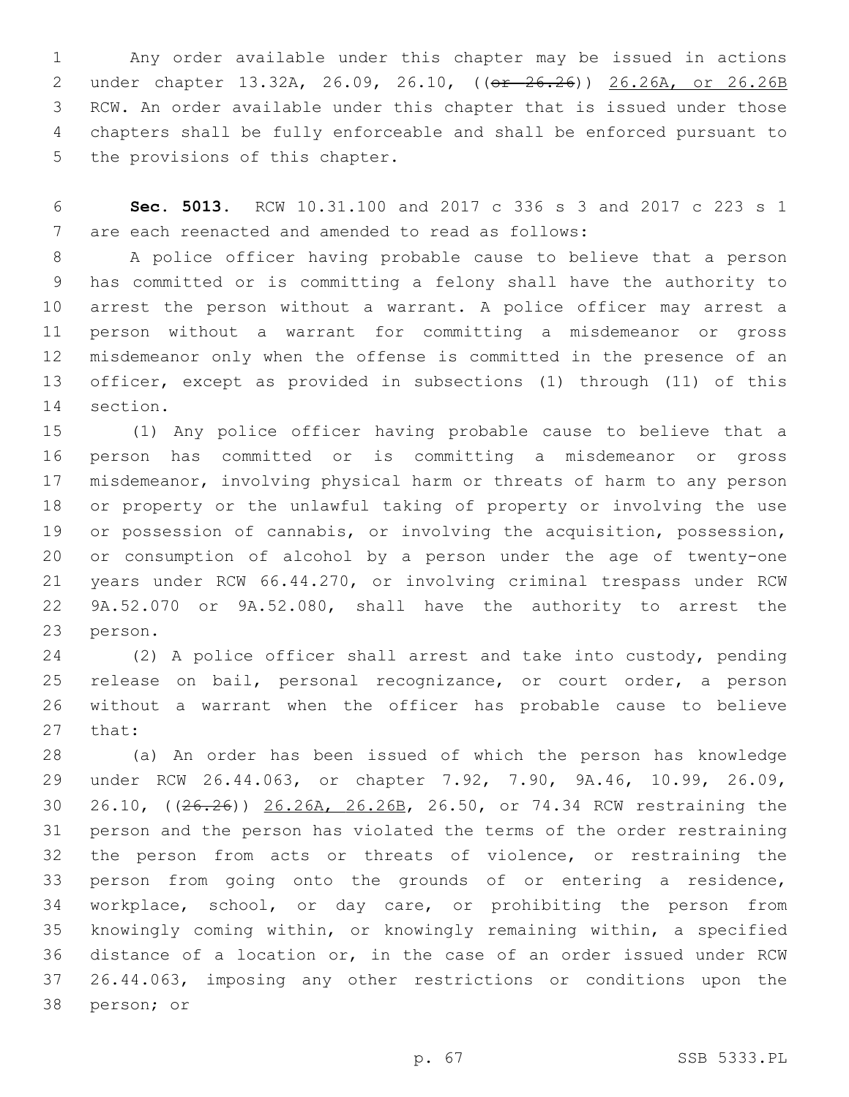Any order available under this chapter may be issued in actions under chapter 13.32A, 26.09, 26.10, ((or 26.26)) 26.26A, or 26.26B RCW. An order available under this chapter that is issued under those chapters shall be fully enforceable and shall be enforced pursuant to 5 the provisions of this chapter.

 **Sec. 5013.** RCW 10.31.100 and 2017 c 336 s 3 and 2017 c 223 s 1 7 are each reenacted and amended to read as follows:

 A police officer having probable cause to believe that a person has committed or is committing a felony shall have the authority to arrest the person without a warrant. A police officer may arrest a person without a warrant for committing a misdemeanor or gross misdemeanor only when the offense is committed in the presence of an officer, except as provided in subsections (1) through (11) of this 14 section.

 (1) Any police officer having probable cause to believe that a person has committed or is committing a misdemeanor or gross misdemeanor, involving physical harm or threats of harm to any person or property or the unlawful taking of property or involving the use or possession of cannabis, or involving the acquisition, possession, or consumption of alcohol by a person under the age of twenty-one years under RCW 66.44.270, or involving criminal trespass under RCW 9A.52.070 or 9A.52.080, shall have the authority to arrest the 23 person.

 (2) A police officer shall arrest and take into custody, pending release on bail, personal recognizance, or court order, a person without a warrant when the officer has probable cause to believe 27 that:

 (a) An order has been issued of which the person has knowledge under RCW 26.44.063, or chapter 7.92, 7.90, 9A.46, 10.99, 26.09, 26.10, ((26.26)) 26.26A, 26.26B, 26.50, or 74.34 RCW restraining the person and the person has violated the terms of the order restraining the person from acts or threats of violence, or restraining the person from going onto the grounds of or entering a residence, workplace, school, or day care, or prohibiting the person from knowingly coming within, or knowingly remaining within, a specified distance of a location or, in the case of an order issued under RCW 26.44.063, imposing any other restrictions or conditions upon the 38 person; or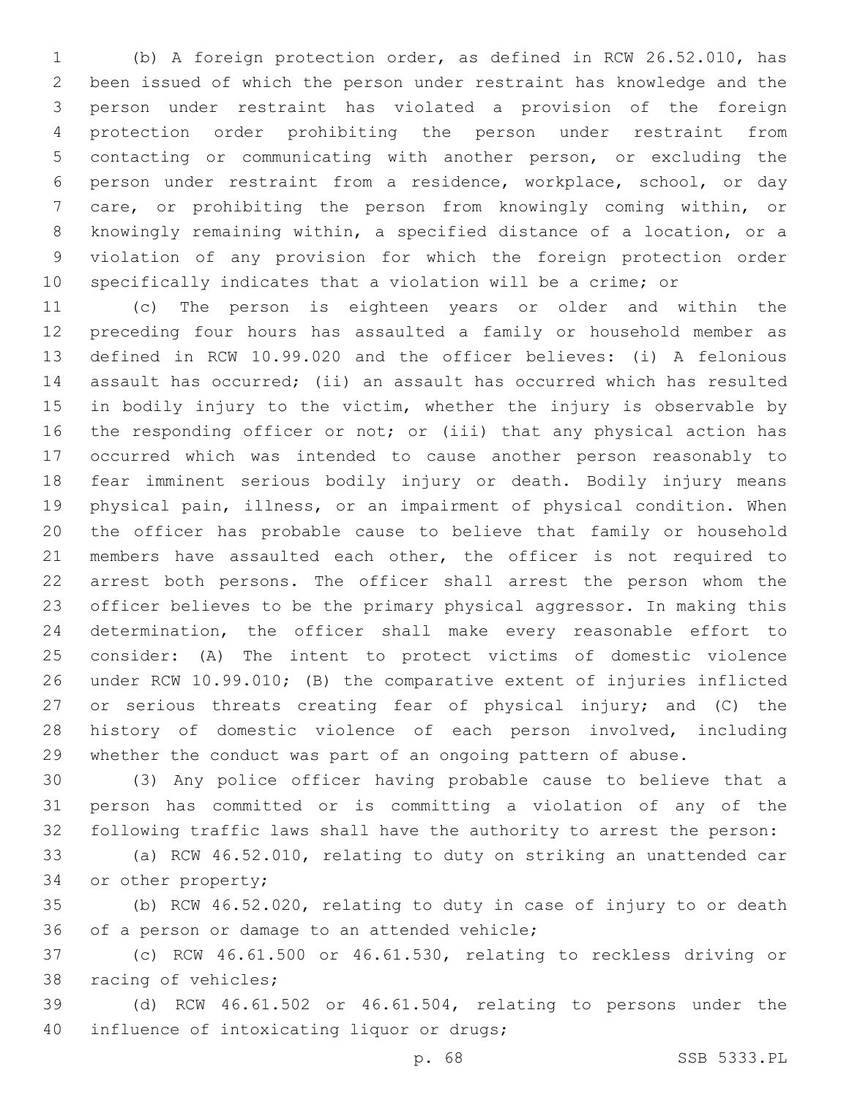(b) A foreign protection order, as defined in RCW 26.52.010, has been issued of which the person under restraint has knowledge and the person under restraint has violated a provision of the foreign protection order prohibiting the person under restraint from contacting or communicating with another person, or excluding the person under restraint from a residence, workplace, school, or day care, or prohibiting the person from knowingly coming within, or knowingly remaining within, a specified distance of a location, or a violation of any provision for which the foreign protection order specifically indicates that a violation will be a crime; or

 (c) The person is eighteen years or older and within the preceding four hours has assaulted a family or household member as defined in RCW 10.99.020 and the officer believes: (i) A felonious assault has occurred; (ii) an assault has occurred which has resulted 15 in bodily injury to the victim, whether the injury is observable by the responding officer or not; or (iii) that any physical action has occurred which was intended to cause another person reasonably to fear imminent serious bodily injury or death. Bodily injury means physical pain, illness, or an impairment of physical condition. When the officer has probable cause to believe that family or household 21 members have assaulted each other, the officer is not required to arrest both persons. The officer shall arrest the person whom the officer believes to be the primary physical aggressor. In making this determination, the officer shall make every reasonable effort to consider: (A) The intent to protect victims of domestic violence under RCW 10.99.010; (B) the comparative extent of injuries inflicted 27 or serious threats creating fear of physical injury; and (C) the history of domestic violence of each person involved, including whether the conduct was part of an ongoing pattern of abuse.

 (3) Any police officer having probable cause to believe that a person has committed or is committing a violation of any of the following traffic laws shall have the authority to arrest the person:

 (a) RCW 46.52.010, relating to duty on striking an unattended car 34 or other property;

 (b) RCW 46.52.020, relating to duty in case of injury to or death 36 of a person or damage to an attended vehicle;

 (c) RCW 46.61.500 or 46.61.530, relating to reckless driving or 38 racing of vehicles;

 (d) RCW 46.61.502 or 46.61.504, relating to persons under the 40 influence of intoxicating liquor or drugs;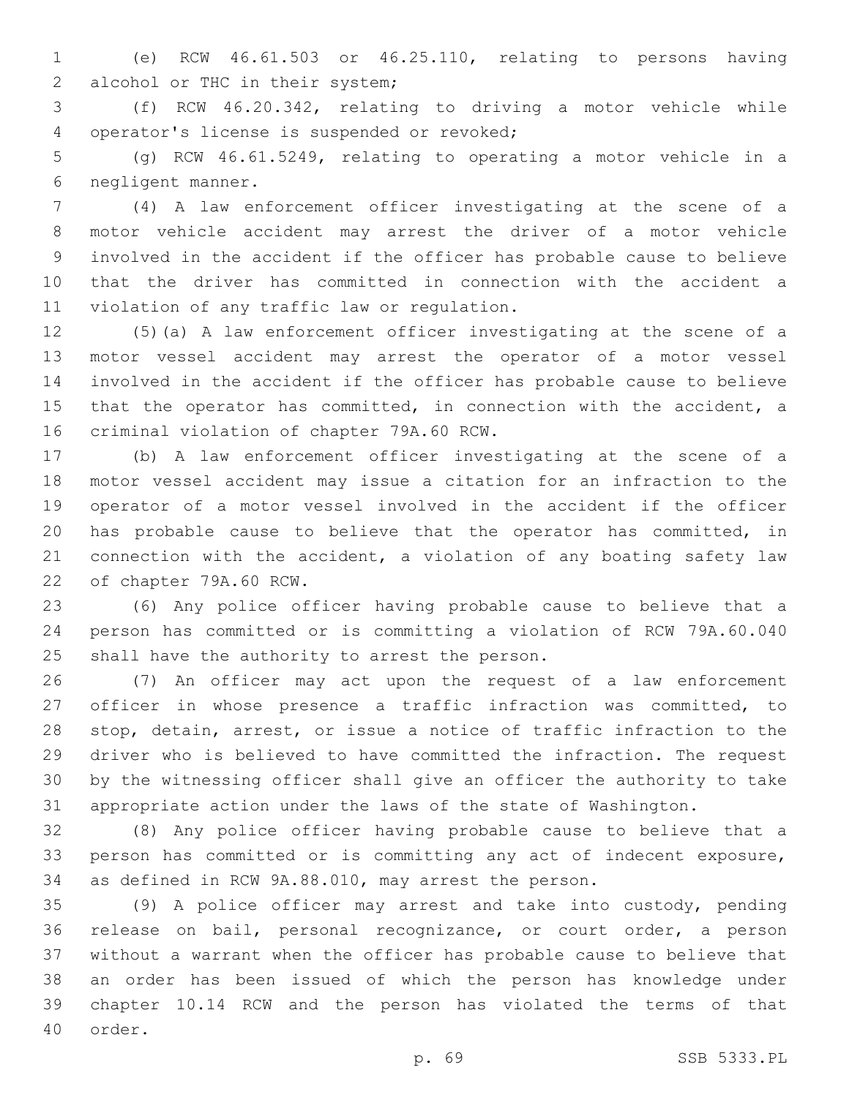(e) RCW 46.61.503 or 46.25.110, relating to persons having 2 alcohol or THC in their system;

 (f) RCW 46.20.342, relating to driving a motor vehicle while 4 operator's license is suspended or revoked;

 (g) RCW 46.61.5249, relating to operating a motor vehicle in a negligent manner.6

 (4) A law enforcement officer investigating at the scene of a motor vehicle accident may arrest the driver of a motor vehicle involved in the accident if the officer has probable cause to believe that the driver has committed in connection with the accident a 11 violation of any traffic law or regulation.

 (5)(a) A law enforcement officer investigating at the scene of a motor vessel accident may arrest the operator of a motor vessel involved in the accident if the officer has probable cause to believe that the operator has committed, in connection with the accident, a 16 criminal violation of chapter 79A.60 RCW.

 (b) A law enforcement officer investigating at the scene of a motor vessel accident may issue a citation for an infraction to the operator of a motor vessel involved in the accident if the officer has probable cause to believe that the operator has committed, in connection with the accident, a violation of any boating safety law 22 of chapter 79A.60 RCW.

 (6) Any police officer having probable cause to believe that a person has committed or is committing a violation of RCW 79A.60.040 25 shall have the authority to arrest the person.

 (7) An officer may act upon the request of a law enforcement officer in whose presence a traffic infraction was committed, to stop, detain, arrest, or issue a notice of traffic infraction to the driver who is believed to have committed the infraction. The request by the witnessing officer shall give an officer the authority to take appropriate action under the laws of the state of Washington.

 (8) Any police officer having probable cause to believe that a person has committed or is committing any act of indecent exposure, as defined in RCW 9A.88.010, may arrest the person.

 (9) A police officer may arrest and take into custody, pending release on bail, personal recognizance, or court order, a person without a warrant when the officer has probable cause to believe that an order has been issued of which the person has knowledge under chapter 10.14 RCW and the person has violated the terms of that 40 order.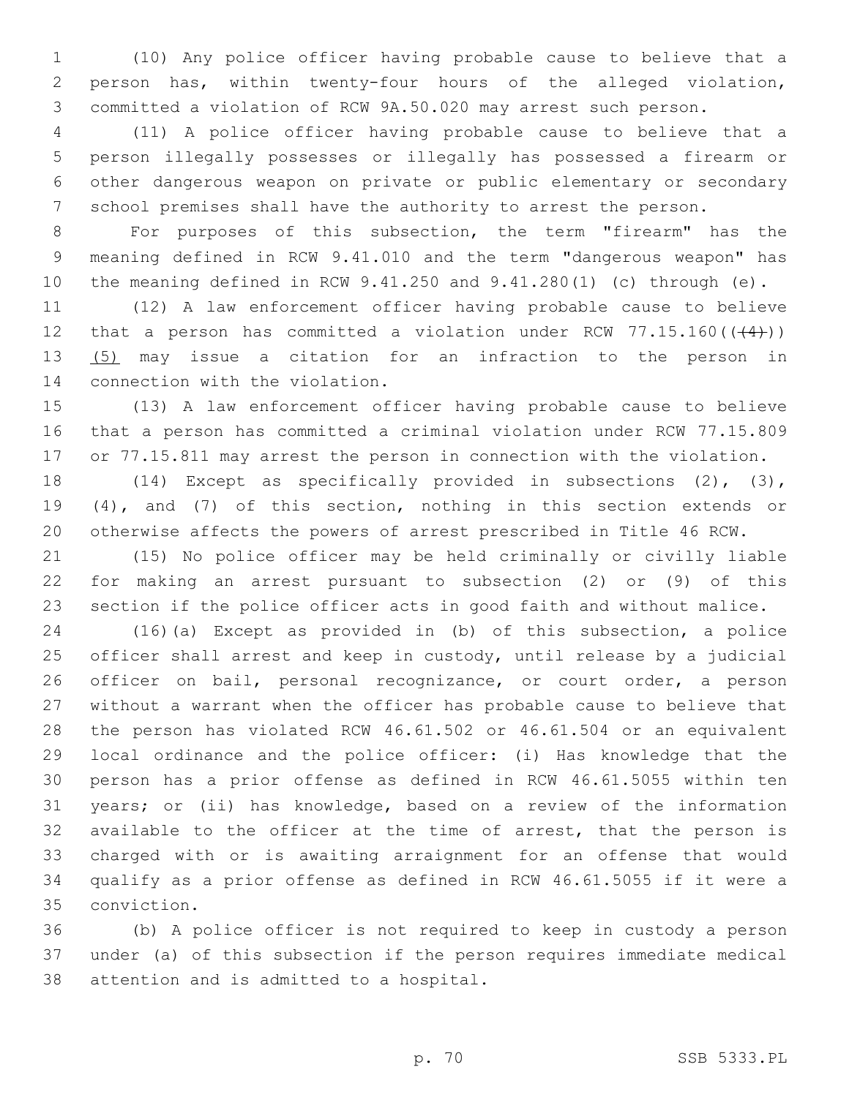(10) Any police officer having probable cause to believe that a person has, within twenty-four hours of the alleged violation, committed a violation of RCW 9A.50.020 may arrest such person.

 (11) A police officer having probable cause to believe that a person illegally possesses or illegally has possessed a firearm or other dangerous weapon on private or public elementary or secondary school premises shall have the authority to arrest the person.

 For purposes of this subsection, the term "firearm" has the meaning defined in RCW 9.41.010 and the term "dangerous weapon" has the meaning defined in RCW 9.41.250 and 9.41.280(1) (c) through (e).

 (12) A law enforcement officer having probable cause to believe 12 that a person has committed a violation under RCW  $77.15.160$  ( $(44)$ )) (5) may issue a citation for an infraction to the person in 14 connection with the violation.

 (13) A law enforcement officer having probable cause to believe that a person has committed a criminal violation under RCW 77.15.809 or 77.15.811 may arrest the person in connection with the violation.

 (14) Except as specifically provided in subsections (2), (3), (4), and (7) of this section, nothing in this section extends or otherwise affects the powers of arrest prescribed in Title 46 RCW.

 (15) No police officer may be held criminally or civilly liable for making an arrest pursuant to subsection (2) or (9) of this section if the police officer acts in good faith and without malice.

 (16)(a) Except as provided in (b) of this subsection, a police officer shall arrest and keep in custody, until release by a judicial 26 officer on bail, personal recognizance, or court order, a person without a warrant when the officer has probable cause to believe that the person has violated RCW 46.61.502 or 46.61.504 or an equivalent local ordinance and the police officer: (i) Has knowledge that the person has a prior offense as defined in RCW 46.61.5055 within ten years; or (ii) has knowledge, based on a review of the information available to the officer at the time of arrest, that the person is charged with or is awaiting arraignment for an offense that would qualify as a prior offense as defined in RCW 46.61.5055 if it were a conviction.35

 (b) A police officer is not required to keep in custody a person under (a) of this subsection if the person requires immediate medical 38 attention and is admitted to a hospital.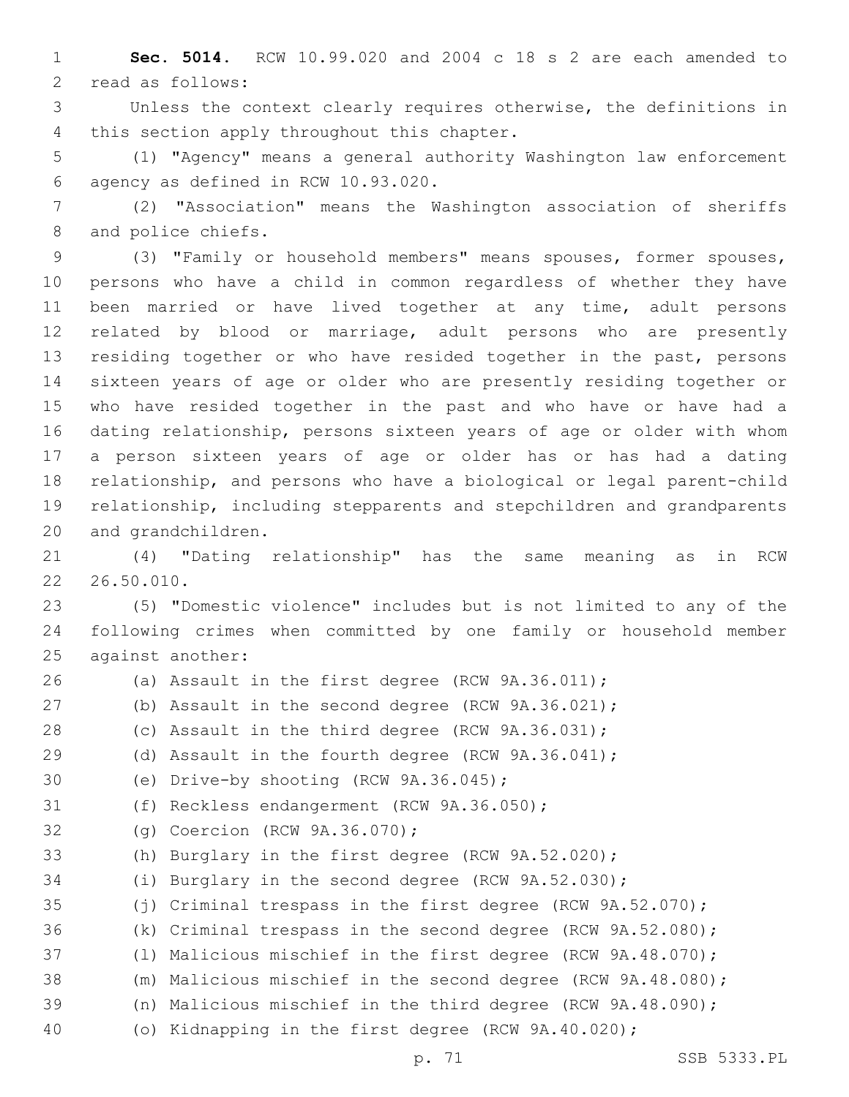**Sec. 5014.** RCW 10.99.020 and 2004 c 18 s 2 are each amended to 2 read as follows:

 Unless the context clearly requires otherwise, the definitions in 4 this section apply throughout this chapter.

 (1) "Agency" means a general authority Washington law enforcement agency as defined in RCW 10.93.020.6

 (2) "Association" means the Washington association of sheriffs 8 and police chiefs.

 (3) "Family or household members" means spouses, former spouses, persons who have a child in common regardless of whether they have been married or have lived together at any time, adult persons related by blood or marriage, adult persons who are presently residing together or who have resided together in the past, persons sixteen years of age or older who are presently residing together or who have resided together in the past and who have or have had a dating relationship, persons sixteen years of age or older with whom a person sixteen years of age or older has or has had a dating relationship, and persons who have a biological or legal parent-child relationship, including stepparents and stepchildren and grandparents 20 and grandchildren.

 (4) "Dating relationship" has the same meaning as in RCW 26.50.010.

 (5) "Domestic violence" includes but is not limited to any of the following crimes when committed by one family or household member 25 against another:

 (a) Assault in the first degree (RCW 9A.36.011); (b) Assault in the second degree (RCW 9A.36.021); (c) Assault in the third degree (RCW 9A.36.031); (d) Assault in the fourth degree (RCW 9A.36.041); 30 (e) Drive-by shooting (RCW 9A.36.045); 31 (f) Reckless endangerment (RCW 9A.36.050); 32 (g) Coercion (RCW 9A.36.070); (h) Burglary in the first degree (RCW 9A.52.020); (i) Burglary in the second degree (RCW 9A.52.030); (j) Criminal trespass in the first degree (RCW 9A.52.070); (k) Criminal trespass in the second degree (RCW 9A.52.080); (l) Malicious mischief in the first degree (RCW 9A.48.070); (m) Malicious mischief in the second degree (RCW 9A.48.080); (n) Malicious mischief in the third degree (RCW 9A.48.090); (o) Kidnapping in the first degree (RCW 9A.40.020);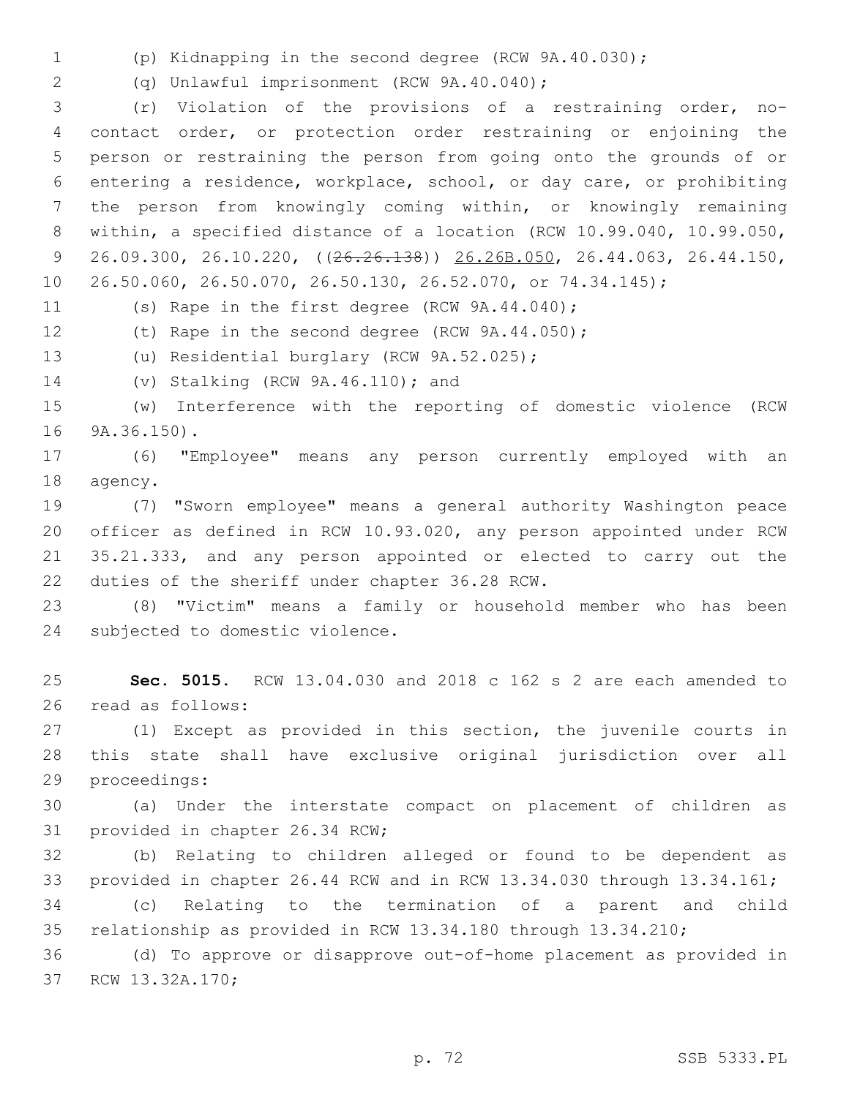(p) Kidnapping in the second degree (RCW 9A.40.030);

(q) Unlawful imprisonment (RCW 9A.40.040);2

 (r) Violation of the provisions of a restraining order, no- contact order, or protection order restraining or enjoining the person or restraining the person from going onto the grounds of or entering a residence, workplace, school, or day care, or prohibiting the person from knowingly coming within, or knowingly remaining within, a specified distance of a location (RCW 10.99.040, 10.99.050, 26.09.300, 26.10.220, ((26.26.138)) 26.26B.050, 26.44.063, 26.44.150, 26.50.060, 26.50.070, 26.50.130, 26.52.070, or 74.34.145);

11 (s) Rape in the first degree (RCW 9A.44.040);

(t) Rape in the second degree (RCW 9A.44.050);

13 (u) Residential burglary (RCW 9A.52.025);

14 (v) Stalking (RCW 9A.46.110); and

 (w) Interference with the reporting of domestic violence (RCW 16 9A.36.150).

 (6) "Employee" means any person currently employed with an 18 agency.

 (7) "Sworn employee" means a general authority Washington peace officer as defined in RCW 10.93.020, any person appointed under RCW 35.21.333, and any person appointed or elected to carry out the 22 duties of the sheriff under chapter 36.28 RCW.

 (8) "Victim" means a family or household member who has been 24 subjected to domestic violence.

 **Sec. 5015.** RCW 13.04.030 and 2018 c 162 s 2 are each amended to 26 read as follows:

 (1) Except as provided in this section, the juvenile courts in this state shall have exclusive original jurisdiction over all 29 proceedings:

 (a) Under the interstate compact on placement of children as 31 provided in chapter 26.34 RCW;

 (b) Relating to children alleged or found to be dependent as provided in chapter 26.44 RCW and in RCW 13.34.030 through 13.34.161;

 (c) Relating to the termination of a parent and child relationship as provided in RCW 13.34.180 through 13.34.210;

 (d) To approve or disapprove out-of-home placement as provided in 37 RCW 13.32A.170;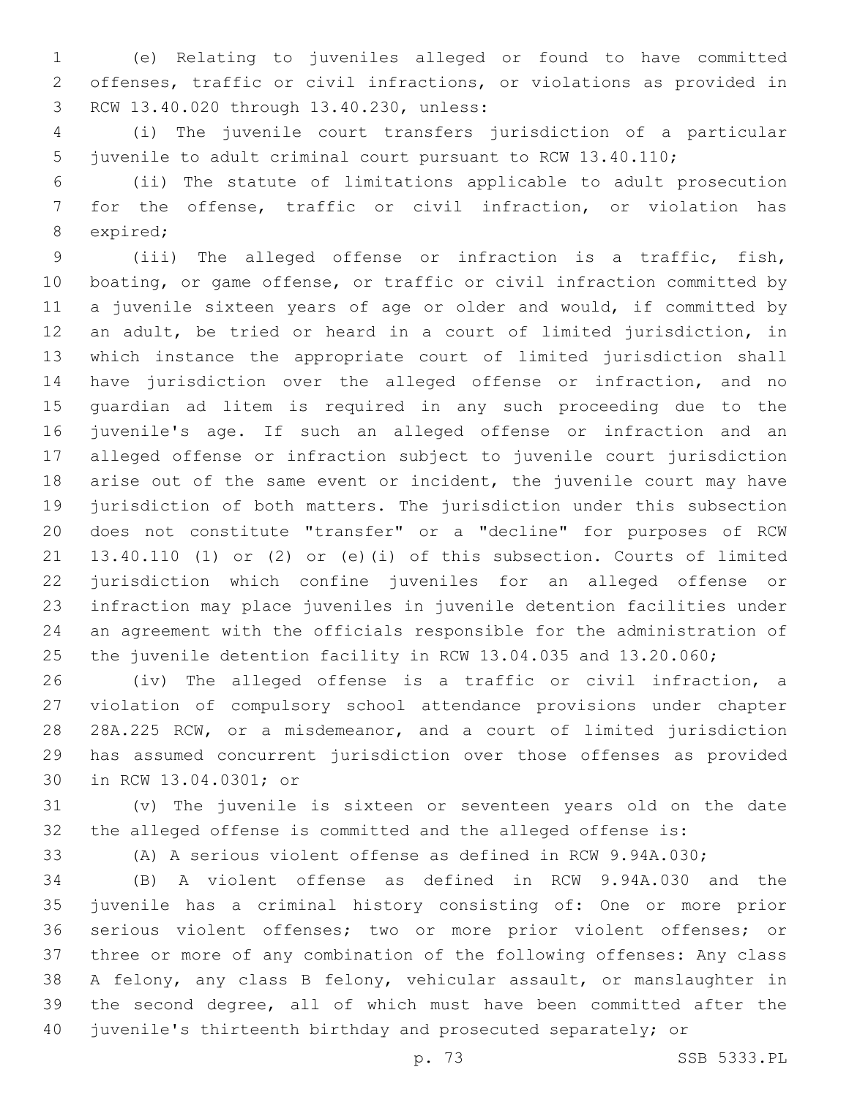(e) Relating to juveniles alleged or found to have committed offenses, traffic or civil infractions, or violations as provided in 8 RCW 13.40.020 through 13.40.230, unless:

 (i) The juvenile court transfers jurisdiction of a particular juvenile to adult criminal court pursuant to RCW 13.40.110;

 (ii) The statute of limitations applicable to adult prosecution for the offense, traffic or civil infraction, or violation has 8 expired;

 (iii) The alleged offense or infraction is a traffic, fish, boating, or game offense, or traffic or civil infraction committed by a juvenile sixteen years of age or older and would, if committed by an adult, be tried or heard in a court of limited jurisdiction, in which instance the appropriate court of limited jurisdiction shall have jurisdiction over the alleged offense or infraction, and no guardian ad litem is required in any such proceeding due to the juvenile's age. If such an alleged offense or infraction and an alleged offense or infraction subject to juvenile court jurisdiction arise out of the same event or incident, the juvenile court may have jurisdiction of both matters. The jurisdiction under this subsection does not constitute "transfer" or a "decline" for purposes of RCW 13.40.110 (1) or (2) or (e)(i) of this subsection. Courts of limited jurisdiction which confine juveniles for an alleged offense or infraction may place juveniles in juvenile detention facilities under an agreement with the officials responsible for the administration of 25 the juvenile detention facility in RCW 13.04.035 and 13.20.060;

 (iv) The alleged offense is a traffic or civil infraction, a violation of compulsory school attendance provisions under chapter 28A.225 RCW, or a misdemeanor, and a court of limited jurisdiction has assumed concurrent jurisdiction over those offenses as provided 30 in RCW 13.04.0301; or

 (v) The juvenile is sixteen or seventeen years old on the date the alleged offense is committed and the alleged offense is:

(A) A serious violent offense as defined in RCW 9.94A.030;

 (B) A violent offense as defined in RCW 9.94A.030 and the juvenile has a criminal history consisting of: One or more prior serious violent offenses; two or more prior violent offenses; or three or more of any combination of the following offenses: Any class A felony, any class B felony, vehicular assault, or manslaughter in the second degree, all of which must have been committed after the juvenile's thirteenth birthday and prosecuted separately; or

p. 73 SSB 5333.PL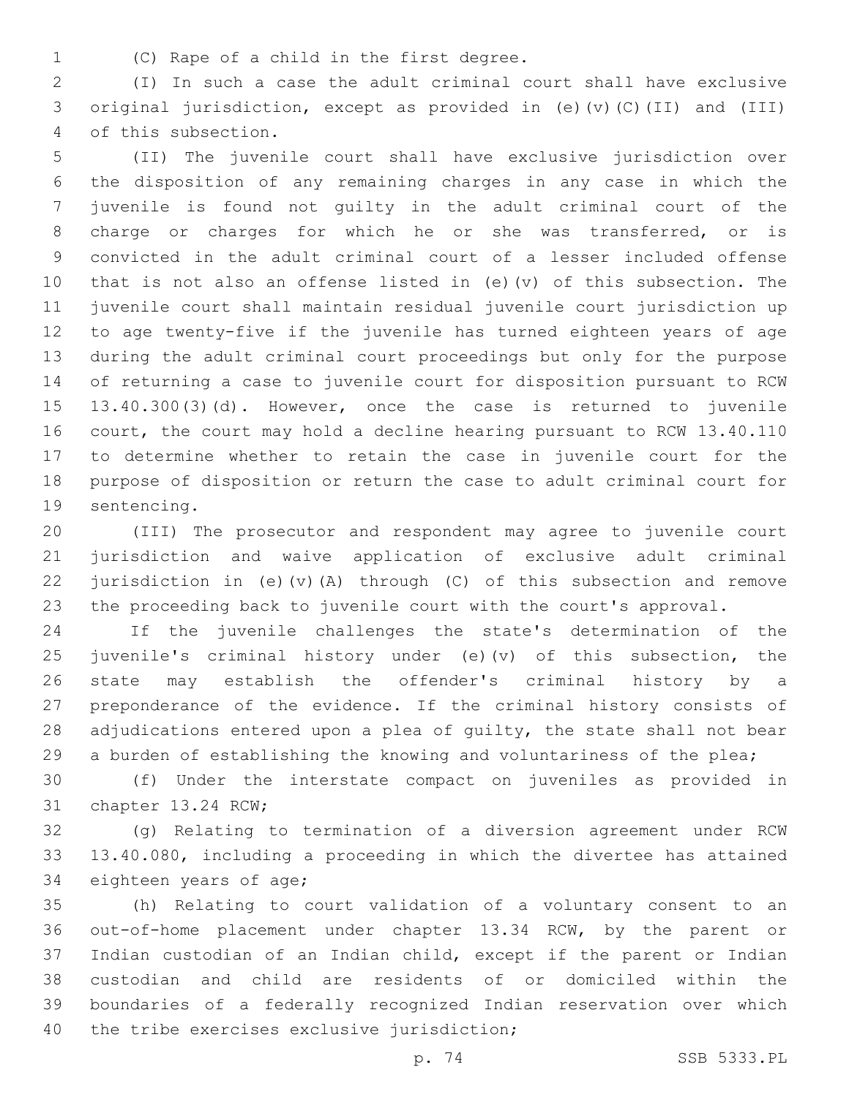1 (C) Rape of a child in the first degree.

 (I) In such a case the adult criminal court shall have exclusive original jurisdiction, except as provided in (e)(v)(C)(II) and (III) 4 of this subsection.

 (II) The juvenile court shall have exclusive jurisdiction over the disposition of any remaining charges in any case in which the juvenile is found not guilty in the adult criminal court of the charge or charges for which he or she was transferred, or is convicted in the adult criminal court of a lesser included offense that is not also an offense listed in (e)(v) of this subsection. The juvenile court shall maintain residual juvenile court jurisdiction up to age twenty-five if the juvenile has turned eighteen years of age during the adult criminal court proceedings but only for the purpose of returning a case to juvenile court for disposition pursuant to RCW 13.40.300(3)(d). However, once the case is returned to juvenile court, the court may hold a decline hearing pursuant to RCW 13.40.110 to determine whether to retain the case in juvenile court for the purpose of disposition or return the case to adult criminal court for 19 sentencing.

 (III) The prosecutor and respondent may agree to juvenile court jurisdiction and waive application of exclusive adult criminal jurisdiction in (e)(v)(A) through (C) of this subsection and remove the proceeding back to juvenile court with the court's approval.

 If the juvenile challenges the state's determination of the 25 juvenile's criminal history under (e)(v) of this subsection, the state may establish the offender's criminal history by a preponderance of the evidence. If the criminal history consists of 28 adjudications entered upon a plea of quilty, the state shall not bear 29 a burden of establishing the knowing and voluntariness of the plea;

 (f) Under the interstate compact on juveniles as provided in 31 chapter 13.24 RCW;

 (g) Relating to termination of a diversion agreement under RCW 13.40.080, including a proceeding in which the divertee has attained 34 eighteen years of age;

 (h) Relating to court validation of a voluntary consent to an out-of-home placement under chapter 13.34 RCW, by the parent or Indian custodian of an Indian child, except if the parent or Indian custodian and child are residents of or domiciled within the boundaries of a federally recognized Indian reservation over which 40 the tribe exercises exclusive jurisdiction;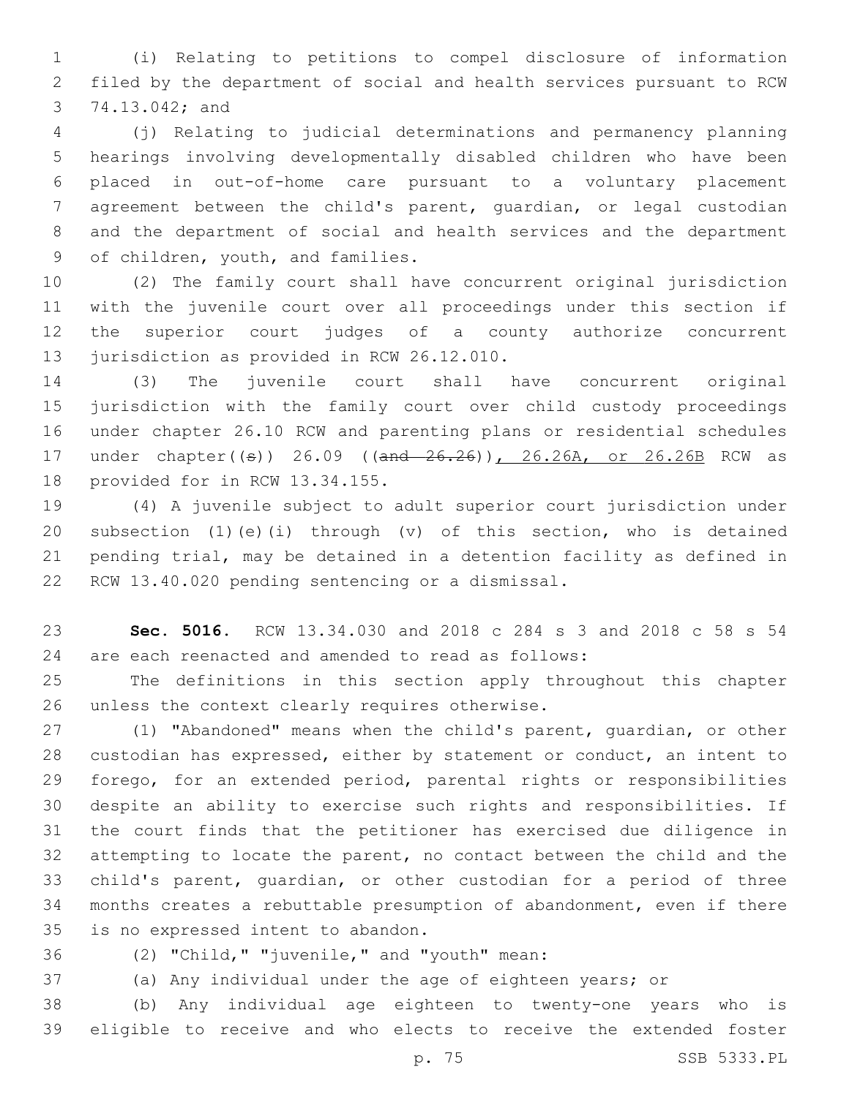(i) Relating to petitions to compel disclosure of information filed by the department of social and health services pursuant to RCW 3 74.13.042; and

 (j) Relating to judicial determinations and permanency planning hearings involving developmentally disabled children who have been placed in out-of-home care pursuant to a voluntary placement agreement between the child's parent, guardian, or legal custodian and the department of social and health services and the department 9 of children, youth, and families.

 (2) The family court shall have concurrent original jurisdiction with the juvenile court over all proceedings under this section if the superior court judges of a county authorize concurrent 13 jurisdiction as provided in RCW 26.12.010.

 (3) The juvenile court shall have concurrent original jurisdiction with the family court over child custody proceedings under chapter 26.10 RCW and parenting plans or residential schedules 17 under chapter((s)) 26.09 ((and 26.26)), 26.26A, or 26.26B RCW as 18 provided for in RCW 13.34.155.

 (4) A juvenile subject to adult superior court jurisdiction under subsection (1)(e)(i) through (v) of this section, who is detained pending trial, may be detained in a detention facility as defined in 22 RCW 13.40.020 pending sentencing or a dismissal.

 **Sec. 5016.** RCW 13.34.030 and 2018 c 284 s 3 and 2018 c 58 s 54 are each reenacted and amended to read as follows:

 The definitions in this section apply throughout this chapter 26 unless the context clearly requires otherwise.

 (1) "Abandoned" means when the child's parent, guardian, or other custodian has expressed, either by statement or conduct, an intent to forego, for an extended period, parental rights or responsibilities despite an ability to exercise such rights and responsibilities. If the court finds that the petitioner has exercised due diligence in attempting to locate the parent, no contact between the child and the child's parent, guardian, or other custodian for a period of three months creates a rebuttable presumption of abandonment, even if there 35 is no expressed intent to abandon.

(2) "Child," "juvenile," and "youth" mean:36

(a) Any individual under the age of eighteen years; or

 (b) Any individual age eighteen to twenty-one years who is eligible to receive and who elects to receive the extended foster

p. 75 SSB 5333.PL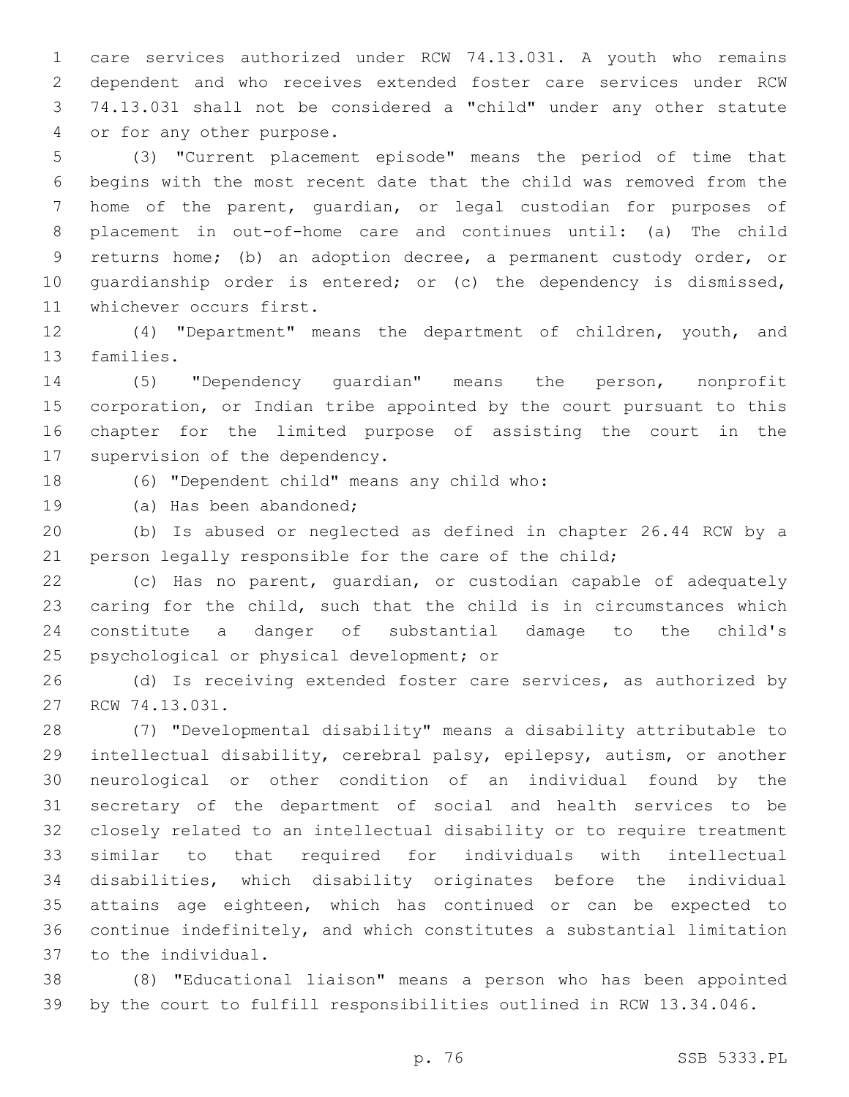care services authorized under RCW 74.13.031. A youth who remains dependent and who receives extended foster care services under RCW 74.13.031 shall not be considered a "child" under any other statute 4 or for any other purpose.

 (3) "Current placement episode" means the period of time that begins with the most recent date that the child was removed from the home of the parent, guardian, or legal custodian for purposes of placement in out-of-home care and continues until: (a) The child returns home; (b) an adoption decree, a permanent custody order, or guardianship order is entered; or (c) the dependency is dismissed, 11 whichever occurs first.

 (4) "Department" means the department of children, youth, and 13 families.

 (5) "Dependency guardian" means the person, nonprofit corporation, or Indian tribe appointed by the court pursuant to this chapter for the limited purpose of assisting the court in the 17 supervision of the dependency.

18 (6) "Dependent child" means any child who:

19 (a) Has been abandoned;

 (b) Is abused or neglected as defined in chapter 26.44 RCW by a 21 person legally responsible for the care of the child;

 (c) Has no parent, guardian, or custodian capable of adequately caring for the child, such that the child is in circumstances which constitute a danger of substantial damage to the child's 25 psychological or physical development; or

 (d) Is receiving extended foster care services, as authorized by 27 RCW 74.13.031.

 (7) "Developmental disability" means a disability attributable to intellectual disability, cerebral palsy, epilepsy, autism, or another neurological or other condition of an individual found by the secretary of the department of social and health services to be closely related to an intellectual disability or to require treatment similar to that required for individuals with intellectual disabilities, which disability originates before the individual attains age eighteen, which has continued or can be expected to continue indefinitely, and which constitutes a substantial limitation 37 to the individual.

 (8) "Educational liaison" means a person who has been appointed by the court to fulfill responsibilities outlined in RCW 13.34.046.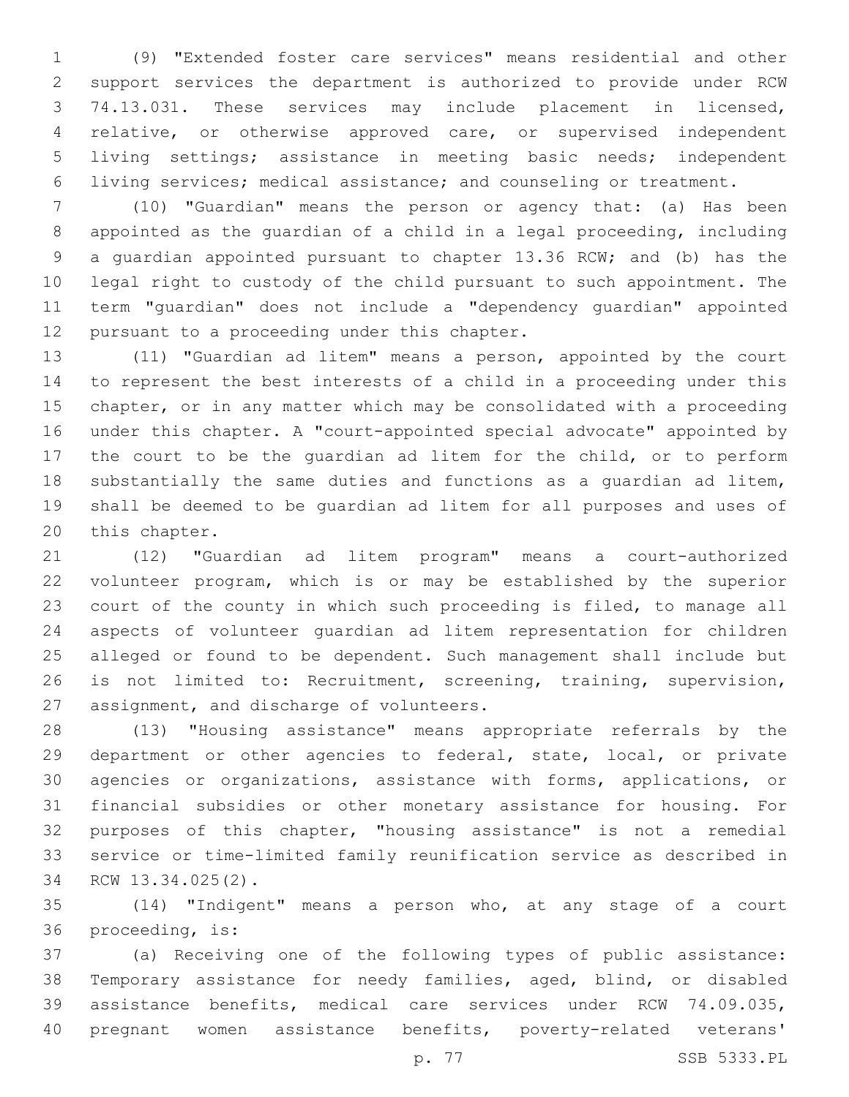(9) "Extended foster care services" means residential and other support services the department is authorized to provide under RCW 74.13.031. These services may include placement in licensed, relative, or otherwise approved care, or supervised independent living settings; assistance in meeting basic needs; independent living services; medical assistance; and counseling or treatment.

 (10) "Guardian" means the person or agency that: (a) Has been appointed as the guardian of a child in a legal proceeding, including a guardian appointed pursuant to chapter 13.36 RCW; and (b) has the legal right to custody of the child pursuant to such appointment. The term "guardian" does not include a "dependency guardian" appointed 12 pursuant to a proceeding under this chapter.

 (11) "Guardian ad litem" means a person, appointed by the court to represent the best interests of a child in a proceeding under this chapter, or in any matter which may be consolidated with a proceeding under this chapter. A "court-appointed special advocate" appointed by the court to be the guardian ad litem for the child, or to perform substantially the same duties and functions as a guardian ad litem, shall be deemed to be guardian ad litem for all purposes and uses of 20 this chapter.

 (12) "Guardian ad litem program" means a court-authorized volunteer program, which is or may be established by the superior court of the county in which such proceeding is filed, to manage all aspects of volunteer guardian ad litem representation for children alleged or found to be dependent. Such management shall include but is not limited to: Recruitment, screening, training, supervision, 27 assignment, and discharge of volunteers.

 (13) "Housing assistance" means appropriate referrals by the department or other agencies to federal, state, local, or private agencies or organizations, assistance with forms, applications, or financial subsidies or other monetary assistance for housing. For purposes of this chapter, "housing assistance" is not a remedial service or time-limited family reunification service as described in 34 RCW 13.34.025(2).

 (14) "Indigent" means a person who, at any stage of a court 36 proceeding, is:

 (a) Receiving one of the following types of public assistance: Temporary assistance for needy families, aged, blind, or disabled assistance benefits, medical care services under RCW 74.09.035, pregnant women assistance benefits, poverty-related veterans'

p. 77 SSB 5333.PL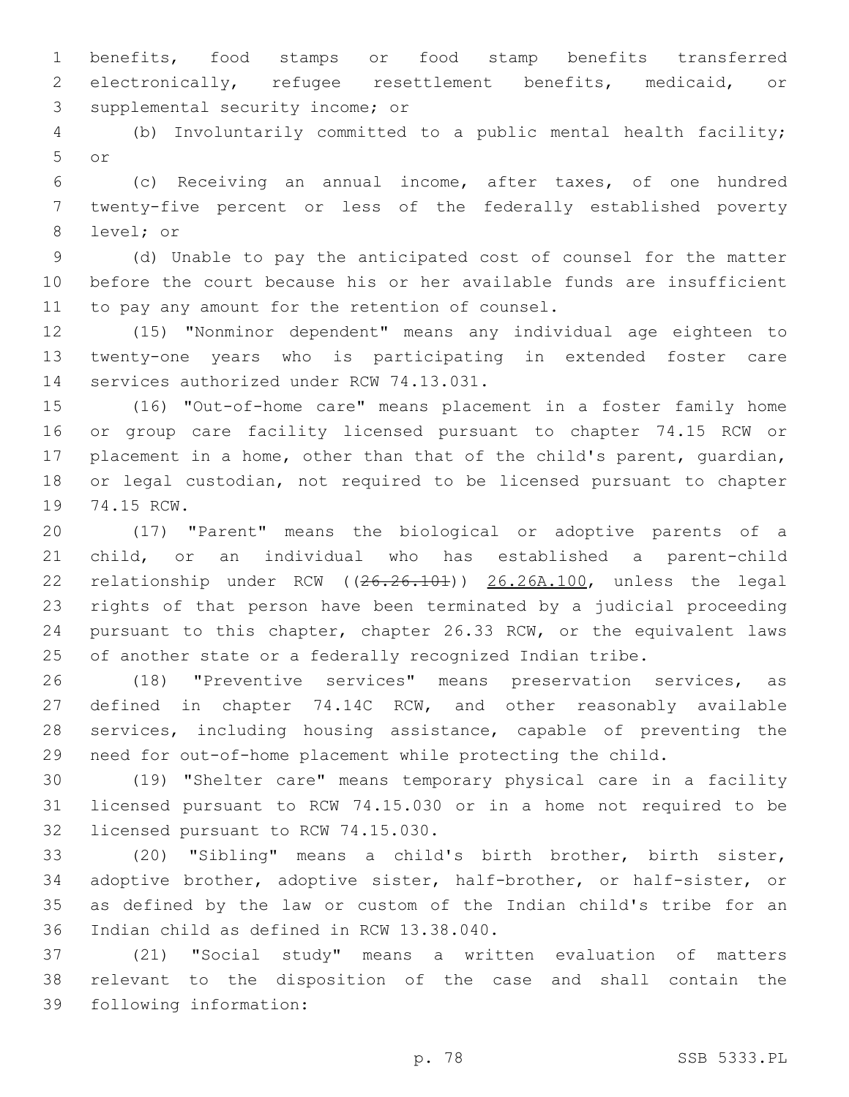benefits, food stamps or food stamp benefits transferred electronically, refugee resettlement benefits, medicaid, or 3 supplemental security income; or

 (b) Involuntarily committed to a public mental health facility; or5

 (c) Receiving an annual income, after taxes, of one hundred twenty-five percent or less of the federally established poverty 8 level; or

 (d) Unable to pay the anticipated cost of counsel for the matter before the court because his or her available funds are insufficient 11 to pay any amount for the retention of counsel.

 (15) "Nonminor dependent" means any individual age eighteen to twenty-one years who is participating in extended foster care 14 services authorized under RCW 74.13.031.

 (16) "Out-of-home care" means placement in a foster family home or group care facility licensed pursuant to chapter 74.15 RCW or placement in a home, other than that of the child's parent, guardian, or legal custodian, not required to be licensed pursuant to chapter 19 74.15 RCW.

 (17) "Parent" means the biological or adoptive parents of a child, or an individual who has established a parent-child 22 relationship under RCW ((26.26.101)) 26.26A.100, unless the legal rights of that person have been terminated by a judicial proceeding pursuant to this chapter, chapter 26.33 RCW, or the equivalent laws of another state or a federally recognized Indian tribe.

 (18) "Preventive services" means preservation services, as defined in chapter 74.14C RCW, and other reasonably available services, including housing assistance, capable of preventing the need for out-of-home placement while protecting the child.

 (19) "Shelter care" means temporary physical care in a facility licensed pursuant to RCW 74.15.030 or in a home not required to be 32 licensed pursuant to RCW 74.15.030.

 (20) "Sibling" means a child's birth brother, birth sister, adoptive brother, adoptive sister, half-brother, or half-sister, or as defined by the law or custom of the Indian child's tribe for an 36 Indian child as defined in RCW 13.38.040.

 (21) "Social study" means a written evaluation of matters relevant to the disposition of the case and shall contain the 39 following information: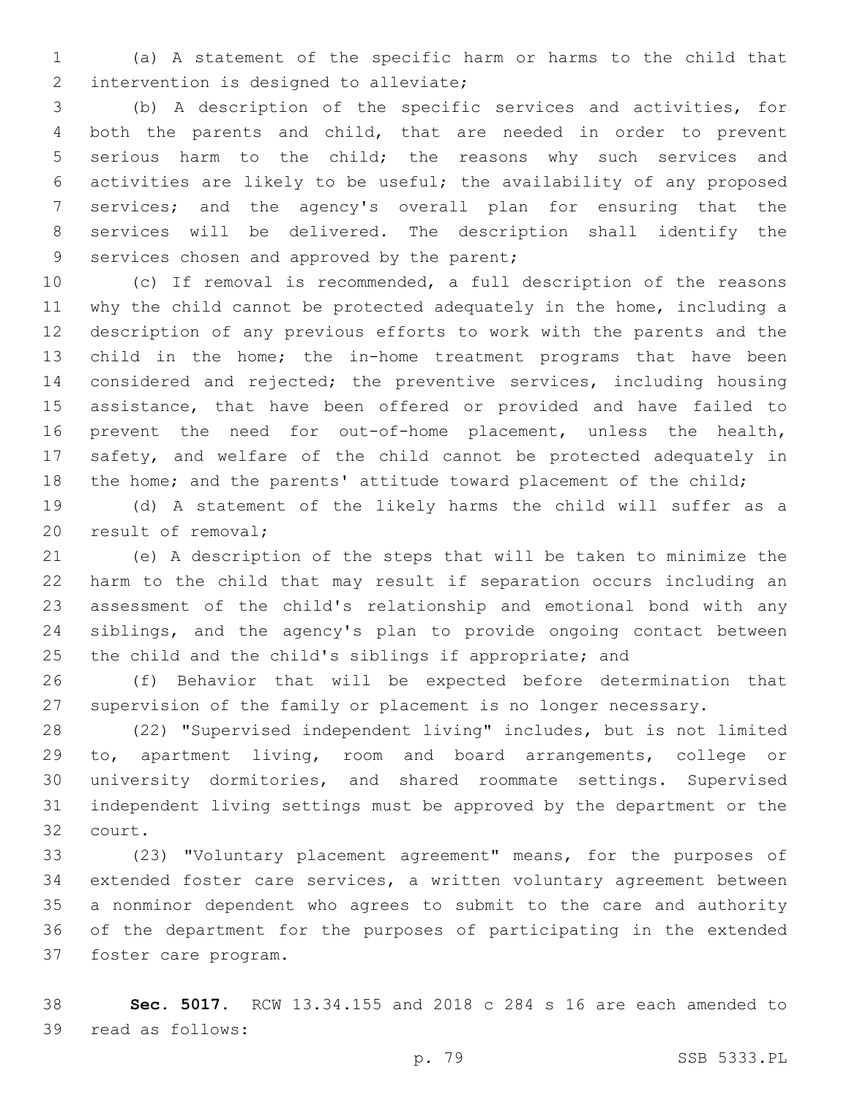(a) A statement of the specific harm or harms to the child that 2 intervention is designed to alleviate;

 (b) A description of the specific services and activities, for both the parents and child, that are needed in order to prevent serious harm to the child; the reasons why such services and activities are likely to be useful; the availability of any proposed services; and the agency's overall plan for ensuring that the services will be delivered. The description shall identify the 9 services chosen and approved by the parent;

 (c) If removal is recommended, a full description of the reasons why the child cannot be protected adequately in the home, including a description of any previous efforts to work with the parents and the child in the home; the in-home treatment programs that have been considered and rejected; the preventive services, including housing assistance, that have been offered or provided and have failed to prevent the need for out-of-home placement, unless the health, safety, and welfare of the child cannot be protected adequately in 18 the home; and the parents' attitude toward placement of the child;

 (d) A statement of the likely harms the child will suffer as a 20 result of removal;

 (e) A description of the steps that will be taken to minimize the harm to the child that may result if separation occurs including an assessment of the child's relationship and emotional bond with any siblings, and the agency's plan to provide ongoing contact between 25 the child and the child's siblings if appropriate; and

 (f) Behavior that will be expected before determination that supervision of the family or placement is no longer necessary.

 (22) "Supervised independent living" includes, but is not limited to, apartment living, room and board arrangements, college or university dormitories, and shared roommate settings. Supervised independent living settings must be approved by the department or the 32 court.

 (23) "Voluntary placement agreement" means, for the purposes of extended foster care services, a written voluntary agreement between a nonminor dependent who agrees to submit to the care and authority of the department for the purposes of participating in the extended 37 foster care program.

 **Sec. 5017.** RCW 13.34.155 and 2018 c 284 s 16 are each amended to 39 read as follows: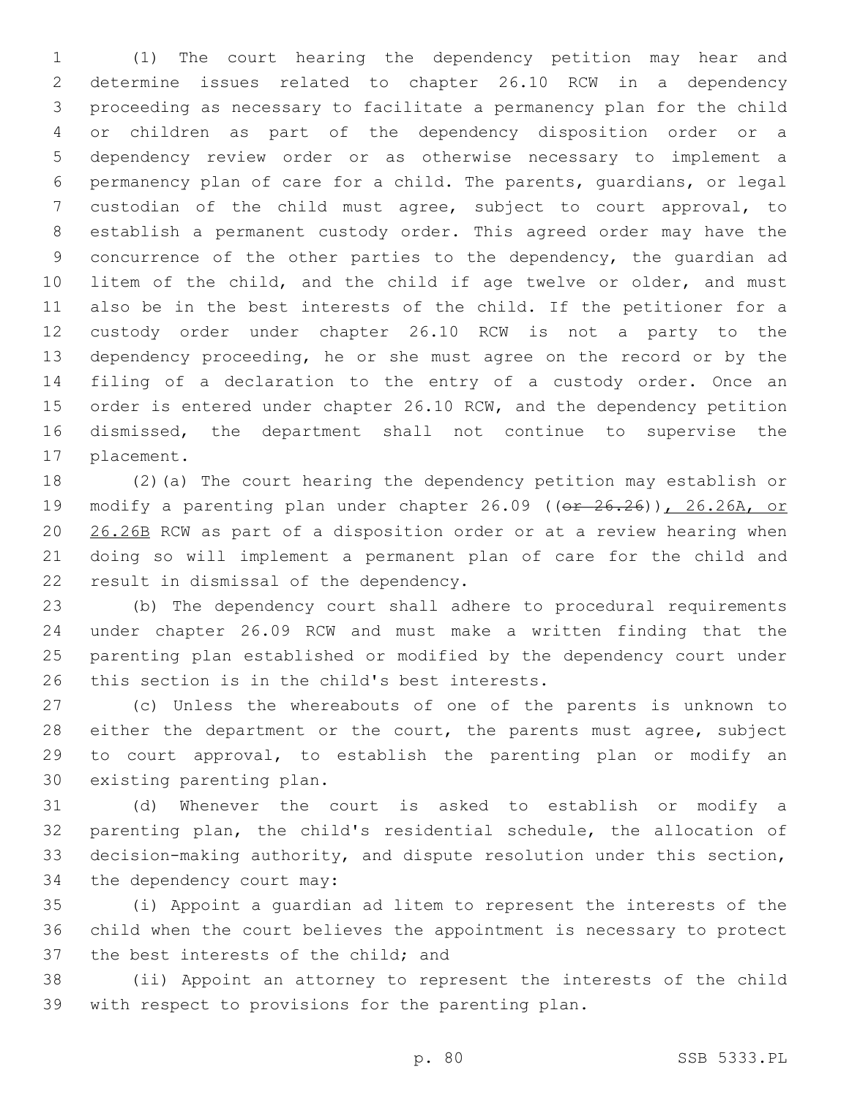(1) The court hearing the dependency petition may hear and determine issues related to chapter 26.10 RCW in a dependency proceeding as necessary to facilitate a permanency plan for the child or children as part of the dependency disposition order or a dependency review order or as otherwise necessary to implement a permanency plan of care for a child. The parents, guardians, or legal custodian of the child must agree, subject to court approval, to establish a permanent custody order. This agreed order may have the concurrence of the other parties to the dependency, the guardian ad litem of the child, and the child if age twelve or older, and must also be in the best interests of the child. If the petitioner for a custody order under chapter 26.10 RCW is not a party to the dependency proceeding, he or she must agree on the record or by the filing of a declaration to the entry of a custody order. Once an 15 order is entered under chapter 26.10 RCW, and the dependency petition dismissed, the department shall not continue to supervise the 17 placement.

 (2)(a) The court hearing the dependency petition may establish or 19 modify a parenting plan under chapter 26.09 ((or 26.26)), 26.26A, or 26.26B RCW as part of a disposition order or at a review hearing when doing so will implement a permanent plan of care for the child and 22 result in dismissal of the dependency.

 (b) The dependency court shall adhere to procedural requirements under chapter 26.09 RCW and must make a written finding that the parenting plan established or modified by the dependency court under 26 this section is in the child's best interests.

 (c) Unless the whereabouts of one of the parents is unknown to 28 either the department or the court, the parents must agree, subject to court approval, to establish the parenting plan or modify an 30 existing parenting plan.

 (d) Whenever the court is asked to establish or modify a parenting plan, the child's residential schedule, the allocation of decision-making authority, and dispute resolution under this section, 34 the dependency court may:

 (i) Appoint a guardian ad litem to represent the interests of the child when the court believes the appointment is necessary to protect 37 the best interests of the child; and

 (ii) Appoint an attorney to represent the interests of the child with respect to provisions for the parenting plan.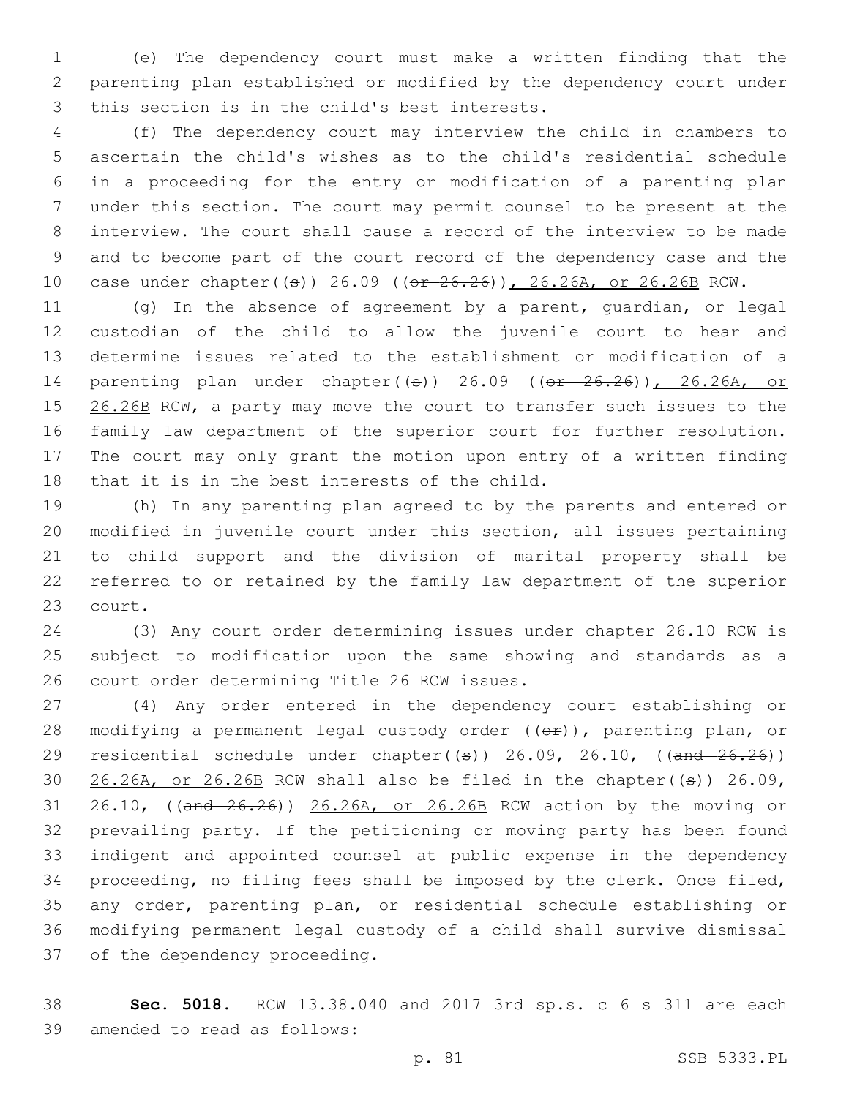(e) The dependency court must make a written finding that the parenting plan established or modified by the dependency court under 3 this section is in the child's best interests.

 (f) The dependency court may interview the child in chambers to ascertain the child's wishes as to the child's residential schedule in a proceeding for the entry or modification of a parenting plan under this section. The court may permit counsel to be present at the interview. The court shall cause a record of the interview to be made and to become part of the court record of the dependency case and the 10 case under chapter((s)) 26.09 ((or 26.26)), 26.26A, or 26.26B RCW.

 (g) In the absence of agreement by a parent, guardian, or legal custodian of the child to allow the juvenile court to hear and determine issues related to the establishment or modification of a 14 parenting plan under chapter((s)) 26.09 ((er 26.26)), 26.26A, or 15 26.26B RCW, a party may move the court to transfer such issues to the family law department of the superior court for further resolution. The court may only grant the motion upon entry of a written finding 18 that it is in the best interests of the child.

 (h) In any parenting plan agreed to by the parents and entered or modified in juvenile court under this section, all issues pertaining to child support and the division of marital property shall be referred to or retained by the family law department of the superior 23 court.

 (3) Any court order determining issues under chapter 26.10 RCW is subject to modification upon the same showing and standards as a 26 court order determining Title 26 RCW issues.

 (4) Any order entered in the dependency court establishing or 28 modifying a permanent legal custody order ((or)), parenting plan, or 29 residential schedule under chapter( $(\pm)$ ) 26.09, 26.10, ( $(\text{and } 26.26)$ )  $26.26A$ , or  $26.26B$  RCW shall also be filed in the chapter(( $\theta$ )) 26.09, 31 26.10, ((and  $26.26$ )) 26.26A, or 26.26B RCW action by the moving or prevailing party. If the petitioning or moving party has been found indigent and appointed counsel at public expense in the dependency proceeding, no filing fees shall be imposed by the clerk. Once filed, any order, parenting plan, or residential schedule establishing or modifying permanent legal custody of a child shall survive dismissal 37 of the dependency proceeding.

 **Sec. 5018.** RCW 13.38.040 and 2017 3rd sp.s. c 6 s 311 are each 39 amended to read as follows: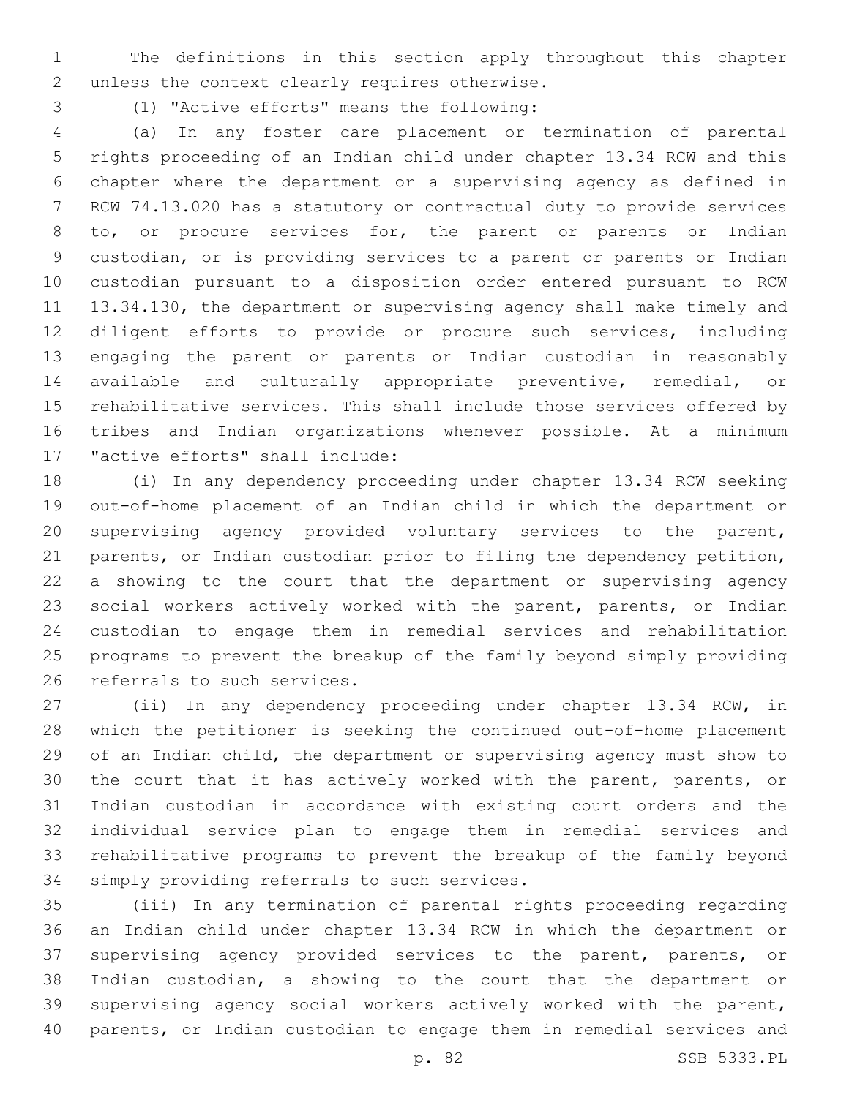The definitions in this section apply throughout this chapter 2 unless the context clearly requires otherwise.

(1) "Active efforts" means the following:3

 (a) In any foster care placement or termination of parental rights proceeding of an Indian child under chapter 13.34 RCW and this chapter where the department or a supervising agency as defined in RCW 74.13.020 has a statutory or contractual duty to provide services 8 to, or procure services for, the parent or parents or Indian custodian, or is providing services to a parent or parents or Indian custodian pursuant to a disposition order entered pursuant to RCW 13.34.130, the department or supervising agency shall make timely and diligent efforts to provide or procure such services, including engaging the parent or parents or Indian custodian in reasonably available and culturally appropriate preventive, remedial, or rehabilitative services. This shall include those services offered by tribes and Indian organizations whenever possible. At a minimum 17 "active efforts" shall include:

 (i) In any dependency proceeding under chapter 13.34 RCW seeking out-of-home placement of an Indian child in which the department or supervising agency provided voluntary services to the parent, parents, or Indian custodian prior to filing the dependency petition, a showing to the court that the department or supervising agency social workers actively worked with the parent, parents, or Indian custodian to engage them in remedial services and rehabilitation programs to prevent the breakup of the family beyond simply providing 26 referrals to such services.

 (ii) In any dependency proceeding under chapter 13.34 RCW, in which the petitioner is seeking the continued out-of-home placement of an Indian child, the department or supervising agency must show to the court that it has actively worked with the parent, parents, or Indian custodian in accordance with existing court orders and the individual service plan to engage them in remedial services and rehabilitative programs to prevent the breakup of the family beyond 34 simply providing referrals to such services.

 (iii) In any termination of parental rights proceeding regarding an Indian child under chapter 13.34 RCW in which the department or supervising agency provided services to the parent, parents, or Indian custodian, a showing to the court that the department or supervising agency social workers actively worked with the parent, parents, or Indian custodian to engage them in remedial services and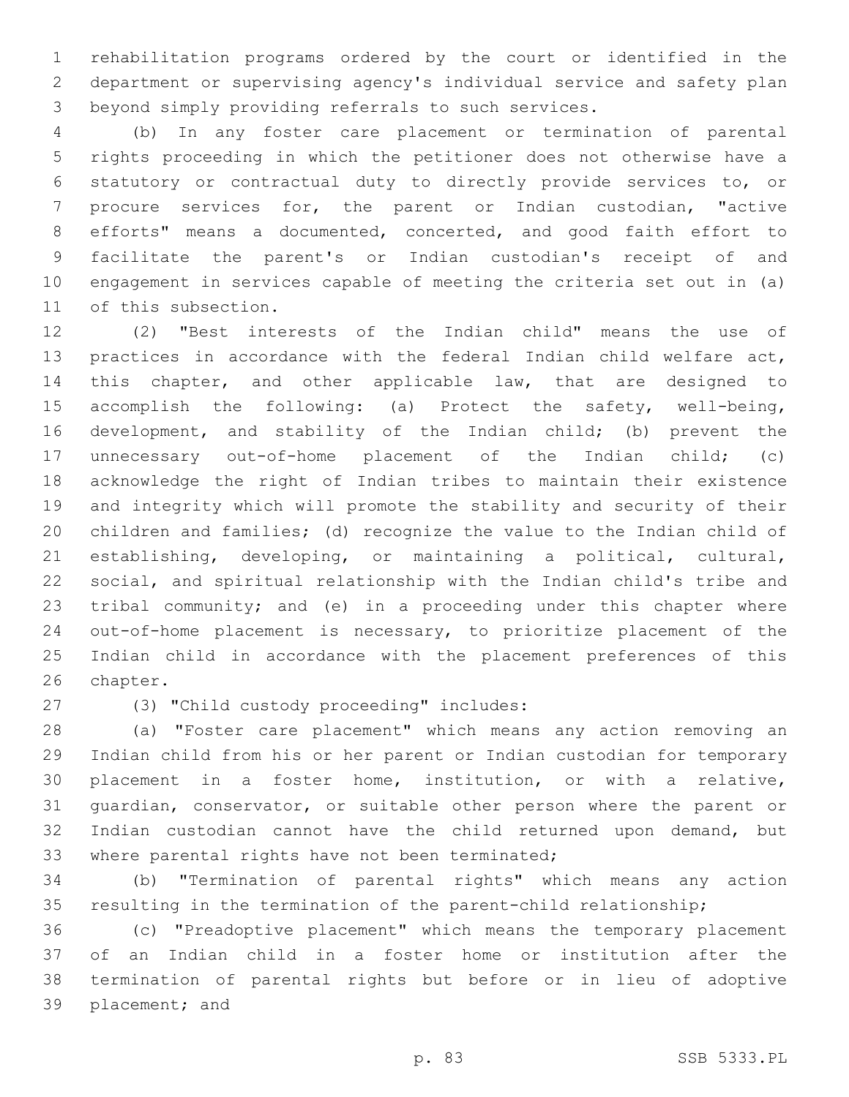rehabilitation programs ordered by the court or identified in the department or supervising agency's individual service and safety plan beyond simply providing referrals to such services.

 (b) In any foster care placement or termination of parental rights proceeding in which the petitioner does not otherwise have a statutory or contractual duty to directly provide services to, or procure services for, the parent or Indian custodian, "active efforts" means a documented, concerted, and good faith effort to facilitate the parent's or Indian custodian's receipt of and engagement in services capable of meeting the criteria set out in (a) 11 of this subsection.

 (2) "Best interests of the Indian child" means the use of practices in accordance with the federal Indian child welfare act, this chapter, and other applicable law, that are designed to accomplish the following: (a) Protect the safety, well-being, development, and stability of the Indian child; (b) prevent the unnecessary out-of-home placement of the Indian child; (c) acknowledge the right of Indian tribes to maintain their existence and integrity which will promote the stability and security of their children and families; (d) recognize the value to the Indian child of establishing, developing, or maintaining a political, cultural, social, and spiritual relationship with the Indian child's tribe and tribal community; and (e) in a proceeding under this chapter where out-of-home placement is necessary, to prioritize placement of the Indian child in accordance with the placement preferences of this 26 chapter.

(3) "Child custody proceeding" includes:27

 (a) "Foster care placement" which means any action removing an Indian child from his or her parent or Indian custodian for temporary placement in a foster home, institution, or with a relative, guardian, conservator, or suitable other person where the parent or Indian custodian cannot have the child returned upon demand, but 33 where parental rights have not been terminated;

 (b) "Termination of parental rights" which means any action resulting in the termination of the parent-child relationship;

 (c) "Preadoptive placement" which means the temporary placement of an Indian child in a foster home or institution after the termination of parental rights but before or in lieu of adoptive 39 placement; and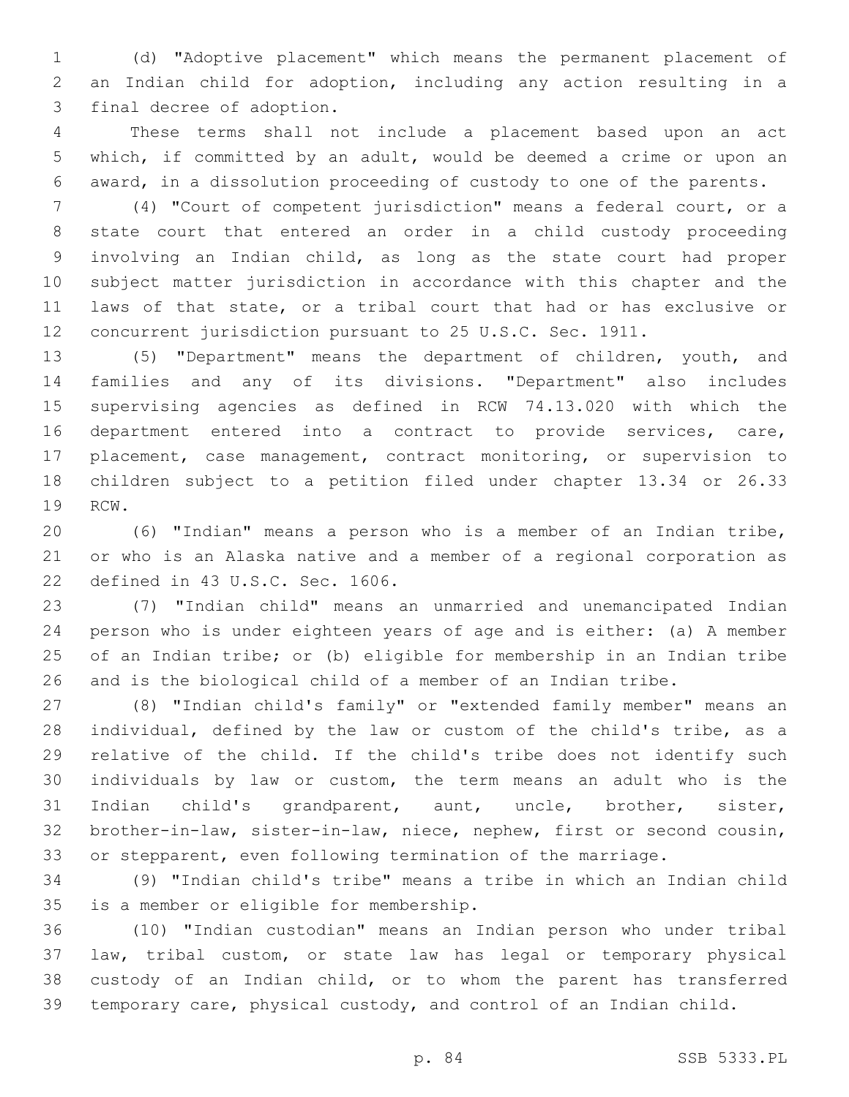(d) "Adoptive placement" which means the permanent placement of an Indian child for adoption, including any action resulting in a 3 final decree of adoption.

 These terms shall not include a placement based upon an act which, if committed by an adult, would be deemed a crime or upon an award, in a dissolution proceeding of custody to one of the parents.

 (4) "Court of competent jurisdiction" means a federal court, or a state court that entered an order in a child custody proceeding involving an Indian child, as long as the state court had proper subject matter jurisdiction in accordance with this chapter and the laws of that state, or a tribal court that had or has exclusive or concurrent jurisdiction pursuant to 25 U.S.C. Sec. 1911.

 (5) "Department" means the department of children, youth, and families and any of its divisions. "Department" also includes supervising agencies as defined in RCW 74.13.020 with which the department entered into a contract to provide services, care, placement, case management, contract monitoring, or supervision to children subject to a petition filed under chapter 13.34 or 26.33 19 RCW.

 (6) "Indian" means a person who is a member of an Indian tribe, or who is an Alaska native and a member of a regional corporation as 22 defined in 43 U.S.C. Sec. 1606.

 (7) "Indian child" means an unmarried and unemancipated Indian person who is under eighteen years of age and is either: (a) A member of an Indian tribe; or (b) eligible for membership in an Indian tribe and is the biological child of a member of an Indian tribe.

 (8) "Indian child's family" or "extended family member" means an individual, defined by the law or custom of the child's tribe, as a relative of the child. If the child's tribe does not identify such individuals by law or custom, the term means an adult who is the Indian child's grandparent, aunt, uncle, brother, sister, brother-in-law, sister-in-law, niece, nephew, first or second cousin, or stepparent, even following termination of the marriage.

 (9) "Indian child's tribe" means a tribe in which an Indian child 35 is a member or eligible for membership.

 (10) "Indian custodian" means an Indian person who under tribal law, tribal custom, or state law has legal or temporary physical custody of an Indian child, or to whom the parent has transferred temporary care, physical custody, and control of an Indian child.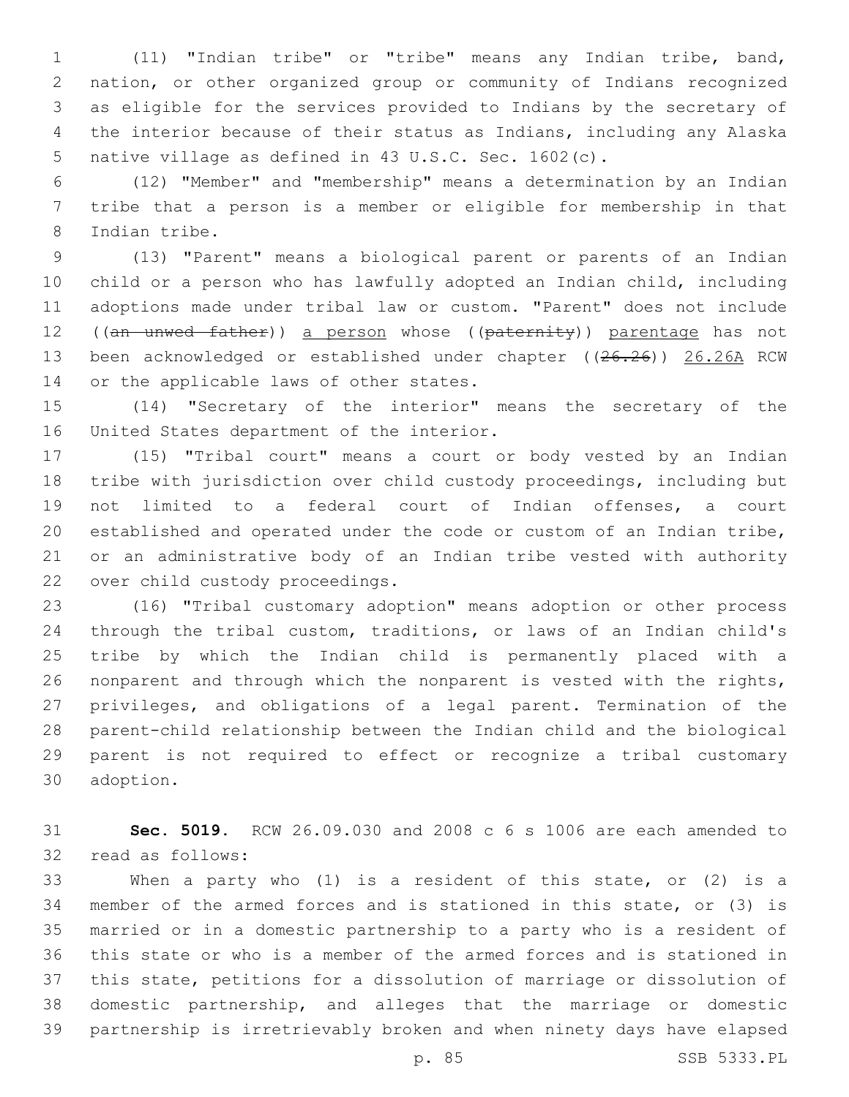(11) "Indian tribe" or "tribe" means any Indian tribe, band, nation, or other organized group or community of Indians recognized as eligible for the services provided to Indians by the secretary of the interior because of their status as Indians, including any Alaska native village as defined in 43 U.S.C. Sec. 1602(c).

 (12) "Member" and "membership" means a determination by an Indian tribe that a person is a member or eligible for membership in that 8 Indian tribe.

 (13) "Parent" means a biological parent or parents of an Indian child or a person who has lawfully adopted an Indian child, including adoptions made under tribal law or custom. "Parent" does not include 12 ((an unwed father)) a person whose ((paternity)) parentage has not 13 been acknowledged or established under chapter ((26.26)) 26.26A RCW 14 or the applicable laws of other states.

 (14) "Secretary of the interior" means the secretary of the 16 United States department of the interior.

 (15) "Tribal court" means a court or body vested by an Indian tribe with jurisdiction over child custody proceedings, including but not limited to a federal court of Indian offenses, a court established and operated under the code or custom of an Indian tribe, or an administrative body of an Indian tribe vested with authority 22 over child custody proceedings.

 (16) "Tribal customary adoption" means adoption or other process through the tribal custom, traditions, or laws of an Indian child's tribe by which the Indian child is permanently placed with a nonparent and through which the nonparent is vested with the rights, privileges, and obligations of a legal parent. Termination of the parent-child relationship between the Indian child and the biological parent is not required to effect or recognize a tribal customary 30 adoption.

 **Sec. 5019.** RCW 26.09.030 and 2008 c 6 s 1006 are each amended to 32 read as follows:

 When a party who (1) is a resident of this state, or (2) is a member of the armed forces and is stationed in this state, or (3) is married or in a domestic partnership to a party who is a resident of this state or who is a member of the armed forces and is stationed in this state, petitions for a dissolution of marriage or dissolution of domestic partnership, and alleges that the marriage or domestic partnership is irretrievably broken and when ninety days have elapsed

p. 85 SSB 5333.PL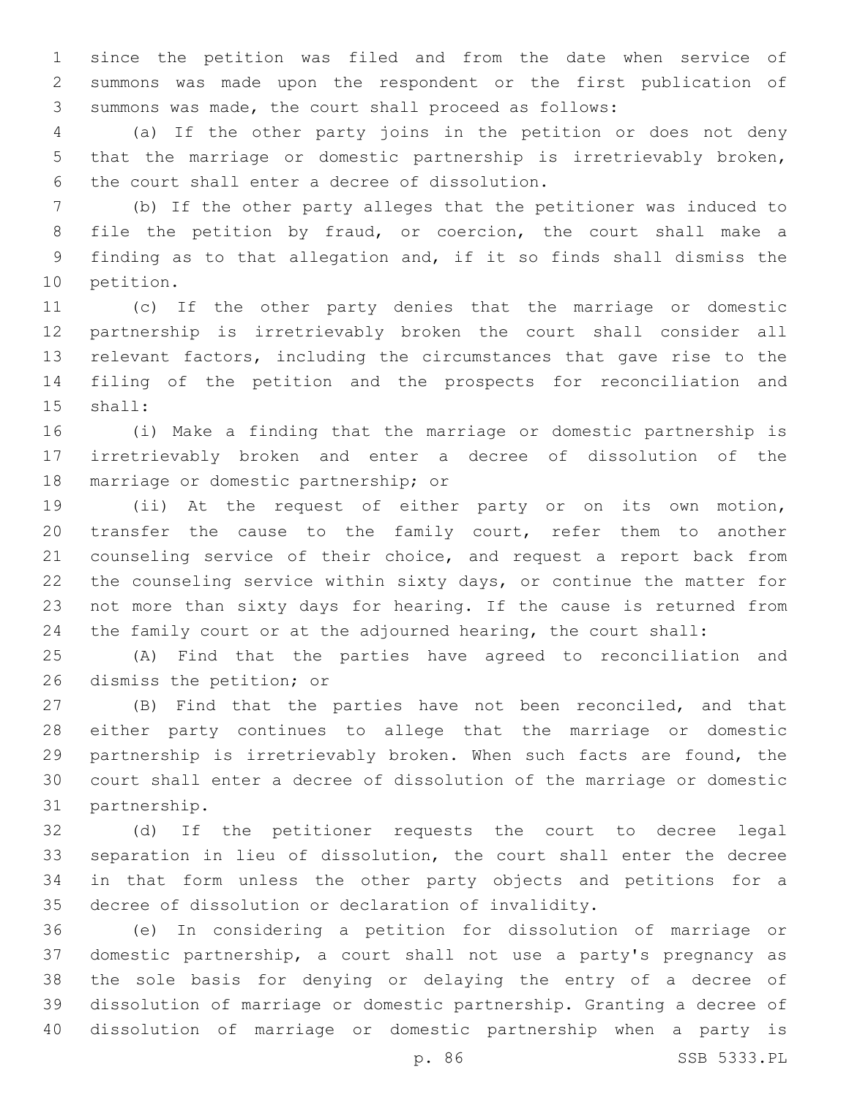since the petition was filed and from the date when service of summons was made upon the respondent or the first publication of summons was made, the court shall proceed as follows:

 (a) If the other party joins in the petition or does not deny that the marriage or domestic partnership is irretrievably broken, 6 the court shall enter a decree of dissolution.

 (b) If the other party alleges that the petitioner was induced to file the petition by fraud, or coercion, the court shall make a finding as to that allegation and, if it so finds shall dismiss the 10 petition.

 (c) If the other party denies that the marriage or domestic partnership is irretrievably broken the court shall consider all relevant factors, including the circumstances that gave rise to the filing of the petition and the prospects for reconciliation and 15 shall:

 (i) Make a finding that the marriage or domestic partnership is irretrievably broken and enter a decree of dissolution of the 18 marriage or domestic partnership; or

 (ii) At the request of either party or on its own motion, transfer the cause to the family court, refer them to another counseling service of their choice, and request a report back from the counseling service within sixty days, or continue the matter for not more than sixty days for hearing. If the cause is returned from the family court or at the adjourned hearing, the court shall:

 (A) Find that the parties have agreed to reconciliation and 26 dismiss the petition; or

 (B) Find that the parties have not been reconciled, and that either party continues to allege that the marriage or domestic partnership is irretrievably broken. When such facts are found, the court shall enter a decree of dissolution of the marriage or domestic 31 partnership.

 (d) If the petitioner requests the court to decree legal separation in lieu of dissolution, the court shall enter the decree in that form unless the other party objects and petitions for a decree of dissolution or declaration of invalidity.

 (e) In considering a petition for dissolution of marriage or domestic partnership, a court shall not use a party's pregnancy as the sole basis for denying or delaying the entry of a decree of dissolution of marriage or domestic partnership. Granting a decree of dissolution of marriage or domestic partnership when a party is

p. 86 SSB 5333.PL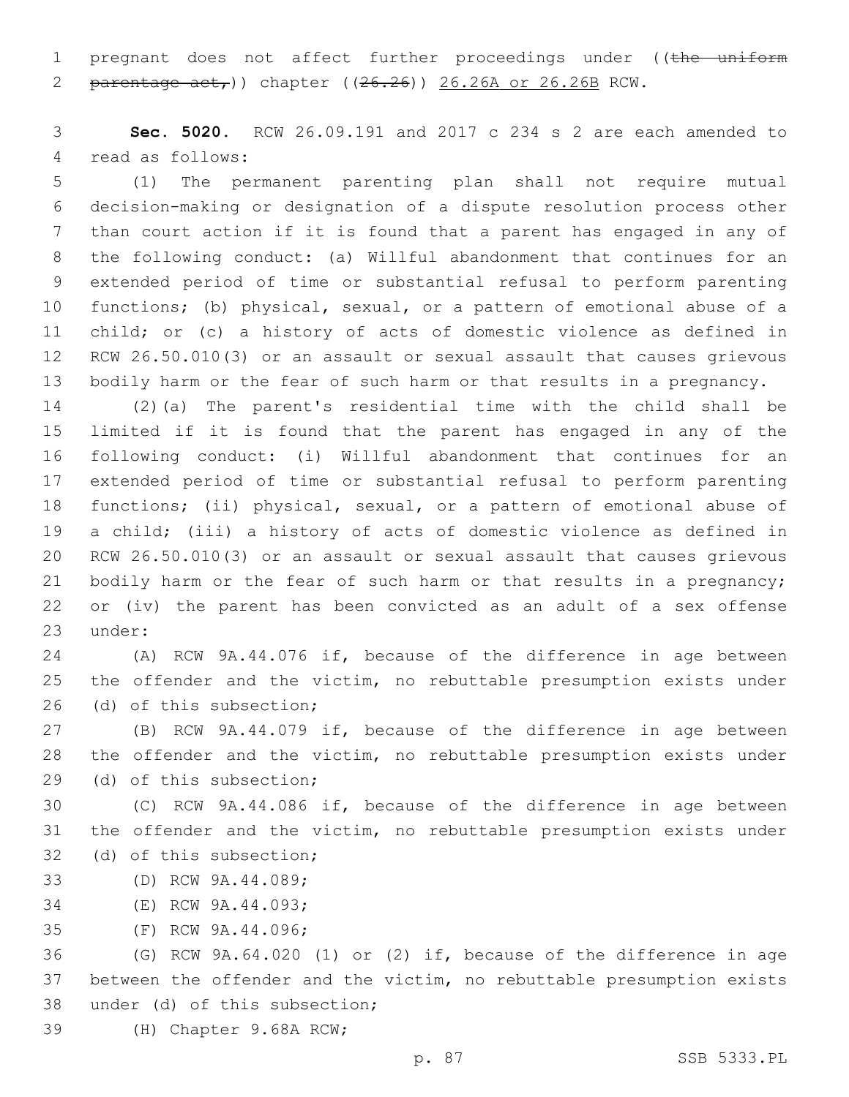1 pregnant does not affect further proceedings under ((the uniform 2 parentage  $act$ , 2 chapter ((26.26)) 26.26A or 26.26B RCW.

 **Sec. 5020.** RCW 26.09.191 and 2017 c 234 s 2 are each amended to 4 read as follows:

 (1) The permanent parenting plan shall not require mutual decision-making or designation of a dispute resolution process other than court action if it is found that a parent has engaged in any of the following conduct: (a) Willful abandonment that continues for an extended period of time or substantial refusal to perform parenting functions; (b) physical, sexual, or a pattern of emotional abuse of a child; or (c) a history of acts of domestic violence as defined in RCW 26.50.010(3) or an assault or sexual assault that causes grievous bodily harm or the fear of such harm or that results in a pregnancy.

 (2)(a) The parent's residential time with the child shall be limited if it is found that the parent has engaged in any of the following conduct: (i) Willful abandonment that continues for an extended period of time or substantial refusal to perform parenting functions; (ii) physical, sexual, or a pattern of emotional abuse of a child; (iii) a history of acts of domestic violence as defined in RCW 26.50.010(3) or an assault or sexual assault that causes grievous bodily harm or the fear of such harm or that results in a pregnancy; or (iv) the parent has been convicted as an adult of a sex offense 23 under:

 (A) RCW 9A.44.076 if, because of the difference in age between the offender and the victim, no rebuttable presumption exists under 26 (d) of this subsection;

 (B) RCW 9A.44.079 if, because of the difference in age between the offender and the victim, no rebuttable presumption exists under 29 (d) of this subsection;

 (C) RCW 9A.44.086 if, because of the difference in age between the offender and the victim, no rebuttable presumption exists under 32 (d) of this subsection;

- 33 (D) RCW 9A.44.089;
- 34 (E) RCW 9A.44.093;
- 35 (F) RCW 9A.44.096;

 (G) RCW 9A.64.020 (1) or (2) if, because of the difference in age between the offender and the victim, no rebuttable presumption exists 38 under (d) of this subsection;

39 (H) Chapter 9.68A RCW;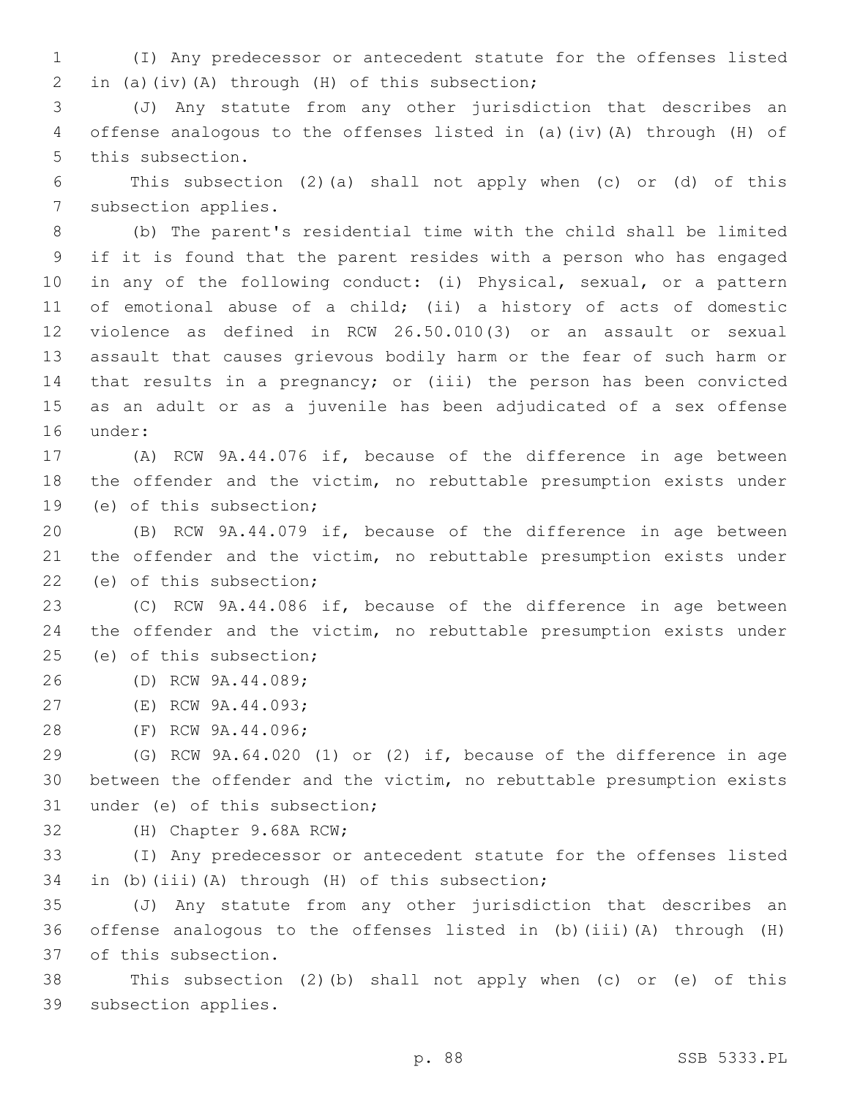1 (I) Any predecessor or antecedent statute for the offenses listed 2 in (a)(iv)(A) through (H) of this subsection;

3 (J) Any statute from any other jurisdiction that describes an 4 offense analogous to the offenses listed in (a)(iv)(A) through (H) of 5 this subsection.

6 This subsection (2)(a) shall not apply when (c) or (d) of this 7 subsection applies.

 (b) The parent's residential time with the child shall be limited if it is found that the parent resides with a person who has engaged in any of the following conduct: (i) Physical, sexual, or a pattern of emotional abuse of a child; (ii) a history of acts of domestic violence as defined in RCW 26.50.010(3) or an assault or sexual assault that causes grievous bodily harm or the fear of such harm or that results in a pregnancy; or (iii) the person has been convicted as an adult or as a juvenile has been adjudicated of a sex offense 16 under:

17 (A) RCW 9A.44.076 if, because of the difference in age between 18 the offender and the victim, no rebuttable presumption exists under 19 (e) of this subsection;

20 (B) RCW 9A.44.079 if, because of the difference in age between 21 the offender and the victim, no rebuttable presumption exists under 22 (e) of this subsection;

23 (C) RCW 9A.44.086 if, because of the difference in age between 24 the offender and the victim, no rebuttable presumption exists under 25 (e) of this subsection;

26 (D) RCW 9A.44.089;

27 (E) RCW 9A.44.093;

28 (F) RCW 9A.44.096;

29 (G) RCW 9A.64.020 (1) or (2) if, because of the difference in age 30 between the offender and the victim, no rebuttable presumption exists 31 under (e) of this subsection;

32 (H) Chapter 9.68A RCW;

33 (I) Any predecessor or antecedent statute for the offenses listed 34 in (b)(iii)(A) through (H) of this subsection;

35 (J) Any statute from any other jurisdiction that describes an 36 offense analogous to the offenses listed in (b)(iii)(A) through (H) 37 of this subsection.

38 This subsection (2)(b) shall not apply when (c) or (e) of this 39 subsection applies.

p. 88 SSB 5333.PL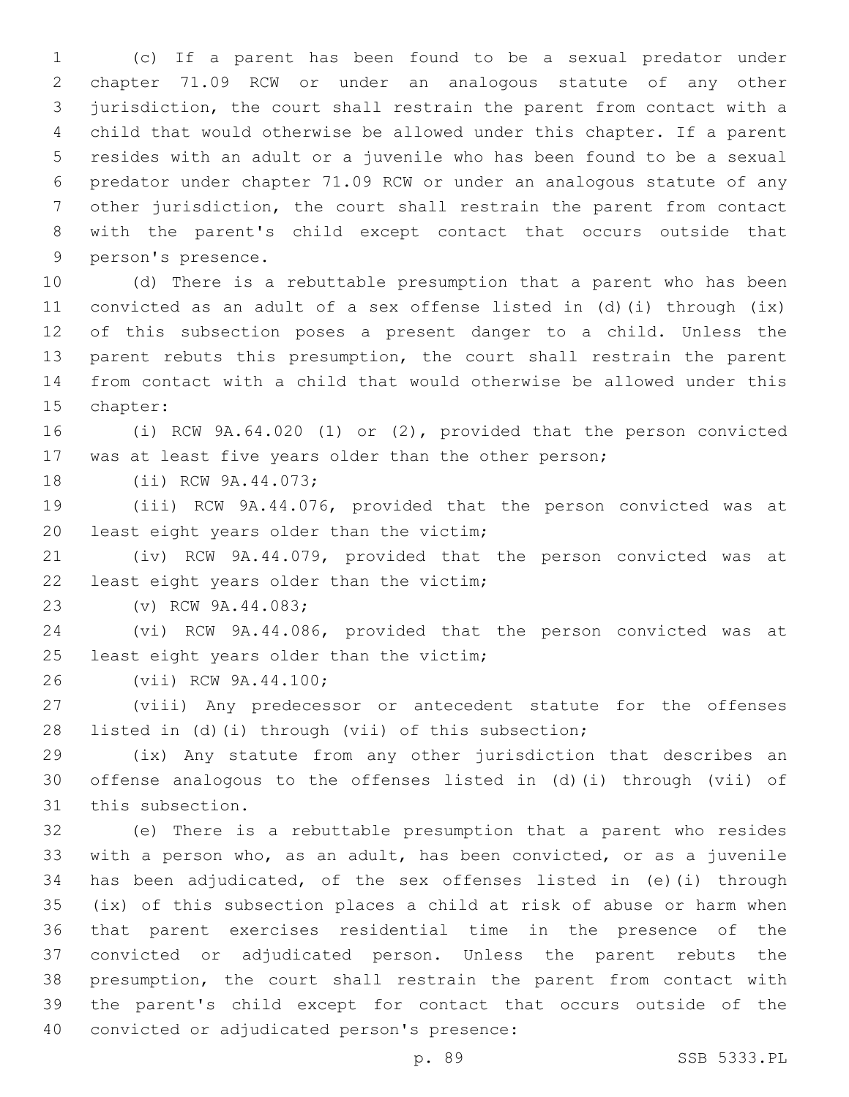(c) If a parent has been found to be a sexual predator under chapter 71.09 RCW or under an analogous statute of any other jurisdiction, the court shall restrain the parent from contact with a child that would otherwise be allowed under this chapter. If a parent resides with an adult or a juvenile who has been found to be a sexual predator under chapter 71.09 RCW or under an analogous statute of any other jurisdiction, the court shall restrain the parent from contact with the parent's child except contact that occurs outside that 9 person's presence.

 (d) There is a rebuttable presumption that a parent who has been convicted as an adult of a sex offense listed in (d)(i) through (ix) of this subsection poses a present danger to a child. Unless the parent rebuts this presumption, the court shall restrain the parent from contact with a child that would otherwise be allowed under this 15 chapter:

 (i) RCW 9A.64.020 (1) or (2), provided that the person convicted was at least five years older than the other person;

18 (ii) RCW 9A.44.073;

 (iii) RCW 9A.44.076, provided that the person convicted was at 20 least eight years older than the victim;

 (iv) RCW 9A.44.079, provided that the person convicted was at 22 least eight years older than the victim;

23 (v) RCW 9A.44.083;

 (vi) RCW 9A.44.086, provided that the person convicted was at 25 least eight years older than the victim;

26 (vii) RCW 9A.44.100;

 (viii) Any predecessor or antecedent statute for the offenses listed in (d)(i) through (vii) of this subsection;

 (ix) Any statute from any other jurisdiction that describes an offense analogous to the offenses listed in (d)(i) through (vii) of 31 this subsection.

 (e) There is a rebuttable presumption that a parent who resides with a person who, as an adult, has been convicted, or as a juvenile has been adjudicated, of the sex offenses listed in (e)(i) through (ix) of this subsection places a child at risk of abuse or harm when that parent exercises residential time in the presence of the convicted or adjudicated person. Unless the parent rebuts the presumption, the court shall restrain the parent from contact with the parent's child except for contact that occurs outside of the 40 convicted or adjudicated person's presence:

p. 89 SSB 5333.PL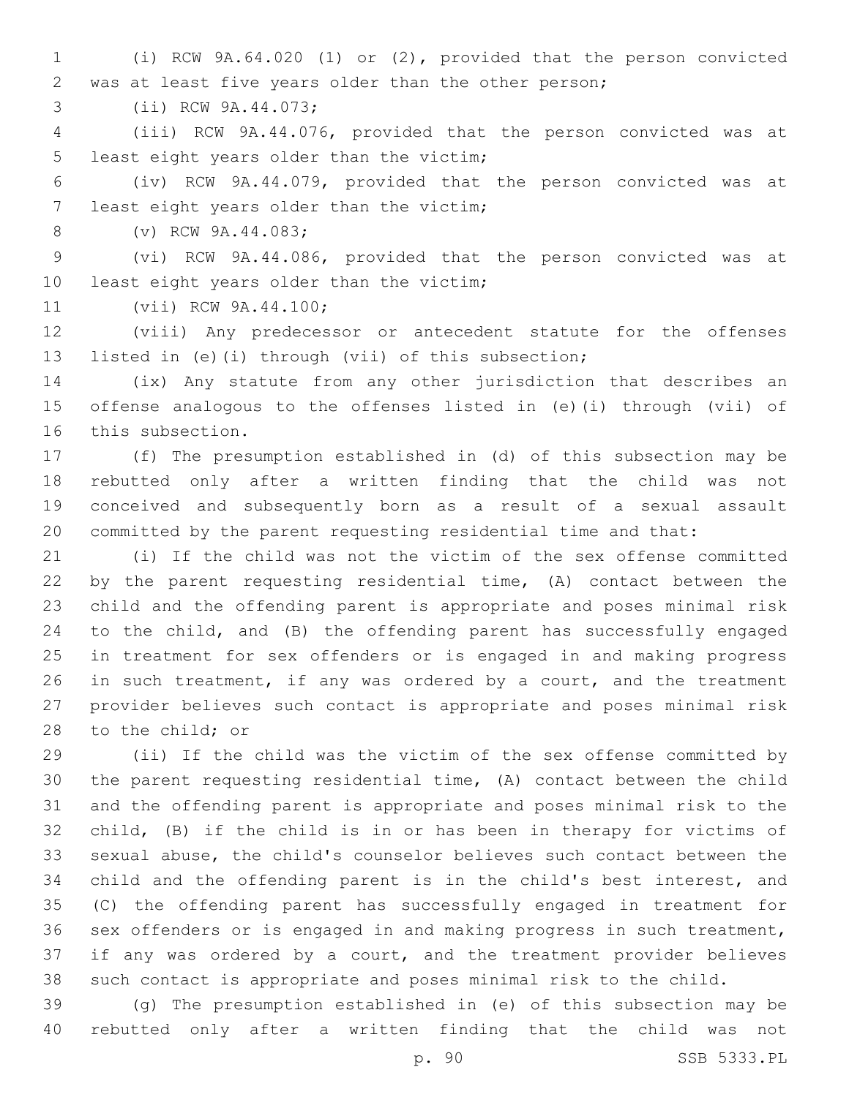(i) RCW 9A.64.020 (1) or (2), provided that the person convicted was at least five years older than the other person;

3 (ii) RCW 9A.44.073;

 (iii) RCW 9A.44.076, provided that the person convicted was at 5 least eight years older than the victim;

 (iv) RCW 9A.44.079, provided that the person convicted was at 7 least eight years older than the victim;

8 (v) RCW 9A.44.083;

 (vi) RCW 9A.44.086, provided that the person convicted was at 10 least eight years older than the victim;

11 (vii) RCW 9A.44.100;

 (viii) Any predecessor or antecedent statute for the offenses listed in (e)(i) through (vii) of this subsection;

 (ix) Any statute from any other jurisdiction that describes an offense analogous to the offenses listed in (e)(i) through (vii) of 16 this subsection.

 (f) The presumption established in (d) of this subsection may be rebutted only after a written finding that the child was not conceived and subsequently born as a result of a sexual assault committed by the parent requesting residential time and that:

 (i) If the child was not the victim of the sex offense committed by the parent requesting residential time, (A) contact between the child and the offending parent is appropriate and poses minimal risk to the child, and (B) the offending parent has successfully engaged in treatment for sex offenders or is engaged in and making progress 26 in such treatment, if any was ordered by a court, and the treatment provider believes such contact is appropriate and poses minimal risk 28 to the child; or

 (ii) If the child was the victim of the sex offense committed by the parent requesting residential time, (A) contact between the child and the offending parent is appropriate and poses minimal risk to the child, (B) if the child is in or has been in therapy for victims of sexual abuse, the child's counselor believes such contact between the child and the offending parent is in the child's best interest, and (C) the offending parent has successfully engaged in treatment for sex offenders or is engaged in and making progress in such treatment, if any was ordered by a court, and the treatment provider believes such contact is appropriate and poses minimal risk to the child.

 (g) The presumption established in (e) of this subsection may be rebutted only after a written finding that the child was not

p. 90 SSB 5333.PL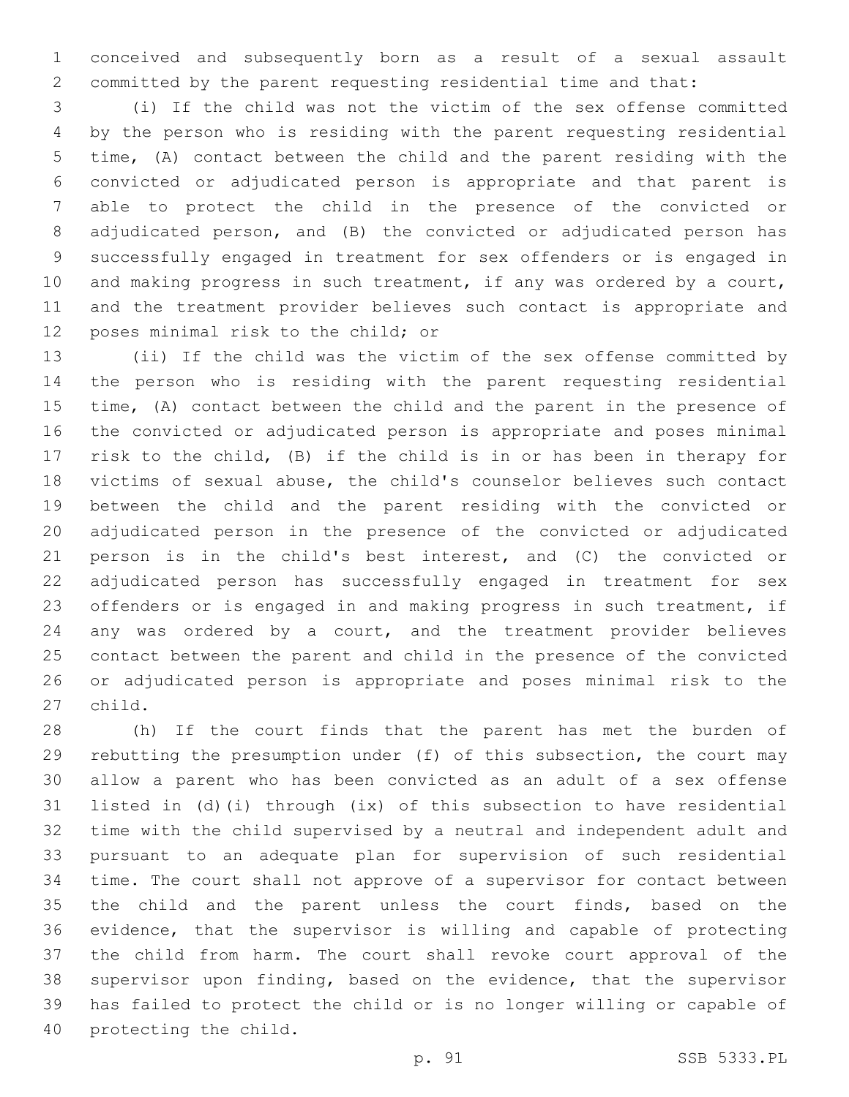conceived and subsequently born as a result of a sexual assault committed by the parent requesting residential time and that:

 (i) If the child was not the victim of the sex offense committed by the person who is residing with the parent requesting residential time, (A) contact between the child and the parent residing with the convicted or adjudicated person is appropriate and that parent is able to protect the child in the presence of the convicted or adjudicated person, and (B) the convicted or adjudicated person has successfully engaged in treatment for sex offenders or is engaged in 10 and making progress in such treatment, if any was ordered by a court, and the treatment provider believes such contact is appropriate and 12 poses minimal risk to the child; or

 (ii) If the child was the victim of the sex offense committed by the person who is residing with the parent requesting residential time, (A) contact between the child and the parent in the presence of the convicted or adjudicated person is appropriate and poses minimal risk to the child, (B) if the child is in or has been in therapy for victims of sexual abuse, the child's counselor believes such contact between the child and the parent residing with the convicted or adjudicated person in the presence of the convicted or adjudicated person is in the child's best interest, and (C) the convicted or adjudicated person has successfully engaged in treatment for sex offenders or is engaged in and making progress in such treatment, if any was ordered by a court, and the treatment provider believes contact between the parent and child in the presence of the convicted or adjudicated person is appropriate and poses minimal risk to the 27 child.

 (h) If the court finds that the parent has met the burden of rebutting the presumption under (f) of this subsection, the court may allow a parent who has been convicted as an adult of a sex offense listed in (d)(i) through (ix) of this subsection to have residential time with the child supervised by a neutral and independent adult and pursuant to an adequate plan for supervision of such residential time. The court shall not approve of a supervisor for contact between the child and the parent unless the court finds, based on the evidence, that the supervisor is willing and capable of protecting the child from harm. The court shall revoke court approval of the supervisor upon finding, based on the evidence, that the supervisor has failed to protect the child or is no longer willing or capable of 40 protecting the child.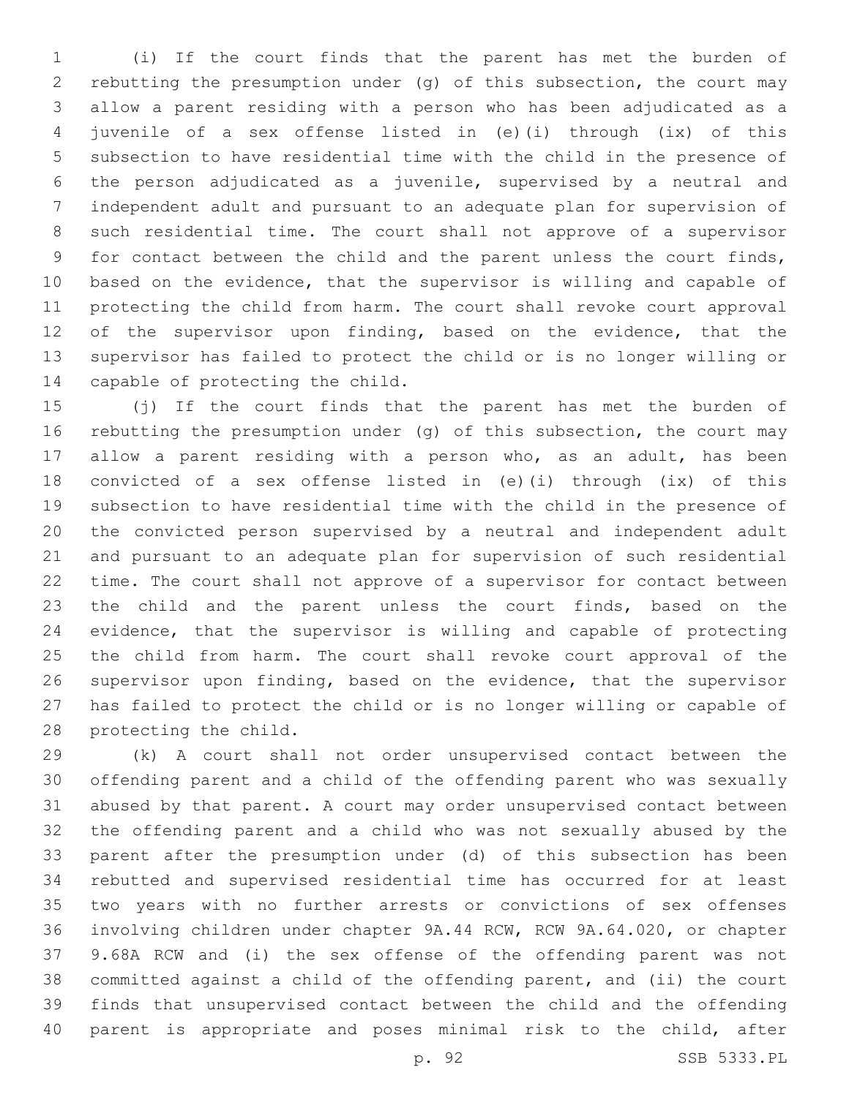(i) If the court finds that the parent has met the burden of rebutting the presumption under (g) of this subsection, the court may allow a parent residing with a person who has been adjudicated as a juvenile of a sex offense listed in (e)(i) through (ix) of this subsection to have residential time with the child in the presence of the person adjudicated as a juvenile, supervised by a neutral and independent adult and pursuant to an adequate plan for supervision of such residential time. The court shall not approve of a supervisor 9 for contact between the child and the parent unless the court finds, based on the evidence, that the supervisor is willing and capable of protecting the child from harm. The court shall revoke court approval 12 of the supervisor upon finding, based on the evidence, that the supervisor has failed to protect the child or is no longer willing or 14 capable of protecting the child.

 (j) If the court finds that the parent has met the burden of rebutting the presumption under (g) of this subsection, the court may allow a parent residing with a person who, as an adult, has been convicted of a sex offense listed in (e)(i) through (ix) of this subsection to have residential time with the child in the presence of the convicted person supervised by a neutral and independent adult and pursuant to an adequate plan for supervision of such residential time. The court shall not approve of a supervisor for contact between the child and the parent unless the court finds, based on the evidence, that the supervisor is willing and capable of protecting the child from harm. The court shall revoke court approval of the supervisor upon finding, based on the evidence, that the supervisor has failed to protect the child or is no longer willing or capable of 28 protecting the child.

 (k) A court shall not order unsupervised contact between the offending parent and a child of the offending parent who was sexually abused by that parent. A court may order unsupervised contact between the offending parent and a child who was not sexually abused by the parent after the presumption under (d) of this subsection has been rebutted and supervised residential time has occurred for at least two years with no further arrests or convictions of sex offenses involving children under chapter 9A.44 RCW, RCW 9A.64.020, or chapter 9.68A RCW and (i) the sex offense of the offending parent was not committed against a child of the offending parent, and (ii) the court finds that unsupervised contact between the child and the offending parent is appropriate and poses minimal risk to the child, after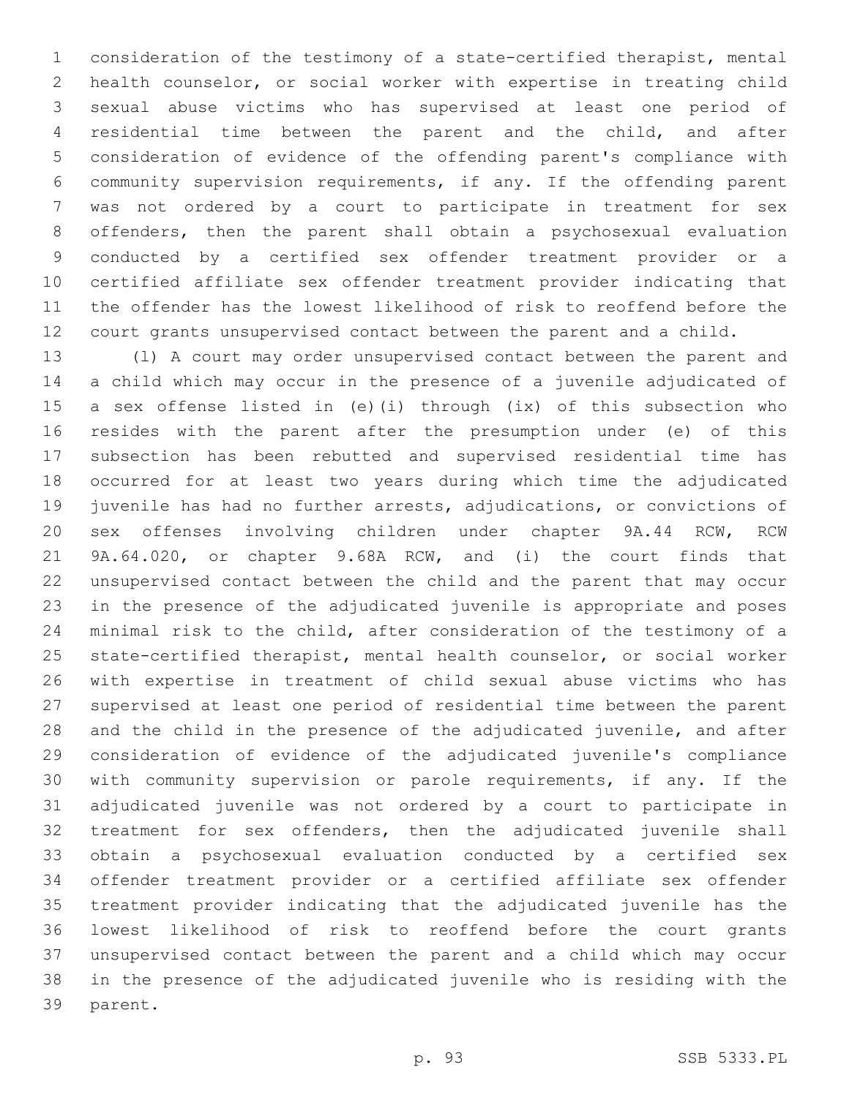consideration of the testimony of a state-certified therapist, mental health counselor, or social worker with expertise in treating child sexual abuse victims who has supervised at least one period of residential time between the parent and the child, and after consideration of evidence of the offending parent's compliance with community supervision requirements, if any. If the offending parent was not ordered by a court to participate in treatment for sex offenders, then the parent shall obtain a psychosexual evaluation conducted by a certified sex offender treatment provider or a certified affiliate sex offender treatment provider indicating that the offender has the lowest likelihood of risk to reoffend before the court grants unsupervised contact between the parent and a child.

 (l) A court may order unsupervised contact between the parent and a child which may occur in the presence of a juvenile adjudicated of a sex offense listed in (e)(i) through (ix) of this subsection who resides with the parent after the presumption under (e) of this subsection has been rebutted and supervised residential time has occurred for at least two years during which time the adjudicated juvenile has had no further arrests, adjudications, or convictions of sex offenses involving children under chapter 9A.44 RCW, RCW 9A.64.020, or chapter 9.68A RCW, and (i) the court finds that unsupervised contact between the child and the parent that may occur in the presence of the adjudicated juvenile is appropriate and poses minimal risk to the child, after consideration of the testimony of a state-certified therapist, mental health counselor, or social worker with expertise in treatment of child sexual abuse victims who has supervised at least one period of residential time between the parent and the child in the presence of the adjudicated juvenile, and after consideration of evidence of the adjudicated juvenile's compliance with community supervision or parole requirements, if any. If the adjudicated juvenile was not ordered by a court to participate in treatment for sex offenders, then the adjudicated juvenile shall obtain a psychosexual evaluation conducted by a certified sex offender treatment provider or a certified affiliate sex offender treatment provider indicating that the adjudicated juvenile has the lowest likelihood of risk to reoffend before the court grants unsupervised contact between the parent and a child which may occur in the presence of the adjudicated juvenile who is residing with the 39 parent.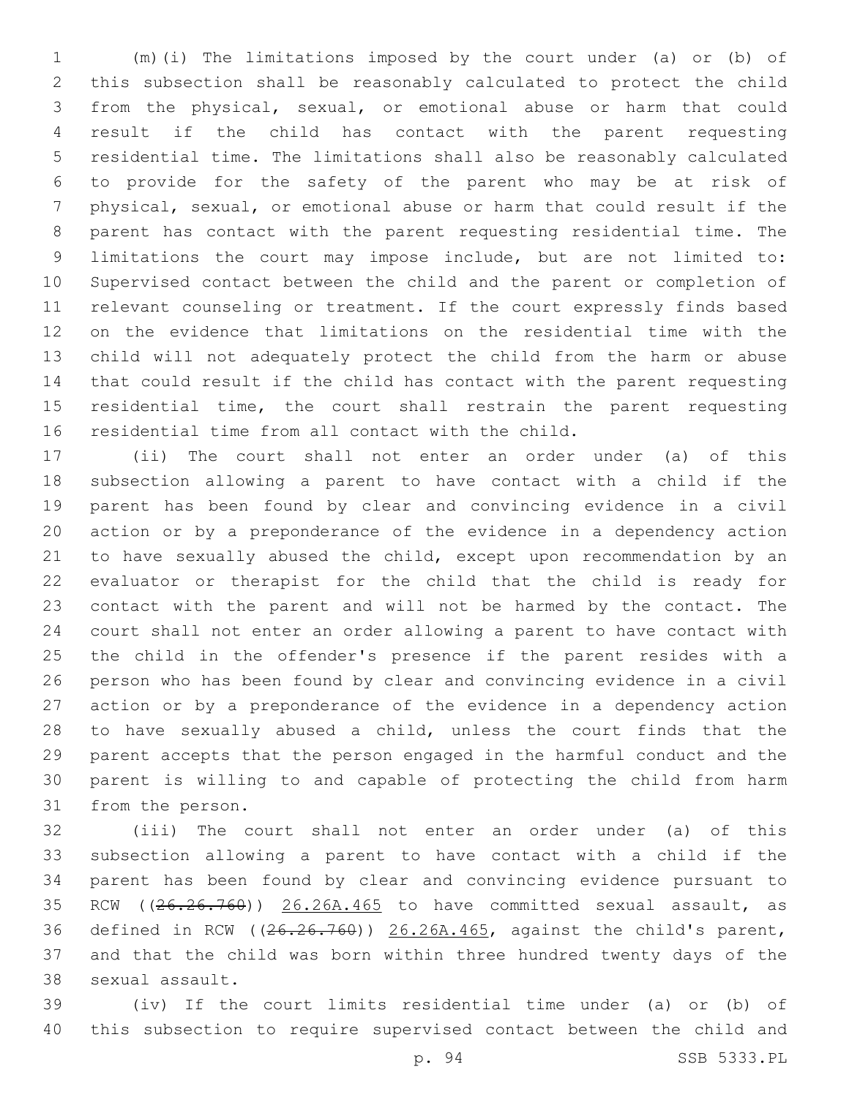(m)(i) The limitations imposed by the court under (a) or (b) of this subsection shall be reasonably calculated to protect the child from the physical, sexual, or emotional abuse or harm that could result if the child has contact with the parent requesting residential time. The limitations shall also be reasonably calculated to provide for the safety of the parent who may be at risk of physical, sexual, or emotional abuse or harm that could result if the parent has contact with the parent requesting residential time. The limitations the court may impose include, but are not limited to: Supervised contact between the child and the parent or completion of relevant counseling or treatment. If the court expressly finds based on the evidence that limitations on the residential time with the child will not adequately protect the child from the harm or abuse that could result if the child has contact with the parent requesting residential time, the court shall restrain the parent requesting 16 residential time from all contact with the child.

 (ii) The court shall not enter an order under (a) of this subsection allowing a parent to have contact with a child if the parent has been found by clear and convincing evidence in a civil action or by a preponderance of the evidence in a dependency action to have sexually abused the child, except upon recommendation by an evaluator or therapist for the child that the child is ready for contact with the parent and will not be harmed by the contact. The court shall not enter an order allowing a parent to have contact with the child in the offender's presence if the parent resides with a person who has been found by clear and convincing evidence in a civil action or by a preponderance of the evidence in a dependency action to have sexually abused a child, unless the court finds that the parent accepts that the person engaged in the harmful conduct and the parent is willing to and capable of protecting the child from harm 31 from the person.

 (iii) The court shall not enter an order under (a) of this subsection allowing a parent to have contact with a child if the parent has been found by clear and convincing evidence pursuant to 35 RCW ((26.26.760)) 26.26A.465 to have committed sexual assault, as defined in RCW ((26.26.760)) 26.26A.465, against the child's parent, and that the child was born within three hundred twenty days of the 38 sexual assault.

 (iv) If the court limits residential time under (a) or (b) of this subsection to require supervised contact between the child and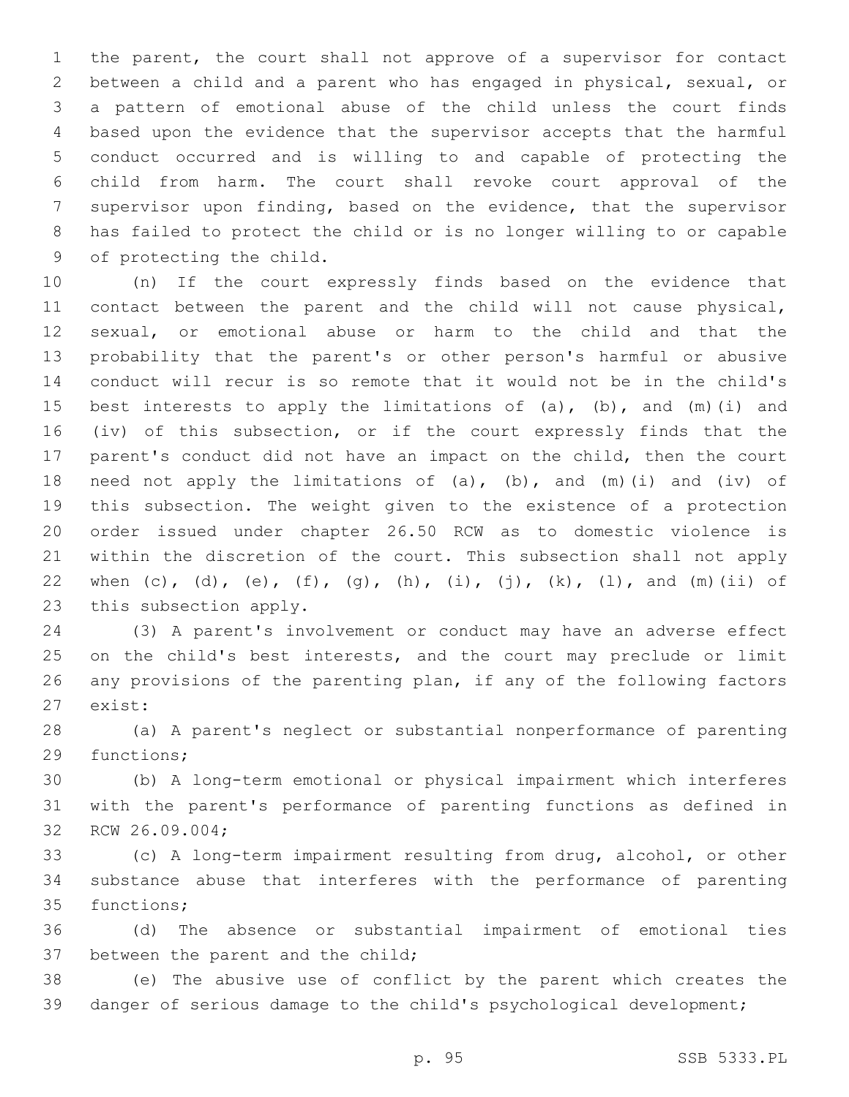the parent, the court shall not approve of a supervisor for contact between a child and a parent who has engaged in physical, sexual, or a pattern of emotional abuse of the child unless the court finds based upon the evidence that the supervisor accepts that the harmful conduct occurred and is willing to and capable of protecting the child from harm. The court shall revoke court approval of the supervisor upon finding, based on the evidence, that the supervisor has failed to protect the child or is no longer willing to or capable 9 of protecting the child.

 (n) If the court expressly finds based on the evidence that contact between the parent and the child will not cause physical, sexual, or emotional abuse or harm to the child and that the probability that the parent's or other person's harmful or abusive conduct will recur is so remote that it would not be in the child's 15 best interests to apply the limitations of  $(a)$ ,  $(b)$ , and  $(m)$  (i) and (iv) of this subsection, or if the court expressly finds that the parent's conduct did not have an impact on the child, then the court 18 need not apply the limitations of (a), (b), and (m)(i) and (iv) of this subsection. The weight given to the existence of a protection order issued under chapter 26.50 RCW as to domestic violence is within the discretion of the court. This subsection shall not apply 22 when (c), (d), (e), (f), (q), (h), (i), (j), (k), (l), and (m)(ii) of 23 this subsection apply.

 (3) A parent's involvement or conduct may have an adverse effect 25 on the child's best interests, and the court may preclude or limit any provisions of the parenting plan, if any of the following factors 27 exist:

 (a) A parent's neglect or substantial nonperformance of parenting 29 functions;

 (b) A long-term emotional or physical impairment which interferes with the parent's performance of parenting functions as defined in 32 RCW 26.09.004;

 (c) A long-term impairment resulting from drug, alcohol, or other substance abuse that interferes with the performance of parenting 35 functions;

 (d) The absence or substantial impairment of emotional ties 37 between the parent and the child;

 (e) The abusive use of conflict by the parent which creates the danger of serious damage to the child's psychological development;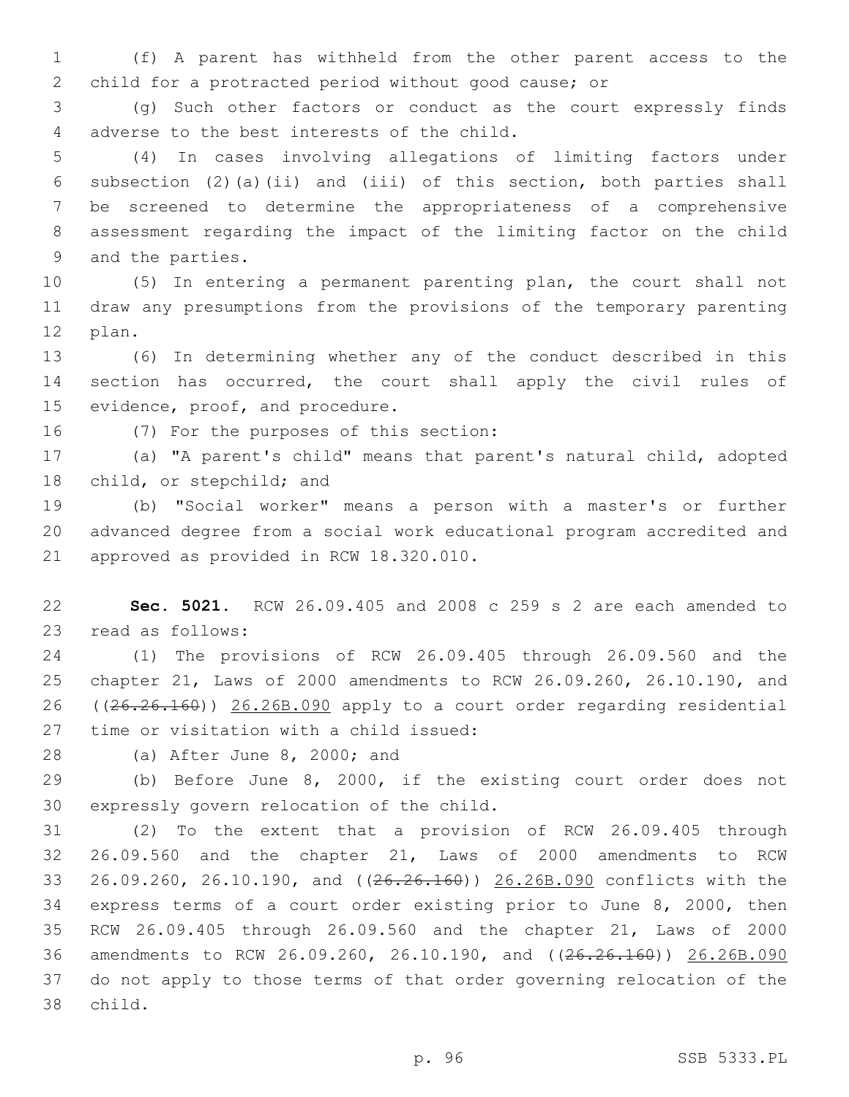(f) A parent has withheld from the other parent access to the child for a protracted period without good cause; or

 (g) Such other factors or conduct as the court expressly finds 4 adverse to the best interests of the child.

 (4) In cases involving allegations of limiting factors under subsection (2)(a)(ii) and (iii) of this section, both parties shall be screened to determine the appropriateness of a comprehensive assessment regarding the impact of the limiting factor on the child 9 and the parties.

 (5) In entering a permanent parenting plan, the court shall not draw any presumptions from the provisions of the temporary parenting 12 plan.

 (6) In determining whether any of the conduct described in this section has occurred, the court shall apply the civil rules of 15 evidence, proof, and procedure.

16 (7) For the purposes of this section:

 (a) "A parent's child" means that parent's natural child, adopted 18 child, or stepchild; and

 (b) "Social worker" means a person with a master's or further advanced degree from a social work educational program accredited and 21 approved as provided in RCW 18.320.010.

 **Sec. 5021.** RCW 26.09.405 and 2008 c 259 s 2 are each amended to 23 read as follows:

 (1) The provisions of RCW 26.09.405 through 26.09.560 and the chapter 21, Laws of 2000 amendments to RCW 26.09.260, 26.10.190, and ((26.26.160)) 26.26B.090 apply to a court order regarding residential 27 time or visitation with a child issued:

28 (a) After June 8, 2000; and

 (b) Before June 8, 2000, if the existing court order does not 30 expressly govern relocation of the child.

 (2) To the extent that a provision of RCW 26.09.405 through 26.09.560 and the chapter 21, Laws of 2000 amendments to RCW 26.09.260, 26.10.190, and ((26.26.160)) 26.26B.090 conflicts with the express terms of a court order existing prior to June 8, 2000, then RCW 26.09.405 through 26.09.560 and the chapter 21, Laws of 2000 amendments to RCW 26.09.260, 26.10.190, and ((26.26.160)) 26.26B.090 do not apply to those terms of that order governing relocation of the 38 child.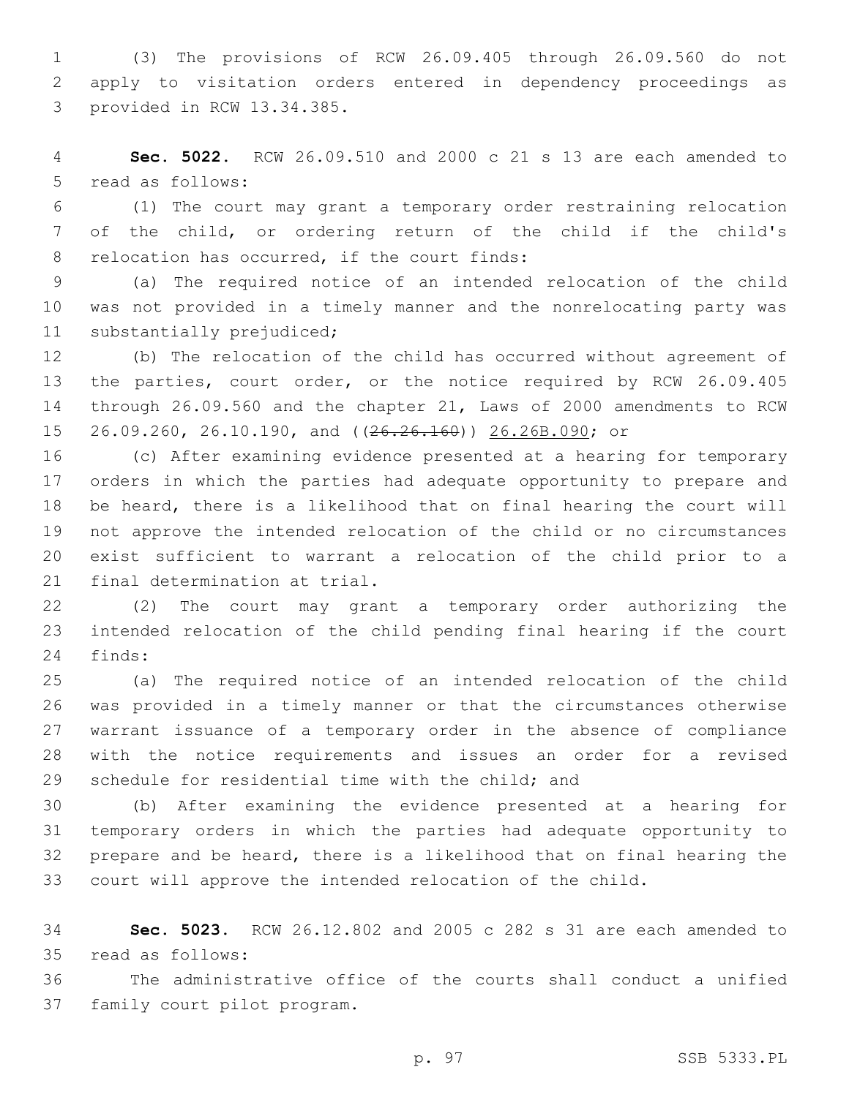(3) The provisions of RCW 26.09.405 through 26.09.560 do not apply to visitation orders entered in dependency proceedings as 3 provided in RCW 13.34.385.

 **Sec. 5022.** RCW 26.09.510 and 2000 c 21 s 13 are each amended to 5 read as follows:

 (1) The court may grant a temporary order restraining relocation of the child, or ordering return of the child if the child's 8 relocation has occurred, if the court finds:

 (a) The required notice of an intended relocation of the child was not provided in a timely manner and the nonrelocating party was 11 substantially prejudiced;

 (b) The relocation of the child has occurred without agreement of the parties, court order, or the notice required by RCW 26.09.405 through 26.09.560 and the chapter 21, Laws of 2000 amendments to RCW 26.09.260, 26.10.190, and ((26.26.160)) 26.26B.090; or

 (c) After examining evidence presented at a hearing for temporary orders in which the parties had adequate opportunity to prepare and be heard, there is a likelihood that on final hearing the court will not approve the intended relocation of the child or no circumstances exist sufficient to warrant a relocation of the child prior to a 21 final determination at trial.

 (2) The court may grant a temporary order authorizing the intended relocation of the child pending final hearing if the court 24 finds:

 (a) The required notice of an intended relocation of the child was provided in a timely manner or that the circumstances otherwise warrant issuance of a temporary order in the absence of compliance with the notice requirements and issues an order for a revised 29 schedule for residential time with the child; and

 (b) After examining the evidence presented at a hearing for temporary orders in which the parties had adequate opportunity to prepare and be heard, there is a likelihood that on final hearing the court will approve the intended relocation of the child.

 **Sec. 5023.** RCW 26.12.802 and 2005 c 282 s 31 are each amended to read as follows:35

 The administrative office of the courts shall conduct a unified 37 family court pilot program.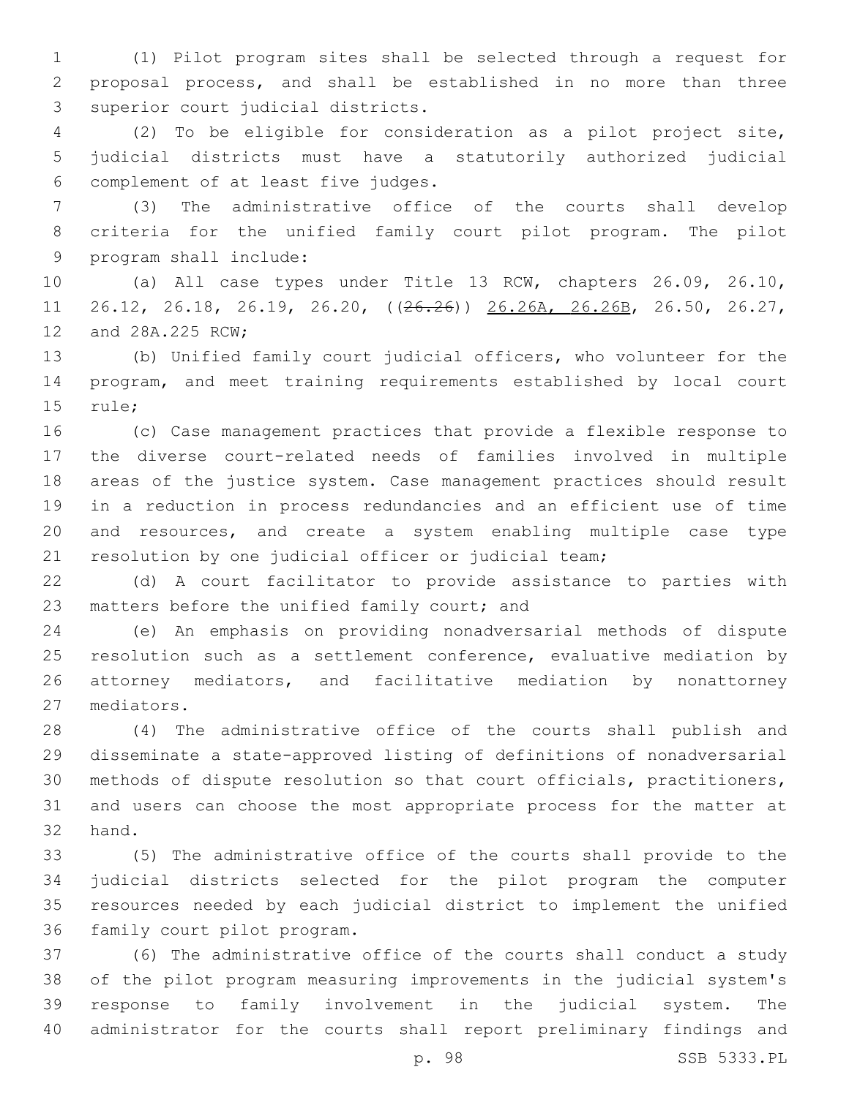(1) Pilot program sites shall be selected through a request for proposal process, and shall be established in no more than three 3 superior court judicial districts.

 (2) To be eligible for consideration as a pilot project site, judicial districts must have a statutorily authorized judicial complement of at least five judges.6

 (3) The administrative office of the courts shall develop criteria for the unified family court pilot program. The pilot 9 program shall include:

 (a) All case types under Title 13 RCW, chapters 26.09, 26.10, 26.12, 26.18, 26.19, 26.20, ((26.26)) 26.26A, 26.26B, 26.50, 26.27, 12 and 28A.225 RCW;

 (b) Unified family court judicial officers, who volunteer for the program, and meet training requirements established by local court 15 rule;

 (c) Case management practices that provide a flexible response to the diverse court-related needs of families involved in multiple areas of the justice system. Case management practices should result in a reduction in process redundancies and an efficient use of time and resources, and create a system enabling multiple case type resolution by one judicial officer or judicial team;

 (d) A court facilitator to provide assistance to parties with 23 matters before the unified family court; and

 (e) An emphasis on providing nonadversarial methods of dispute resolution such as a settlement conference, evaluative mediation by attorney mediators, and facilitative mediation by nonattorney 27 mediators.

 (4) The administrative office of the courts shall publish and disseminate a state-approved listing of definitions of nonadversarial methods of dispute resolution so that court officials, practitioners, and users can choose the most appropriate process for the matter at 32 hand.

 (5) The administrative office of the courts shall provide to the judicial districts selected for the pilot program the computer resources needed by each judicial district to implement the unified 36 family court pilot program.

 (6) The administrative office of the courts shall conduct a study of the pilot program measuring improvements in the judicial system's response to family involvement in the judicial system. The administrator for the courts shall report preliminary findings and

p. 98 SSB 5333.PL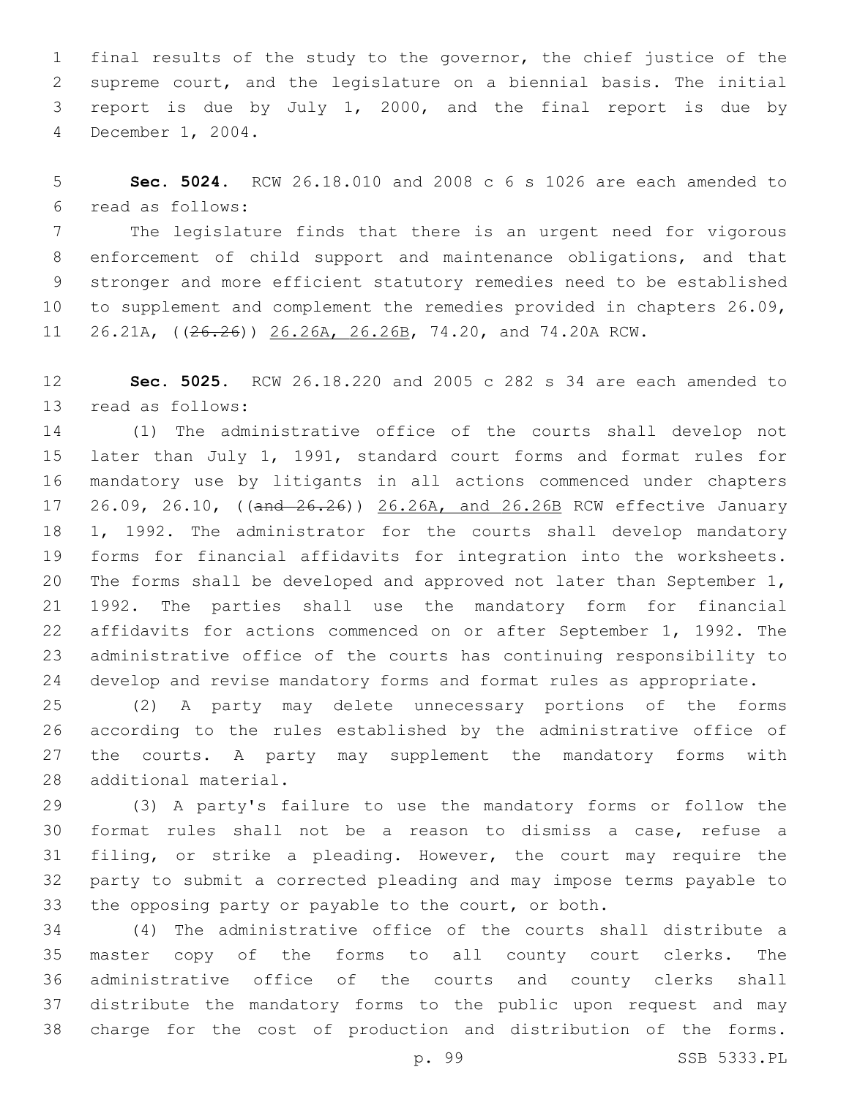final results of the study to the governor, the chief justice of the supreme court, and the legislature on a biennial basis. The initial report is due by July 1, 2000, and the final report is due by 4 December 1, 2004.

 **Sec. 5024.** RCW 26.18.010 and 2008 c 6 s 1026 are each amended to read as follows:6

 The legislature finds that there is an urgent need for vigorous enforcement of child support and maintenance obligations, and that stronger and more efficient statutory remedies need to be established to supplement and complement the remedies provided in chapters 26.09, 26.21A, ((26.26)) 26.26A, 26.26B, 74.20, and 74.20A RCW.

 **Sec. 5025.** RCW 26.18.220 and 2005 c 282 s 34 are each amended to 13 read as follows:

 (1) The administrative office of the courts shall develop not later than July 1, 1991, standard court forms and format rules for mandatory use by litigants in all actions commenced under chapters 17 26.09, 26.10, ((and 26.26)) 26.26A, and 26.26B RCW effective January 1, 1992. The administrator for the courts shall develop mandatory forms for financial affidavits for integration into the worksheets. The forms shall be developed and approved not later than September 1, 1992. The parties shall use the mandatory form for financial affidavits for actions commenced on or after September 1, 1992. The administrative office of the courts has continuing responsibility to develop and revise mandatory forms and format rules as appropriate.

 (2) A party may delete unnecessary portions of the forms according to the rules established by the administrative office of the courts. A party may supplement the mandatory forms with 28 additional material.

 (3) A party's failure to use the mandatory forms or follow the format rules shall not be a reason to dismiss a case, refuse a filing, or strike a pleading. However, the court may require the party to submit a corrected pleading and may impose terms payable to the opposing party or payable to the court, or both.

 (4) The administrative office of the courts shall distribute a master copy of the forms to all county court clerks. The administrative office of the courts and county clerks shall distribute the mandatory forms to the public upon request and may charge for the cost of production and distribution of the forms.

p. 99 SSB 5333.PL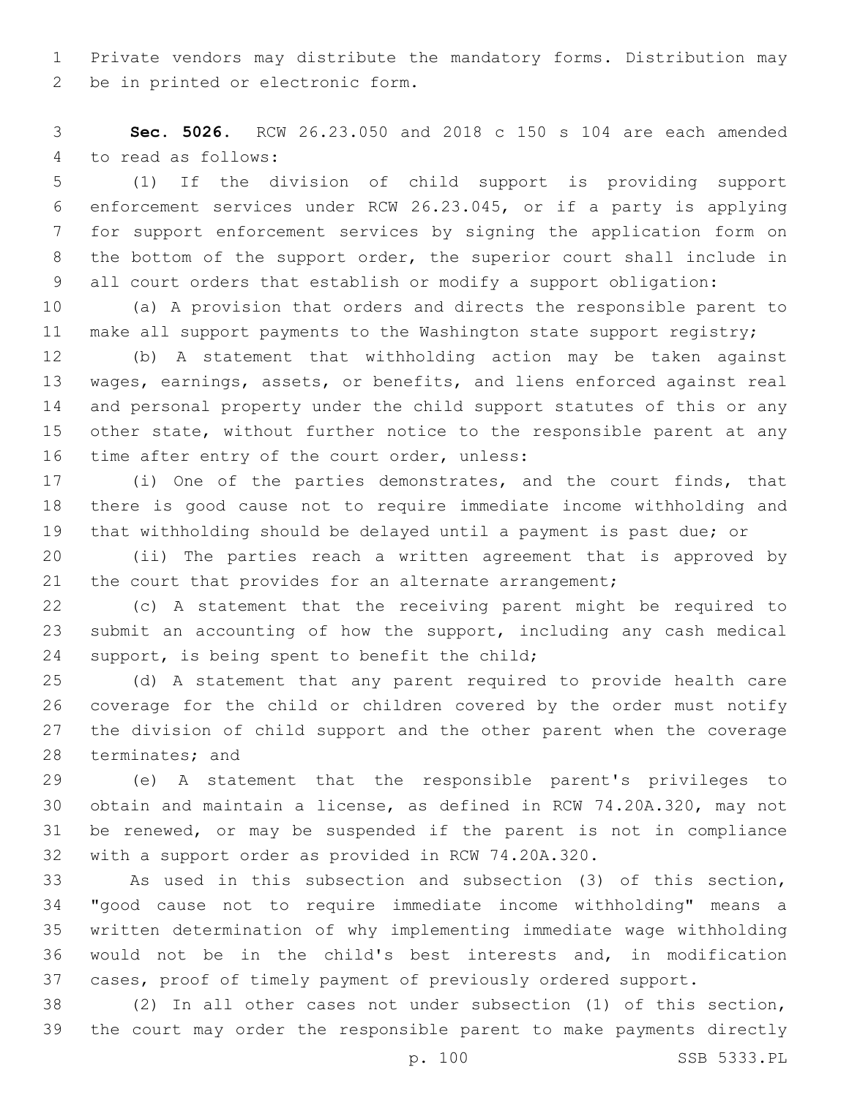Private vendors may distribute the mandatory forms. Distribution may 2 be in printed or electronic form.

 **Sec. 5026.** RCW 26.23.050 and 2018 c 150 s 104 are each amended 4 to read as follows:

 (1) If the division of child support is providing support enforcement services under RCW 26.23.045, or if a party is applying for support enforcement services by signing the application form on the bottom of the support order, the superior court shall include in all court orders that establish or modify a support obligation:

 (a) A provision that orders and directs the responsible parent to make all support payments to the Washington state support registry;

 (b) A statement that withholding action may be taken against wages, earnings, assets, or benefits, and liens enforced against real and personal property under the child support statutes of this or any other state, without further notice to the responsible parent at any 16 time after entry of the court order, unless:

 (i) One of the parties demonstrates, and the court finds, that there is good cause not to require immediate income withholding and that withholding should be delayed until a payment is past due; or

 (ii) The parties reach a written agreement that is approved by 21 the court that provides for an alternate arrangement;

 (c) A statement that the receiving parent might be required to submit an accounting of how the support, including any cash medical support, is being spent to benefit the child;

 (d) A statement that any parent required to provide health care coverage for the child or children covered by the order must notify the division of child support and the other parent when the coverage 28 terminates; and

 (e) A statement that the responsible parent's privileges to obtain and maintain a license, as defined in RCW 74.20A.320, may not be renewed, or may be suspended if the parent is not in compliance with a support order as provided in RCW 74.20A.320.

 As used in this subsection and subsection (3) of this section, "good cause not to require immediate income withholding" means a written determination of why implementing immediate wage withholding would not be in the child's best interests and, in modification cases, proof of timely payment of previously ordered support.

 (2) In all other cases not under subsection (1) of this section, the court may order the responsible parent to make payments directly

p. 100 SSB 5333.PL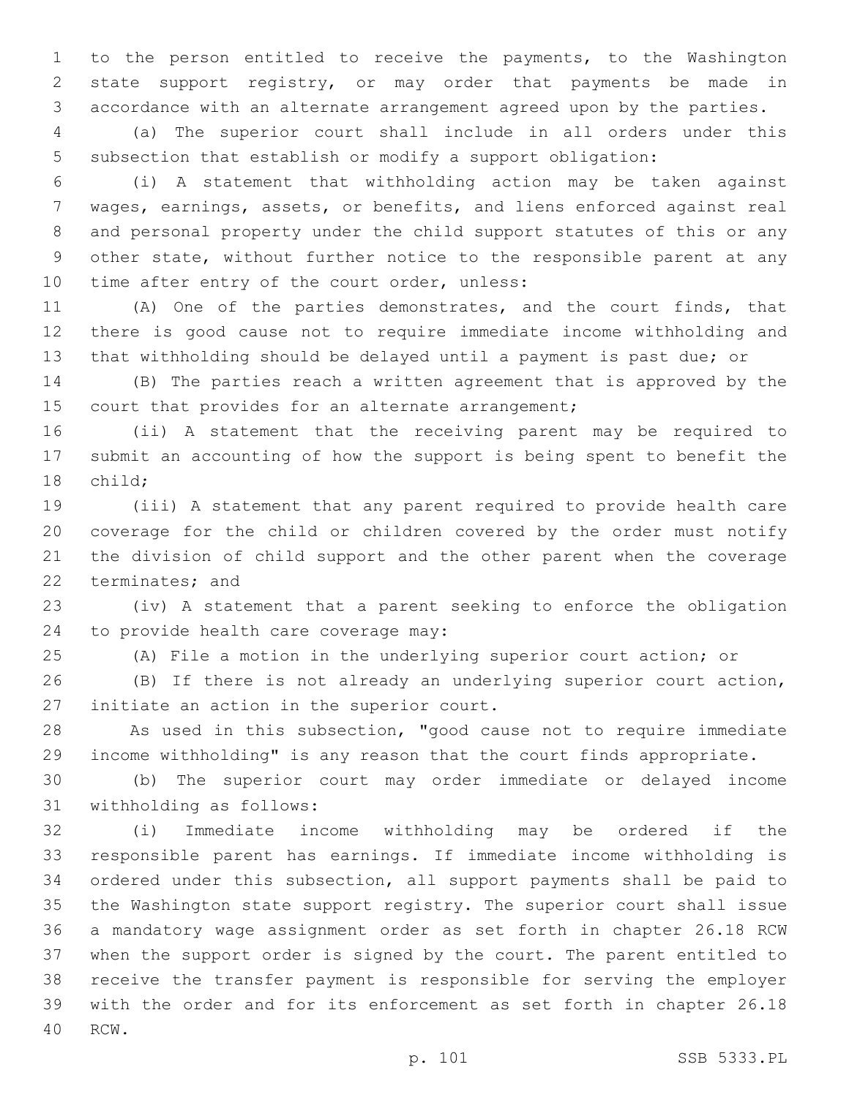to the person entitled to receive the payments, to the Washington state support registry, or may order that payments be made in accordance with an alternate arrangement agreed upon by the parties.

 (a) The superior court shall include in all orders under this subsection that establish or modify a support obligation:

 (i) A statement that withholding action may be taken against wages, earnings, assets, or benefits, and liens enforced against real and personal property under the child support statutes of this or any other state, without further notice to the responsible parent at any 10 time after entry of the court order, unless:

 (A) One of the parties demonstrates, and the court finds, that there is good cause not to require immediate income withholding and that withholding should be delayed until a payment is past due; or

 (B) The parties reach a written agreement that is approved by the 15 court that provides for an alternate arrangement;

 (ii) A statement that the receiving parent may be required to submit an accounting of how the support is being spent to benefit the 18 child;

 (iii) A statement that any parent required to provide health care coverage for the child or children covered by the order must notify the division of child support and the other parent when the coverage 22 terminates; and

 (iv) A statement that a parent seeking to enforce the obligation 24 to provide health care coverage may:

(A) File a motion in the underlying superior court action; or

 (B) If there is not already an underlying superior court action, 27 initiate an action in the superior court.

 As used in this subsection, "good cause not to require immediate income withholding" is any reason that the court finds appropriate.

 (b) The superior court may order immediate or delayed income 31 withholding as follows:

 (i) Immediate income withholding may be ordered if the responsible parent has earnings. If immediate income withholding is ordered under this subsection, all support payments shall be paid to the Washington state support registry. The superior court shall issue a mandatory wage assignment order as set forth in chapter 26.18 RCW when the support order is signed by the court. The parent entitled to receive the transfer payment is responsible for serving the employer with the order and for its enforcement as set forth in chapter 26.18 40 RCW.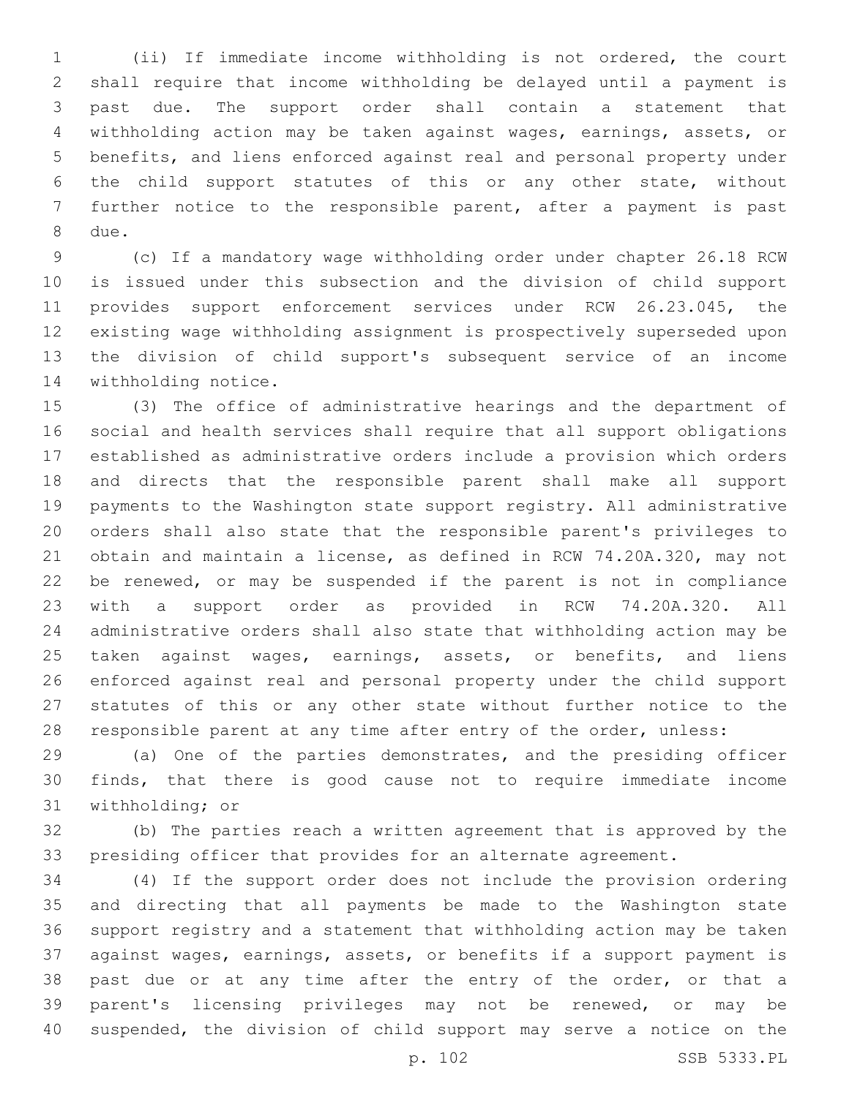(ii) If immediate income withholding is not ordered, the court shall require that income withholding be delayed until a payment is past due. The support order shall contain a statement that withholding action may be taken against wages, earnings, assets, or benefits, and liens enforced against real and personal property under the child support statutes of this or any other state, without further notice to the responsible parent, after a payment is past 8 due.

 (c) If a mandatory wage withholding order under chapter 26.18 RCW is issued under this subsection and the division of child support provides support enforcement services under RCW 26.23.045, the existing wage withholding assignment is prospectively superseded upon the division of child support's subsequent service of an income 14 withholding notice.

 (3) The office of administrative hearings and the department of social and health services shall require that all support obligations established as administrative orders include a provision which orders and directs that the responsible parent shall make all support payments to the Washington state support registry. All administrative orders shall also state that the responsible parent's privileges to obtain and maintain a license, as defined in RCW 74.20A.320, may not be renewed, or may be suspended if the parent is not in compliance with a support order as provided in RCW 74.20A.320. All administrative orders shall also state that withholding action may be 25 taken against wages, earnings, assets, or benefits, and liens enforced against real and personal property under the child support statutes of this or any other state without further notice to the 28 responsible parent at any time after entry of the order, unless:

 (a) One of the parties demonstrates, and the presiding officer finds, that there is good cause not to require immediate income 31 withholding; or

 (b) The parties reach a written agreement that is approved by the presiding officer that provides for an alternate agreement.

 (4) If the support order does not include the provision ordering and directing that all payments be made to the Washington state support registry and a statement that withholding action may be taken against wages, earnings, assets, or benefits if a support payment is 38 past due or at any time after the entry of the order, or that a parent's licensing privileges may not be renewed, or may be suspended, the division of child support may serve a notice on the

p. 102 SSB 5333.PL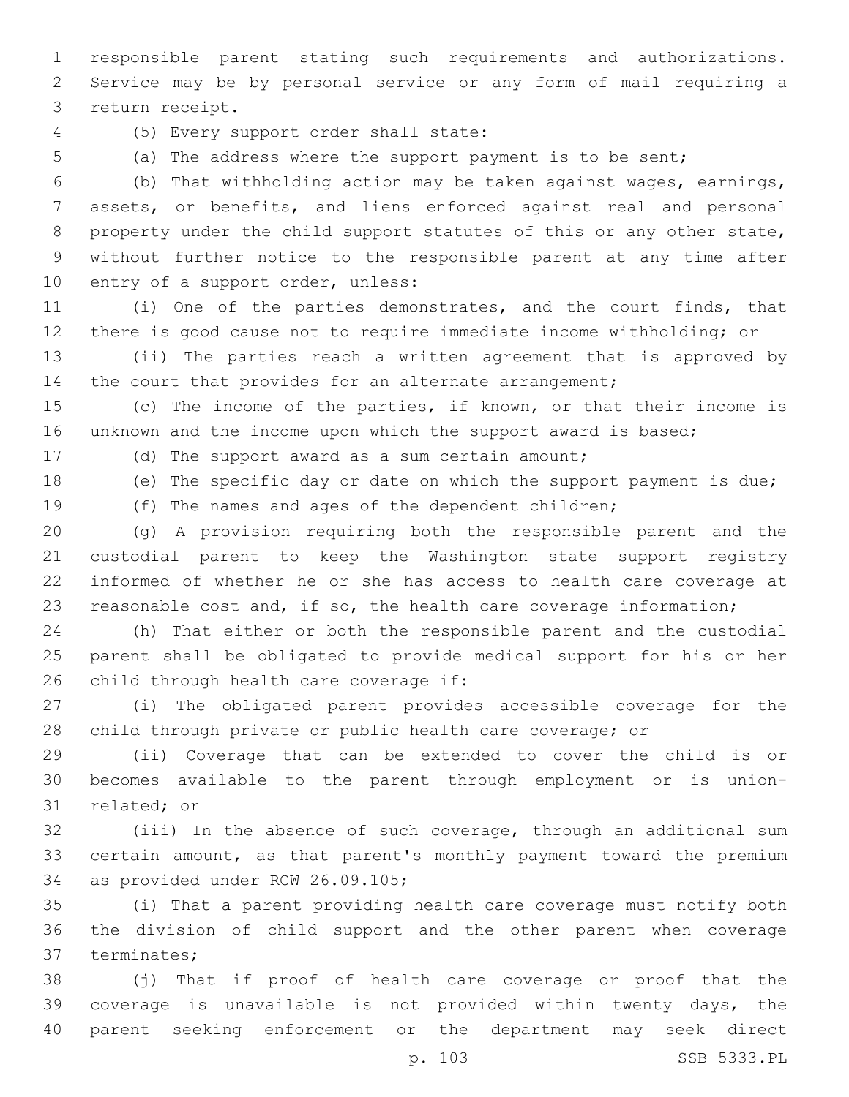responsible parent stating such requirements and authorizations. Service may be by personal service or any form of mail requiring a 3 return receipt.

(5) Every support order shall state:4

(a) The address where the support payment is to be sent;

 (b) That withholding action may be taken against wages, earnings, assets, or benefits, and liens enforced against real and personal property under the child support statutes of this or any other state, without further notice to the responsible parent at any time after 10 entry of a support order, unless:

 (i) One of the parties demonstrates, and the court finds, that there is good cause not to require immediate income withholding; or

 (ii) The parties reach a written agreement that is approved by 14 the court that provides for an alternate arrangement;

 (c) The income of the parties, if known, or that their income is 16 unknown and the income upon which the support award is based;

(d) The support award as a sum certain amount;

(e) The specific day or date on which the support payment is due;

(f) The names and ages of the dependent children;

 (g) A provision requiring both the responsible parent and the custodial parent to keep the Washington state support registry informed of whether he or she has access to health care coverage at reasonable cost and, if so, the health care coverage information;

 (h) That either or both the responsible parent and the custodial parent shall be obligated to provide medical support for his or her 26 child through health care coverage if:

 (i) The obligated parent provides accessible coverage for the child through private or public health care coverage; or

 (ii) Coverage that can be extended to cover the child is or becomes available to the parent through employment or is union-31 related; or

 (iii) In the absence of such coverage, through an additional sum certain amount, as that parent's monthly payment toward the premium 34 as provided under RCW 26.09.105;

 (i) That a parent providing health care coverage must notify both the division of child support and the other parent when coverage 37 terminates;

 (j) That if proof of health care coverage or proof that the coverage is unavailable is not provided within twenty days, the parent seeking enforcement or the department may seek direct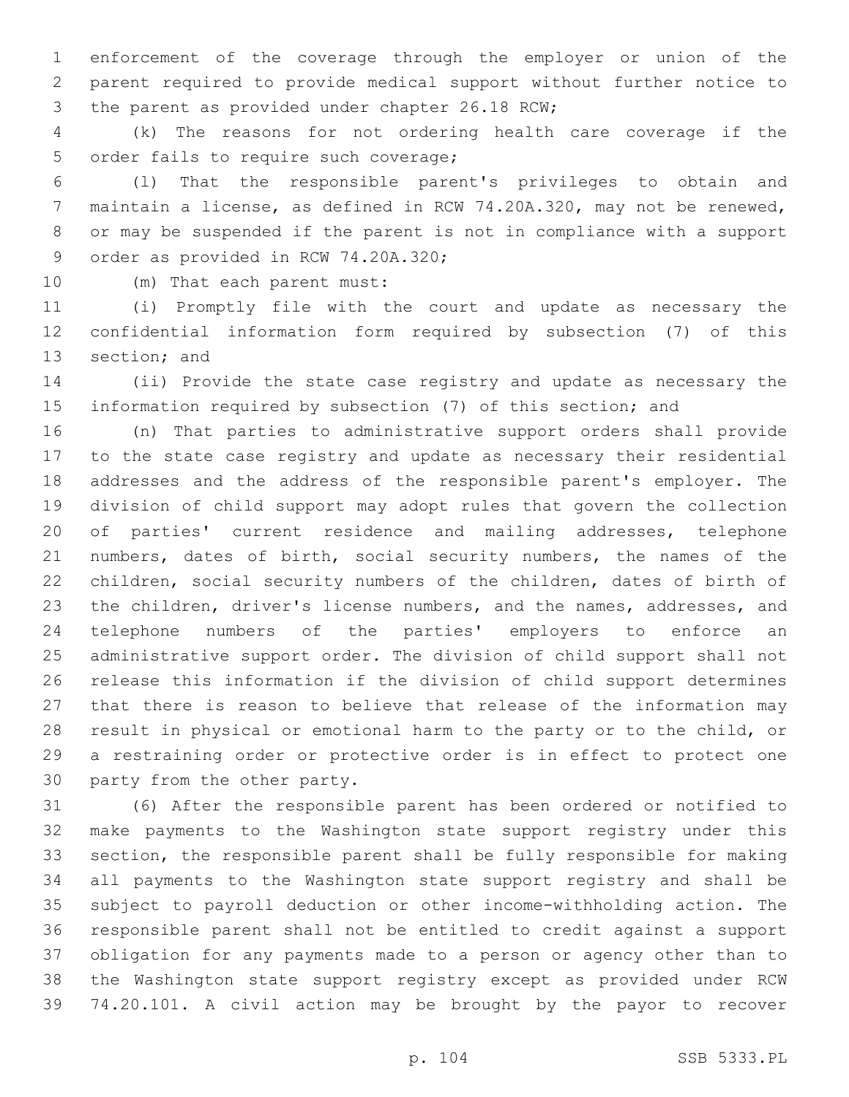enforcement of the coverage through the employer or union of the parent required to provide medical support without further notice to 3 the parent as provided under chapter 26.18 RCW;

 (k) The reasons for not ordering health care coverage if the 5 order fails to require such coverage;

 (l) That the responsible parent's privileges to obtain and maintain a license, as defined in RCW 74.20A.320, may not be renewed, or may be suspended if the parent is not in compliance with a support 9 order as provided in RCW 74.20A.320;

10 (m) That each parent must:

 (i) Promptly file with the court and update as necessary the confidential information form required by subsection (7) of this 13 section; and

 (ii) Provide the state case registry and update as necessary the information required by subsection (7) of this section; and

 (n) That parties to administrative support orders shall provide to the state case registry and update as necessary their residential addresses and the address of the responsible parent's employer. The division of child support may adopt rules that govern the collection of parties' current residence and mailing addresses, telephone numbers, dates of birth, social security numbers, the names of the children, social security numbers of the children, dates of birth of the children, driver's license numbers, and the names, addresses, and telephone numbers of the parties' employers to enforce an administrative support order. The division of child support shall not release this information if the division of child support determines that there is reason to believe that release of the information may result in physical or emotional harm to the party or to the child, or a restraining order or protective order is in effect to protect one 30 party from the other party.

 (6) After the responsible parent has been ordered or notified to make payments to the Washington state support registry under this section, the responsible parent shall be fully responsible for making all payments to the Washington state support registry and shall be subject to payroll deduction or other income-withholding action. The responsible parent shall not be entitled to credit against a support obligation for any payments made to a person or agency other than to the Washington state support registry except as provided under RCW 74.20.101. A civil action may be brought by the payor to recover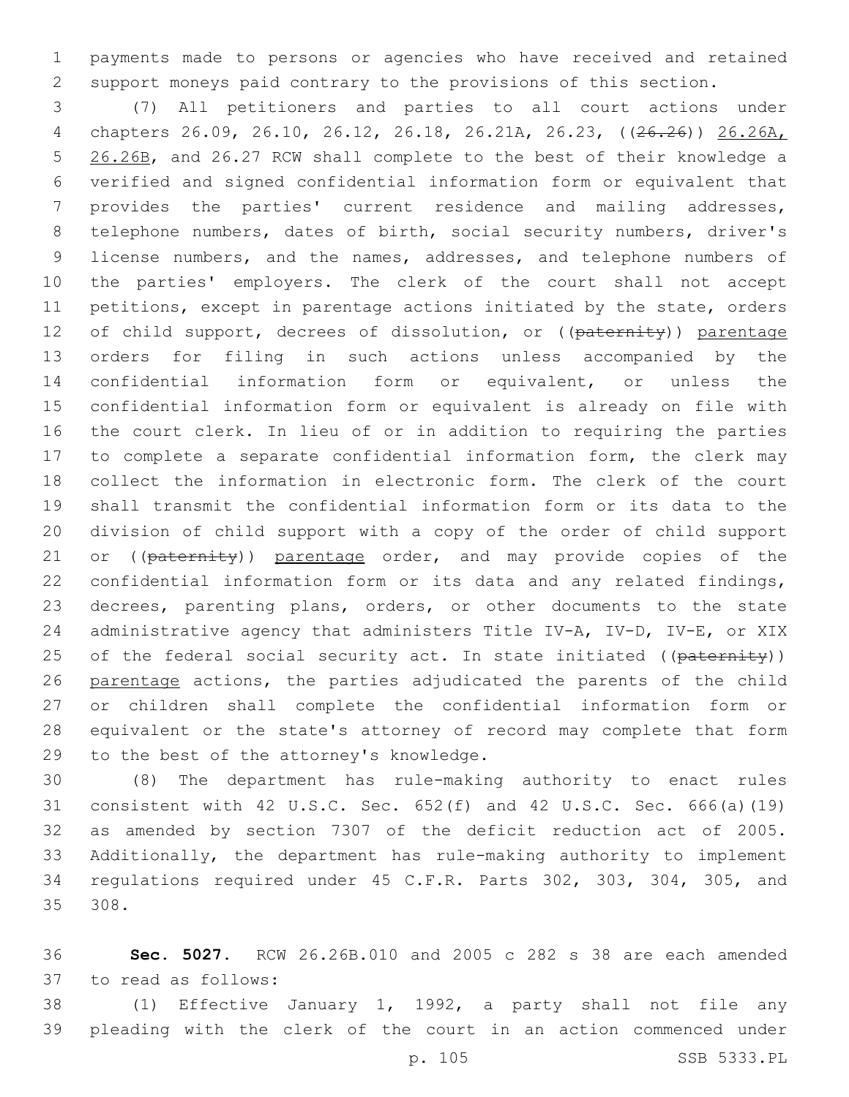payments made to persons or agencies who have received and retained support moneys paid contrary to the provisions of this section.

 (7) All petitioners and parties to all court actions under chapters 26.09, 26.10, 26.12, 26.18, 26.21A, 26.23, ((26.26)) 26.26A, 26.26B, and 26.27 RCW shall complete to the best of their knowledge a verified and signed confidential information form or equivalent that provides the parties' current residence and mailing addresses, telephone numbers, dates of birth, social security numbers, driver's license numbers, and the names, addresses, and telephone numbers of the parties' employers. The clerk of the court shall not accept petitions, except in parentage actions initiated by the state, orders 12 of child support, decrees of dissolution, or ((paternity)) parentage orders for filing in such actions unless accompanied by the confidential information form or equivalent, or unless the confidential information form or equivalent is already on file with the court clerk. In lieu of or in addition to requiring the parties to complete a separate confidential information form, the clerk may collect the information in electronic form. The clerk of the court shall transmit the confidential information form or its data to the division of child support with a copy of the order of child support 21 or ((paternity)) parentage order, and may provide copies of the confidential information form or its data and any related findings, decrees, parenting plans, orders, or other documents to the state administrative agency that administers Title IV-A, IV-D, IV-E, or XIX 25 of the federal social security act. In state initiated ((paternity)) parentage actions, the parties adjudicated the parents of the child or children shall complete the confidential information form or equivalent or the state's attorney of record may complete that form 29 to the best of the attorney's knowledge.

 (8) The department has rule-making authority to enact rules consistent with 42 U.S.C. Sec. 652(f) and 42 U.S.C. Sec. 666(a)(19) as amended by section 7307 of the deficit reduction act of 2005. Additionally, the department has rule-making authority to implement regulations required under 45 C.F.R. Parts 302, 303, 304, 305, and 308.

 **Sec. 5027.** RCW 26.26B.010 and 2005 c 282 s 38 are each amended 37 to read as follows:

 (1) Effective January 1, 1992, a party shall not file any pleading with the clerk of the court in an action commenced under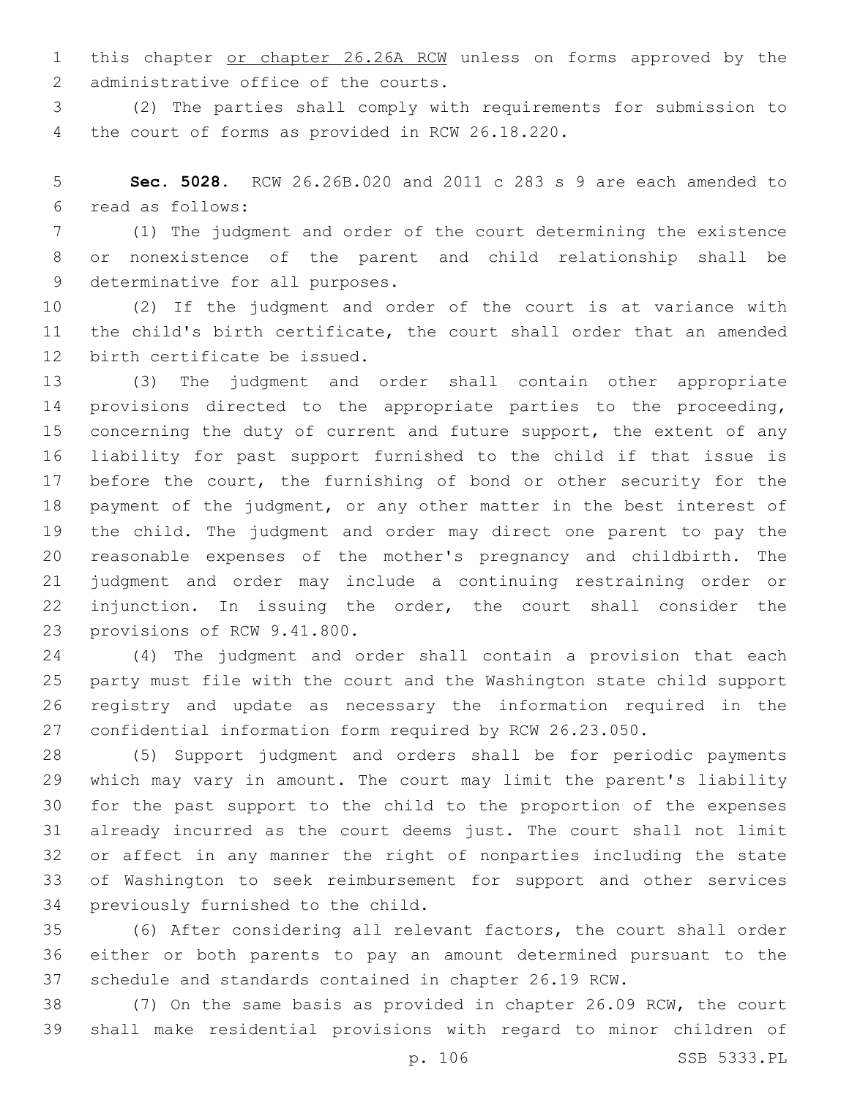1 this chapter or chapter 26.26A RCW unless on forms approved by the 2 administrative office of the courts.

 (2) The parties shall comply with requirements for submission to 4 the court of forms as provided in RCW 26.18.220.

 **Sec. 5028.** RCW 26.26B.020 and 2011 c 283 s 9 are each amended to read as follows:6

 (1) The judgment and order of the court determining the existence or nonexistence of the parent and child relationship shall be 9 determinative for all purposes.

 (2) If the judgment and order of the court is at variance with the child's birth certificate, the court shall order that an amended 12 birth certificate be issued.

 (3) The judgment and order shall contain other appropriate provisions directed to the appropriate parties to the proceeding, 15 concerning the duty of current and future support, the extent of any liability for past support furnished to the child if that issue is 17 before the court, the furnishing of bond or other security for the payment of the judgment, or any other matter in the best interest of the child. The judgment and order may direct one parent to pay the reasonable expenses of the mother's pregnancy and childbirth. The judgment and order may include a continuing restraining order or injunction. In issuing the order, the court shall consider the 23 provisions of RCW 9.41.800.

 (4) The judgment and order shall contain a provision that each party must file with the court and the Washington state child support registry and update as necessary the information required in the confidential information form required by RCW 26.23.050.

 (5) Support judgment and orders shall be for periodic payments which may vary in amount. The court may limit the parent's liability for the past support to the child to the proportion of the expenses already incurred as the court deems just. The court shall not limit or affect in any manner the right of nonparties including the state of Washington to seek reimbursement for support and other services 34 previously furnished to the child.

 (6) After considering all relevant factors, the court shall order either or both parents to pay an amount determined pursuant to the schedule and standards contained in chapter 26.19 RCW.

 (7) On the same basis as provided in chapter 26.09 RCW, the court shall make residential provisions with regard to minor children of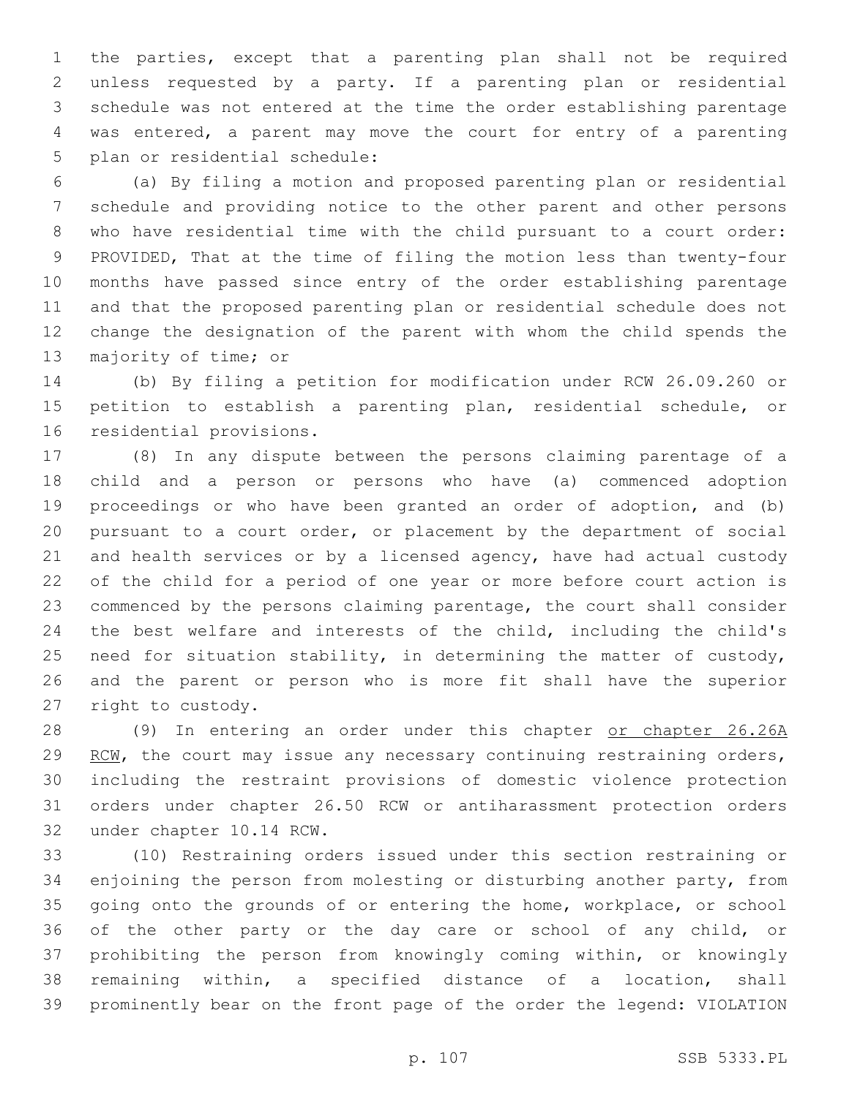the parties, except that a parenting plan shall not be required unless requested by a party. If a parenting plan or residential schedule was not entered at the time the order establishing parentage was entered, a parent may move the court for entry of a parenting 5 plan or residential schedule:

 (a) By filing a motion and proposed parenting plan or residential schedule and providing notice to the other parent and other persons who have residential time with the child pursuant to a court order: PROVIDED, That at the time of filing the motion less than twenty-four months have passed since entry of the order establishing parentage and that the proposed parenting plan or residential schedule does not change the designation of the parent with whom the child spends the 13 majority of time; or

 (b) By filing a petition for modification under RCW 26.09.260 or petition to establish a parenting plan, residential schedule, or 16 residential provisions.

 (8) In any dispute between the persons claiming parentage of a child and a person or persons who have (a) commenced adoption proceedings or who have been granted an order of adoption, and (b) pursuant to a court order, or placement by the department of social and health services or by a licensed agency, have had actual custody of the child for a period of one year or more before court action is commenced by the persons claiming parentage, the court shall consider the best welfare and interests of the child, including the child's need for situation stability, in determining the matter of custody, and the parent or person who is more fit shall have the superior 27 right to custody.

28 (9) In entering an order under this chapter or chapter 26.26A 29 RCW, the court may issue any necessary continuing restraining orders, including the restraint provisions of domestic violence protection orders under chapter 26.50 RCW or antiharassment protection orders 32 under chapter 10.14 RCW.

 (10) Restraining orders issued under this section restraining or enjoining the person from molesting or disturbing another party, from going onto the grounds of or entering the home, workplace, or school of the other party or the day care or school of any child, or prohibiting the person from knowingly coming within, or knowingly remaining within, a specified distance of a location, shall prominently bear on the front page of the order the legend: VIOLATION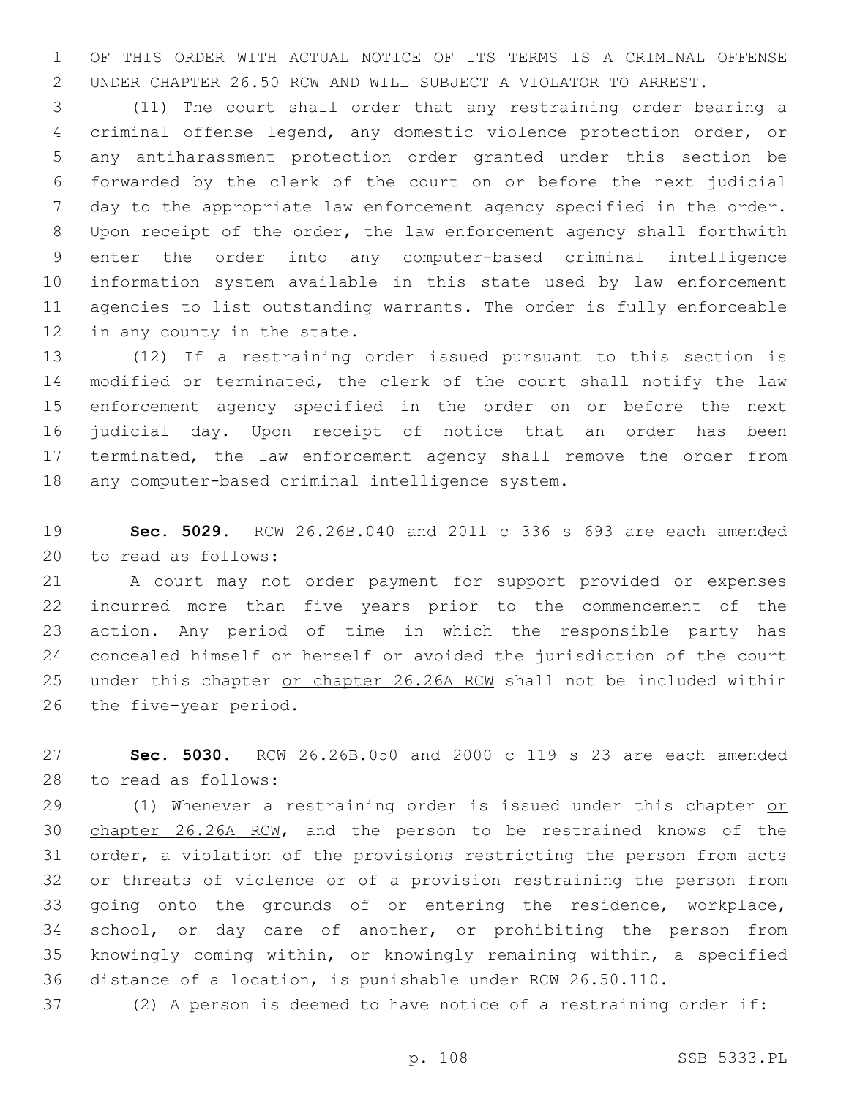OF THIS ORDER WITH ACTUAL NOTICE OF ITS TERMS IS A CRIMINAL OFFENSE UNDER CHAPTER 26.50 RCW AND WILL SUBJECT A VIOLATOR TO ARREST.

 (11) The court shall order that any restraining order bearing a criminal offense legend, any domestic violence protection order, or any antiharassment protection order granted under this section be forwarded by the clerk of the court on or before the next judicial day to the appropriate law enforcement agency specified in the order. Upon receipt of the order, the law enforcement agency shall forthwith enter the order into any computer-based criminal intelligence information system available in this state used by law enforcement agencies to list outstanding warrants. The order is fully enforceable 12 in any county in the state.

 (12) If a restraining order issued pursuant to this section is modified or terminated, the clerk of the court shall notify the law enforcement agency specified in the order on or before the next judicial day. Upon receipt of notice that an order has been terminated, the law enforcement agency shall remove the order from 18 any computer-based criminal intelligence system.

 **Sec. 5029.** RCW 26.26B.040 and 2011 c 336 s 693 are each amended 20 to read as follows:

 A court may not order payment for support provided or expenses incurred more than five years prior to the commencement of the action. Any period of time in which the responsible party has concealed himself or herself or avoided the jurisdiction of the court 25 under this chapter or chapter 26.26A RCW shall not be included within 26 the five-year period.

 **Sec. 5030.** RCW 26.26B.050 and 2000 c 119 s 23 are each amended 28 to read as follows:

29 (1) Whenever a restraining order is issued under this chapter or chapter 26.26A RCW, and the person to be restrained knows of the order, a violation of the provisions restricting the person from acts or threats of violence or of a provision restraining the person from going onto the grounds of or entering the residence, workplace, school, or day care of another, or prohibiting the person from knowingly coming within, or knowingly remaining within, a specified distance of a location, is punishable under RCW 26.50.110.

(2) A person is deemed to have notice of a restraining order if:

p. 108 SSB 5333.PL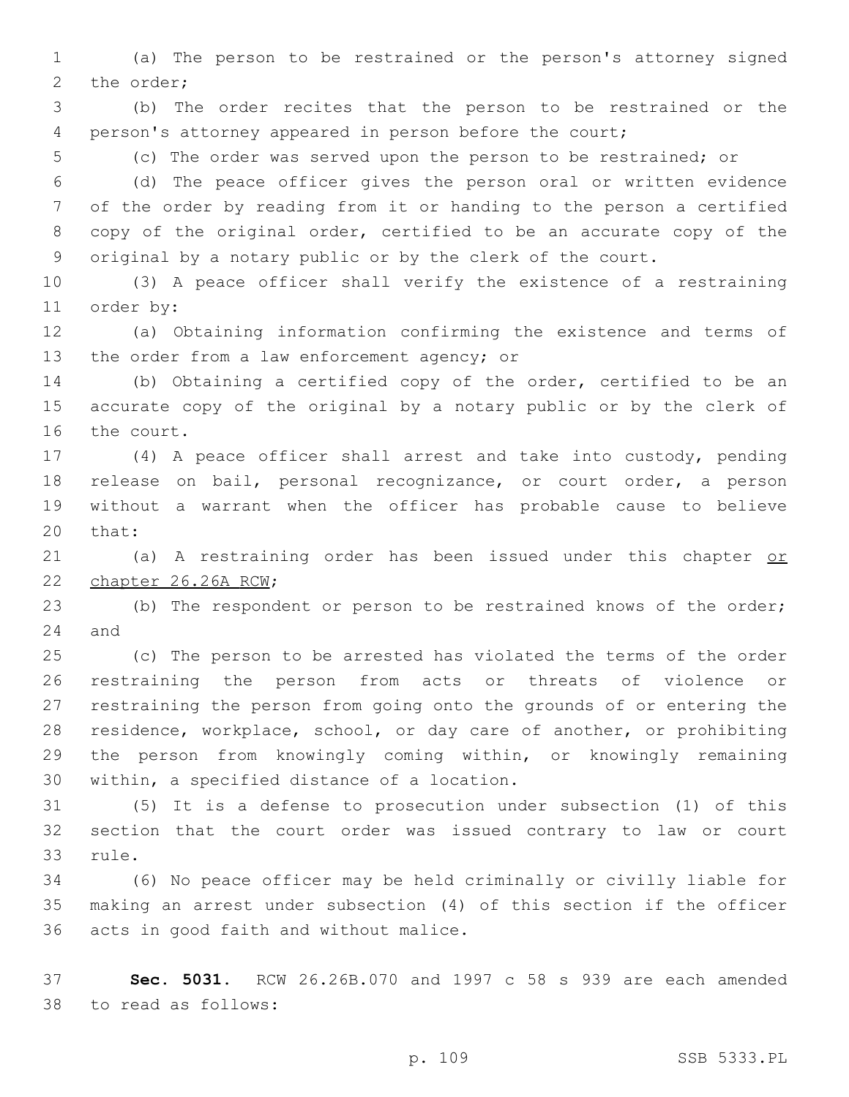(a) The person to be restrained or the person's attorney signed 2 the order;

 (b) The order recites that the person to be restrained or the person's attorney appeared in person before the court;

(c) The order was served upon the person to be restrained; or

 (d) The peace officer gives the person oral or written evidence of the order by reading from it or handing to the person a certified copy of the original order, certified to be an accurate copy of the original by a notary public or by the clerk of the court.

 (3) A peace officer shall verify the existence of a restraining 11 order by:

 (a) Obtaining information confirming the existence and terms of 13 the order from a law enforcement agency; or

 (b) Obtaining a certified copy of the order, certified to be an accurate copy of the original by a notary public or by the clerk of 16 the court.

 (4) A peace officer shall arrest and take into custody, pending release on bail, personal recognizance, or court order, a person without a warrant when the officer has probable cause to believe 20 that:

21 (a) A restraining order has been issued under this chapter or 22 chapter 26.26A RCW;

 (b) The respondent or person to be restrained knows of the order; 24 and

 (c) The person to be arrested has violated the terms of the order restraining the person from acts or threats of violence or restraining the person from going onto the grounds of or entering the residence, workplace, school, or day care of another, or prohibiting the person from knowingly coming within, or knowingly remaining 30 within, a specified distance of a location.

 (5) It is a defense to prosecution under subsection (1) of this section that the court order was issued contrary to law or court 33 rule.

 (6) No peace officer may be held criminally or civilly liable for making an arrest under subsection (4) of this section if the officer 36 acts in good faith and without malice.

 **Sec. 5031.** RCW 26.26B.070 and 1997 c 58 s 939 are each amended to read as follows:38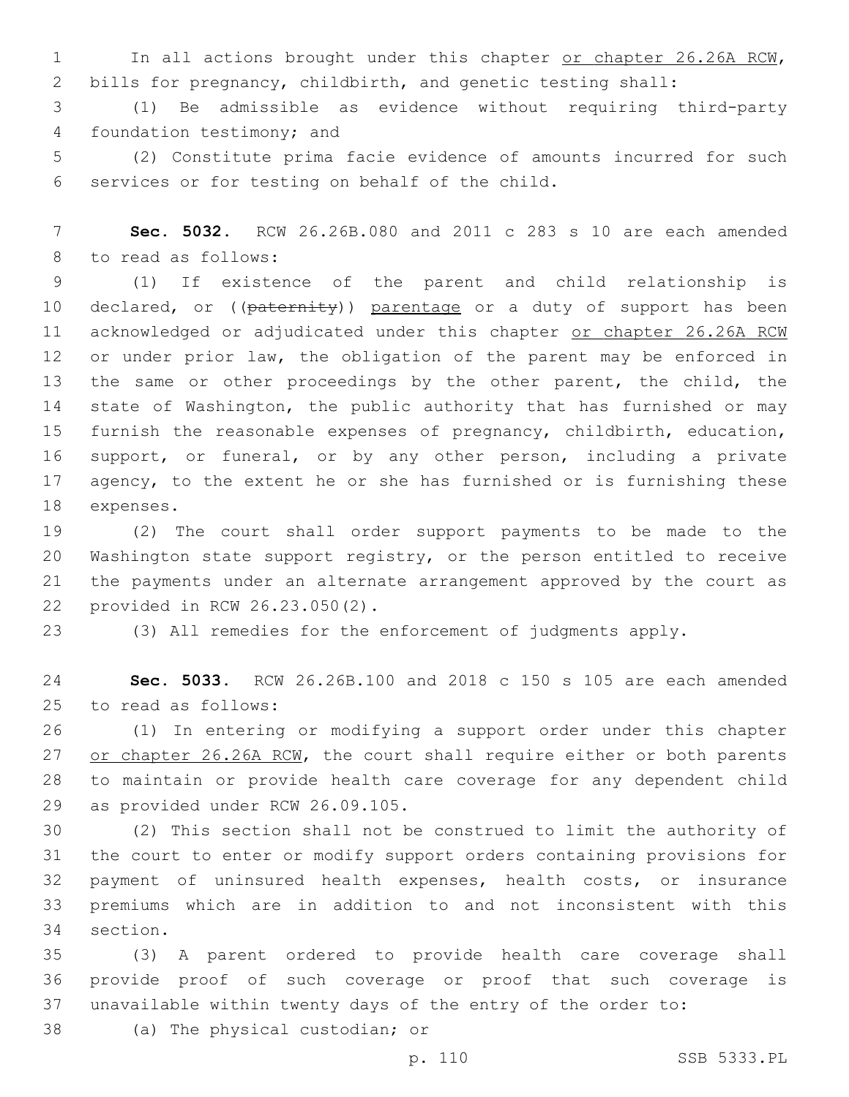1 In all actions brought under this chapter or chapter 26.26A RCW, 2 bills for pregnancy, childbirth, and genetic testing shall:

3 (1) Be admissible as evidence without requiring third-party 4 foundation testimony; and

5 (2) Constitute prima facie evidence of amounts incurred for such 6 services or for testing on behalf of the child.

7 **Sec. 5032.** RCW 26.26B.080 and 2011 c 283 s 10 are each amended 8 to read as follows:

9 (1) If existence of the parent and child relationship is 10 declared, or ((paternity)) parentage or a duty of support has been 11 acknowledged or adjudicated under this chapter or chapter 26.26A RCW 12 or under prior law, the obligation of the parent may be enforced in 13 the same or other proceedings by the other parent, the child, the 14 state of Washington, the public authority that has furnished or may 15 furnish the reasonable expenses of pregnancy, childbirth, education, 16 support, or funeral, or by any other person, including a private 17 agency, to the extent he or she has furnished or is furnishing these 18 expenses.

 (2) The court shall order support payments to be made to the Washington state support registry, or the person entitled to receive the payments under an alternate arrangement approved by the court as provided in RCW 26.23.050(2).22

23 (3) All remedies for the enforcement of judgments apply.

24 **Sec. 5033.** RCW 26.26B.100 and 2018 c 150 s 105 are each amended 25 to read as follows:

 (1) In entering or modifying a support order under this chapter or chapter 26.26A RCW, the court shall require either or both parents to maintain or provide health care coverage for any dependent child 29 as provided under RCW 26.09.105.

 (2) This section shall not be construed to limit the authority of the court to enter or modify support orders containing provisions for payment of uninsured health expenses, health costs, or insurance premiums which are in addition to and not inconsistent with this 34 section.

35 (3) A parent ordered to provide health care coverage shall 36 provide proof of such coverage or proof that such coverage is 37 unavailable within twenty days of the entry of the order to:

38 (a) The physical custodian; or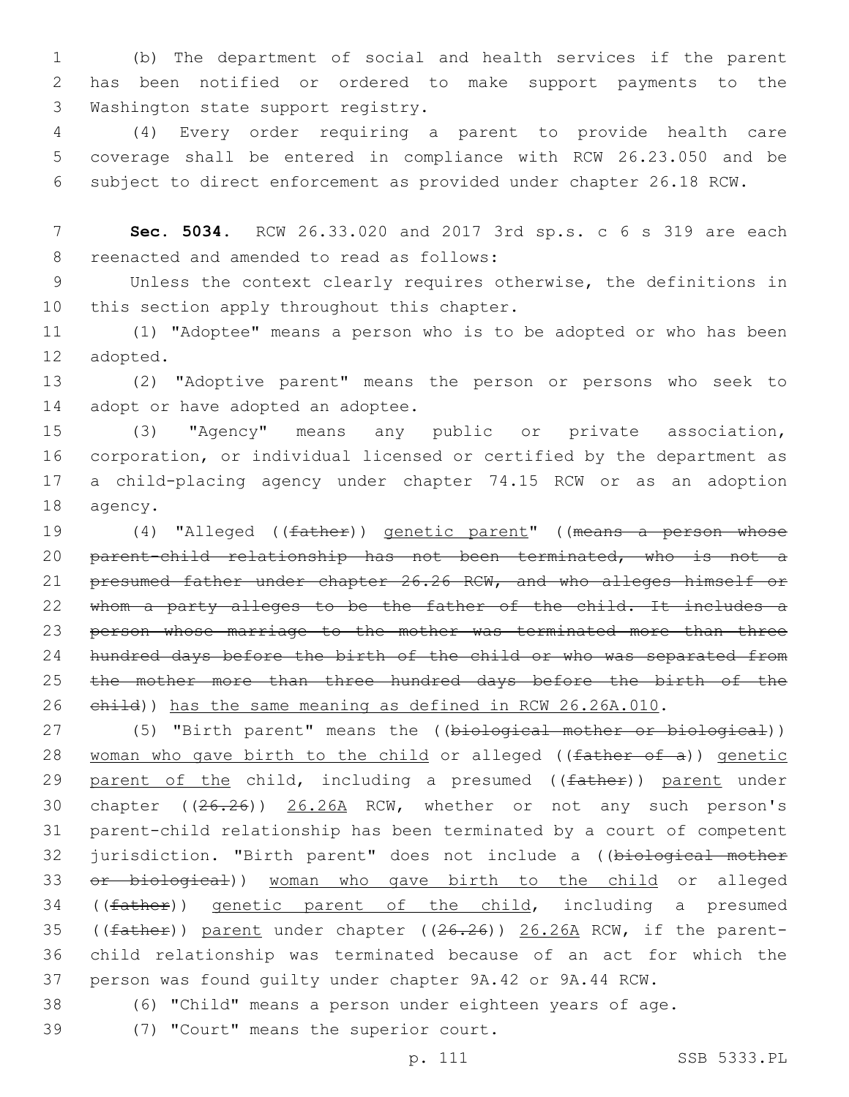1 (b) The department of social and health services if the parent 2 has been notified or ordered to make support payments to the 3 Washington state support registry.

4 (4) Every order requiring a parent to provide health care 5 coverage shall be entered in compliance with RCW 26.23.050 and be 6 subject to direct enforcement as provided under chapter 26.18 RCW.

7 **Sec. 5034.** RCW 26.33.020 and 2017 3rd sp.s. c 6 s 319 are each 8 reenacted and amended to read as follows:

9 Unless the context clearly requires otherwise, the definitions in 10 this section apply throughout this chapter.

11 (1) "Adoptee" means a person who is to be adopted or who has been 12 adopted.

13 (2) "Adoptive parent" means the person or persons who seek to 14 adopt or have adopted an adoptee.

 (3) "Agency" means any public or private association, corporation, or individual licensed or certified by the department as a child-placing agency under chapter 74.15 RCW or as an adoption 18 agency.

19 (4) "Alleged ((father)) genetic parent" ((means a person whose 20 parent-child relationship has not been terminated, who is not a 21 presumed father under chapter 26.26 RCW, and who alleges himself or 22 whom a party alleges to be the father of the child. It includes a 23 person whose marriage to the mother was terminated more than three 24 hundred days before the birth of the child or who was separated from 25 the mother more than three hundred days before the birth of the 26 ehild)) has the same meaning as defined in RCW 26.26A.010.

27 (5) "Birth parent" means the ((biological mother or biological)) 28 woman who gave birth to the child or alleged ( $(father of a)$ ) genetic 29 parent of the child, including a presumed ((father)) parent under 30 chapter ((26.26)) 26.26A RCW, whether or not any such person's 31 parent-child relationship has been terminated by a court of competent 32 jurisdiction. "Birth parent" does not include a ((biological mother 33 or biological)) woman who gave birth to the child or alleged 34 ((father)) genetic parent of the child, including a presumed 35 ((father)) parent under chapter ((26.26)) 26.26A RCW, if the parent-36 child relationship was terminated because of an act for which the 37 person was found guilty under chapter 9A.42 or 9A.44 RCW.

38 (6) "Child" means a person under eighteen years of age.

39 (7) "Court" means the superior court.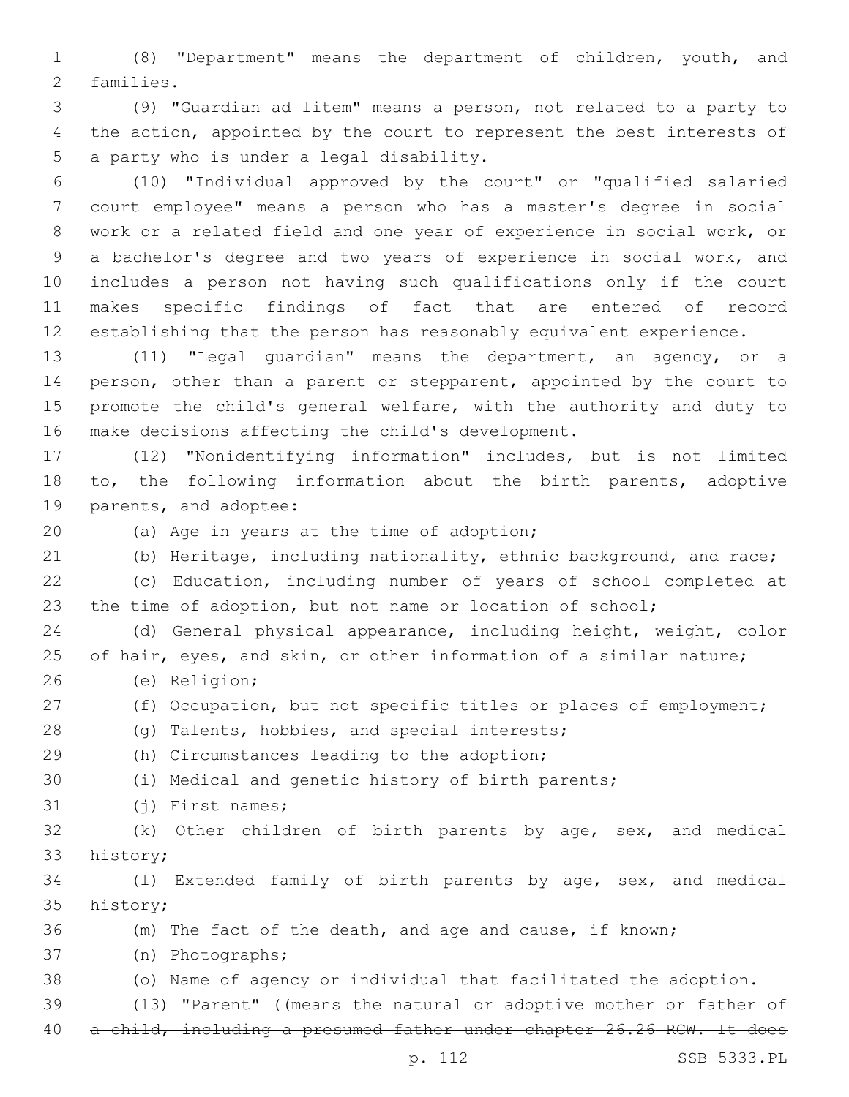(8) "Department" means the department of children, youth, and 2 families.

 (9) "Guardian ad litem" means a person, not related to a party to the action, appointed by the court to represent the best interests of 5 a party who is under a legal disability.

 (10) "Individual approved by the court" or "qualified salaried court employee" means a person who has a master's degree in social work or a related field and one year of experience in social work, or a bachelor's degree and two years of experience in social work, and includes a person not having such qualifications only if the court makes specific findings of fact that are entered of record establishing that the person has reasonably equivalent experience.

 (11) "Legal guardian" means the department, an agency, or a person, other than a parent or stepparent, appointed by the court to promote the child's general welfare, with the authority and duty to 16 make decisions affecting the child's development.

 (12) "Nonidentifying information" includes, but is not limited to, the following information about the birth parents, adoptive 19 parents, and adoptee:

20 (a) Age in years at the time of adoption;

(b) Heritage, including nationality, ethnic background, and race;

 (c) Education, including number of years of school completed at the time of adoption, but not name or location of school;

 (d) General physical appearance, including height, weight, color 25 of hair, eyes, and skin, or other information of a similar nature; (e) Religion;26

(f) Occupation, but not specific titles or places of employment;

28 (g) Talents, hobbies, and special interests;

(h) Circumstances leading to the adoption;29

(i) Medical and genetic history of birth parents;

31 (i) First names;

 (k) Other children of birth parents by age, sex, and medical 33 history;

 (l) Extended family of birth parents by age, sex, and medical 35 history;

(m) The fact of the death, and age and cause, if known;

(n) Photographs;37

(o) Name of agency or individual that facilitated the adoption.

39 (13) "Parent" ((means the natural or adoptive mother or father of

a child, including a presumed father under chapter 26.26 RCW. It does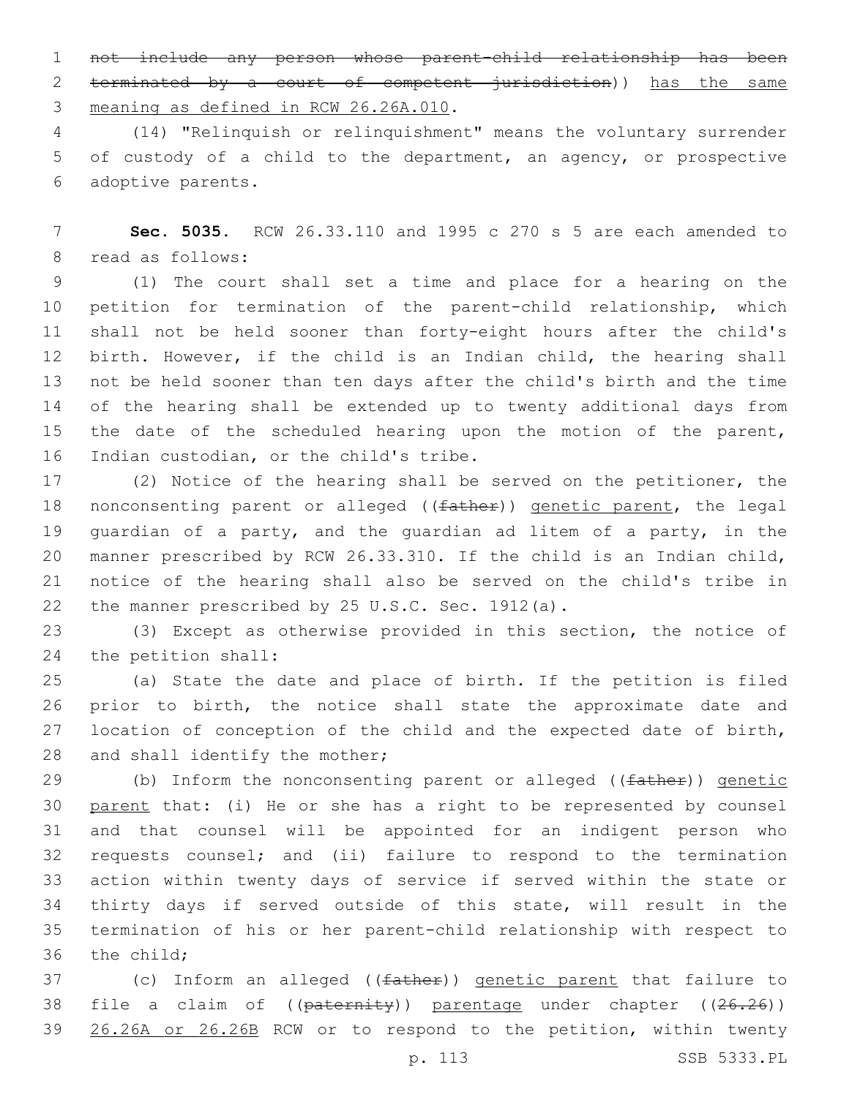not include any person whose parent-child relationship has been terminated by a court of competent jurisdiction)) has the same 3 meaning as defined in RCW 26.26A.010.

 (14) "Relinquish or relinquishment" means the voluntary surrender of custody of a child to the department, an agency, or prospective adoptive parents.6

 **Sec. 5035.** RCW 26.33.110 and 1995 c 270 s 5 are each amended to 8 read as follows:

 (1) The court shall set a time and place for a hearing on the petition for termination of the parent-child relationship, which shall not be held sooner than forty-eight hours after the child's birth. However, if the child is an Indian child, the hearing shall not be held sooner than ten days after the child's birth and the time of the hearing shall be extended up to twenty additional days from 15 the date of the scheduled hearing upon the motion of the parent, 16 Indian custodian, or the child's tribe.

 (2) Notice of the hearing shall be served on the petitioner, the 18 nonconsenting parent or alleged ((father)) genetic parent, the legal guardian of a party, and the guardian ad litem of a party, in the manner prescribed by RCW 26.33.310. If the child is an Indian child, notice of the hearing shall also be served on the child's tribe in 22 the manner prescribed by 25 U.S.C. Sec. 1912(a).

 (3) Except as otherwise provided in this section, the notice of 24 the petition shall:

 (a) State the date and place of birth. If the petition is filed prior to birth, the notice shall state the approximate date and location of conception of the child and the expected date of birth, 28 and shall identify the mother;

29 (b) Inform the nonconsenting parent or alleged ((father)) genetic parent that: (i) He or she has a right to be represented by counsel and that counsel will be appointed for an indigent person who requests counsel; and (ii) failure to respond to the termination action within twenty days of service if served within the state or thirty days if served outside of this state, will result in the termination of his or her parent-child relationship with respect to 36 the child:

37 (c) Inform an alleged ((<del>father</del>)) genetic parent that failure to 38 file a claim of ((paternity)) parentage under chapter ((26.26)) 26.26A or 26.26B RCW or to respond to the petition, within twenty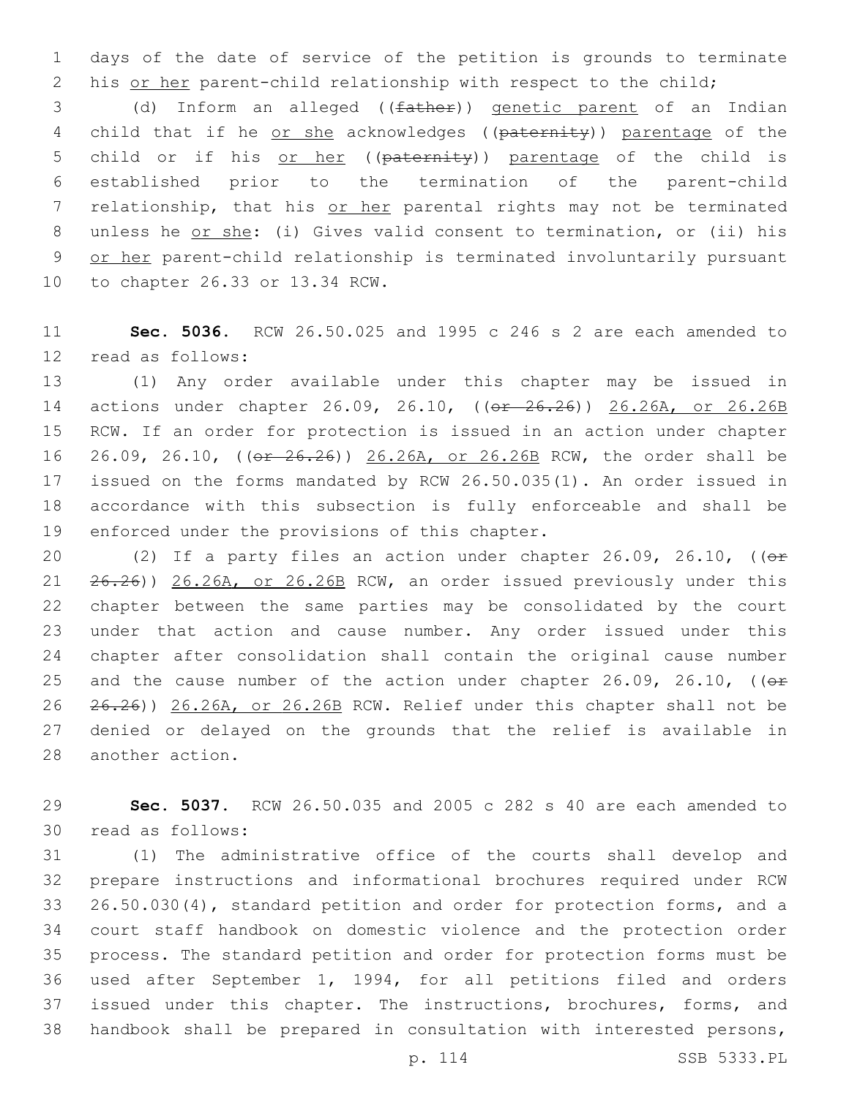days of the date of service of the petition is grounds to terminate 2 his or her parent-child relationship with respect to the child;

 (d) Inform an alleged ((father)) genetic parent of an Indian 4 child that if he or she acknowledges ((paternity)) parentage of the 5 child or if his or her ((paternity)) parentage of the child is established prior to the termination of the parent-child 7 relationship, that his or her parental rights may not be terminated 8 unless he or she: (i) Gives valid consent to termination, or (ii) his 9 or her parent-child relationship is terminated involuntarily pursuant 10 to chapter 26.33 or 13.34 RCW.

 **Sec. 5036.** RCW 26.50.025 and 1995 c 246 s 2 are each amended to 12 read as follows:

 (1) Any order available under this chapter may be issued in actions under chapter 26.09, 26.10, ((or 26.26)) 26.26A, or 26.26B RCW. If an order for protection is issued in an action under chapter 26.09, 26.10, ((or 26.26)) 26.26A, or 26.26B RCW, the order shall be issued on the forms mandated by RCW 26.50.035(1). An order issued in accordance with this subsection is fully enforceable and shall be 19 enforced under the provisions of this chapter.

20 (2) If a party files an action under chapter 26.09, 26.10, ((or 26.26)) 26.26A, or 26.26B RCW, an order issued previously under this chapter between the same parties may be consolidated by the court under that action and cause number. Any order issued under this chapter after consolidation shall contain the original cause number 25 and the cause number of the action under chapter 26.09, 26.10, ( $\Theta$ f 26.26)) 26.26A, or 26.26B RCW. Relief under this chapter shall not be denied or delayed on the grounds that the relief is available in 28 another action.

 **Sec. 5037.** RCW 26.50.035 and 2005 c 282 s 40 are each amended to 30 read as follows:

 (1) The administrative office of the courts shall develop and prepare instructions and informational brochures required under RCW 26.50.030(4), standard petition and order for protection forms, and a court staff handbook on domestic violence and the protection order process. The standard petition and order for protection forms must be used after September 1, 1994, for all petitions filed and orders 37 issued under this chapter. The instructions, brochures, forms, and handbook shall be prepared in consultation with interested persons,

p. 114 SSB 5333.PL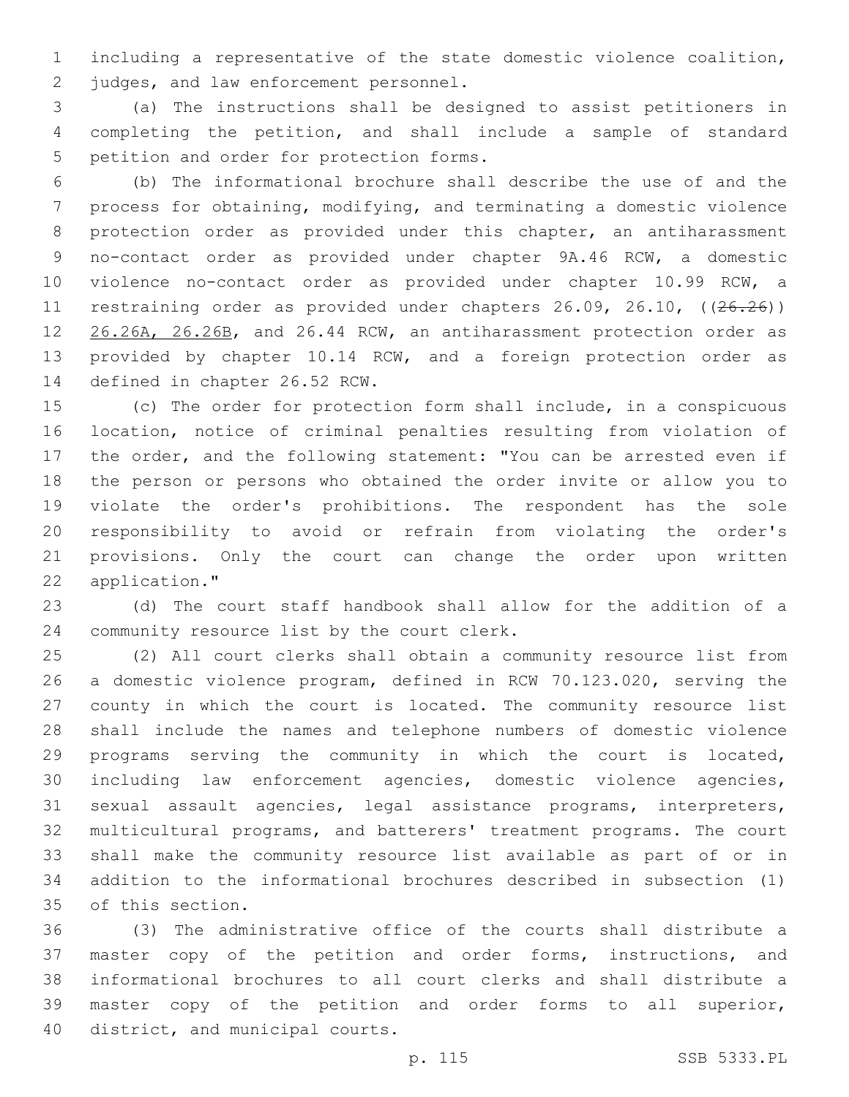including a representative of the state domestic violence coalition, 2 judges, and law enforcement personnel.

 (a) The instructions shall be designed to assist petitioners in completing the petition, and shall include a sample of standard 5 petition and order for protection forms.

 (b) The informational brochure shall describe the use of and the process for obtaining, modifying, and terminating a domestic violence protection order as provided under this chapter, an antiharassment no-contact order as provided under chapter 9A.46 RCW, a domestic violence no-contact order as provided under chapter 10.99 RCW, a 11 restraining order as provided under chapters 26.09, 26.10, ((26.26)) 12 26.26A, 26.26B, and 26.44 RCW, an antiharassment protection order as provided by chapter 10.14 RCW, and a foreign protection order as 14 defined in chapter 26.52 RCW.

 (c) The order for protection form shall include, in a conspicuous location, notice of criminal penalties resulting from violation of the order, and the following statement: "You can be arrested even if the person or persons who obtained the order invite or allow you to violate the order's prohibitions. The respondent has the sole responsibility to avoid or refrain from violating the order's provisions. Only the court can change the order upon written 22 application."

 (d) The court staff handbook shall allow for the addition of a 24 community resource list by the court clerk.

 (2) All court clerks shall obtain a community resource list from a domestic violence program, defined in RCW 70.123.020, serving the county in which the court is located. The community resource list shall include the names and telephone numbers of domestic violence programs serving the community in which the court is located, including law enforcement agencies, domestic violence agencies, sexual assault agencies, legal assistance programs, interpreters, multicultural programs, and batterers' treatment programs. The court shall make the community resource list available as part of or in addition to the informational brochures described in subsection (1) 35 of this section.

 (3) The administrative office of the courts shall distribute a master copy of the petition and order forms, instructions, and informational brochures to all court clerks and shall distribute a master copy of the petition and order forms to all superior, 40 district, and municipal courts.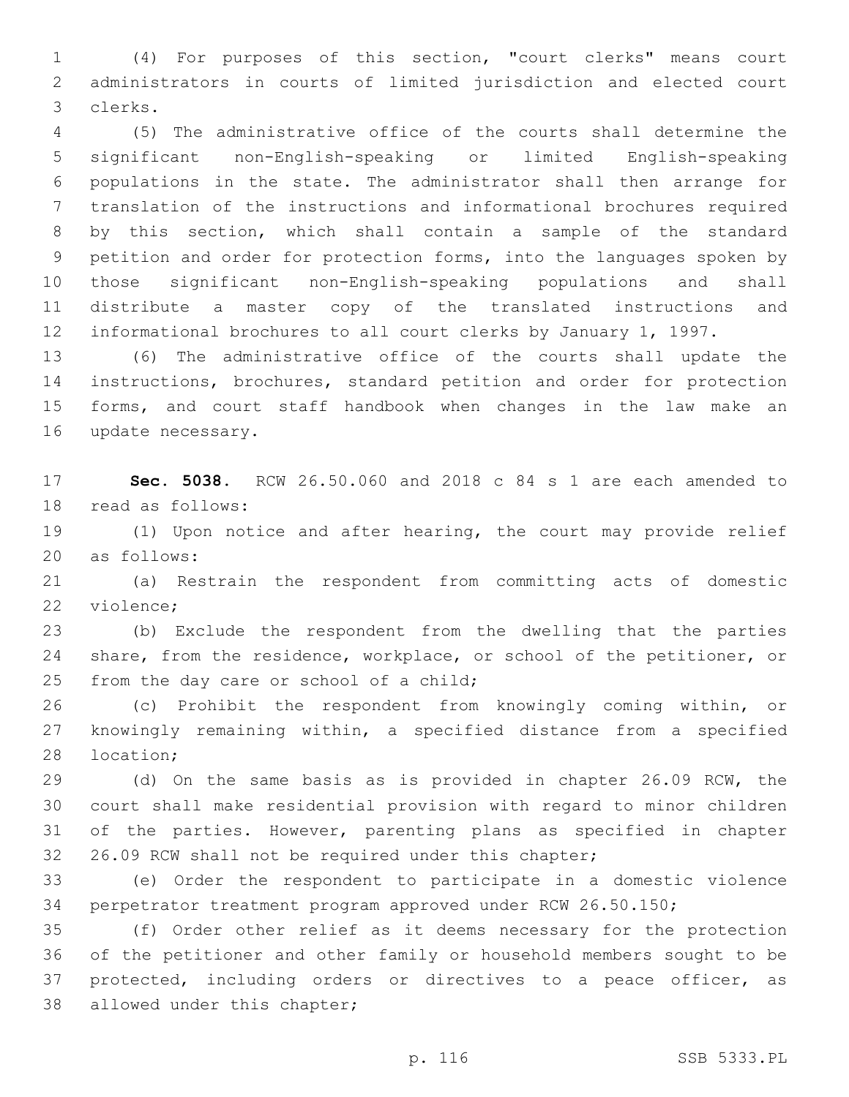(4) For purposes of this section, "court clerks" means court administrators in courts of limited jurisdiction and elected court 3 clerks.

 (5) The administrative office of the courts shall determine the significant non-English-speaking or limited English-speaking populations in the state. The administrator shall then arrange for translation of the instructions and informational brochures required by this section, which shall contain a sample of the standard petition and order for protection forms, into the languages spoken by those significant non-English-speaking populations and shall distribute a master copy of the translated instructions and informational brochures to all court clerks by January 1, 1997.

 (6) The administrative office of the courts shall update the instructions, brochures, standard petition and order for protection forms, and court staff handbook when changes in the law make an 16 update necessary.

 **Sec. 5038.** RCW 26.50.060 and 2018 c 84 s 1 are each amended to 18 read as follows:

 (1) Upon notice and after hearing, the court may provide relief 20 as follows:

 (a) Restrain the respondent from committing acts of domestic 22 violence;

 (b) Exclude the respondent from the dwelling that the parties share, from the residence, workplace, or school of the petitioner, or 25 from the day care or school of a child;

 (c) Prohibit the respondent from knowingly coming within, or knowingly remaining within, a specified distance from a specified 28 location;

 (d) On the same basis as is provided in chapter 26.09 RCW, the court shall make residential provision with regard to minor children of the parties. However, parenting plans as specified in chapter 26.09 RCW shall not be required under this chapter;

 (e) Order the respondent to participate in a domestic violence perpetrator treatment program approved under RCW 26.50.150;

 (f) Order other relief as it deems necessary for the protection of the petitioner and other family or household members sought to be protected, including orders or directives to a peace officer, as 38 allowed under this chapter;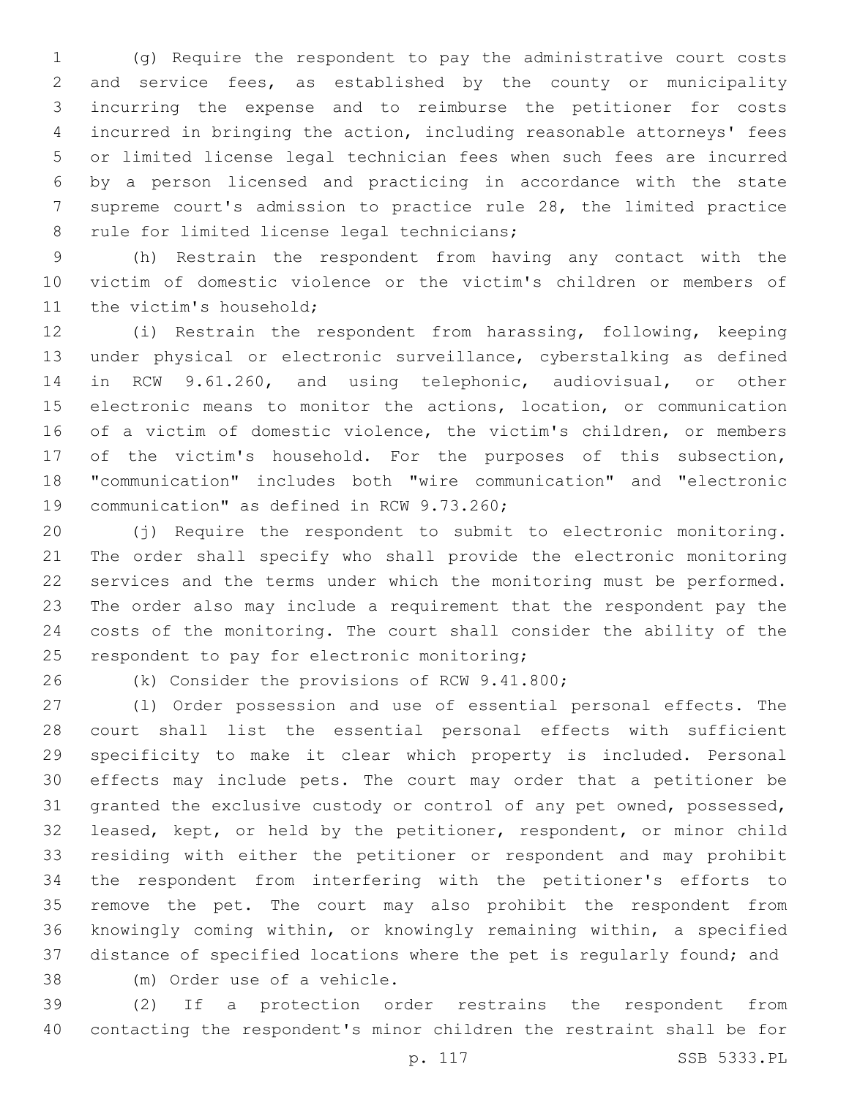(g) Require the respondent to pay the administrative court costs and service fees, as established by the county or municipality incurring the expense and to reimburse the petitioner for costs incurred in bringing the action, including reasonable attorneys' fees or limited license legal technician fees when such fees are incurred by a person licensed and practicing in accordance with the state supreme court's admission to practice rule 28, the limited practice 8 rule for limited license legal technicians;

 (h) Restrain the respondent from having any contact with the victim of domestic violence or the victim's children or members of 11 the victim's household;

 (i) Restrain the respondent from harassing, following, keeping under physical or electronic surveillance, cyberstalking as defined in RCW 9.61.260, and using telephonic, audiovisual, or other electronic means to monitor the actions, location, or communication of a victim of domestic violence, the victim's children, or members of the victim's household. For the purposes of this subsection, "communication" includes both "wire communication" and "electronic 19 communication" as defined in RCW 9.73.260;

 (j) Require the respondent to submit to electronic monitoring. The order shall specify who shall provide the electronic monitoring services and the terms under which the monitoring must be performed. The order also may include a requirement that the respondent pay the costs of the monitoring. The court shall consider the ability of the 25 respondent to pay for electronic monitoring;

26 (k) Consider the provisions of RCW 9.41.800;

 (l) Order possession and use of essential personal effects. The court shall list the essential personal effects with sufficient specificity to make it clear which property is included. Personal effects may include pets. The court may order that a petitioner be granted the exclusive custody or control of any pet owned, possessed, leased, kept, or held by the petitioner, respondent, or minor child residing with either the petitioner or respondent and may prohibit the respondent from interfering with the petitioner's efforts to remove the pet. The court may also prohibit the respondent from knowingly coming within, or knowingly remaining within, a specified distance of specified locations where the pet is regularly found; and

38 (m) Order use of a vehicle.

 (2) If a protection order restrains the respondent from contacting the respondent's minor children the restraint shall be for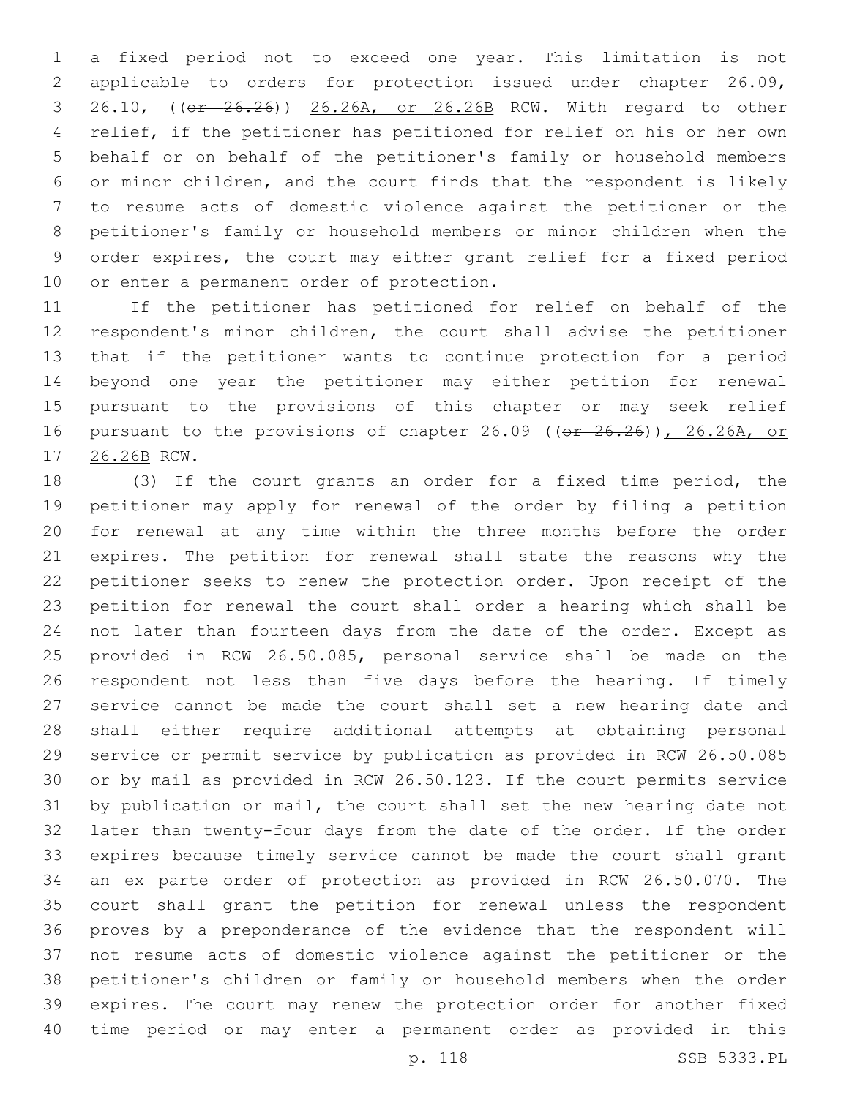a fixed period not to exceed one year. This limitation is not applicable to orders for protection issued under chapter 26.09, 26.10, ((or 26.26)) 26.26A, or 26.26B RCW. With regard to other relief, if the petitioner has petitioned for relief on his or her own behalf or on behalf of the petitioner's family or household members or minor children, and the court finds that the respondent is likely to resume acts of domestic violence against the petitioner or the petitioner's family or household members or minor children when the order expires, the court may either grant relief for a fixed period 10 or enter a permanent order of protection.

 If the petitioner has petitioned for relief on behalf of the respondent's minor children, the court shall advise the petitioner that if the petitioner wants to continue protection for a period beyond one year the petitioner may either petition for renewal pursuant to the provisions of this chapter or may seek relief 16 pursuant to the provisions of chapter 26.09 ((or 26.26)), 26.26A, or 17 26.26B RCW.

 (3) If the court grants an order for a fixed time period, the petitioner may apply for renewal of the order by filing a petition for renewal at any time within the three months before the order expires. The petition for renewal shall state the reasons why the petitioner seeks to renew the protection order. Upon receipt of the petition for renewal the court shall order a hearing which shall be not later than fourteen days from the date of the order. Except as provided in RCW 26.50.085, personal service shall be made on the respondent not less than five days before the hearing. If timely service cannot be made the court shall set a new hearing date and shall either require additional attempts at obtaining personal service or permit service by publication as provided in RCW 26.50.085 or by mail as provided in RCW 26.50.123. If the court permits service by publication or mail, the court shall set the new hearing date not later than twenty-four days from the date of the order. If the order expires because timely service cannot be made the court shall grant an ex parte order of protection as provided in RCW 26.50.070. The court shall grant the petition for renewal unless the respondent proves by a preponderance of the evidence that the respondent will not resume acts of domestic violence against the petitioner or the petitioner's children or family or household members when the order expires. The court may renew the protection order for another fixed time period or may enter a permanent order as provided in this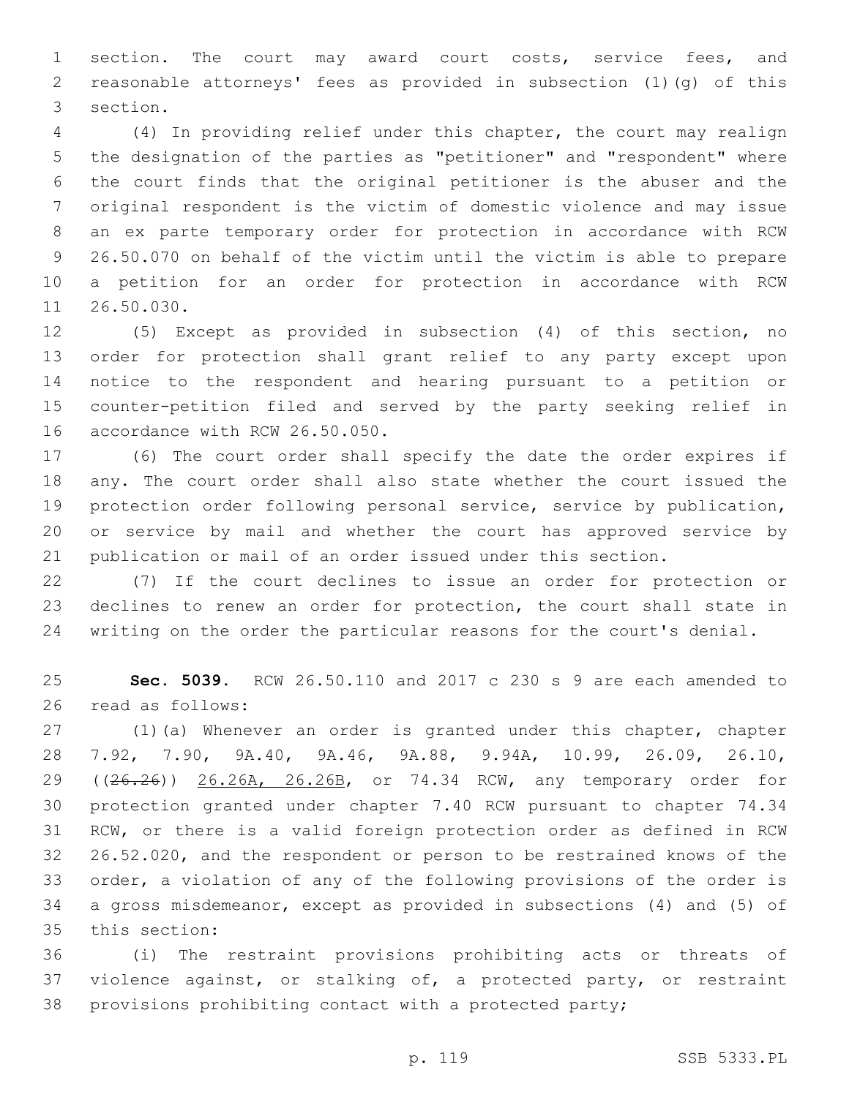section. The court may award court costs, service fees, and reasonable attorneys' fees as provided in subsection (1)(g) of this 3 section.

 (4) In providing relief under this chapter, the court may realign the designation of the parties as "petitioner" and "respondent" where the court finds that the original petitioner is the abuser and the original respondent is the victim of domestic violence and may issue an ex parte temporary order for protection in accordance with RCW 26.50.070 on behalf of the victim until the victim is able to prepare a petition for an order for protection in accordance with RCW 11 26.50.030.

 (5) Except as provided in subsection (4) of this section, no order for protection shall grant relief to any party except upon notice to the respondent and hearing pursuant to a petition or counter-petition filed and served by the party seeking relief in 16 accordance with RCW 26.50.050.

 (6) The court order shall specify the date the order expires if any. The court order shall also state whether the court issued the protection order following personal service, service by publication, or service by mail and whether the court has approved service by publication or mail of an order issued under this section.

 (7) If the court declines to issue an order for protection or declines to renew an order for protection, the court shall state in writing on the order the particular reasons for the court's denial.

 **Sec. 5039.** RCW 26.50.110 and 2017 c 230 s 9 are each amended to 26 read as follows:

 (1)(a) Whenever an order is granted under this chapter, chapter 7.92, 7.90, 9A.40, 9A.46, 9A.88, 9.94A, 10.99, 26.09, 26.10, 29 ((26.26)) 26.26A, 26.26B, or 74.34 RCW, any temporary order for protection granted under chapter 7.40 RCW pursuant to chapter 74.34 RCW, or there is a valid foreign protection order as defined in RCW 26.52.020, and the respondent or person to be restrained knows of the order, a violation of any of the following provisions of the order is a gross misdemeanor, except as provided in subsections (4) and (5) of 35 this section:

 (i) The restraint provisions prohibiting acts or threats of violence against, or stalking of, a protected party, or restraint provisions prohibiting contact with a protected party;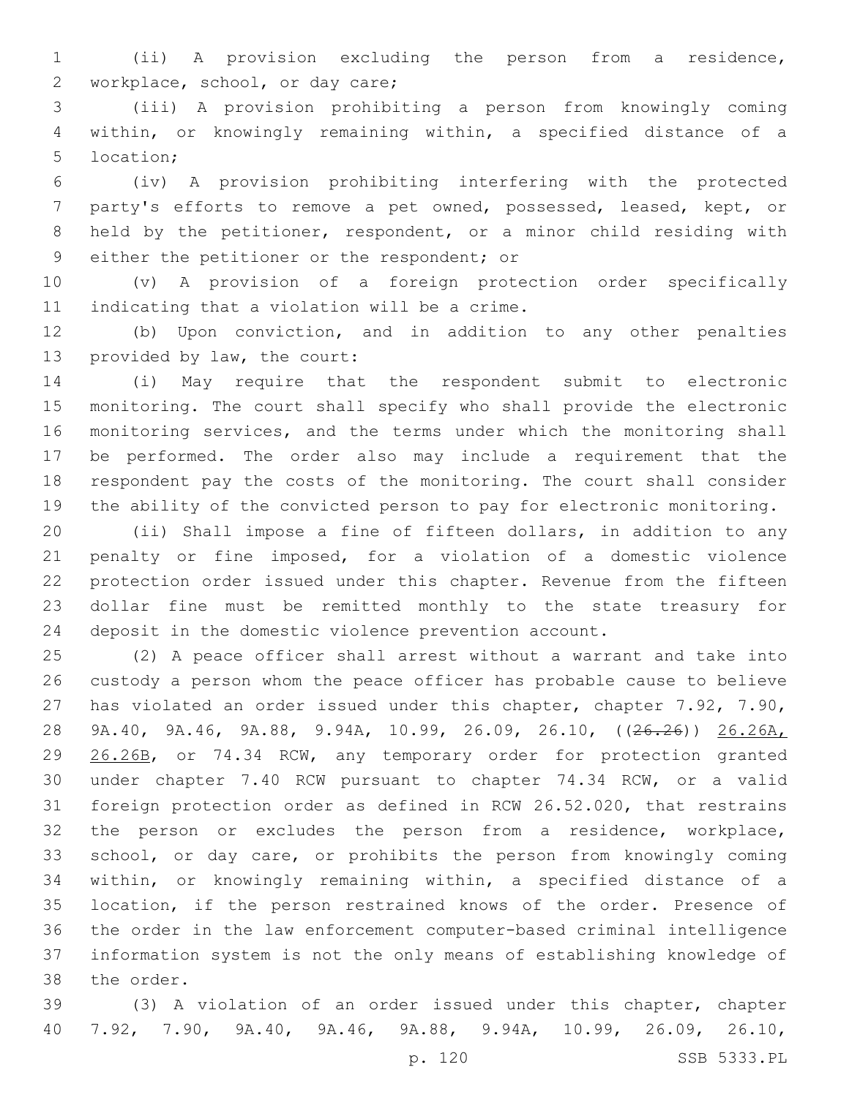(ii) A provision excluding the person from a residence, 2 workplace, school, or day care;

 (iii) A provision prohibiting a person from knowingly coming within, or knowingly remaining within, a specified distance of a 5 location;

 (iv) A provision prohibiting interfering with the protected party's efforts to remove a pet owned, possessed, leased, kept, or held by the petitioner, respondent, or a minor child residing with 9 either the petitioner or the respondent; or

 (v) A provision of a foreign protection order specifically 11 indicating that a violation will be a crime.

 (b) Upon conviction, and in addition to any other penalties 13 provided by law, the court:

 (i) May require that the respondent submit to electronic monitoring. The court shall specify who shall provide the electronic monitoring services, and the terms under which the monitoring shall be performed. The order also may include a requirement that the respondent pay the costs of the monitoring. The court shall consider the ability of the convicted person to pay for electronic monitoring.

 (ii) Shall impose a fine of fifteen dollars, in addition to any penalty or fine imposed, for a violation of a domestic violence protection order issued under this chapter. Revenue from the fifteen dollar fine must be remitted monthly to the state treasury for deposit in the domestic violence prevention account.

 (2) A peace officer shall arrest without a warrant and take into custody a person whom the peace officer has probable cause to believe has violated an order issued under this chapter, chapter 7.92, 7.90, 9A.40, 9A.46, 9A.88, 9.94A, 10.99, 26.09, 26.10, ((26.26)) 26.26A, 26.26B, or 74.34 RCW, any temporary order for protection granted under chapter 7.40 RCW pursuant to chapter 74.34 RCW, or a valid foreign protection order as defined in RCW 26.52.020, that restrains the person or excludes the person from a residence, workplace, school, or day care, or prohibits the person from knowingly coming within, or knowingly remaining within, a specified distance of a location, if the person restrained knows of the order. Presence of the order in the law enforcement computer-based criminal intelligence information system is not the only means of establishing knowledge of 38 the order.

 (3) A violation of an order issued under this chapter, chapter 7.92, 7.90, 9A.40, 9A.46, 9A.88, 9.94A, 10.99, 26.09, 26.10,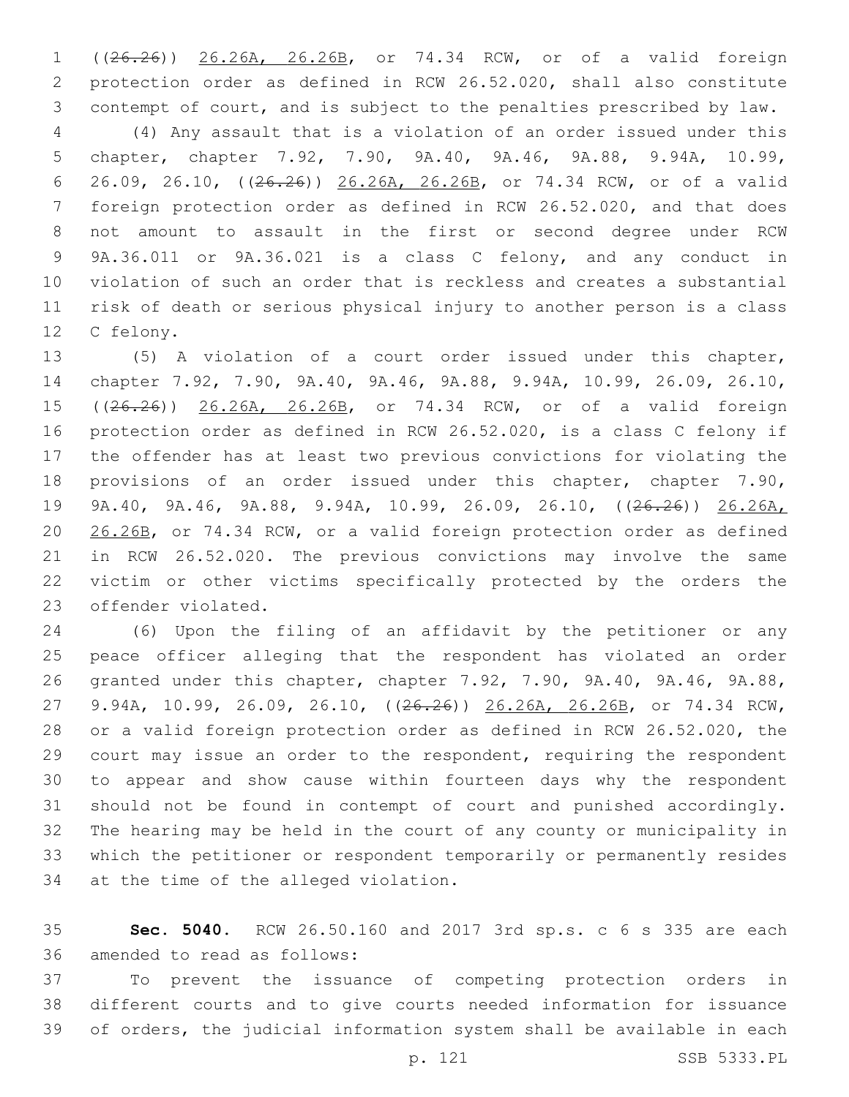((26.26)) 26.26A, 26.26B, or 74.34 RCW, or of a valid foreign protection order as defined in RCW 26.52.020, shall also constitute contempt of court, and is subject to the penalties prescribed by law.

 (4) Any assault that is a violation of an order issued under this chapter, chapter 7.92, 7.90, 9A.40, 9A.46, 9A.88, 9.94A, 10.99, 26.09, 26.10, ((26.26)) 26.26A, 26.26B, or 74.34 RCW, or of a valid foreign protection order as defined in RCW 26.52.020, and that does not amount to assault in the first or second degree under RCW 9A.36.011 or 9A.36.021 is a class C felony, and any conduct in violation of such an order that is reckless and creates a substantial risk of death or serious physical injury to another person is a class 12 C felony.

 (5) A violation of a court order issued under this chapter, chapter 7.92, 7.90, 9A.40, 9A.46, 9A.88, 9.94A, 10.99, 26.09, 26.10, 15 ((26.26)) 26.26A, 26.26B, or 74.34 RCW, or of a valid foreign protection order as defined in RCW 26.52.020, is a class C felony if the offender has at least two previous convictions for violating the provisions of an order issued under this chapter, chapter 7.90, 9A.40, 9A.46, 9A.88, 9.94A, 10.99, 26.09, 26.10, ((26.26)) 26.26A, 26.26B, or 74.34 RCW, or a valid foreign protection order as defined in RCW 26.52.020. The previous convictions may involve the same victim or other victims specifically protected by the orders the 23 offender violated.

 (6) Upon the filing of an affidavit by the petitioner or any peace officer alleging that the respondent has violated an order granted under this chapter, chapter 7.92, 7.90, 9A.40, 9A.46, 9A.88, 9.94A, 10.99, 26.09, 26.10, ((26.26)) 26.26A, 26.26B, or 74.34 RCW, or a valid foreign protection order as defined in RCW 26.52.020, the court may issue an order to the respondent, requiring the respondent to appear and show cause within fourteen days why the respondent should not be found in contempt of court and punished accordingly. The hearing may be held in the court of any county or municipality in which the petitioner or respondent temporarily or permanently resides 34 at the time of the alleged violation.

 **Sec. 5040.** RCW 26.50.160 and 2017 3rd sp.s. c 6 s 335 are each 36 amended to read as follows:

 To prevent the issuance of competing protection orders in different courts and to give courts needed information for issuance of orders, the judicial information system shall be available in each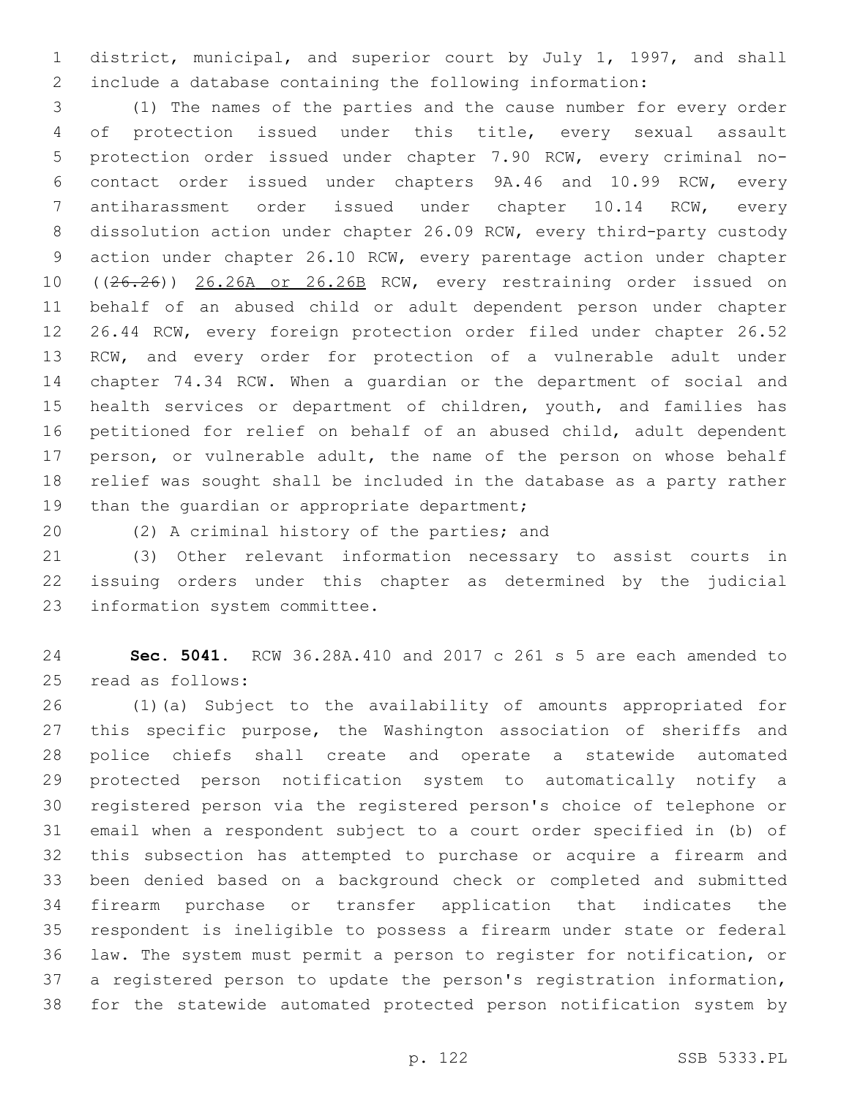district, municipal, and superior court by July 1, 1997, and shall include a database containing the following information:

 (1) The names of the parties and the cause number for every order of protection issued under this title, every sexual assault protection order issued under chapter 7.90 RCW, every criminal no- contact order issued under chapters 9A.46 and 10.99 RCW, every antiharassment order issued under chapter 10.14 RCW, every dissolution action under chapter 26.09 RCW, every third-party custody action under chapter 26.10 RCW, every parentage action under chapter 10 ((26.26)) 26.26A or 26.26B RCW, every restraining order issued on behalf of an abused child or adult dependent person under chapter 26.44 RCW, every foreign protection order filed under chapter 26.52 RCW, and every order for protection of a vulnerable adult under chapter 74.34 RCW. When a guardian or the department of social and 15 health services or department of children, youth, and families has petitioned for relief on behalf of an abused child, adult dependent 17 person, or vulnerable adult, the name of the person on whose behalf relief was sought shall be included in the database as a party rather 19 than the quardian or appropriate department;

20 (2) A criminal history of the parties; and

 (3) Other relevant information necessary to assist courts in issuing orders under this chapter as determined by the judicial 23 information system committee.

 **Sec. 5041.** RCW 36.28A.410 and 2017 c 261 s 5 are each amended to 25 read as follows:

 (1)(a) Subject to the availability of amounts appropriated for 27 this specific purpose, the Washington association of sheriffs and police chiefs shall create and operate a statewide automated protected person notification system to automatically notify a registered person via the registered person's choice of telephone or email when a respondent subject to a court order specified in (b) of this subsection has attempted to purchase or acquire a firearm and been denied based on a background check or completed and submitted firearm purchase or transfer application that indicates the respondent is ineligible to possess a firearm under state or federal law. The system must permit a person to register for notification, or a registered person to update the person's registration information, for the statewide automated protected person notification system by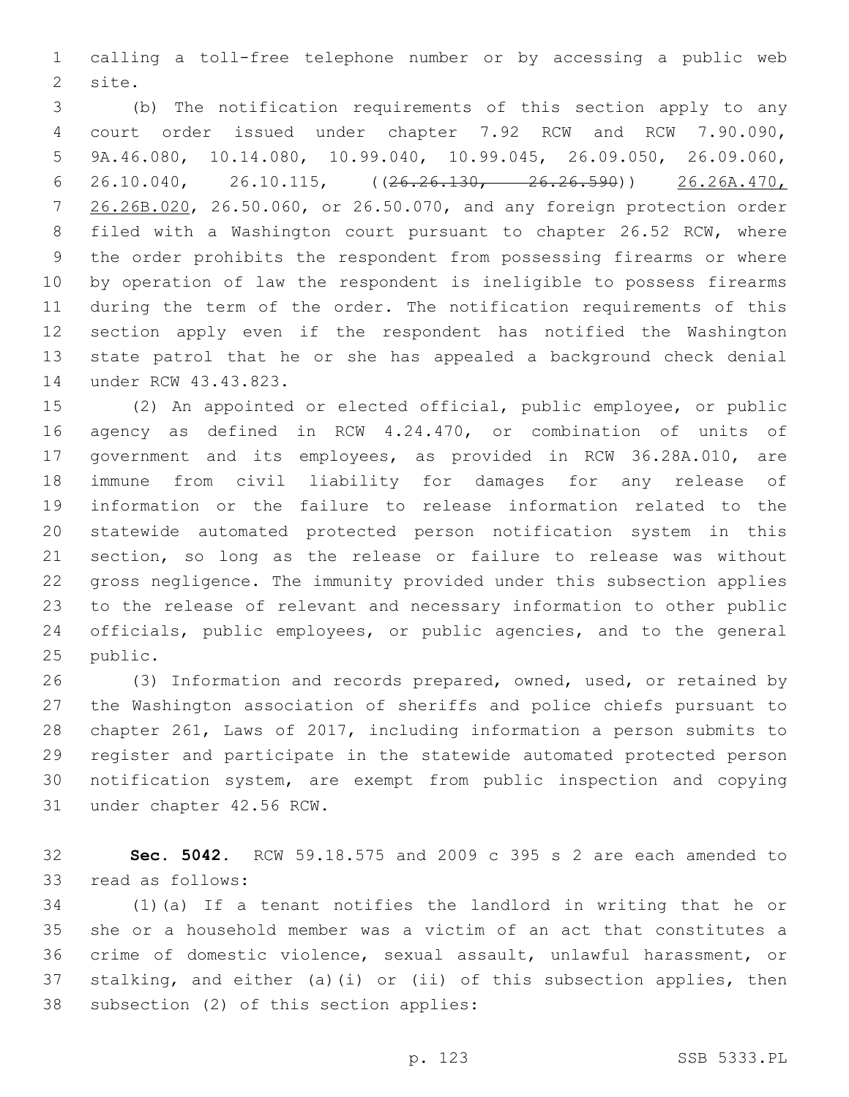calling a toll-free telephone number or by accessing a public web 2 site.

 (b) The notification requirements of this section apply to any court order issued under chapter 7.92 RCW and RCW 7.90.090, 9A.46.080, 10.14.080, 10.99.040, 10.99.045, 26.09.050, 26.09.060, 6 26.10.040, 26.10.115,  $((26.26.130, -26.26.590))$  26.26A.470, 26.26B.020, 26.50.060, or 26.50.070, and any foreign protection order filed with a Washington court pursuant to chapter 26.52 RCW, where the order prohibits the respondent from possessing firearms or where by operation of law the respondent is ineligible to possess firearms during the term of the order. The notification requirements of this section apply even if the respondent has notified the Washington state patrol that he or she has appealed a background check denial 14 under RCW 43.43.823.

 (2) An appointed or elected official, public employee, or public agency as defined in RCW 4.24.470, or combination of units of government and its employees, as provided in RCW 36.28A.010, are immune from civil liability for damages for any release of information or the failure to release information related to the statewide automated protected person notification system in this section, so long as the release or failure to release was without gross negligence. The immunity provided under this subsection applies to the release of relevant and necessary information to other public officials, public employees, or public agencies, and to the general 25 public.

 (3) Information and records prepared, owned, used, or retained by the Washington association of sheriffs and police chiefs pursuant to chapter 261, Laws of 2017, including information a person submits to register and participate in the statewide automated protected person notification system, are exempt from public inspection and copying 31 under chapter 42.56 RCW.

 **Sec. 5042.** RCW 59.18.575 and 2009 c 395 s 2 are each amended to 33 read as follows:

 (1)(a) If a tenant notifies the landlord in writing that he or she or a household member was a victim of an act that constitutes a crime of domestic violence, sexual assault, unlawful harassment, or stalking, and either (a)(i) or (ii) of this subsection applies, then 38 subsection (2) of this section applies: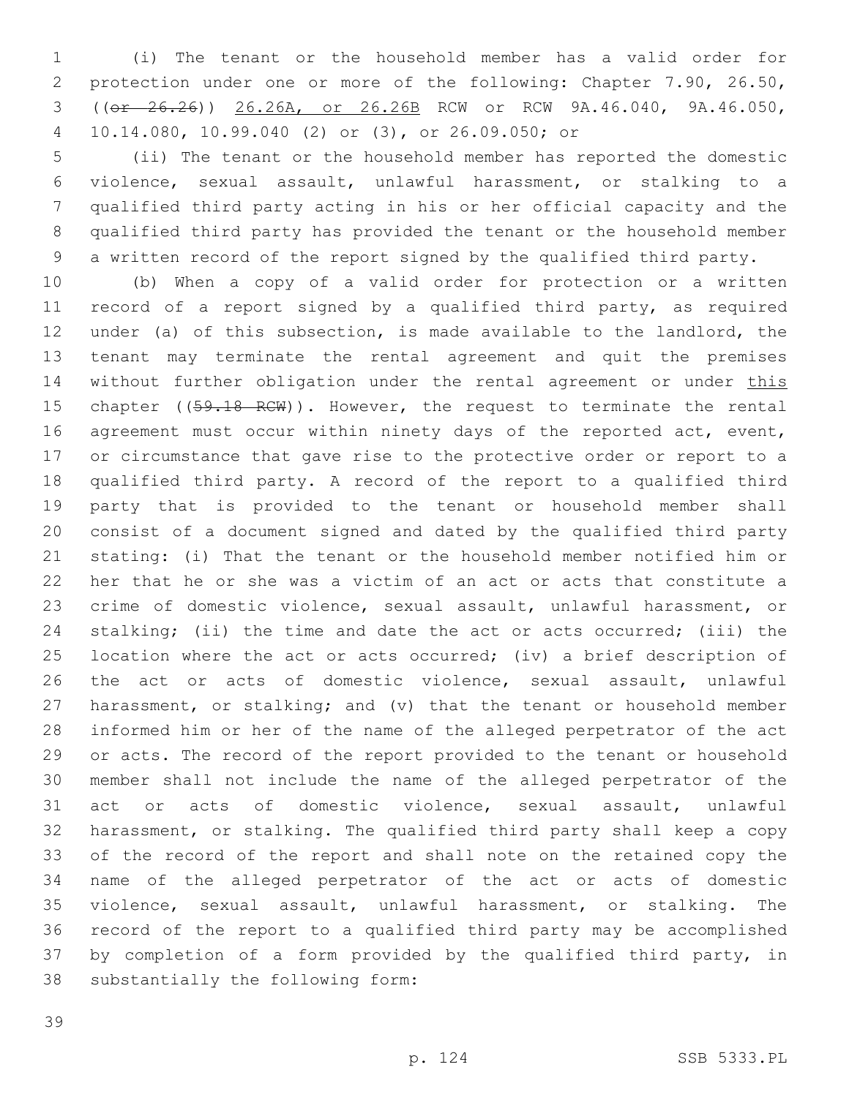(i) The tenant or the household member has a valid order for protection under one or more of the following: Chapter 7.90, 26.50, ((or 26.26)) 26.26A, or 26.26B RCW or RCW 9A.46.040, 9A.46.050, 10.14.080, 10.99.040 (2) or (3), or 26.09.050; or4

 (ii) The tenant or the household member has reported the domestic violence, sexual assault, unlawful harassment, or stalking to a qualified third party acting in his or her official capacity and the qualified third party has provided the tenant or the household member a written record of the report signed by the qualified third party.

 (b) When a copy of a valid order for protection or a written record of a report signed by a qualified third party, as required under (a) of this subsection, is made available to the landlord, the tenant may terminate the rental agreement and quit the premises 14 without further obligation under the rental agreement or under this 15 chapter ((59.18 RCW)). However, the request to terminate the rental 16 agreement must occur within ninety days of the reported act, event, or circumstance that gave rise to the protective order or report to a qualified third party. A record of the report to a qualified third party that is provided to the tenant or household member shall consist of a document signed and dated by the qualified third party stating: (i) That the tenant or the household member notified him or her that he or she was a victim of an act or acts that constitute a crime of domestic violence, sexual assault, unlawful harassment, or stalking; (ii) the time and date the act or acts occurred; (iii) the location where the act or acts occurred; (iv) a brief description of the act or acts of domestic violence, sexual assault, unlawful harassment, or stalking; and (v) that the tenant or household member informed him or her of the name of the alleged perpetrator of the act or acts. The record of the report provided to the tenant or household member shall not include the name of the alleged perpetrator of the act or acts of domestic violence, sexual assault, unlawful harassment, or stalking. The qualified third party shall keep a copy of the record of the report and shall note on the retained copy the name of the alleged perpetrator of the act or acts of domestic violence, sexual assault, unlawful harassment, or stalking. The record of the report to a qualified third party may be accomplished by completion of a form provided by the qualified third party, in 38 substantially the following form: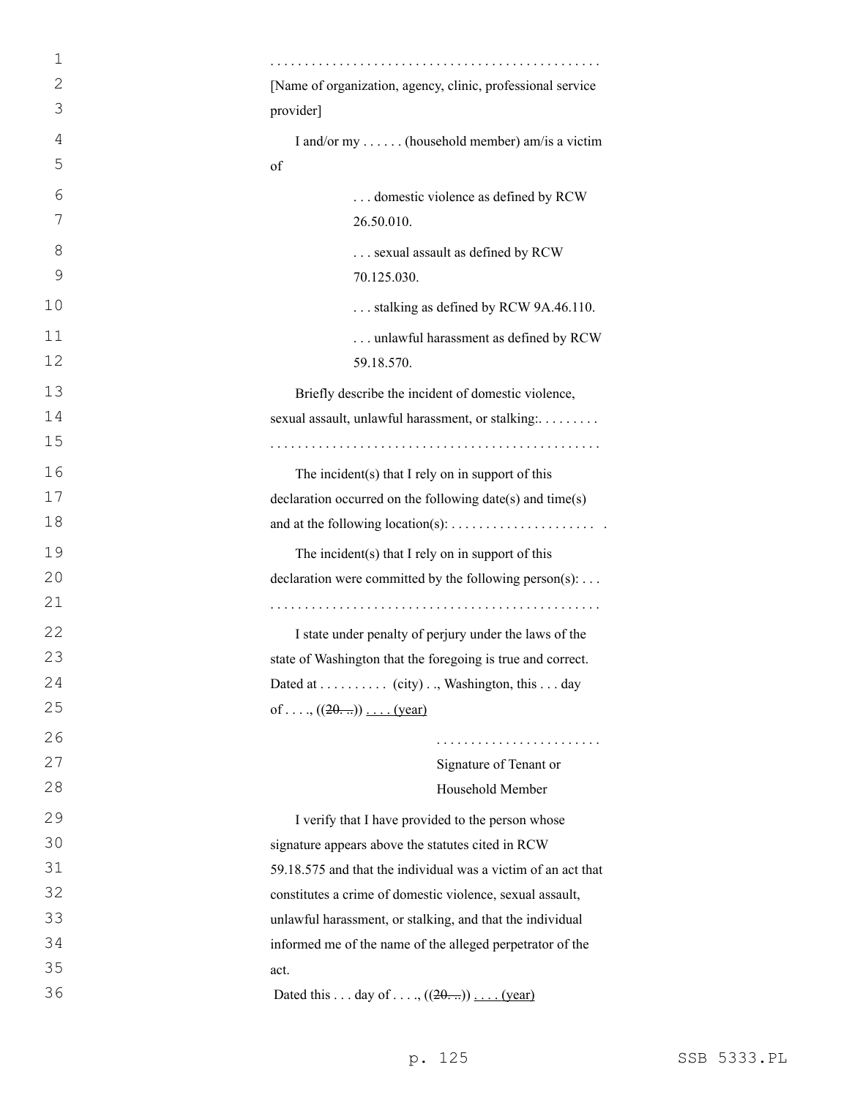| 1            |                                                               |
|--------------|---------------------------------------------------------------|
| $\mathbf{2}$ | [Name of organization, agency, clinic, professional service   |
| 3            | provider]                                                     |
| 4            | I and/or my  (household member) am/is a victim                |
| 5            | of                                                            |
| 6            | domestic violence as defined by RCW                           |
| 7            | 26.50.010.                                                    |
| 8            | sexual assault as defined by RCW                              |
| 9            | 70.125.030.                                                   |
| 10           | stalking as defined by RCW 9A.46.110.                         |
| 11           | unlawful harassment as defined by RCW                         |
| 12           | 59.18.570.                                                    |
| 13           | Briefly describe the incident of domestic violence,           |
| 14           | sexual assault, unlawful harassment, or stalking:             |
| 15           |                                                               |
| 16           | The incident(s) that I rely on in support of this             |
| 17           | declaration occurred on the following date(s) and time(s)     |
| 18           |                                                               |
| 19           | The incident(s) that I rely on in support of this             |
| 20           | declaration were committed by the following person(s):        |
| 21           |                                                               |
| 22           | I state under penalty of perjury under the laws of the        |
| 23           | state of Washington that the foregoing is true and correct.   |
| 24           | Dated at (city), Washington, this day                         |
| 25           | of, $((20))$ (year)                                           |
| 26           |                                                               |
| 27           | Signature of Tenant or                                        |
| 28           | Household Member                                              |
| 29           | I verify that I have provided to the person whose             |
| 30           | signature appears above the statutes cited in RCW             |
| 31           | 59.18.575 and that the individual was a victim of an act that |
| 32           | constitutes a crime of domestic violence, sexual assault,     |
| 33           | unlawful harassment, or stalking, and that the individual     |
| 34           | informed me of the name of the alleged perpetrator of the     |
| 35           | act.                                                          |
| 36           | Dated this day of , $((20))$ (year)                           |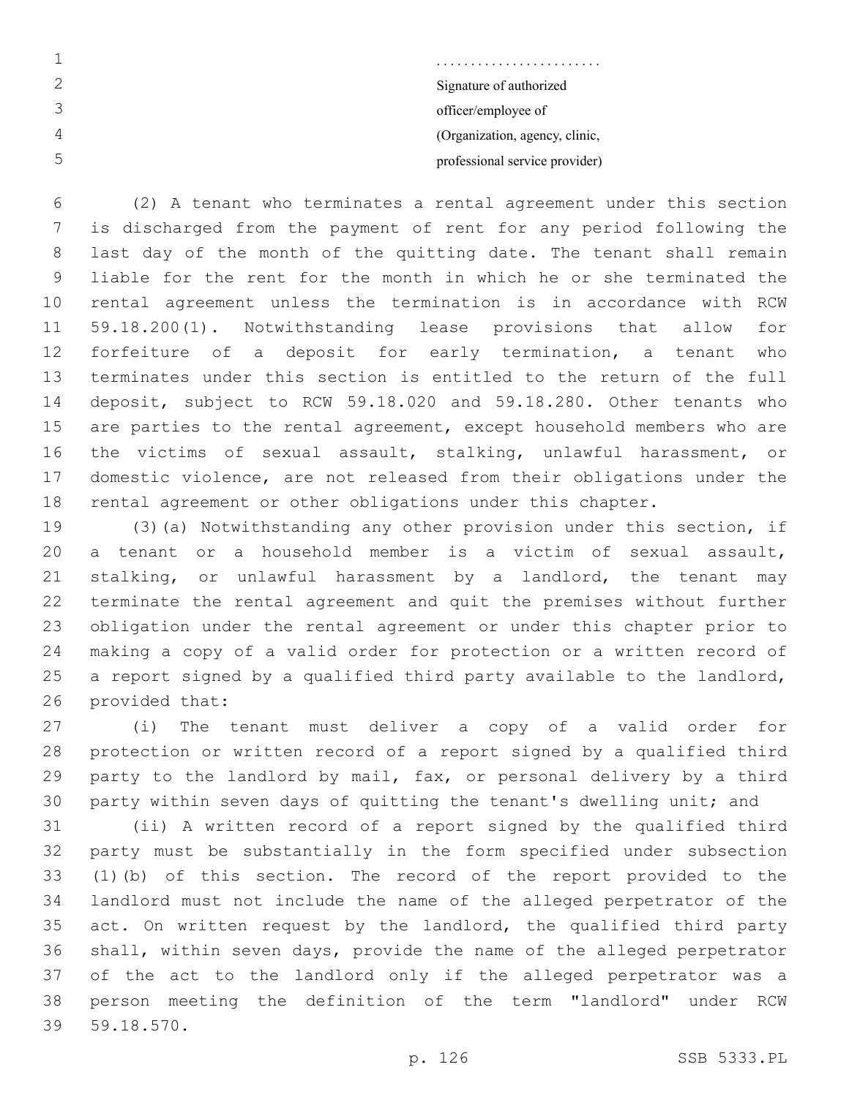| .                              |
|--------------------------------|
| Signature of authorized        |
| officer/employee of            |
| (Organization, agency, clinic, |
| professional service provider) |

 (2) A tenant who terminates a rental agreement under this section is discharged from the payment of rent for any period following the last day of the month of the quitting date. The tenant shall remain liable for the rent for the month in which he or she terminated the rental agreement unless the termination is in accordance with RCW 59.18.200(1). Notwithstanding lease provisions that allow for forfeiture of a deposit for early termination, a tenant who terminates under this section is entitled to the return of the full deposit, subject to RCW 59.18.020 and 59.18.280. Other tenants who are parties to the rental agreement, except household members who are the victims of sexual assault, stalking, unlawful harassment, or domestic violence, are not released from their obligations under the rental agreement or other obligations under this chapter.

 (3)(a) Notwithstanding any other provision under this section, if a tenant or a household member is a victim of sexual assault, stalking, or unlawful harassment by a landlord, the tenant may terminate the rental agreement and quit the premises without further obligation under the rental agreement or under this chapter prior to making a copy of a valid order for protection or a written record of a report signed by a qualified third party available to the landlord, 26 provided that:

 (i) The tenant must deliver a copy of a valid order for protection or written record of a report signed by a qualified third party to the landlord by mail, fax, or personal delivery by a third party within seven days of quitting the tenant's dwelling unit; and

 (ii) A written record of a report signed by the qualified third party must be substantially in the form specified under subsection (1)(b) of this section. The record of the report provided to the landlord must not include the name of the alleged perpetrator of the 35 act. On written request by the landlord, the qualified third party shall, within seven days, provide the name of the alleged perpetrator of the act to the landlord only if the alleged perpetrator was a person meeting the definition of the term "landlord" under RCW 59.18.570.39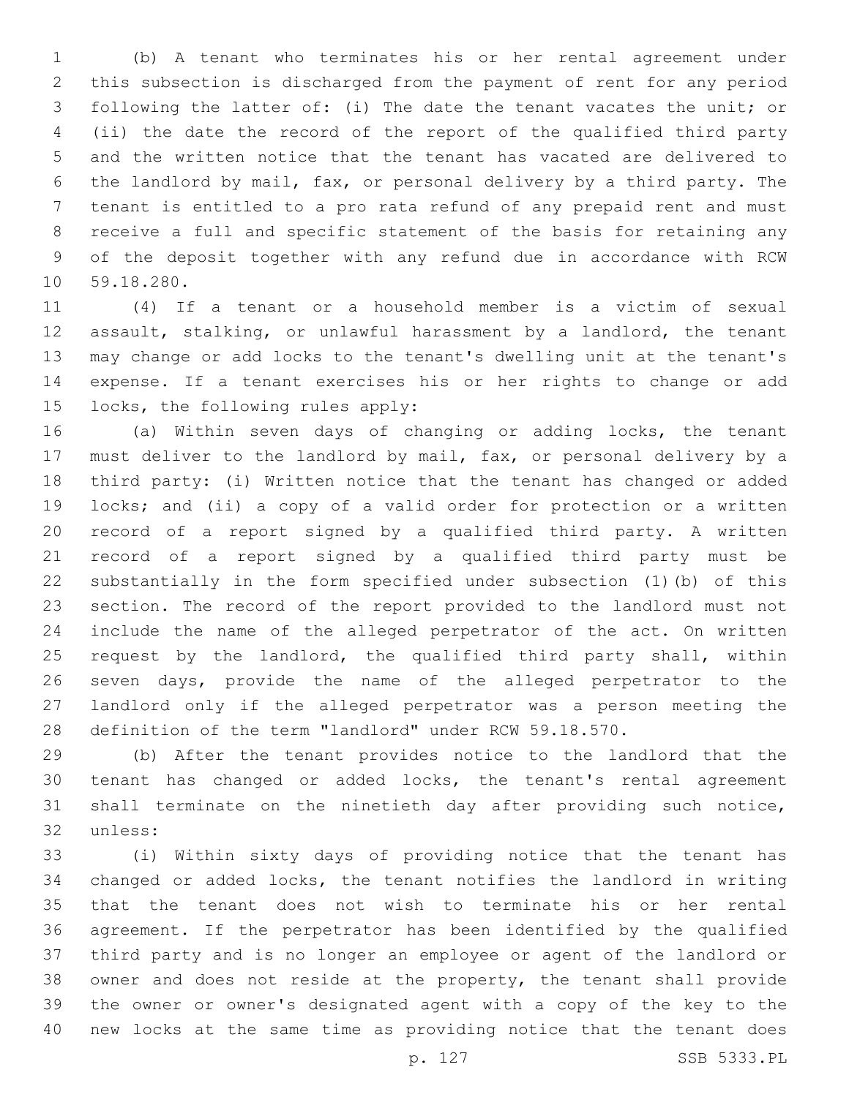(b) A tenant who terminates his or her rental agreement under this subsection is discharged from the payment of rent for any period following the latter of: (i) The date the tenant vacates the unit; or (ii) the date the record of the report of the qualified third party and the written notice that the tenant has vacated are delivered to the landlord by mail, fax, or personal delivery by a third party. The tenant is entitled to a pro rata refund of any prepaid rent and must receive a full and specific statement of the basis for retaining any of the deposit together with any refund due in accordance with RCW 10 59.18.280.

 (4) If a tenant or a household member is a victim of sexual assault, stalking, or unlawful harassment by a landlord, the tenant may change or add locks to the tenant's dwelling unit at the tenant's expense. If a tenant exercises his or her rights to change or add 15 locks, the following rules apply:

 (a) Within seven days of changing or adding locks, the tenant must deliver to the landlord by mail, fax, or personal delivery by a third party: (i) Written notice that the tenant has changed or added locks; and (ii) a copy of a valid order for protection or a written record of a report signed by a qualified third party. A written record of a report signed by a qualified third party must be substantially in the form specified under subsection (1)(b) of this section. The record of the report provided to the landlord must not include the name of the alleged perpetrator of the act. On written 25 request by the landlord, the qualified third party shall, within seven days, provide the name of the alleged perpetrator to the landlord only if the alleged perpetrator was a person meeting the definition of the term "landlord" under RCW 59.18.570.

 (b) After the tenant provides notice to the landlord that the tenant has changed or added locks, the tenant's rental agreement shall terminate on the ninetieth day after providing such notice, 32 unless:

 (i) Within sixty days of providing notice that the tenant has changed or added locks, the tenant notifies the landlord in writing that the tenant does not wish to terminate his or her rental agreement. If the perpetrator has been identified by the qualified third party and is no longer an employee or agent of the landlord or owner and does not reside at the property, the tenant shall provide the owner or owner's designated agent with a copy of the key to the new locks at the same time as providing notice that the tenant does

p. 127 SSB 5333.PL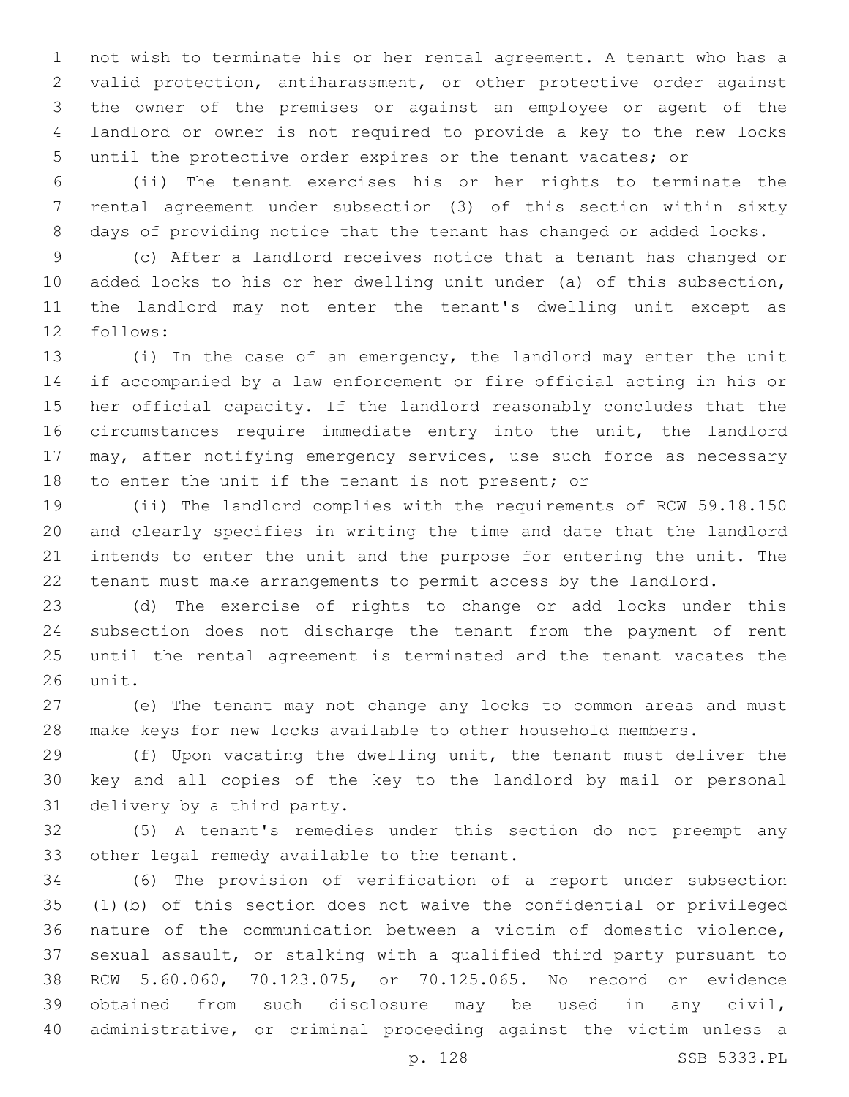not wish to terminate his or her rental agreement. A tenant who has a valid protection, antiharassment, or other protective order against the owner of the premises or against an employee or agent of the landlord or owner is not required to provide a key to the new locks until the protective order expires or the tenant vacates; or

 (ii) The tenant exercises his or her rights to terminate the rental agreement under subsection (3) of this section within sixty days of providing notice that the tenant has changed or added locks.

 (c) After a landlord receives notice that a tenant has changed or added locks to his or her dwelling unit under (a) of this subsection, the landlord may not enter the tenant's dwelling unit except as 12 follows:

 (i) In the case of an emergency, the landlord may enter the unit if accompanied by a law enforcement or fire official acting in his or her official capacity. If the landlord reasonably concludes that the circumstances require immediate entry into the unit, the landlord may, after notifying emergency services, use such force as necessary to enter the unit if the tenant is not present; or

 (ii) The landlord complies with the requirements of RCW 59.18.150 and clearly specifies in writing the time and date that the landlord intends to enter the unit and the purpose for entering the unit. The tenant must make arrangements to permit access by the landlord.

 (d) The exercise of rights to change or add locks under this subsection does not discharge the tenant from the payment of rent until the rental agreement is terminated and the tenant vacates the 26 unit.

 (e) The tenant may not change any locks to common areas and must make keys for new locks available to other household members.

 (f) Upon vacating the dwelling unit, the tenant must deliver the key and all copies of the key to the landlord by mail or personal 31 delivery by a third party.

 (5) A tenant's remedies under this section do not preempt any 33 other legal remedy available to the tenant.

 (6) The provision of verification of a report under subsection (1)(b) of this section does not waive the confidential or privileged nature of the communication between a victim of domestic violence, sexual assault, or stalking with a qualified third party pursuant to RCW 5.60.060, 70.123.075, or 70.125.065. No record or evidence obtained from such disclosure may be used in any civil, administrative, or criminal proceeding against the victim unless a

p. 128 SSB 5333.PL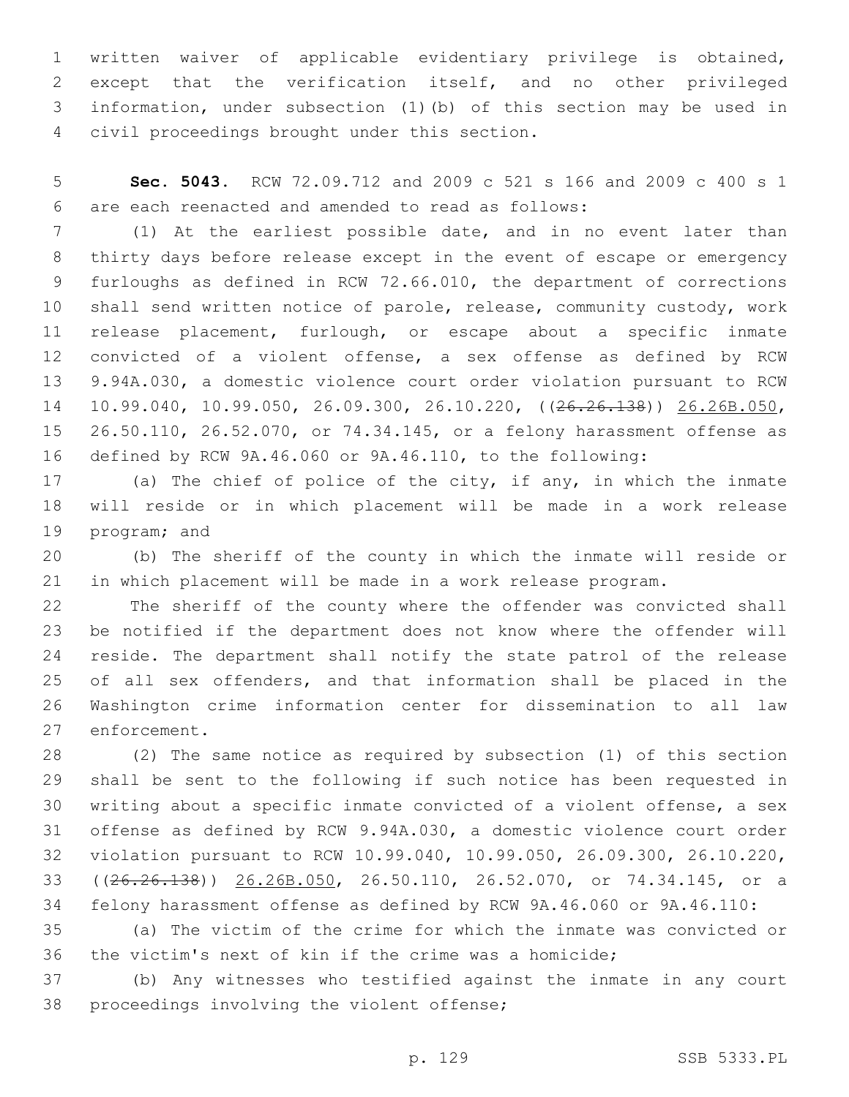written waiver of applicable evidentiary privilege is obtained, except that the verification itself, and no other privileged information, under subsection (1)(b) of this section may be used in civil proceedings brought under this section.4

 **Sec. 5043.** RCW 72.09.712 and 2009 c 521 s 166 and 2009 c 400 s 1 are each reenacted and amended to read as follows:6

 (1) At the earliest possible date, and in no event later than thirty days before release except in the event of escape or emergency furloughs as defined in RCW 72.66.010, the department of corrections shall send written notice of parole, release, community custody, work release placement, furlough, or escape about a specific inmate convicted of a violent offense, a sex offense as defined by RCW 9.94A.030, a domestic violence court order violation pursuant to RCW 10.99.040, 10.99.050, 26.09.300, 26.10.220, ((26.26.138)) 26.26B.050, 26.50.110, 26.52.070, or 74.34.145, or a felony harassment offense as defined by RCW 9A.46.060 or 9A.46.110, to the following:

 (a) The chief of police of the city, if any, in which the inmate will reside or in which placement will be made in a work release 19 program; and

 (b) The sheriff of the county in which the inmate will reside or in which placement will be made in a work release program.

 The sheriff of the county where the offender was convicted shall be notified if the department does not know where the offender will reside. The department shall notify the state patrol of the release of all sex offenders, and that information shall be placed in the Washington crime information center for dissemination to all law 27 enforcement.

 (2) The same notice as required by subsection (1) of this section shall be sent to the following if such notice has been requested in writing about a specific inmate convicted of a violent offense, a sex offense as defined by RCW 9.94A.030, a domestic violence court order violation pursuant to RCW 10.99.040, 10.99.050, 26.09.300, 26.10.220, ((26.26.138)) 26.26B.050, 26.50.110, 26.52.070, or 74.34.145, or a felony harassment offense as defined by RCW 9A.46.060 or 9A.46.110:

 (a) The victim of the crime for which the inmate was convicted or the victim's next of kin if the crime was a homicide;

 (b) Any witnesses who testified against the inmate in any court 38 proceedings involving the violent offense;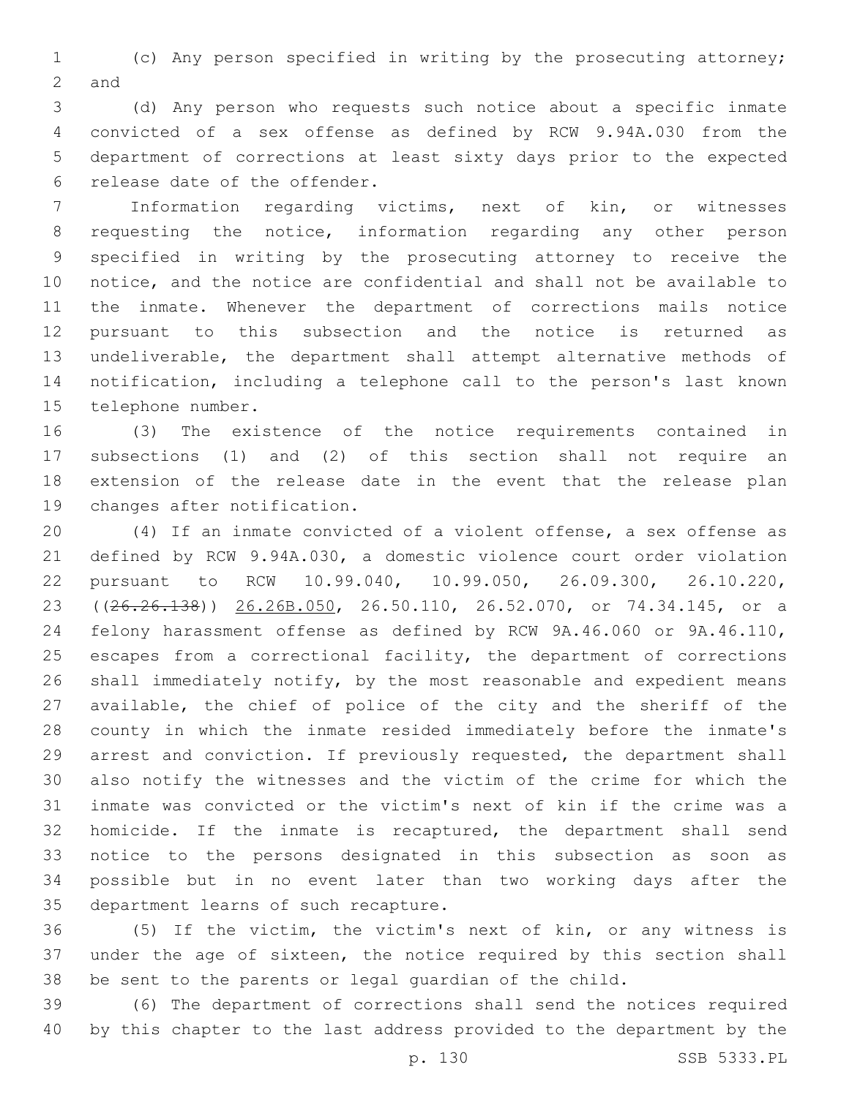(c) Any person specified in writing by the prosecuting attorney; 2 and

 (d) Any person who requests such notice about a specific inmate convicted of a sex offense as defined by RCW 9.94A.030 from the department of corrections at least sixty days prior to the expected 6 release date of the offender.

 Information regarding victims, next of kin, or witnesses requesting the notice, information regarding any other person specified in writing by the prosecuting attorney to receive the notice, and the notice are confidential and shall not be available to the inmate. Whenever the department of corrections mails notice pursuant to this subsection and the notice is returned as undeliverable, the department shall attempt alternative methods of notification, including a telephone call to the person's last known 15 telephone number.

 (3) The existence of the notice requirements contained in subsections (1) and (2) of this section shall not require an extension of the release date in the event that the release plan 19 changes after notification.

 (4) If an inmate convicted of a violent offense, a sex offense as defined by RCW 9.94A.030, a domestic violence court order violation pursuant to RCW 10.99.040, 10.99.050, 26.09.300, 26.10.220, 23 ((26.26.138)) 26.26B.050, 26.50.110, 26.52.070, or 74.34.145, or a felony harassment offense as defined by RCW 9A.46.060 or 9A.46.110, escapes from a correctional facility, the department of corrections shall immediately notify, by the most reasonable and expedient means available, the chief of police of the city and the sheriff of the county in which the inmate resided immediately before the inmate's arrest and conviction. If previously requested, the department shall also notify the witnesses and the victim of the crime for which the inmate was convicted or the victim's next of kin if the crime was a homicide. If the inmate is recaptured, the department shall send notice to the persons designated in this subsection as soon as possible but in no event later than two working days after the 35 department learns of such recapture.

 (5) If the victim, the victim's next of kin, or any witness is under the age of sixteen, the notice required by this section shall be sent to the parents or legal guardian of the child.

 (6) The department of corrections shall send the notices required by this chapter to the last address provided to the department by the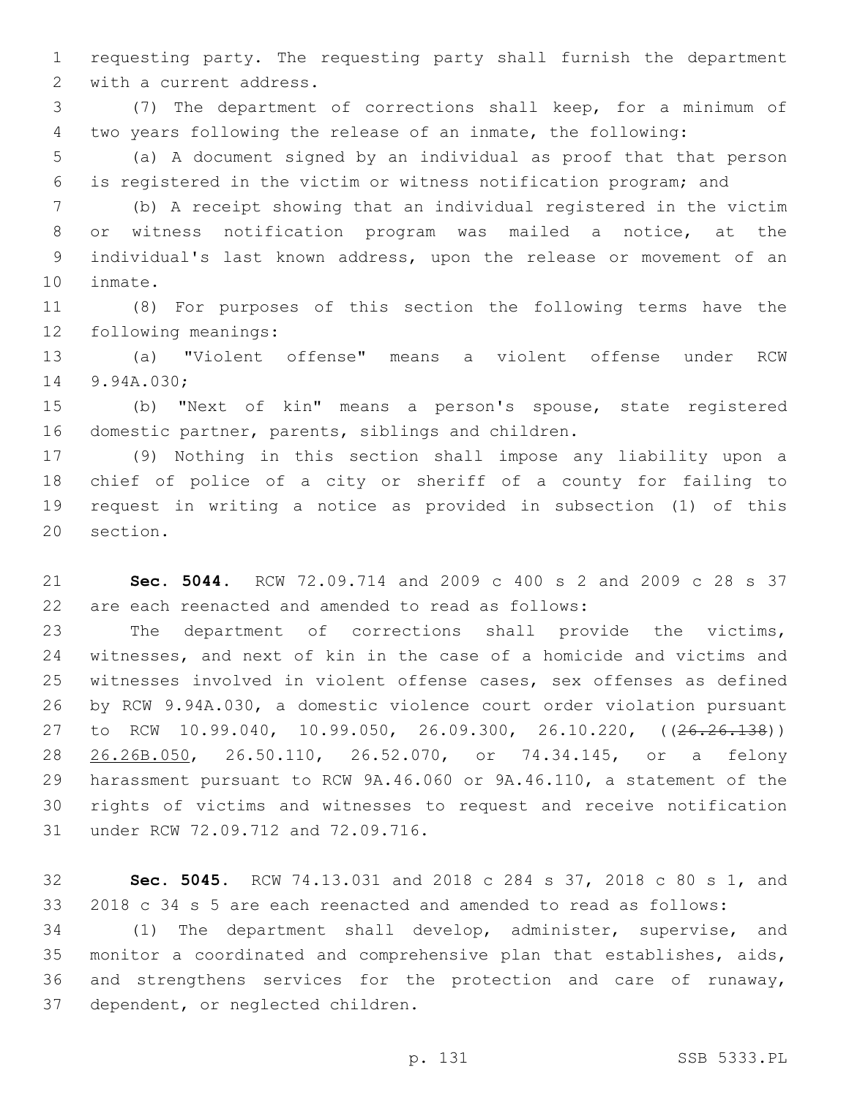requesting party. The requesting party shall furnish the department 2 with a current address.

 (7) The department of corrections shall keep, for a minimum of two years following the release of an inmate, the following:

 (a) A document signed by an individual as proof that that person is registered in the victim or witness notification program; and

 (b) A receipt showing that an individual registered in the victim or witness notification program was mailed a notice, at the individual's last known address, upon the release or movement of an 10 inmate.

 (8) For purposes of this section the following terms have the 12 following meanings:

 (a) "Violent offense" means a violent offense under RCW 14 9.94A.030;

 (b) "Next of kin" means a person's spouse, state registered 16 domestic partner, parents, siblings and children.

 (9) Nothing in this section shall impose any liability upon a chief of police of a city or sheriff of a county for failing to request in writing a notice as provided in subsection (1) of this 20 section.

 **Sec. 5044.** RCW 72.09.714 and 2009 c 400 s 2 and 2009 c 28 s 37 are each reenacted and amended to read as follows:

 The department of corrections shall provide the victims, witnesses, and next of kin in the case of a homicide and victims and witnesses involved in violent offense cases, sex offenses as defined by RCW 9.94A.030, a domestic violence court order violation pursuant 27 to RCW 10.99.040, 10.99.050, 26.09.300, 26.10.220, ((26.26.138)) 26.26B.050, 26.50.110, 26.52.070, or 74.34.145, or a felony harassment pursuant to RCW 9A.46.060 or 9A.46.110, a statement of the rights of victims and witnesses to request and receive notification 31 under RCW 72.09.712 and 72.09.716.

 **Sec. 5045.** RCW 74.13.031 and 2018 c 284 s 37, 2018 c 80 s 1, and 2018 c 34 s 5 are each reenacted and amended to read as follows:

 (1) The department shall develop, administer, supervise, and monitor a coordinated and comprehensive plan that establishes, aids, and strengthens services for the protection and care of runaway, 37 dependent, or neglected children.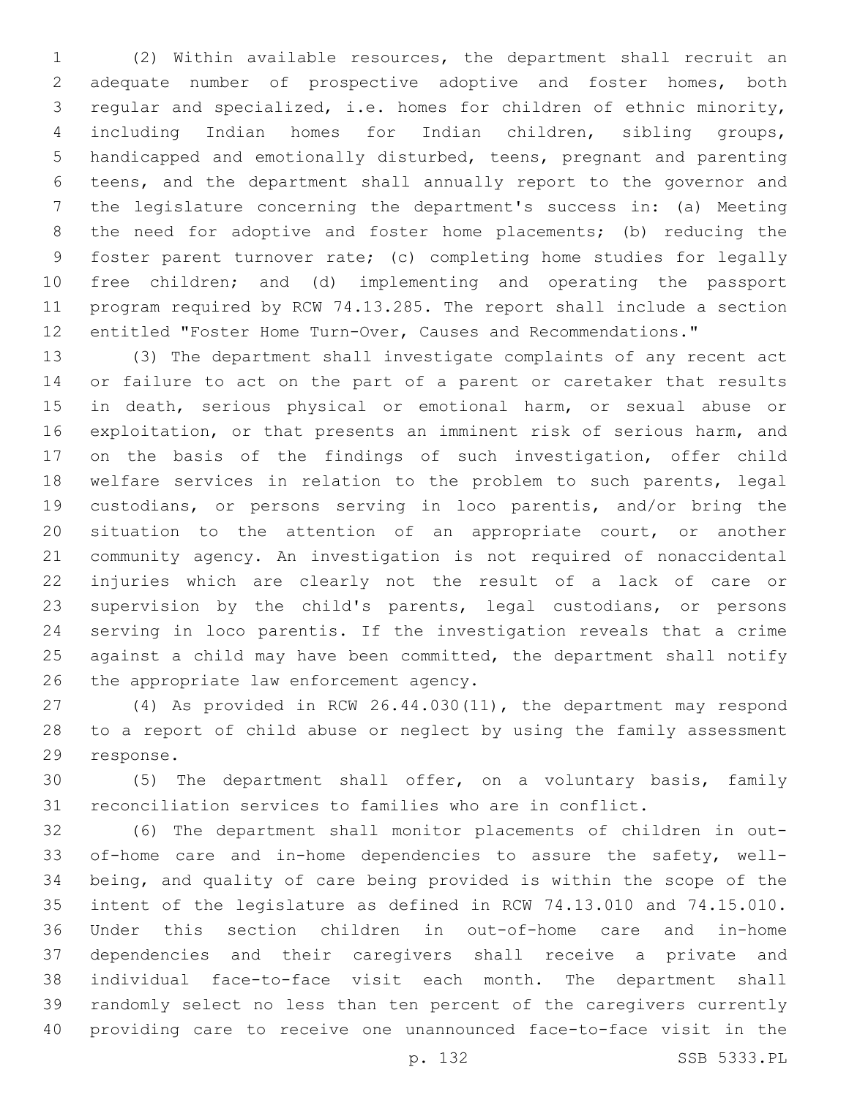(2) Within available resources, the department shall recruit an adequate number of prospective adoptive and foster homes, both regular and specialized, i.e. homes for children of ethnic minority, including Indian homes for Indian children, sibling groups, handicapped and emotionally disturbed, teens, pregnant and parenting teens, and the department shall annually report to the governor and the legislature concerning the department's success in: (a) Meeting the need for adoptive and foster home placements; (b) reducing the foster parent turnover rate; (c) completing home studies for legally free children; and (d) implementing and operating the passport program required by RCW 74.13.285. The report shall include a section entitled "Foster Home Turn-Over, Causes and Recommendations."

 (3) The department shall investigate complaints of any recent act or failure to act on the part of a parent or caretaker that results in death, serious physical or emotional harm, or sexual abuse or exploitation, or that presents an imminent risk of serious harm, and on the basis of the findings of such investigation, offer child welfare services in relation to the problem to such parents, legal custodians, or persons serving in loco parentis, and/or bring the situation to the attention of an appropriate court, or another community agency. An investigation is not required of nonaccidental injuries which are clearly not the result of a lack of care or supervision by the child's parents, legal custodians, or persons serving in loco parentis. If the investigation reveals that a crime 25 against a child may have been committed, the department shall notify 26 the appropriate law enforcement agency.

 (4) As provided in RCW 26.44.030(11), the department may respond to a report of child abuse or neglect by using the family assessment 29 response.

 (5) The department shall offer, on a voluntary basis, family reconciliation services to families who are in conflict.

 (6) The department shall monitor placements of children in out- of-home care and in-home dependencies to assure the safety, well- being, and quality of care being provided is within the scope of the intent of the legislature as defined in RCW 74.13.010 and 74.15.010. Under this section children in out-of-home care and in-home dependencies and their caregivers shall receive a private and individual face-to-face visit each month. The department shall randomly select no less than ten percent of the caregivers currently providing care to receive one unannounced face-to-face visit in the

p. 132 SSB 5333.PL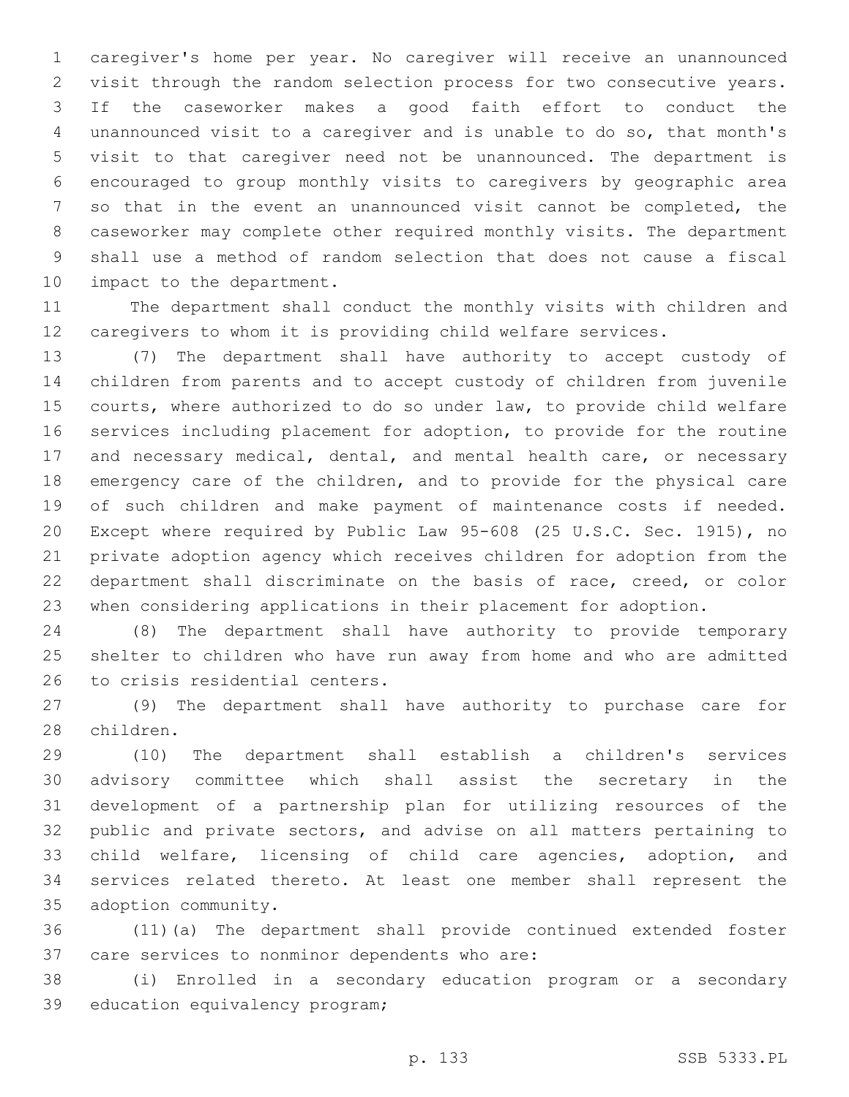caregiver's home per year. No caregiver will receive an unannounced visit through the random selection process for two consecutive years. If the caseworker makes a good faith effort to conduct the unannounced visit to a caregiver and is unable to do so, that month's visit to that caregiver need not be unannounced. The department is encouraged to group monthly visits to caregivers by geographic area so that in the event an unannounced visit cannot be completed, the caseworker may complete other required monthly visits. The department shall use a method of random selection that does not cause a fiscal 10 impact to the department.

 The department shall conduct the monthly visits with children and caregivers to whom it is providing child welfare services.

 (7) The department shall have authority to accept custody of children from parents and to accept custody of children from juvenile courts, where authorized to do so under law, to provide child welfare services including placement for adoption, to provide for the routine 17 and necessary medical, dental, and mental health care, or necessary emergency care of the children, and to provide for the physical care of such children and make payment of maintenance costs if needed. Except where required by Public Law 95-608 (25 U.S.C. Sec. 1915), no private adoption agency which receives children for adoption from the department shall discriminate on the basis of race, creed, or color when considering applications in their placement for adoption.

 (8) The department shall have authority to provide temporary shelter to children who have run away from home and who are admitted 26 to crisis residential centers.

 (9) The department shall have authority to purchase care for 28 children.

 (10) The department shall establish a children's services advisory committee which shall assist the secretary in the development of a partnership plan for utilizing resources of the public and private sectors, and advise on all matters pertaining to child welfare, licensing of child care agencies, adoption, and services related thereto. At least one member shall represent the 35 adoption community.

 (11)(a) The department shall provide continued extended foster 37 care services to nonminor dependents who are:

 (i) Enrolled in a secondary education program or a secondary 39 education equivalency program;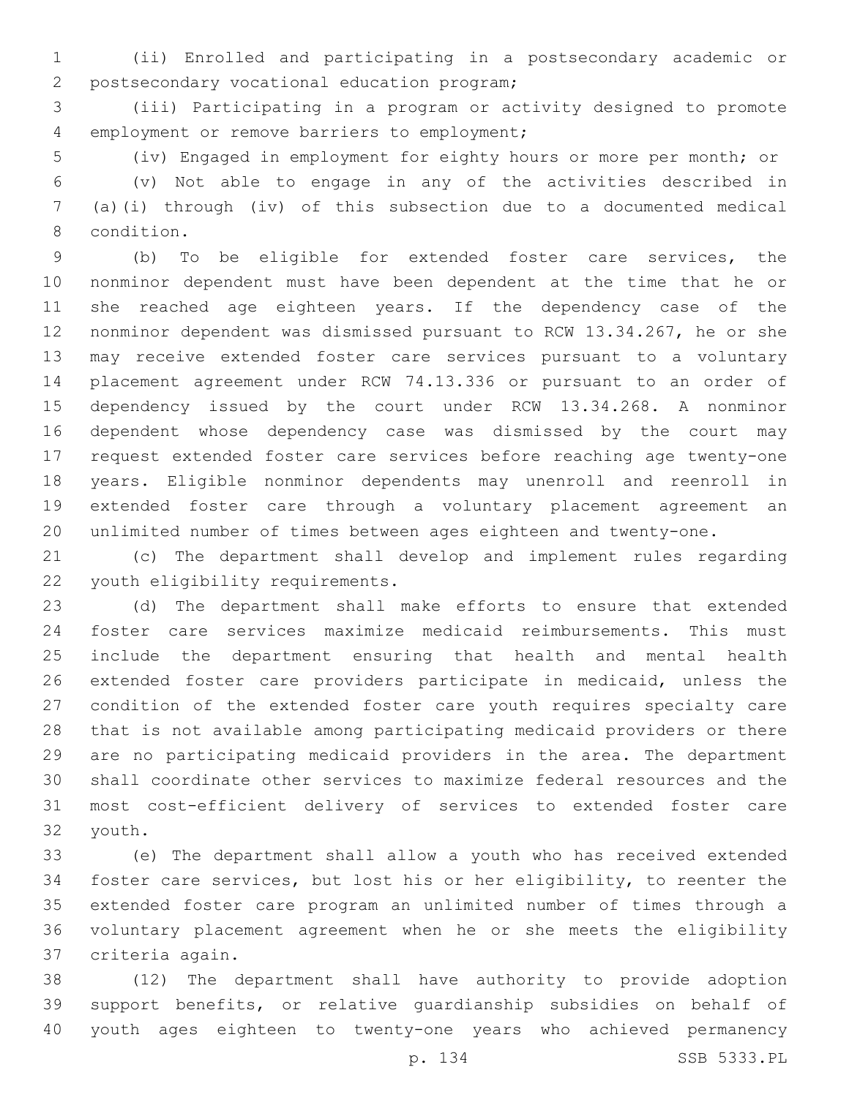(ii) Enrolled and participating in a postsecondary academic or 2 postsecondary vocational education program;

 (iii) Participating in a program or activity designed to promote 4 employment or remove barriers to employment;

(iv) Engaged in employment for eighty hours or more per month; or

 (v) Not able to engage in any of the activities described in (a)(i) through (iv) of this subsection due to a documented medical 8 condition.

 (b) To be eligible for extended foster care services, the nonminor dependent must have been dependent at the time that he or she reached age eighteen years. If the dependency case of the nonminor dependent was dismissed pursuant to RCW 13.34.267, he or she may receive extended foster care services pursuant to a voluntary placement agreement under RCW 74.13.336 or pursuant to an order of dependency issued by the court under RCW 13.34.268. A nonminor dependent whose dependency case was dismissed by the court may request extended foster care services before reaching age twenty-one years. Eligible nonminor dependents may unenroll and reenroll in extended foster care through a voluntary placement agreement an unlimited number of times between ages eighteen and twenty-one.

 (c) The department shall develop and implement rules regarding 22 youth eligibility requirements.

 (d) The department shall make efforts to ensure that extended foster care services maximize medicaid reimbursements. This must include the department ensuring that health and mental health extended foster care providers participate in medicaid, unless the condition of the extended foster care youth requires specialty care that is not available among participating medicaid providers or there are no participating medicaid providers in the area. The department shall coordinate other services to maximize federal resources and the most cost-efficient delivery of services to extended foster care 32 youth.

 (e) The department shall allow a youth who has received extended foster care services, but lost his or her eligibility, to reenter the extended foster care program an unlimited number of times through a voluntary placement agreement when he or she meets the eligibility criteria again.37

 (12) The department shall have authority to provide adoption support benefits, or relative guardianship subsidies on behalf of youth ages eighteen to twenty-one years who achieved permanency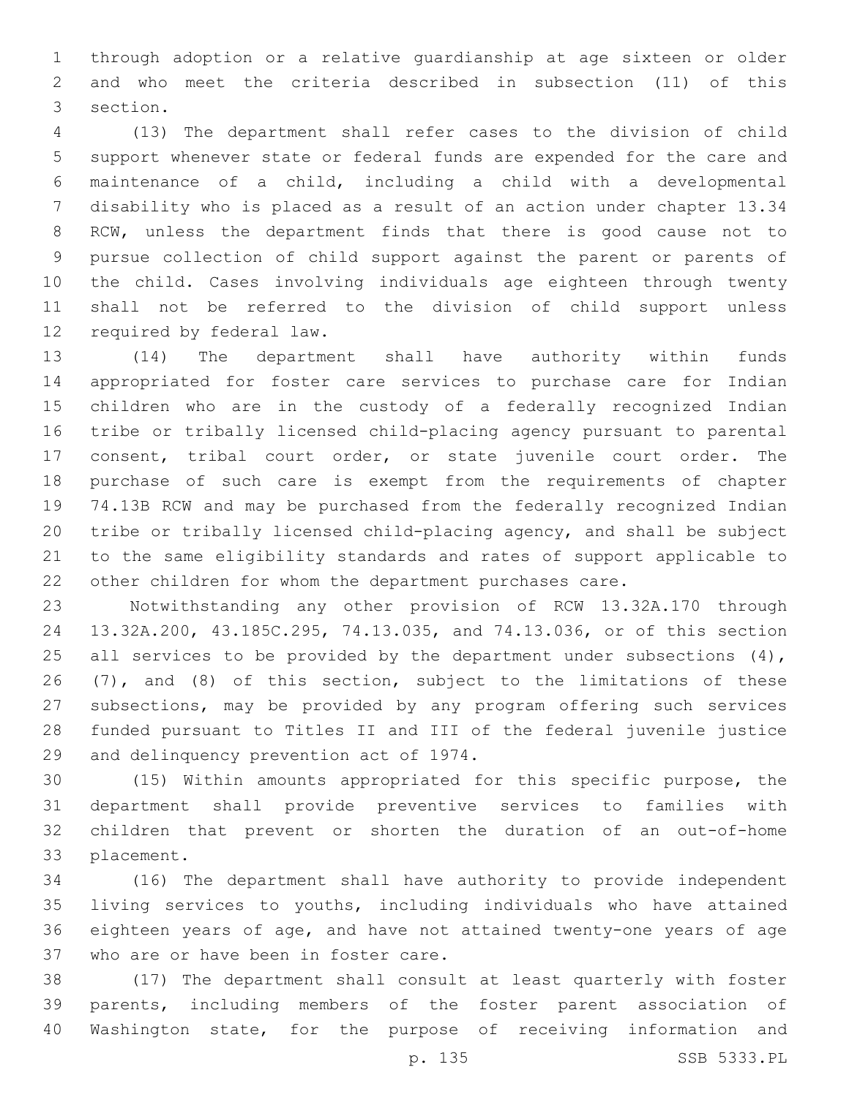through adoption or a relative guardianship at age sixteen or older and who meet the criteria described in subsection (11) of this 3 section.

 (13) The department shall refer cases to the division of child support whenever state or federal funds are expended for the care and maintenance of a child, including a child with a developmental disability who is placed as a result of an action under chapter 13.34 RCW, unless the department finds that there is good cause not to pursue collection of child support against the parent or parents of the child. Cases involving individuals age eighteen through twenty shall not be referred to the division of child support unless 12 required by federal law.

 (14) The department shall have authority within funds appropriated for foster care services to purchase care for Indian children who are in the custody of a federally recognized Indian tribe or tribally licensed child-placing agency pursuant to parental consent, tribal court order, or state juvenile court order. The purchase of such care is exempt from the requirements of chapter 74.13B RCW and may be purchased from the federally recognized Indian tribe or tribally licensed child-placing agency, and shall be subject to the same eligibility standards and rates of support applicable to other children for whom the department purchases care.

 Notwithstanding any other provision of RCW 13.32A.170 through 13.32A.200, 43.185C.295, 74.13.035, and 74.13.036, or of this section 25 all services to be provided by the department under subsections  $(4)$ , (7), and (8) of this section, subject to the limitations of these subsections, may be provided by any program offering such services funded pursuant to Titles II and III of the federal juvenile justice 29 and delinquency prevention act of 1974.

 (15) Within amounts appropriated for this specific purpose, the department shall provide preventive services to families with children that prevent or shorten the duration of an out-of-home 33 placement.

 (16) The department shall have authority to provide independent living services to youths, including individuals who have attained eighteen years of age, and have not attained twenty-one years of age 37 who are or have been in foster care.

 (17) The department shall consult at least quarterly with foster parents, including members of the foster parent association of Washington state, for the purpose of receiving information and

p. 135 SSB 5333.PL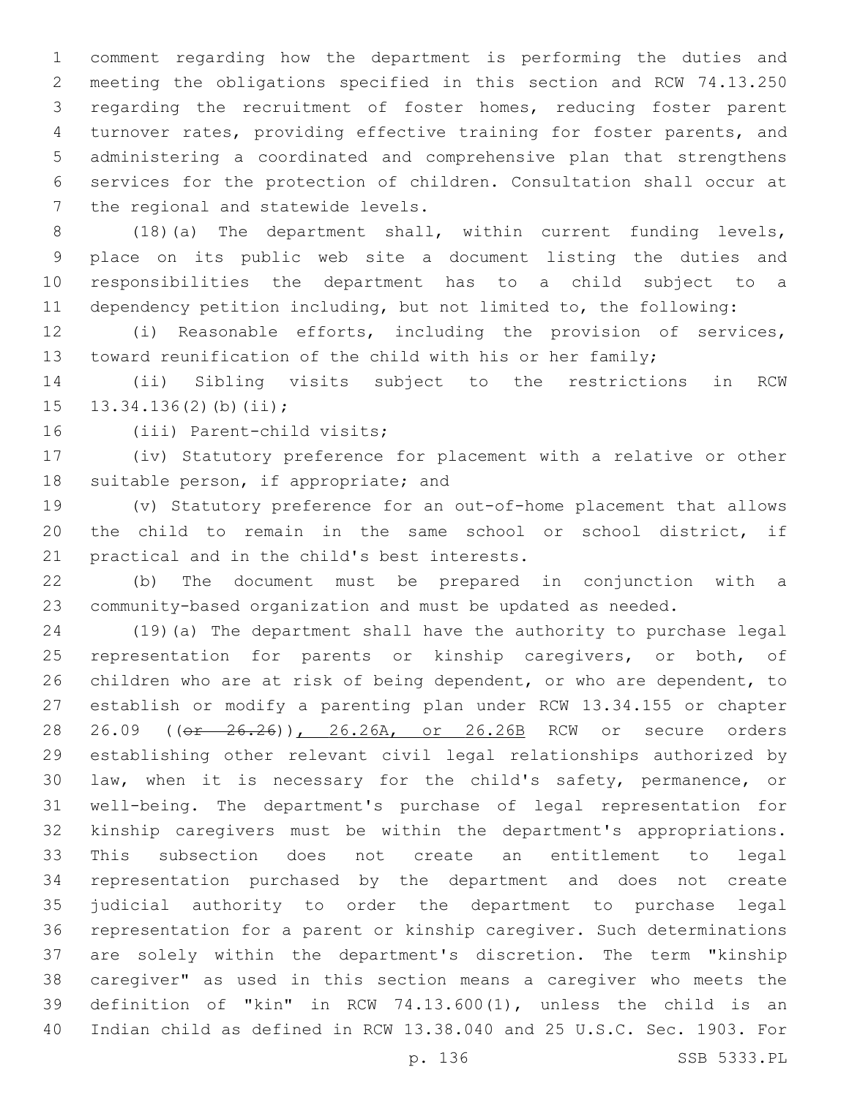comment regarding how the department is performing the duties and meeting the obligations specified in this section and RCW 74.13.250 regarding the recruitment of foster homes, reducing foster parent turnover rates, providing effective training for foster parents, and administering a coordinated and comprehensive plan that strengthens services for the protection of children. Consultation shall occur at 7 the regional and statewide levels.

 (18)(a) The department shall, within current funding levels, place on its public web site a document listing the duties and responsibilities the department has to a child subject to a dependency petition including, but not limited to, the following:

 (i) Reasonable efforts, including the provision of services, toward reunification of the child with his or her family;

 (ii) Sibling visits subject to the restrictions in RCW 15  $13.34.136(2)(b)(ii);$ 

16 (iii) Parent-child visits;

 (iv) Statutory preference for placement with a relative or other 18 suitable person, if appropriate; and

 (v) Statutory preference for an out-of-home placement that allows the child to remain in the same school or school district, if 21 practical and in the child's best interests.

 (b) The document must be prepared in conjunction with a community-based organization and must be updated as needed.

 (19)(a) The department shall have the authority to purchase legal representation for parents or kinship caregivers, or both, of children who are at risk of being dependent, or who are dependent, to establish or modify a parenting plan under RCW 13.34.155 or chapter 28 26.09 ((or 26.26)), 26.26A, or 26.26B RCW or secure orders establishing other relevant civil legal relationships authorized by law, when it is necessary for the child's safety, permanence, or well-being. The department's purchase of legal representation for kinship caregivers must be within the department's appropriations. This subsection does not create an entitlement to legal representation purchased by the department and does not create judicial authority to order the department to purchase legal representation for a parent or kinship caregiver. Such determinations are solely within the department's discretion. The term "kinship caregiver" as used in this section means a caregiver who meets the definition of "kin" in RCW 74.13.600(1), unless the child is an Indian child as defined in RCW 13.38.040 and 25 U.S.C. Sec. 1903. For

p. 136 SSB 5333.PL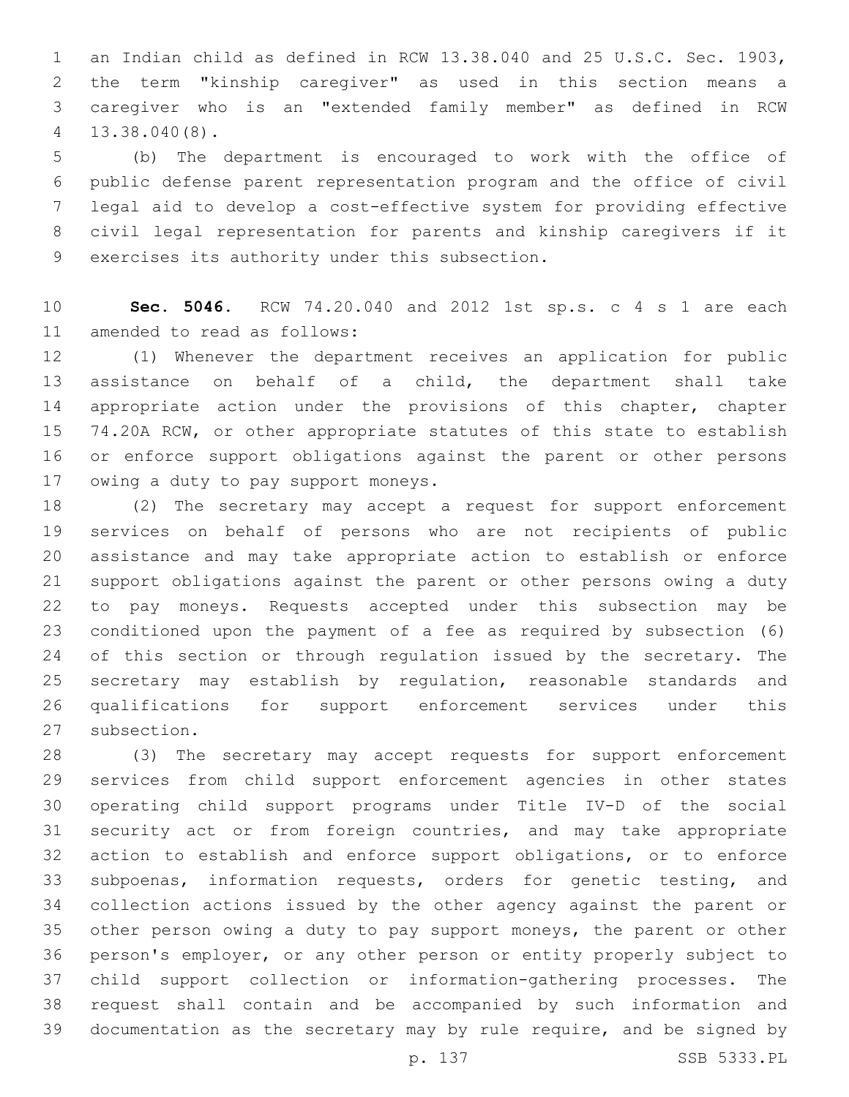an Indian child as defined in RCW 13.38.040 and 25 U.S.C. Sec. 1903, the term "kinship caregiver" as used in this section means a caregiver who is an "extended family member" as defined in RCW 13.38.040(8).4

 (b) The department is encouraged to work with the office of public defense parent representation program and the office of civil legal aid to develop a cost-effective system for providing effective civil legal representation for parents and kinship caregivers if it 9 exercises its authority under this subsection.

 **Sec. 5046.** RCW 74.20.040 and 2012 1st sp.s. c 4 s 1 are each 11 amended to read as follows:

 (1) Whenever the department receives an application for public assistance on behalf of a child, the department shall take 14 appropriate action under the provisions of this chapter, chapter 74.20A RCW, or other appropriate statutes of this state to establish or enforce support obligations against the parent or other persons 17 owing a duty to pay support moneys.

 (2) The secretary may accept a request for support enforcement services on behalf of persons who are not recipients of public assistance and may take appropriate action to establish or enforce support obligations against the parent or other persons owing a duty to pay moneys. Requests accepted under this subsection may be conditioned upon the payment of a fee as required by subsection (6) 24 of this section or through regulation issued by the secretary. The secretary may establish by regulation, reasonable standards and qualifications for support enforcement services under this 27 subsection.

 (3) The secretary may accept requests for support enforcement services from child support enforcement agencies in other states operating child support programs under Title IV-D of the social security act or from foreign countries, and may take appropriate action to establish and enforce support obligations, or to enforce subpoenas, information requests, orders for genetic testing, and collection actions issued by the other agency against the parent or other person owing a duty to pay support moneys, the parent or other person's employer, or any other person or entity properly subject to child support collection or information-gathering processes. The request shall contain and be accompanied by such information and documentation as the secretary may by rule require, and be signed by

p. 137 SSB 5333.PL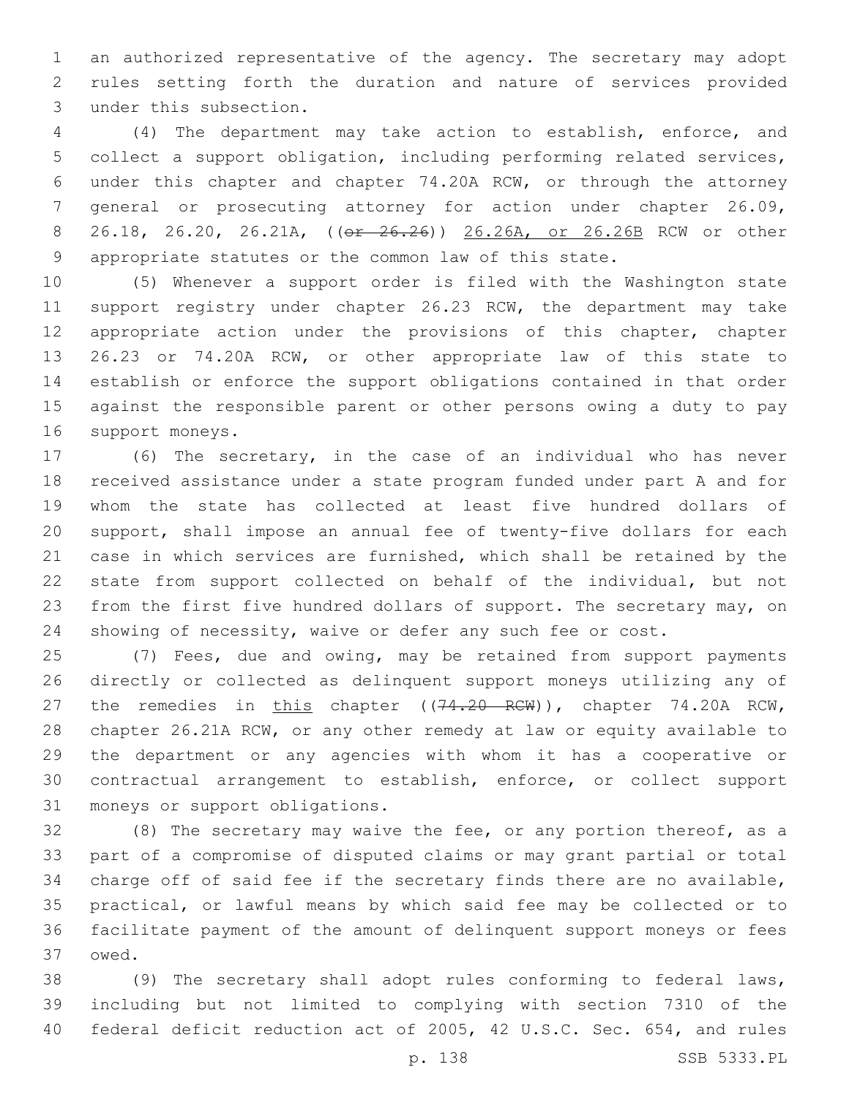an authorized representative of the agency. The secretary may adopt rules setting forth the duration and nature of services provided 3 under this subsection.

 (4) The department may take action to establish, enforce, and collect a support obligation, including performing related services, under this chapter and chapter 74.20A RCW, or through the attorney general or prosecuting attorney for action under chapter 26.09, 26.18, 26.20, 26.21A, ((or 26.26)) 26.26A, or 26.26B RCW or other appropriate statutes or the common law of this state.

 (5) Whenever a support order is filed with the Washington state 11 support registry under chapter 26.23 RCW, the department may take appropriate action under the provisions of this chapter, chapter 26.23 or 74.20A RCW, or other appropriate law of this state to establish or enforce the support obligations contained in that order against the responsible parent or other persons owing a duty to pay 16 support moneys.

 (6) The secretary, in the case of an individual who has never received assistance under a state program funded under part A and for whom the state has collected at least five hundred dollars of support, shall impose an annual fee of twenty-five dollars for each case in which services are furnished, which shall be retained by the state from support collected on behalf of the individual, but not from the first five hundred dollars of support. The secretary may, on showing of necessity, waive or defer any such fee or cost.

 (7) Fees, due and owing, may be retained from support payments directly or collected as delinquent support moneys utilizing any of 27 the remedies in this chapter ((74.20 RCW)), chapter 74.20A RCW, chapter 26.21A RCW, or any other remedy at law or equity available to the department or any agencies with whom it has a cooperative or contractual arrangement to establish, enforce, or collect support 31 moneys or support obligations.

 (8) The secretary may waive the fee, or any portion thereof, as a part of a compromise of disputed claims or may grant partial or total charge off of said fee if the secretary finds there are no available, practical, or lawful means by which said fee may be collected or to facilitate payment of the amount of delinquent support moneys or fees 37 owed.

 (9) The secretary shall adopt rules conforming to federal laws, including but not limited to complying with section 7310 of the federal deficit reduction act of 2005, 42 U.S.C. Sec. 654, and rules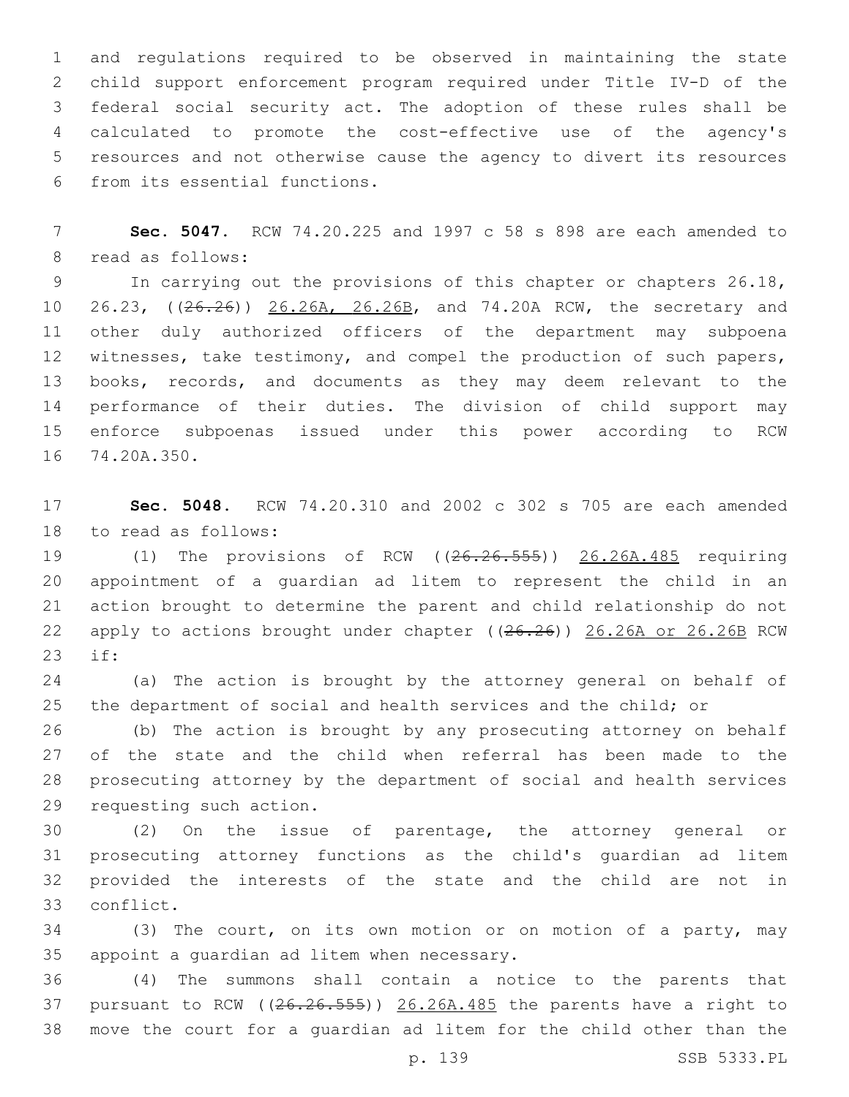and regulations required to be observed in maintaining the state child support enforcement program required under Title IV-D of the federal social security act. The adoption of these rules shall be calculated to promote the cost-effective use of the agency's resources and not otherwise cause the agency to divert its resources 6 from its essential functions.

 **Sec. 5047.** RCW 74.20.225 and 1997 c 58 s 898 are each amended to 8 read as follows:

9 In carrying out the provisions of this chapter or chapters 26.18, 10 26.23, ((26.26)) 26.26A, 26.26B, and 74.20A RCW, the secretary and other duly authorized officers of the department may subpoena witnesses, take testimony, and compel the production of such papers, books, records, and documents as they may deem relevant to the performance of their duties. The division of child support may enforce subpoenas issued under this power according to RCW 16 74.20A.350.

 **Sec. 5048.** RCW 74.20.310 and 2002 c 302 s 705 are each amended 18 to read as follows:

19 (1) The provisions of RCW ((26.26.555)) 26.26A.485 requiring appointment of a guardian ad litem to represent the child in an action brought to determine the parent and child relationship do not 22 apply to actions brought under chapter ((26.26)) 26.26A or 26.26B RCW 23 if:

 (a) The action is brought by the attorney general on behalf of the department of social and health services and the child; or

 (b) The action is brought by any prosecuting attorney on behalf of the state and the child when referral has been made to the prosecuting attorney by the department of social and health services 29 requesting such action.

 (2) On the issue of parentage, the attorney general or prosecuting attorney functions as the child's guardian ad litem provided the interests of the state and the child are not in 33 conflict.

 (3) The court, on its own motion or on motion of a party, may 35 appoint a guardian ad litem when necessary.

 (4) The summons shall contain a notice to the parents that 37 pursuant to RCW ( $(26.26.555)$ )  $26.26A.485$  the parents have a right to move the court for a guardian ad litem for the child other than the

p. 139 SSB 5333.PL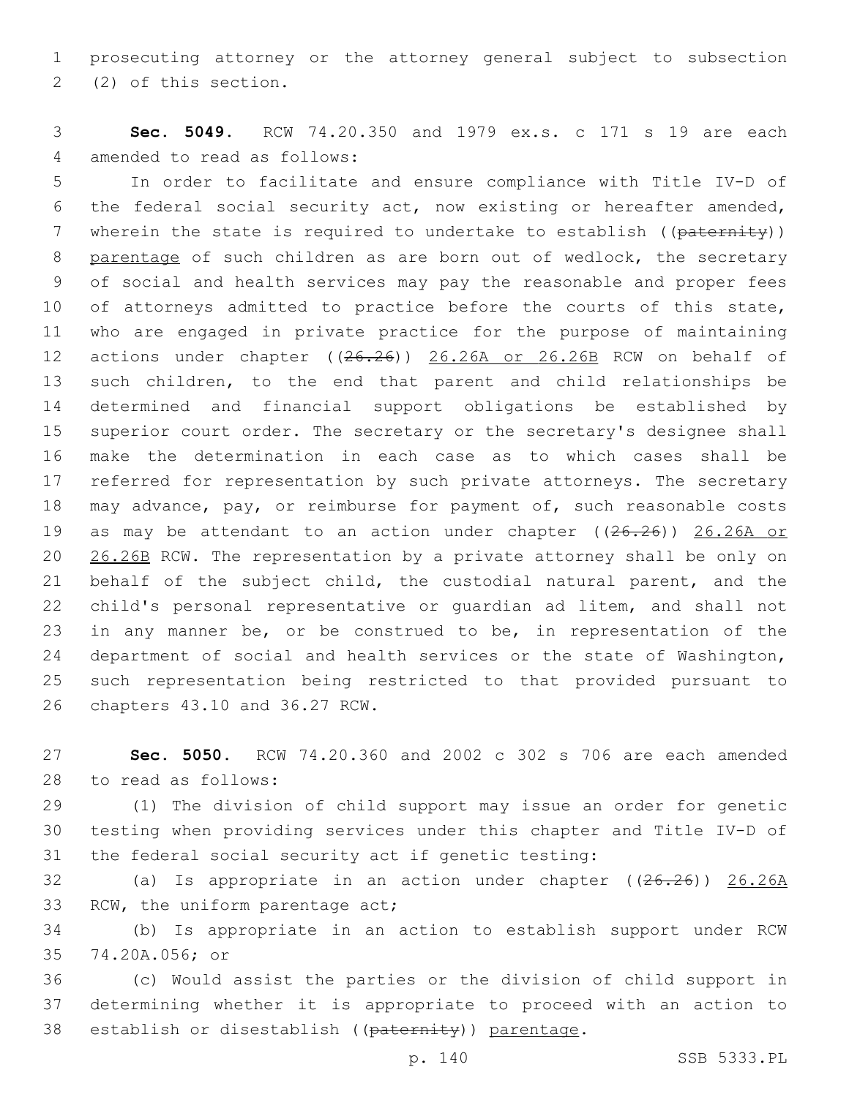prosecuting attorney or the attorney general subject to subsection (2) of this section.2

 **Sec. 5049.** RCW 74.20.350 and 1979 ex.s. c 171 s 19 are each 4 amended to read as follows:

 In order to facilitate and ensure compliance with Title IV-D of the federal social security act, now existing or hereafter amended, 7 wherein the state is required to undertake to establish ((paternity)) 8 parentage of such children as are born out of wedlock, the secretary of social and health services may pay the reasonable and proper fees 10 of attorneys admitted to practice before the courts of this state, who are engaged in private practice for the purpose of maintaining actions under chapter ((26.26)) 26.26A or 26.26B RCW on behalf of such children, to the end that parent and child relationships be determined and financial support obligations be established by superior court order. The secretary or the secretary's designee shall make the determination in each case as to which cases shall be referred for representation by such private attorneys. The secretary may advance, pay, or reimburse for payment of, such reasonable costs 19 as may be attendant to an action under chapter ((26.26)) 26.26A or 20 26.26B RCW. The representation by a private attorney shall be only on behalf of the subject child, the custodial natural parent, and the child's personal representative or guardian ad litem, and shall not 23 in any manner be, or be construed to be, in representation of the department of social and health services or the state of Washington, such representation being restricted to that provided pursuant to 26 chapters 43.10 and 36.27 RCW.

 **Sec. 5050.** RCW 74.20.360 and 2002 c 302 s 706 are each amended 28 to read as follows:

 (1) The division of child support may issue an order for genetic testing when providing services under this chapter and Title IV-D of the federal social security act if genetic testing:

 (a) Is appropriate in an action under chapter ((26.26)) 26.26A 33 RCW, the uniform parentage act;

 (b) Is appropriate in an action to establish support under RCW 35 74.20A.056; or

 (c) Would assist the parties or the division of child support in determining whether it is appropriate to proceed with an action to 38 establish or disestablish ((paternity)) parentage.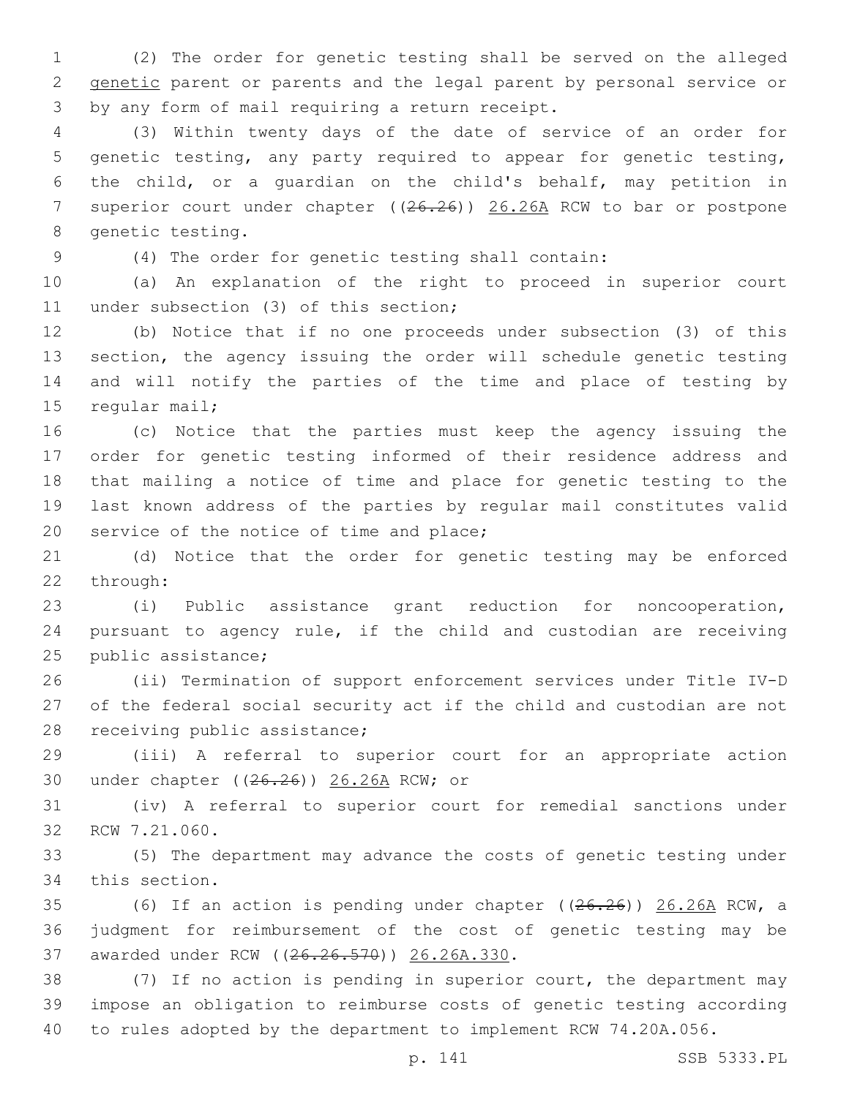(2) The order for genetic testing shall be served on the alleged genetic parent or parents and the legal parent by personal service or 3 by any form of mail requiring a return receipt.

 (3) Within twenty days of the date of service of an order for genetic testing, any party required to appear for genetic testing, the child, or a guardian on the child's behalf, may petition in 7 superior court under chapter ((26.26)) 26.26A RCW to bar or postpone 8 genetic testing.

(4) The order for genetic testing shall contain:

 (a) An explanation of the right to proceed in superior court 11 under subsection (3) of this section;

 (b) Notice that if no one proceeds under subsection (3) of this section, the agency issuing the order will schedule genetic testing and will notify the parties of the time and place of testing by 15 regular mail;

 (c) Notice that the parties must keep the agency issuing the order for genetic testing informed of their residence address and that mailing a notice of time and place for genetic testing to the last known address of the parties by regular mail constitutes valid 20 service of the notice of time and place;

 (d) Notice that the order for genetic testing may be enforced 22 through:

 (i) Public assistance grant reduction for noncooperation, pursuant to agency rule, if the child and custodian are receiving 25 public assistance;

 (ii) Termination of support enforcement services under Title IV-D of the federal social security act if the child and custodian are not 28 receiving public assistance;

 (iii) A referral to superior court for an appropriate action 30 under chapter ((26.26)) 26.26A RCW; or

 (iv) A referral to superior court for remedial sanctions under 32 RCW 7.21.060.

 (5) The department may advance the costs of genetic testing under 34 this section.

 (6) If an action is pending under chapter ((26.26)) 26.26A RCW, a judgment for reimbursement of the cost of genetic testing may be 37 awarded under RCW ((26.26.570)) 26.26A.330.

 (7) If no action is pending in superior court, the department may impose an obligation to reimburse costs of genetic testing according to rules adopted by the department to implement RCW 74.20A.056.

p. 141 SSB 5333.PL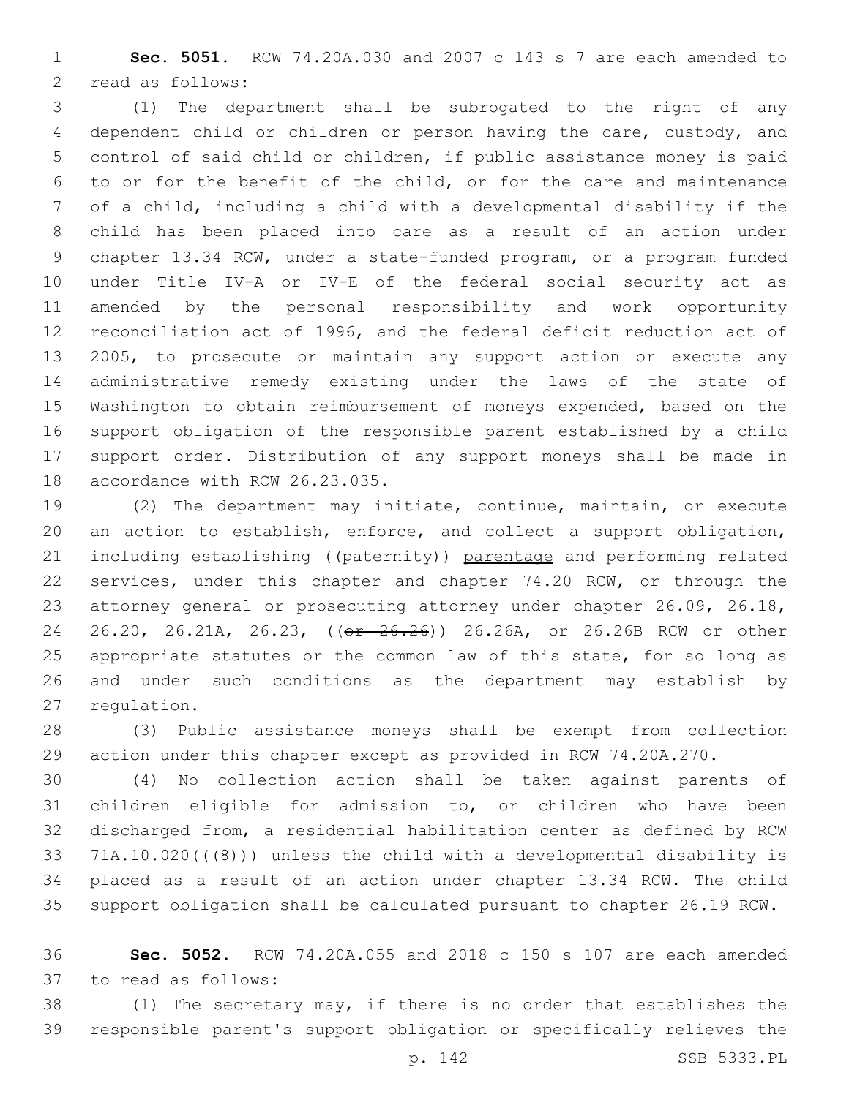**Sec. 5051.** RCW 74.20A.030 and 2007 c 143 s 7 are each amended to 2 read as follows:

 (1) The department shall be subrogated to the right of any dependent child or children or person having the care, custody, and control of said child or children, if public assistance money is paid to or for the benefit of the child, or for the care and maintenance of a child, including a child with a developmental disability if the child has been placed into care as a result of an action under chapter 13.34 RCW, under a state-funded program, or a program funded under Title IV-A or IV-E of the federal social security act as amended by the personal responsibility and work opportunity reconciliation act of 1996, and the federal deficit reduction act of 2005, to prosecute or maintain any support action or execute any administrative remedy existing under the laws of the state of Washington to obtain reimbursement of moneys expended, based on the support obligation of the responsible parent established by a child support order. Distribution of any support moneys shall be made in 18 accordance with RCW 26.23.035.

 (2) The department may initiate, continue, maintain, or execute an action to establish, enforce, and collect a support obligation, 21 including establishing ((paternity)) parentage and performing related services, under this chapter and chapter 74.20 RCW, or through the attorney general or prosecuting attorney under chapter 26.09, 26.18, 24 26.20, 26.21A, 26.23, (( $\sigma$ r 26.26)) 26.26A, or 26.26B RCW or other 25 appropriate statutes or the common law of this state, for so long as and under such conditions as the department may establish by 27 regulation.

 (3) Public assistance moneys shall be exempt from collection action under this chapter except as provided in RCW 74.20A.270.

 (4) No collection action shall be taken against parents of children eligible for admission to, or children who have been discharged from, a residential habilitation center as defined by RCW 33 71A.10.020( $(48)$ )) unless the child with a developmental disability is placed as a result of an action under chapter 13.34 RCW. The child support obligation shall be calculated pursuant to chapter 26.19 RCW.

 **Sec. 5052.** RCW 74.20A.055 and 2018 c 150 s 107 are each amended 37 to read as follows:

 (1) The secretary may, if there is no order that establishes the responsible parent's support obligation or specifically relieves the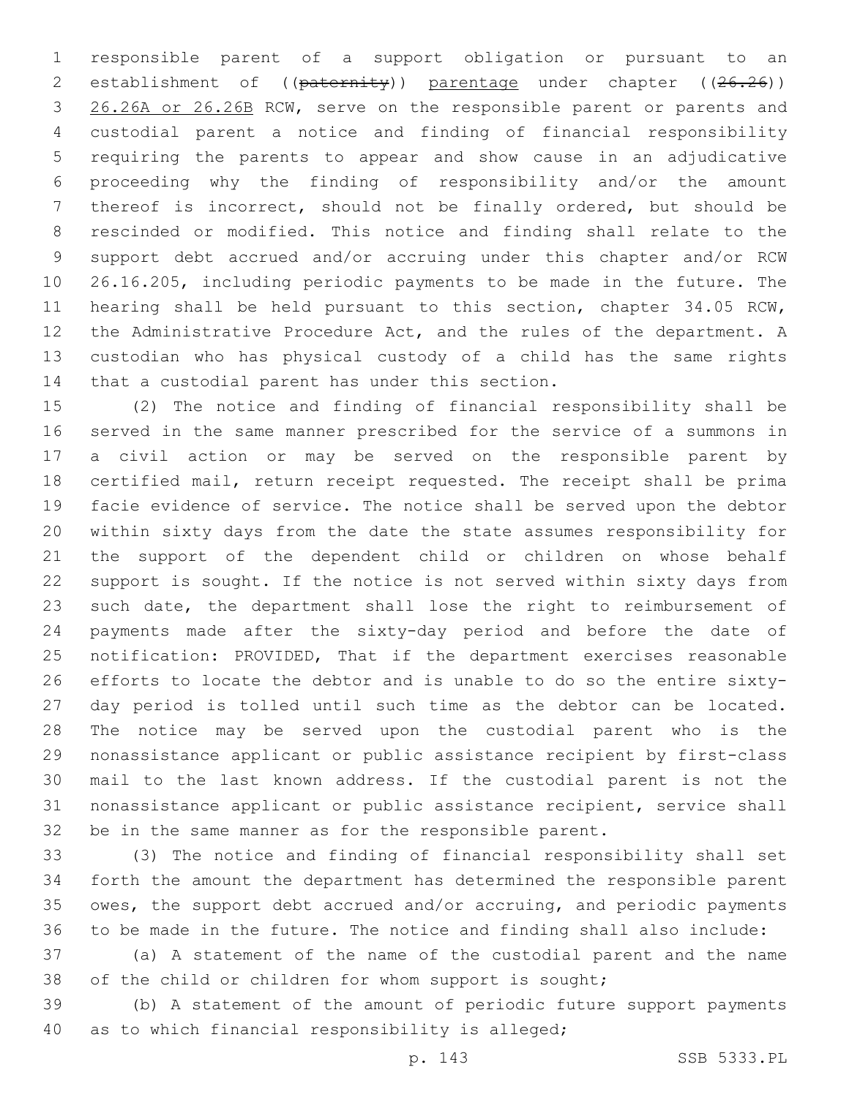responsible parent of a support obligation or pursuant to an 2 establishment of ((paternity)) parentage under chapter ((26.26)) 26.26A or 26.26B RCW, serve on the responsible parent or parents and custodial parent a notice and finding of financial responsibility requiring the parents to appear and show cause in an adjudicative proceeding why the finding of responsibility and/or the amount thereof is incorrect, should not be finally ordered, but should be rescinded or modified. This notice and finding shall relate to the support debt accrued and/or accruing under this chapter and/or RCW 26.16.205, including periodic payments to be made in the future. The hearing shall be held pursuant to this section, chapter 34.05 RCW, the Administrative Procedure Act, and the rules of the department. A custodian who has physical custody of a child has the same rights 14 that a custodial parent has under this section.

 (2) The notice and finding of financial responsibility shall be served in the same manner prescribed for the service of a summons in a civil action or may be served on the responsible parent by certified mail, return receipt requested. The receipt shall be prima facie evidence of service. The notice shall be served upon the debtor within sixty days from the date the state assumes responsibility for the support of the dependent child or children on whose behalf support is sought. If the notice is not served within sixty days from such date, the department shall lose the right to reimbursement of payments made after the sixty-day period and before the date of notification: PROVIDED, That if the department exercises reasonable efforts to locate the debtor and is unable to do so the entire sixty- day period is tolled until such time as the debtor can be located. The notice may be served upon the custodial parent who is the nonassistance applicant or public assistance recipient by first-class mail to the last known address. If the custodial parent is not the nonassistance applicant or public assistance recipient, service shall be in the same manner as for the responsible parent.

 (3) The notice and finding of financial responsibility shall set forth the amount the department has determined the responsible parent owes, the support debt accrued and/or accruing, and periodic payments to be made in the future. The notice and finding shall also include:

 (a) A statement of the name of the custodial parent and the name of the child or children for whom support is sought;

 (b) A statement of the amount of periodic future support payments 40 as to which financial responsibility is alleged;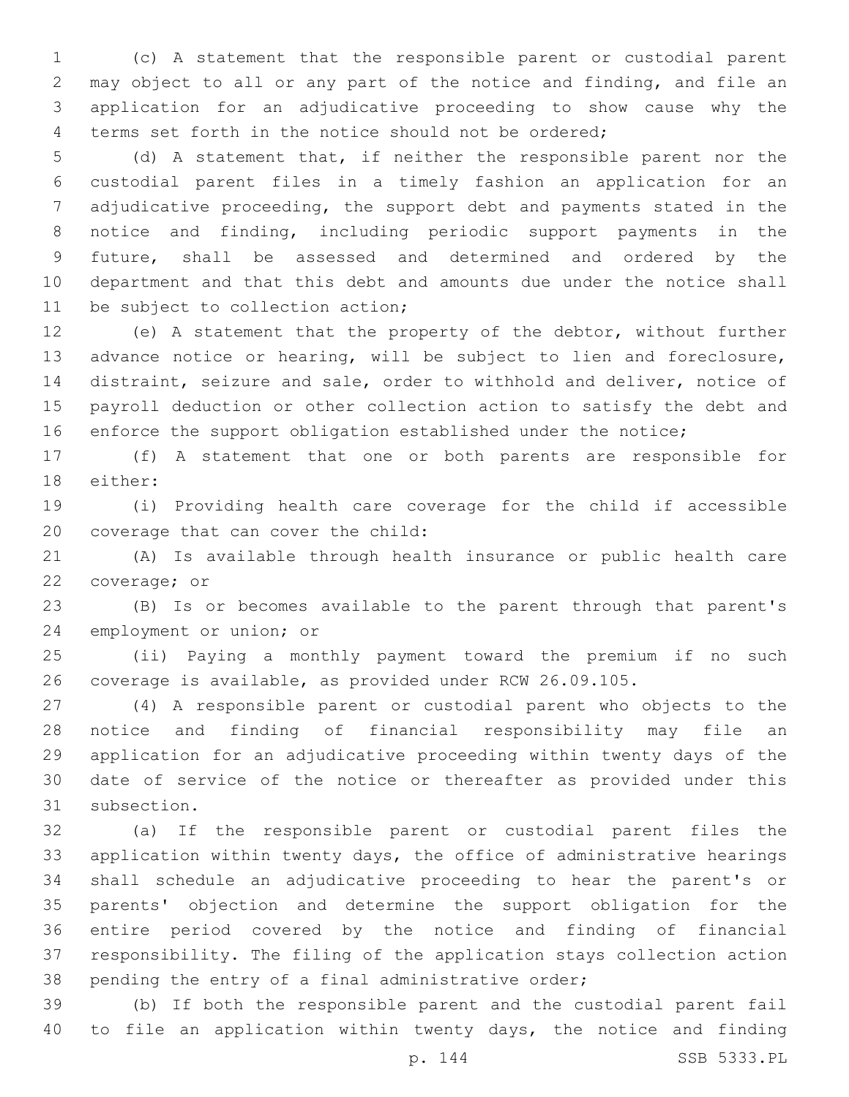(c) A statement that the responsible parent or custodial parent may object to all or any part of the notice and finding, and file an application for an adjudicative proceeding to show cause why the terms set forth in the notice should not be ordered;

 (d) A statement that, if neither the responsible parent nor the custodial parent files in a timely fashion an application for an adjudicative proceeding, the support debt and payments stated in the notice and finding, including periodic support payments in the future, shall be assessed and determined and ordered by the department and that this debt and amounts due under the notice shall 11 be subject to collection action;

 (e) A statement that the property of the debtor, without further advance notice or hearing, will be subject to lien and foreclosure, distraint, seizure and sale, order to withhold and deliver, notice of payroll deduction or other collection action to satisfy the debt and enforce the support obligation established under the notice;

 (f) A statement that one or both parents are responsible for 18 either:

 (i) Providing health care coverage for the child if accessible 20 coverage that can cover the child:

 (A) Is available through health insurance or public health care 22 coverage; or

 (B) Is or becomes available to the parent through that parent's 24 employment or union; or

 (ii) Paying a monthly payment toward the premium if no such coverage is available, as provided under RCW 26.09.105.

 (4) A responsible parent or custodial parent who objects to the notice and finding of financial responsibility may file an application for an adjudicative proceeding within twenty days of the date of service of the notice or thereafter as provided under this 31 subsection.

 (a) If the responsible parent or custodial parent files the application within twenty days, the office of administrative hearings shall schedule an adjudicative proceeding to hear the parent's or parents' objection and determine the support obligation for the entire period covered by the notice and finding of financial responsibility. The filing of the application stays collection action pending the entry of a final administrative order;

 (b) If both the responsible parent and the custodial parent fail to file an application within twenty days, the notice and finding

p. 144 SSB 5333.PL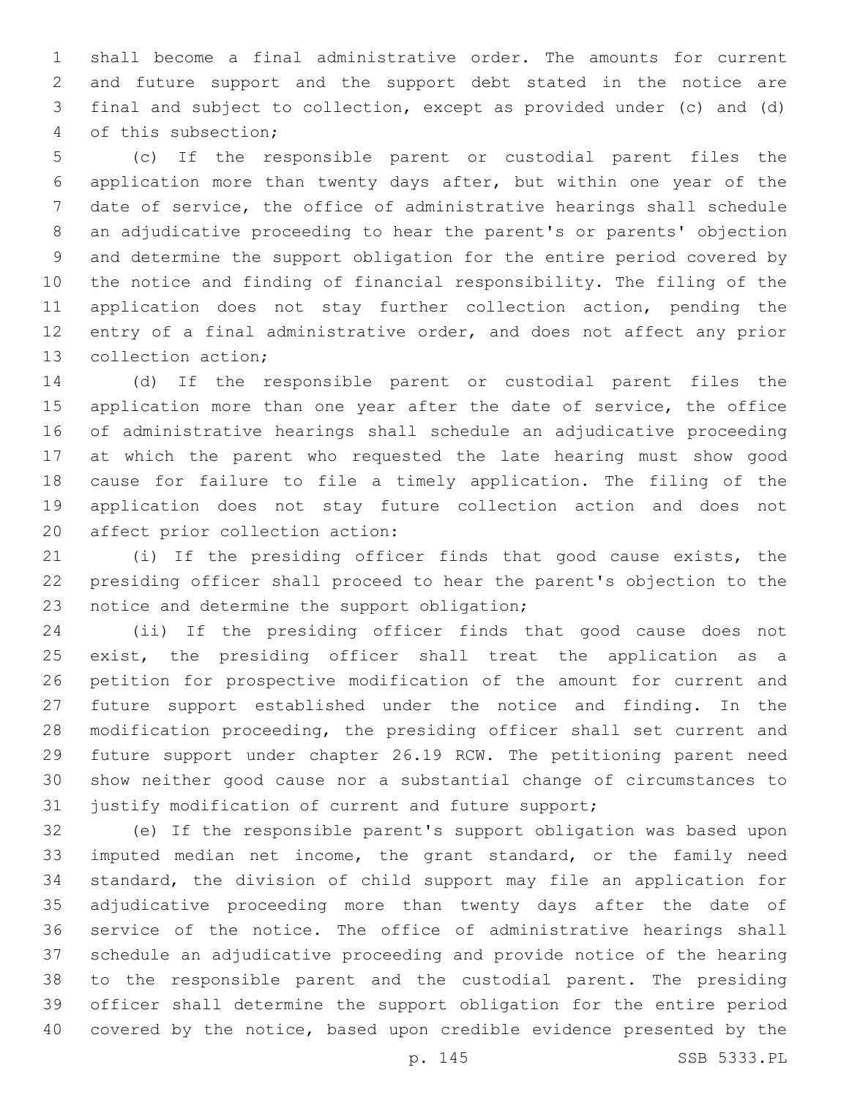shall become a final administrative order. The amounts for current and future support and the support debt stated in the notice are final and subject to collection, except as provided under (c) and (d) 4 of this subsection;

 (c) If the responsible parent or custodial parent files the application more than twenty days after, but within one year of the date of service, the office of administrative hearings shall schedule an adjudicative proceeding to hear the parent's or parents' objection and determine the support obligation for the entire period covered by the notice and finding of financial responsibility. The filing of the application does not stay further collection action, pending the entry of a final administrative order, and does not affect any prior 13 collection action;

 (d) If the responsible parent or custodial parent files the 15 application more than one year after the date of service, the office of administrative hearings shall schedule an adjudicative proceeding at which the parent who requested the late hearing must show good cause for failure to file a timely application. The filing of the application does not stay future collection action and does not 20 affect prior collection action:

 (i) If the presiding officer finds that good cause exists, the presiding officer shall proceed to hear the parent's objection to the 23 notice and determine the support obligation;

 (ii) If the presiding officer finds that good cause does not exist, the presiding officer shall treat the application as a petition for prospective modification of the amount for current and future support established under the notice and finding. In the modification proceeding, the presiding officer shall set current and future support under chapter 26.19 RCW. The petitioning parent need show neither good cause nor a substantial change of circumstances to justify modification of current and future support;

 (e) If the responsible parent's support obligation was based upon imputed median net income, the grant standard, or the family need standard, the division of child support may file an application for adjudicative proceeding more than twenty days after the date of service of the notice. The office of administrative hearings shall schedule an adjudicative proceeding and provide notice of the hearing to the responsible parent and the custodial parent. The presiding officer shall determine the support obligation for the entire period covered by the notice, based upon credible evidence presented by the

p. 145 SSB 5333.PL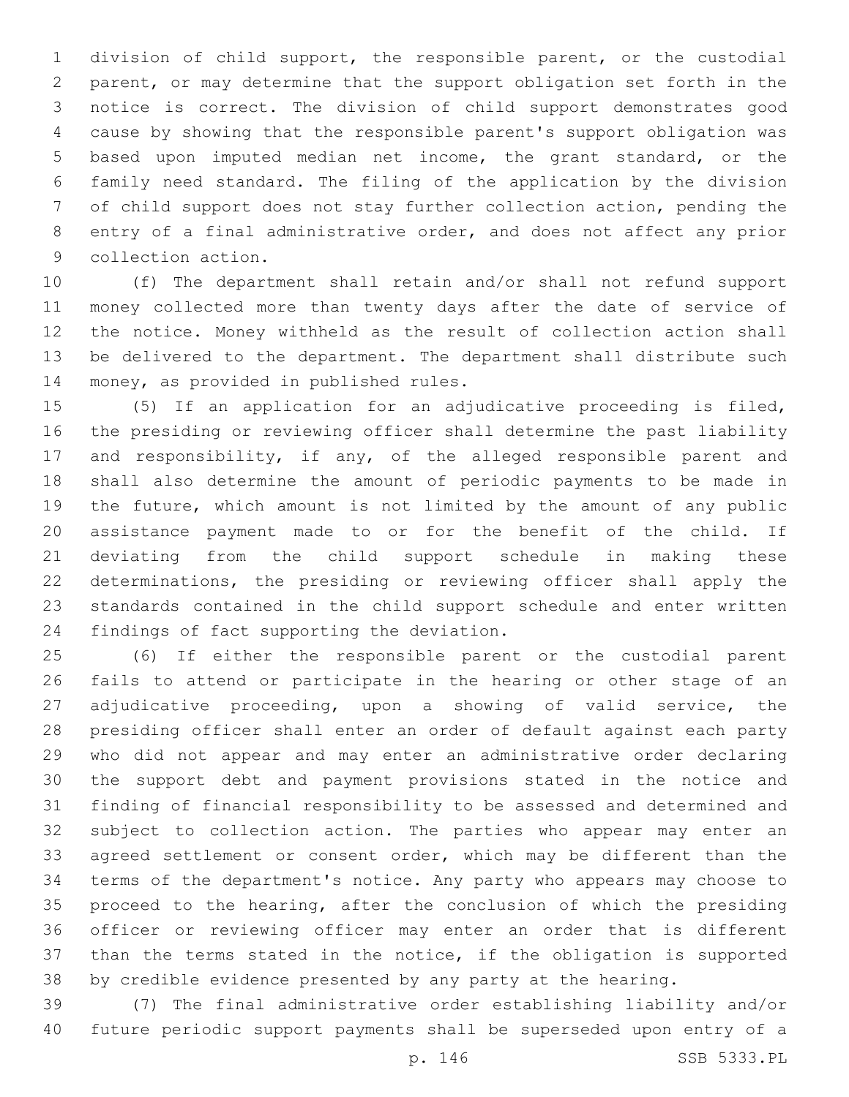division of child support, the responsible parent, or the custodial parent, or may determine that the support obligation set forth in the notice is correct. The division of child support demonstrates good cause by showing that the responsible parent's support obligation was based upon imputed median net income, the grant standard, or the family need standard. The filing of the application by the division of child support does not stay further collection action, pending the entry of a final administrative order, and does not affect any prior 9 collection action.

 (f) The department shall retain and/or shall not refund support money collected more than twenty days after the date of service of the notice. Money withheld as the result of collection action shall be delivered to the department. The department shall distribute such 14 money, as provided in published rules.

 (5) If an application for an adjudicative proceeding is filed, the presiding or reviewing officer shall determine the past liability and responsibility, if any, of the alleged responsible parent and shall also determine the amount of periodic payments to be made in the future, which amount is not limited by the amount of any public assistance payment made to or for the benefit of the child. If deviating from the child support schedule in making these determinations, the presiding or reviewing officer shall apply the standards contained in the child support schedule and enter written 24 findings of fact supporting the deviation.

 (6) If either the responsible parent or the custodial parent fails to attend or participate in the hearing or other stage of an adjudicative proceeding, upon a showing of valid service, the presiding officer shall enter an order of default against each party who did not appear and may enter an administrative order declaring the support debt and payment provisions stated in the notice and finding of financial responsibility to be assessed and determined and subject to collection action. The parties who appear may enter an 33 agreed settlement or consent order, which may be different than the terms of the department's notice. Any party who appears may choose to proceed to the hearing, after the conclusion of which the presiding officer or reviewing officer may enter an order that is different than the terms stated in the notice, if the obligation is supported by credible evidence presented by any party at the hearing.

 (7) The final administrative order establishing liability and/or future periodic support payments shall be superseded upon entry of a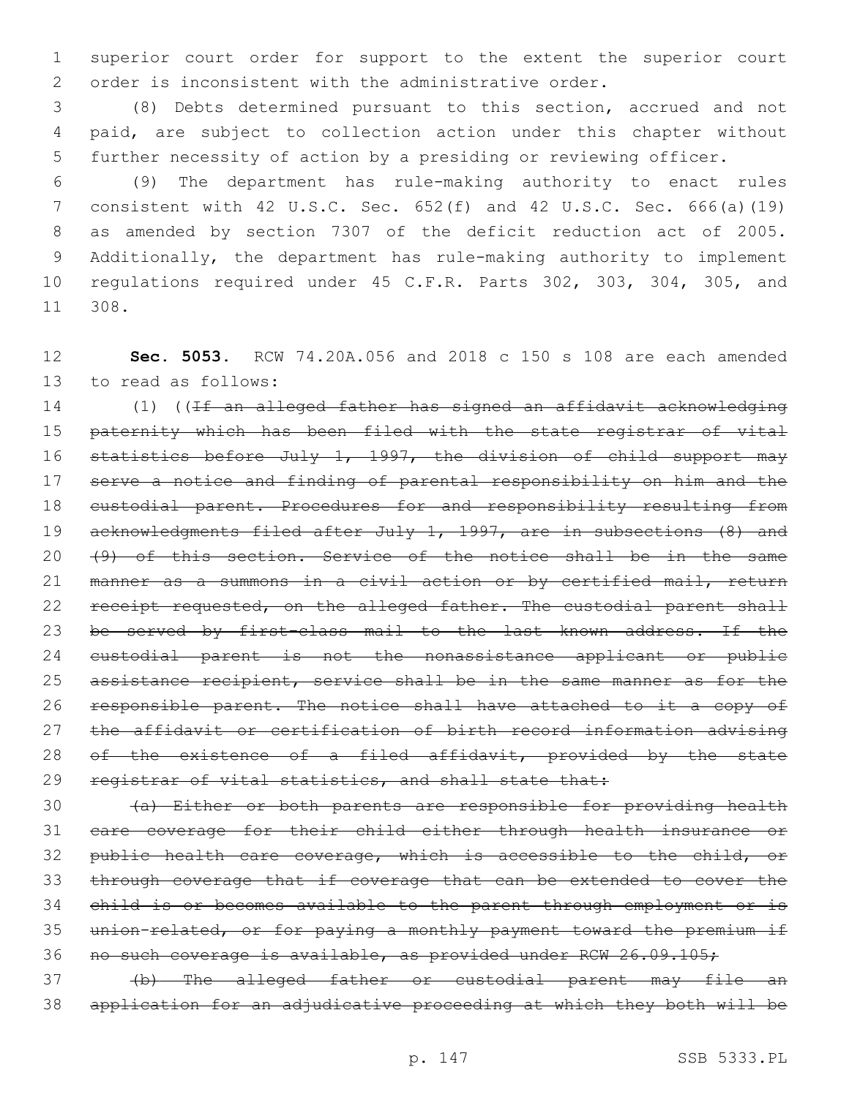superior court order for support to the extent the superior court order is inconsistent with the administrative order.

 (8) Debts determined pursuant to this section, accrued and not paid, are subject to collection action under this chapter without further necessity of action by a presiding or reviewing officer.

 (9) The department has rule-making authority to enact rules consistent with 42 U.S.C. Sec. 652(f) and 42 U.S.C. Sec. 666(a)(19) as amended by section 7307 of the deficit reduction act of 2005. Additionally, the department has rule-making authority to implement regulations required under 45 C.F.R. Parts 302, 303, 304, 305, and 308.11

 **Sec. 5053.** RCW 74.20A.056 and 2018 c 150 s 108 are each amended 13 to read as follows:

 (1) ((If an alleged father has signed an affidavit acknowledging 15 paternity which has been filed with the state registrar of vital 16 statistics before July 1, 1997, the division of child support may serve a notice and finding of parental responsibility on him and the custodial parent. Procedures for and responsibility resulting from 19 acknowledgments filed after July 1, 1997, are in subsections (8) and 20 (9) of this section. Service of the notice shall be in the same manner as a summons in a civil action or by certified mail, return 22 receipt requested, on the alleged father. The custodial parent shall 23 be served by first-class mail to the last known address. If the custodial parent is not the nonassistance applicant or public assistance recipient, service shall be in the same manner as for the responsible parent. The notice shall have attached to it a copy of the affidavit or certification of birth record information advising 28 of the existence of a filed affidavit, provided by the state 29 registrar of vital statistics, and shall state that:

 (a) Either or both parents are responsible for providing health care coverage for their child either through health insurance or 32 public health care coverage, which is accessible to the child, or through coverage that if coverage that can be extended to cover the child is or becomes available to the parent through employment or is union-related, or for paying a monthly payment toward the premium if no such coverage is available, as provided under RCW 26.09.105;

 (b) The alleged father or custodial parent may file an application for an adjudicative proceeding at which they both will be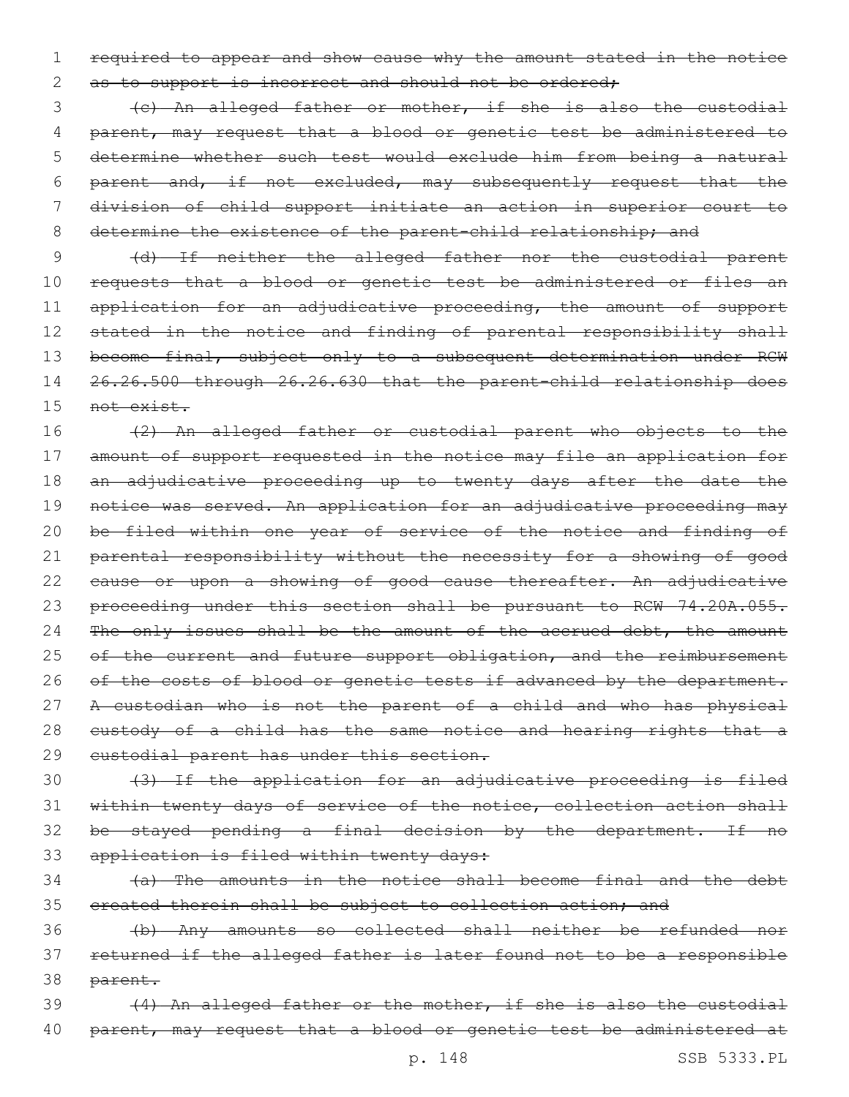1 required to appear and show cause why the amount stated in the notice 2 as to support is incorrect and should not be ordered;

 (c) An alleged father or mother, if she is also the custodial 4 parent, may request that a blood or genetic test be administered to determine whether such test would exclude him from being a natural parent and, if not excluded, may subsequently request that the division of child support initiate an action in superior court to 8 determine the existence of the parent-child relationship; and

9 (d) If neither the alleged father nor the custodial parent 10 requests that a blood or genetic test be administered or files an 11 application for an adjudicative proceeding, the amount of support 12 stated in the notice and finding of parental responsibility shall 13 become final, subject only to a subsequent determination under RCW 14 26.26.500 through 26.26.630 that the parent-child relationship does 15 <del>not exist.</del>

16 (2) An alleged father or custodial parent who objects to the 17 amount of support requested in the notice may file an application for 18 an adjudicative proceeding up to twenty days after the date the 19 notice was served. An application for an adjudicative proceeding may 20 be filed within one year of service of the notice and finding of 21 parental responsibility without the necessity for a showing of good 22 cause or upon a showing of good cause thereafter. An adjudicative 23 proceeding under this section shall be pursuant to RCW 74.20A.055. 24 The only issues shall be the amount of the accrued debt, the amount 25 of the current and future support obligation, and the reimbursement 26 of the costs of blood or genetic tests if advanced by the department. 27 A custodian who is not the parent of a child and who has physical 28 eustody of a child has the same notice and hearing rights that a 29 eustodial parent has under this section.

30 (3) If the application for an adjudicative proceeding is filed 31 within twenty days of service of the notice, collection action shall 32 be stayed pending a final decision by the department. If no 33 application is filed within twenty days:

34 (a) The amounts in the notice shall become final and the debt 35 ereated therein shall be subject to collection action; and

36 (b) Any amounts so collected shall neither be refunded nor 37 returned if the alleged father is later found not to be a responsible 38 parent.

39 (4) An alleged father or the mother, if she is also the custodial 40 parent, may request that a blood or genetic test be administered at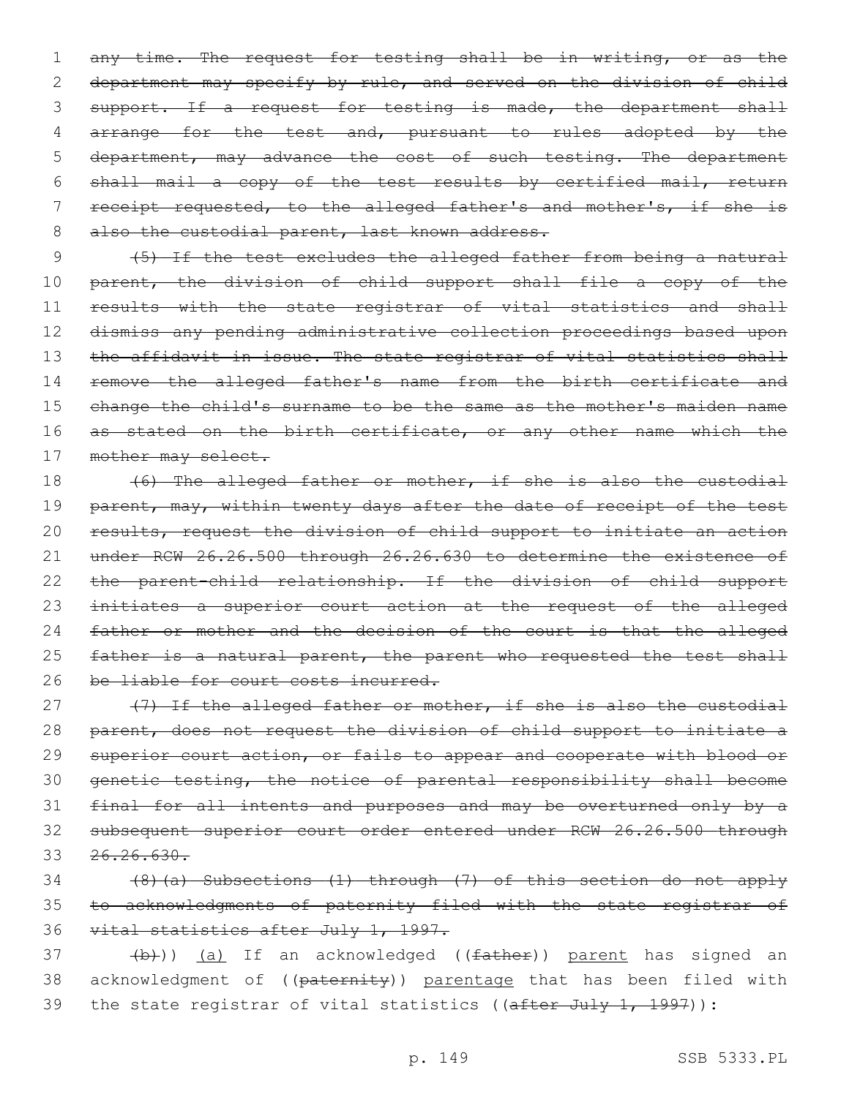1 any time. The request for testing shall be in writing, or as the 2 department may specify by rule, and served on the division of child 3 support. If a request for testing is made, the department shall 4 arrange for the test and, pursuant to rules adopted by the 5 department, may advance the cost of such testing. The department 6 shall mail a copy of the test results by certified mail, return 7 receipt requested, to the alleged father's and mother's, if she is 8 also the custodial parent, last known address.

9 (5) If the test excludes the alleged father from being a natural 10 parent, the division of child support shall file a copy of the 11 results with the state registrar of vital statistics and shall 12 dismiss any pending administrative collection proceedings based upon 13 the affidavit in issue. The state registrar of vital statistics shall 14 remove the alleged father's name from the birth certificate and 15 change the child's surname to be the same as the mother's maiden name 16 as stated on the birth certificate, or any other name which the 17 mother may select.

18 (6) The alleged father or mother, if she is also the custodial 19 parent, may, within twenty days after the date of receipt of the test 20 results, request the division of child support to initiate an action 21 under RCW 26.26.500 through 26.26.630 to determine the existence of 22 the parent-child relationship. If the division of child support 23 initiates a superior court action at the request of the alleged 24 father or mother and the decision of the court is that the alleged 25 father is a natural parent, the parent who requested the test shall 26 be liable for court costs incurred.

27 (7) If the alleged father or mother, if she is also the custodial 28 parent, does not request the division of child support to initiate a 29 superior court action, or fails to appear and cooperate with blood or 30 genetic testing, the notice of parental responsibility shall become 31 final for all intents and purposes and may be overturned only by a 32 subsequent superior court order entered under RCW 26.26.500 through 33 26.26.630.

34 (8)(a) Subsections (1) through (7) of this section do not apply 35 to acknowledgments of paternity filed with the state registrar of 36 vital statistics after July 1, 1997.

37 (b)) (a) If an acknowledged ((father)) parent has signed an 38 acknowledgment of ((paternity)) parentage that has been filed with 39 the state registrar of vital statistics ((after July 1, 1997)):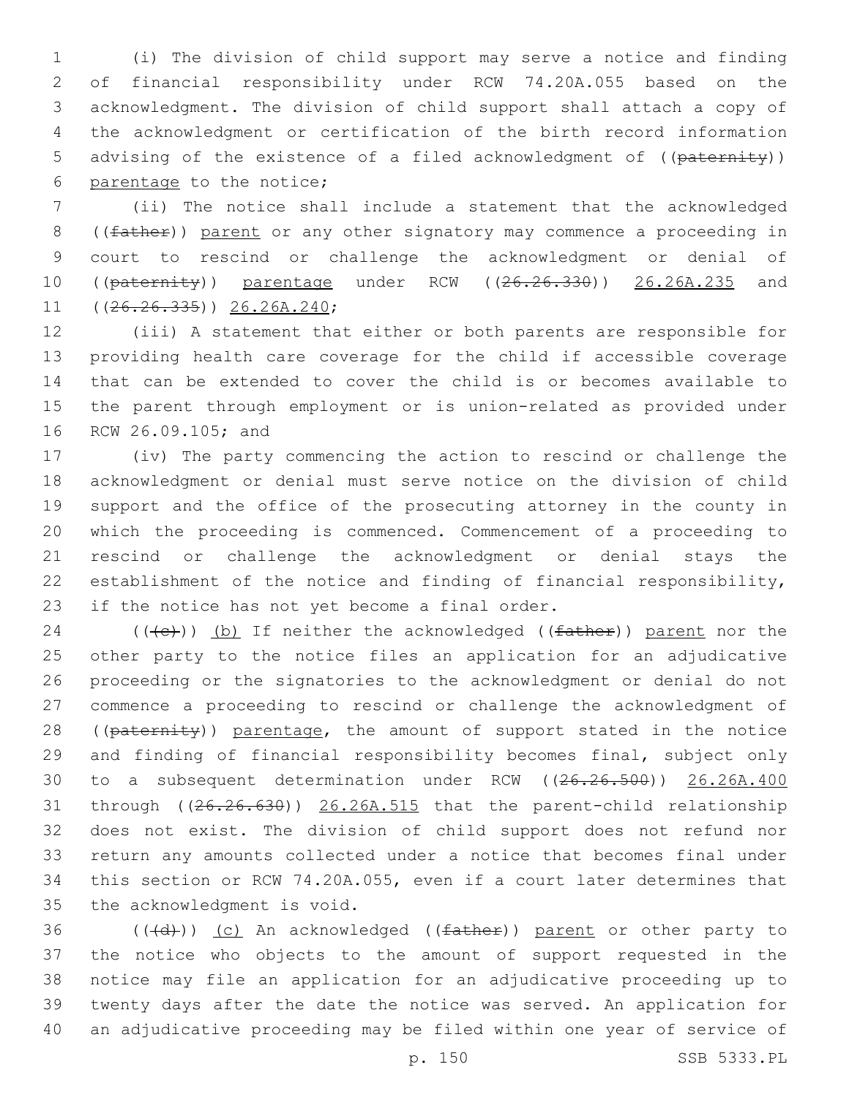(i) The division of child support may serve a notice and finding of financial responsibility under RCW 74.20A.055 based on the acknowledgment. The division of child support shall attach a copy of the acknowledgment or certification of the birth record information 5 advising of the existence of a filed acknowledgment of ((paternity)) 6 parentage to the notice;

 (ii) The notice shall include a statement that the acknowledged 8 ((father)) parent or any other signatory may commence a proceeding in court to rescind or challenge the acknowledgment or denial of 10 ((paternity)) parentage under RCW ((26.26.330)) 26.26A.235 and  $((26.26.335))$   $26.26A.240;$ 

 (iii) A statement that either or both parents are responsible for providing health care coverage for the child if accessible coverage that can be extended to cover the child is or becomes available to the parent through employment or is union-related as provided under 16 RCW 26.09.105; and

 (iv) The party commencing the action to rescind or challenge the acknowledgment or denial must serve notice on the division of child support and the office of the prosecuting attorney in the county in which the proceeding is commenced. Commencement of a proceeding to rescind or challenge the acknowledgment or denial stays the establishment of the notice and finding of financial responsibility, 23 if the notice has not yet become a final order.

24 ( $(\text{+e})$ ) (b) If neither the acknowledged ( $(\text{father})$ ) parent nor the other party to the notice files an application for an adjudicative proceeding or the signatories to the acknowledgment or denial do not commence a proceeding to rescind or challenge the acknowledgment of 28 ((paternity)) parentage, the amount of support stated in the notice and finding of financial responsibility becomes final, subject only to a subsequent determination under RCW ((26.26.500)) 26.26A.400 through ((26.26.630)) 26.26A.515 that the parent-child relationship does not exist. The division of child support does not refund nor return any amounts collected under a notice that becomes final under this section or RCW 74.20A.055, even if a court later determines that 35 the acknowledgment is void.

 $((\{d\}))(c)$  An acknowledged  $((\text{father}))$  parent or other party to the notice who objects to the amount of support requested in the notice may file an application for an adjudicative proceeding up to twenty days after the date the notice was served. An application for an adjudicative proceeding may be filed within one year of service of